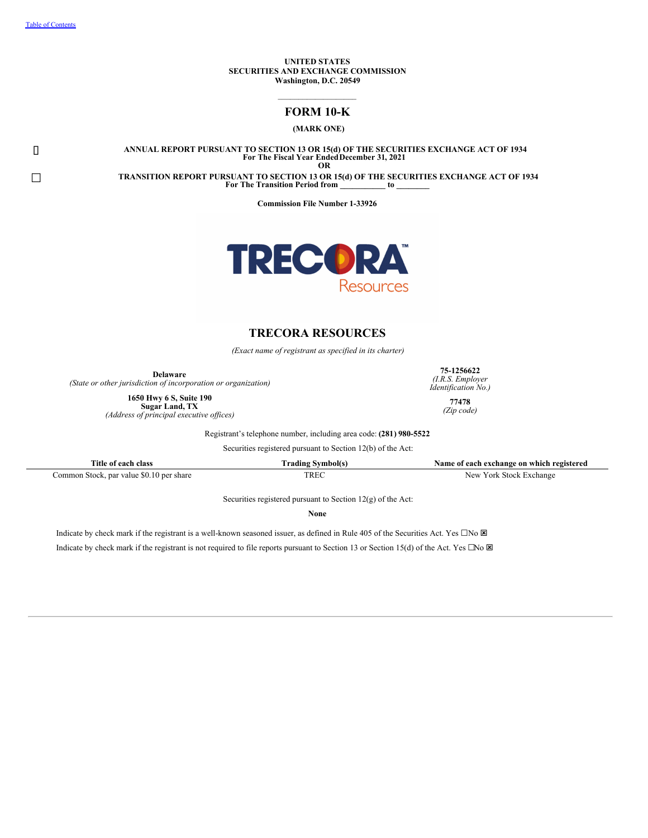$\Box$ 

**UNITED STATES SECURITIES AND EXCHANGE COMMISSION Washington, D.C. 20549**

# $\mathcal{L}=\mathcal{L}^{\mathcal{L}}$  , where  $\mathcal{L}^{\mathcal{L}}$  , we have the set of the set of the set of the set of the set of the set of the set of the set of the set of the set of the set of the set of the set of the set of the set of **FORM 10-K**

## **(MARK ONE)**

ANNUAL REPORT PURSUANT TO SECTION 13 OR 15(d) OF THE SECURITIES EXCHANGE ACT OF 1934<br>For The Fiscal Year EndedDecember 31, 2021<br>OR

☐ **TRANSITION REPORT PURSUANT TO SECTION <sup>13</sup> OR 15(d) OF THE SECURITIES EXCHANGE ACT OF <sup>1934</sup> For The Transition Period from \_\_\_\_\_\_\_\_\_\_\_ to \_\_\_\_\_\_\_\_**

**Commission File Number 1-33926**



# **TRECORA RESOURCES**

*(Exact name of registrant as specified in its charter)*

**Delaware**

*(State or other jurisdiction of incorporation or organization)*

**1650 Hwy 6 S, Suite 190 Sugar Land, TX** *(Address of principal executive of ices)*

Registrant's telephone number, including area code: **(281) 980-5522**

Securities registered pursuant to Section 12(b) of the Act:

| Title of each class                      | <b>Trading Symbol(s)</b> | Name of each exchange on which registered |
|------------------------------------------|--------------------------|-------------------------------------------|
| Common Stock, par value \$0.10 per share | <b>TREC</b>              | New York Stock Exchange                   |
|                                          |                          |                                           |

Securities registered pursuant to Section 12(g) of the Act:

**None**

Indicate by check mark if the registrant is a well-known seasoned issuer, as defined in Rule 405 of the Securities Act. Yes  $\Box$ No  $\boxtimes$ Indicate by check mark if the registrant is not required to file reports pursuant to Section 13 or Section 15(d) of the Act. Yes □No ⊠

**75-1256622** *(I.R.S. Employer*

*Identification No.)* **77478** *(Zip code)*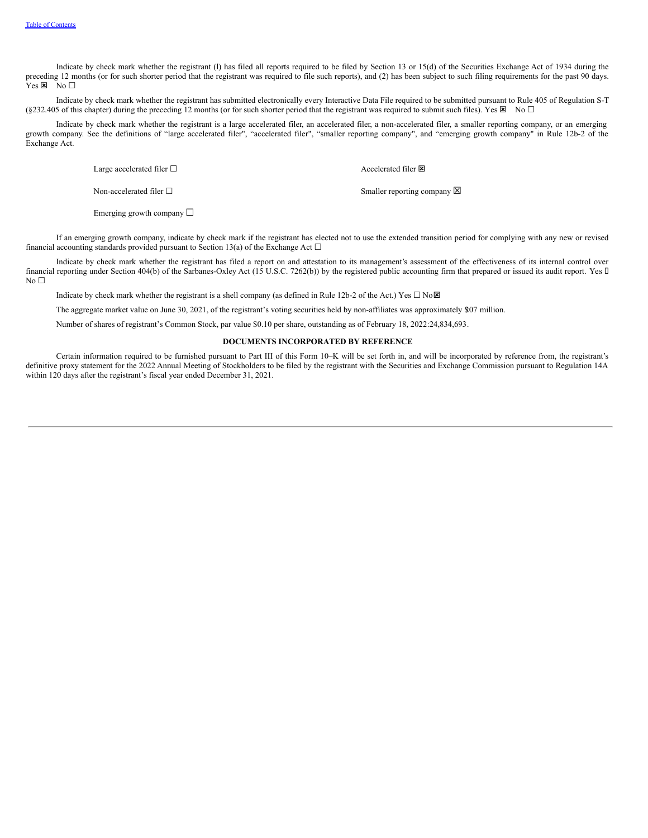Indicate by check mark whether the registrant (I) has filed all reports required to be filed by Section 13 or 15(d) of the Securities Exchange Act of 1934 during the preceding 12 months (or for such shorter period that the registrant was required to file such reports), and (2) has been subject to such filing requirements for the past 90 days.  $Yes \n **W** \n **No** \n  $\Box$$ 

Indicate by check mark whether the registrant has submitted electronically every Interactive Data File required to be submitted pursuant to Rule 405 of Regulation S-T (§232.405 of this chapter) during the preceding 12 months (or for such shorter period that the registrant was required to submit such files). Yes  $\boxtimes$  No  $\Box$ 

Indicate by check mark whether the registrant is a large accelerated filer, an accelerated filer, a non-accelerated filer, a smaller reporting company, or an emerging growth company. See the definitions of "large accelerated filer", "accelerated filer", "smaller reporting company", and "emerging growth company" in Rule 12b-2 of the Exchange Act.

| Large accelerated filer $\Box$  | Accelerated filer $\boxtimes$         |
|---------------------------------|---------------------------------------|
| Non-accelerated filer $\square$ | Smaller reporting company $\boxtimes$ |

Emerging growth company **☐**

If an emerging growth company, indicate by check mark if the registrant has elected not to use the extended transition period for complying with any new or revised financial accounting standards provided pursuant to Section 13(a) of the Exchange Act  $\Box$ 

Indicate by check mark whether the registrant has filed a report on and attestation to its management's assessment of the effectiveness of its internal control over financial reporting under Section 404(b) of the Sarbanes-Oxley Act (15 U.S.C. 7262(b)) by the registered public accounting firm that prepared or issued its audit report. Yes I No  $\Box$ 

Indicate by check mark whether the registrant is a shell company (as defined in Rule 12b-2 of the Act.) Yes  $\Box$  No $\boxtimes$ 

The aggregate market value on June 30, 2021, of the registrant's voting securities held by non-affiliates was approximately \$07 million.

Number of shares of registrant's Common Stock, par value \$0.10 per share, outstanding as of February 18, 2022:24,834,693.

## **DOCUMENTS INCORPORATED BY REFERENCE**

<span id="page-1-0"></span>Certain information required to be furnished pursuant to Part III of this Form 10–K will be set forth in, and will be incorporated by reference from, the registrant's definitive proxy statement for the 2022 Annual Meeting of Stockholders to be filed by the registrant with the Securities and Exchange Commission pursuant to Regulation 14A within 120 days after the registrant's fiscal year ended December 31, 2021.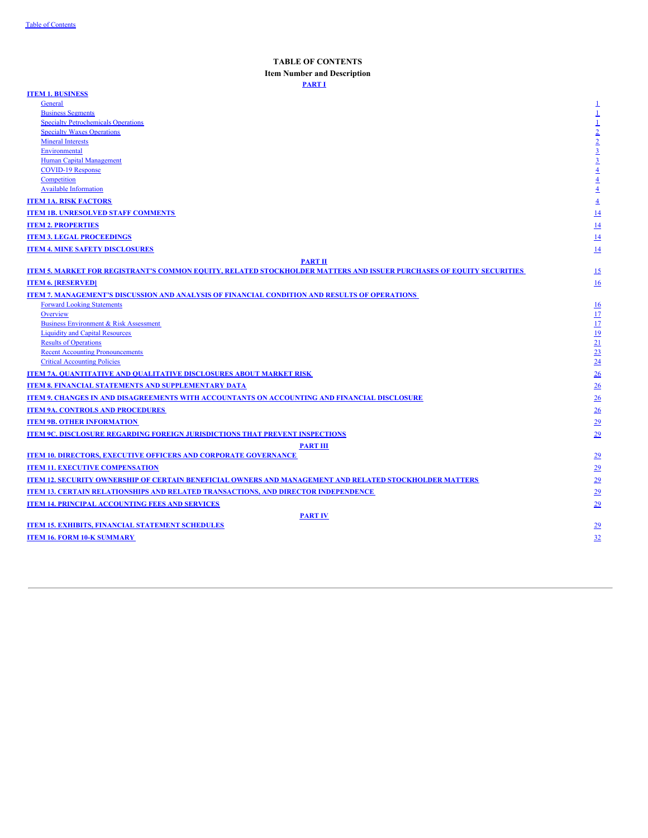# **TABLE OF CONTENTS Item Number and Description**

| <b>PART I</b>                                                                                                               |                                                         |
|-----------------------------------------------------------------------------------------------------------------------------|---------------------------------------------------------|
| <b>ITEM 1. BUSINESS</b>                                                                                                     |                                                         |
| General                                                                                                                     | $\overline{1}$                                          |
| <b>Business Segments</b>                                                                                                    | $\overline{1}$                                          |
| <b>Specialty Petrochemicals Operations</b>                                                                                  |                                                         |
| <b>Specialty Waxes Operations</b>                                                                                           |                                                         |
| <b>Mineral Interests</b><br>Environmental                                                                                   |                                                         |
| Human Capital Management                                                                                                    |                                                         |
| <b>COVID-19 Response</b>                                                                                                    | $\frac{1}{2}$ $\frac{2}{3}$ $\frac{3}{4}$ $\frac{4}{4}$ |
| Competition                                                                                                                 |                                                         |
| <b>Available Information</b>                                                                                                | $\overline{4}$                                          |
| <b>ITEM 1A. RISK FACTORS</b>                                                                                                | $\overline{4}$                                          |
| <b>ITEM 1B. UNRESOLVED STAFF COMMENTS</b>                                                                                   | $\underline{14}$                                        |
| <b>ITEM 2. PROPERTIES</b>                                                                                                   | 14                                                      |
| <b>ITEM 3. LEGAL PROCEEDINGS</b>                                                                                            | 14                                                      |
| <b>ITEM 4. MINE SAFETY DISCLOSURES</b>                                                                                      | 14                                                      |
| <b>PART II</b>                                                                                                              |                                                         |
| <u>ITEM 5. MARKET FOR REGISTRANT'S COMMON EQUITY, RELATED STOCKHOLDER MATTERS AND ISSUER PURCHASES OF EQUITY SECURITIES</u> | 15                                                      |
| <b>ITEM 6. IRESERVEDI</b>                                                                                                   | 16                                                      |
| ITEM 7. MANAGEMENT'S DISCUSSION AND ANALYSIS OF FINANCIAL CONDITION AND RESULTS OF OPERATIONS                               |                                                         |
| <b>Forward Looking Statements</b>                                                                                           | <u>16</u>                                               |
| Overview                                                                                                                    | 17                                                      |
| Business Environment & Risk Assessment                                                                                      | 17                                                      |
| <b>Liquidity and Capital Resources</b>                                                                                      | 19                                                      |
| <b>Results of Operations</b>                                                                                                | 21                                                      |
| <b>Recent Accounting Pronouncements</b><br><b>Critical Accounting Policies</b>                                              | 23                                                      |
|                                                                                                                             | 24                                                      |
| <u>ITEM 7A. QUANTITATIVE AND QUALITATIVE DISCLOSURES ABOUT MARKET RISK</u>                                                  | 26                                                      |
| <b>ITEM 8. FINANCIAL STATEMENTS AND SUPPLEMENTARY DATA</b>                                                                  | $\underline{26}$                                        |
| <u>ITEM 9. CHANGES IN AND DISAGREEMENTS WITH ACCOUNTANTS ON ACCOUNTING AND FINANCIAL DISCLOSURE</u>                         | 26                                                      |
| <b>ITEM 9A. CONTROLS AND PROCEDURES</b>                                                                                     | 26                                                      |
| <b>ITEM 9B. OTHER INFORMATION</b>                                                                                           | 29                                                      |
| <u>ITEM 9C. DISCLOSURE REGARDING FOREIGN JURISDICTIONS THAT PREVENT INSPECTIONS</u>                                         | 29                                                      |
| <b>PART III</b>                                                                                                             |                                                         |
| <b>ITEM 10. DIRECTORS, EXECUTIVE OFFICERS AND CORPORATE GOVERNANCE</b>                                                      | 29                                                      |
| <b>ITEM 11. EXECUTIVE COMPENSATION</b>                                                                                      | 29                                                      |
| <u>ITEM 12. SECURITY OWNERSHIP OF CERTAIN BENEFICIAL OWNERS AND MANAGEMENT AND RELATED STOCKHOLDER MATTERS</u>              | 29                                                      |
| <u>ITEM 13. CERTAIN RELATIONSHIPS AND RELATED TRANSACTIONS, AND DIRECTOR INDEPENDENCE</u>                                   | 29                                                      |
| <b>ITEM 14. PRINCIPAL ACCOUNTING FEES AND SERVICES</b>                                                                      | 29                                                      |
| <b>PART IV</b>                                                                                                              |                                                         |

<span id="page-2-0"></span>**ITEM 15. EXHIBITS, FINANCIAL [STATEMENT](#page-31-8) SCHEDULES** [29](#page-31-8) **ITEM 16. FORM 10-K [SUMMARY](#page-34-0)** [32](#page-34-0)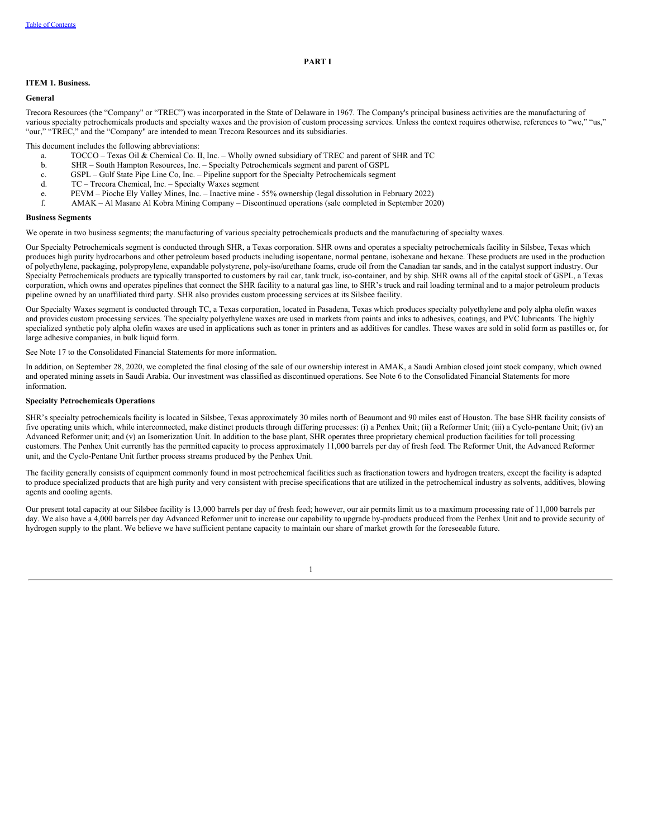## **PART I**

#### <span id="page-3-0"></span>**ITEM 1. Business.**

## <span id="page-3-1"></span>**General**

Trecora Resources (the "Company" or "TREC") was incorporated in the State of Delaware in 1967. The Company's principal business activities are the manufacturing of various specialty petrochemicals products and specialty waxes and the provision of custom processing services. Unless the context requires otherwise, references to "we," "us," "our," "TREC," and the "Company" are intended to mean Trecora Resources and its subsidiaries.

This document includes the following abbreviations:

- a. TOCCO Texas Oil & Chemical Co. II, Inc. Wholly owned subsidiary of TREC and parent of SHR and TC
- b. SHR South Hampton Resources, Inc. Specialty Petrochemicals segment and parent of GSPL
- c. GSPL Gulf State Pipe Line Co, Inc. Pipeline support for the Specialty Petrochemicals segment
- d. TC Trecora Chemical, Inc. Specialty Waxes segment
- e. PEVM Pioche Ely Valley Mines, Inc. Inactive mine 55% ownership (legal dissolution in February 2022)
- f. AMAK Al Masane Al Kobra Mining Company Discontinued operations (sale completed in September 2020)

#### <span id="page-3-2"></span>**Business Segments**

We operate in two business segments; the manufacturing of various specialty petrochemicals products and the manufacturing of specialty waxes.

Our Specialty Petrochemicals segment is conducted through SHR, a Texas corporation. SHR owns and operates a specialty petrochemicals facility in Silsbee, Texas which produces high purity hydrocarbons and other petroleum based products including isopentane, normal pentane, isohexane and hexane. These products are used in the production of polyethylene, packaging, polypropylene, expandable polystyrene, poly-iso/urethane foams, crude oil from the Canadian tar sands, and in the catalyst support industry. Our Specialty Petrochemicals products are typically transported to customers by rail car, tank truck, iso-container, and by ship. SHR owns all of the capital stock of GSPL, a Texas corporation, which owns and operates pipelines that connect the SHR facility to a natural gas line, to SHR's truck and rail loading terminal and to a major petroleum products pipeline owned by an unaffiliated third party. SHR also provides custom processing services at its Silsbee facility.

Our Specialty Waxes segment is conducted through TC, a Texas corporation, located in Pasadena, Texas which produces specialty polyethylene and poly alpha olefin waxes and provides custom processing services. The specialty polyethylene waxes are used in markets from paints and inks to adhesives, coatings, and PVC lubricants. The highly specialized synthetic poly alpha olefin waxes are used in applications such as toner in printers and as additives for candles. These waxes are sold in solid form as pastilles or, for large adhesive companies, in bulk liquid form.

See Note 17 to the Consolidated Financial Statements for more information.

In addition, on September 28, 2020, we completed the final closing of the sale of our ownership interest in AMAK, a Saudi Arabian closed joint stock company, which owned and operated mining assets in Saudi Arabia. Our investment was classified as discontinued operations. See Note 6 to the Consolidated Financial Statements for more information.

#### <span id="page-3-3"></span>**Specialty Petrochemicals Operations**

SHR's specialty petrochemicals facility is located in Silsbee, Texas approximately 30 miles north of Beaumont and 90 miles east of Houston. The base SHR facility consists of five operating units which, while interconnected, make distinct products through differing processes: (i) a Penhex Unit; (ii) a Reformer Unit; (iii) a Cyclo-pentane Unit; (iv) an Advanced Reformer unit; and (v) an Isomerization Unit. In addition to the base plant, SHR operates three proprietary chemical production facilities for toll processing customers. The Penhex Unit currently has the permitted capacity to process approximately 11,000 barrels per day of fresh feed. The Reformer Unit, the Advanced Reformer unit, and the Cyclo-Pentane Unit further process streams produced by the Penhex Unit.

The facility generally consists of equipment commonly found in most petrochemical facilities such as fractionation towers and hydrogen treaters, except the facility is adapted to produce specialized products that are high purity and very consistent with precise specifications that are utilized in the petrochemical industry as solvents, additives, blowing agents and cooling agents.

Our present total capacity at our Silsbee facility is 13,000 barrels per day of fresh feed; however, our air permits limit us to a maximum processing rate of 11,000 barrels per day. We also have a 4,000 barrels per day Advanced Reformer unit to increase our capability to upgrade by-products produced from the Penhex Unit and to provide security of hydrogen supply to the plant. We believe we have sufficient pentane capacity to maintain our share of market growth for the foreseeable future.

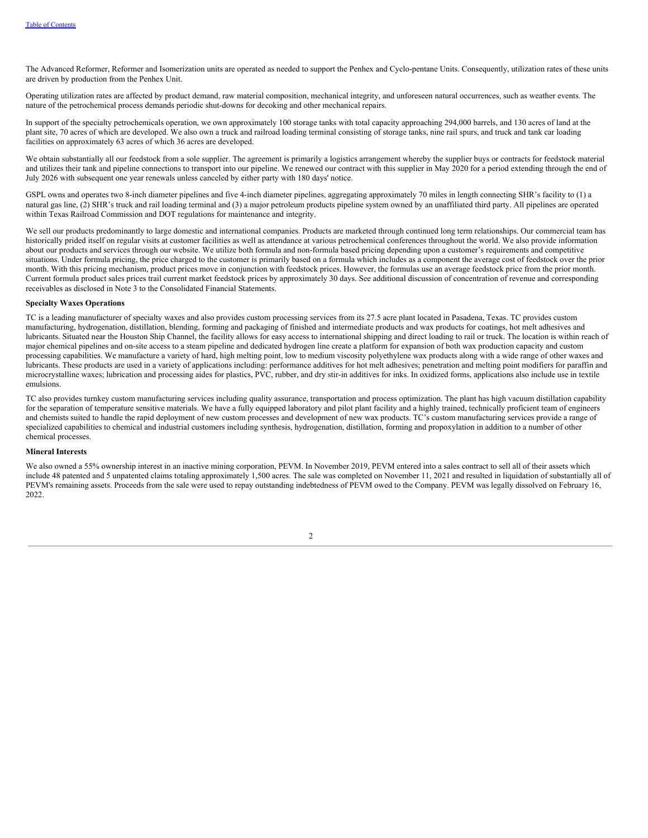The Advanced Reformer, Reformer and Isomerization units are operated as needed to support the Penhex and Cyclo-pentane Units. Consequently, utilization rates of these units are driven by production from the Penhex Unit.

Operating utilization rates are affected by product demand, raw material composition, mechanical integrity, and unforeseen natural occurrences, such as weather events. The nature of the petrochemical process demands periodic shut-downs for decoking and other mechanical repairs.

In support of the specialty petrochemicals operation, we own approximately 100 storage tanks with total capacity approaching 294,000 barrels, and 130 acres of land at the plant site, 70 acres of which are developed. We also own a truck and railroad loading terminal consisting of storage tanks, nine rail spurs, and truck and tank car loading facilities on approximately 63 acres of which 36 acres are developed.

We obtain substantially all our feedstock from a sole supplier. The agreement is primarily a logistics arrangement whereby the supplier buys or contracts for feedstock material and utilizes their tank and pipeline connections to transport into our pipeline. We renewed our contract with this supplier in May 2020 for a period extending through the end of July 2026 with subsequent one year renewals unless canceled by either party with 180 days' notice.

GSPL owns and operates two 8-inch diameter pipelines and five 4-inch diameter pipelines, aggregating approximately 70 miles in length connecting SHR's facility to (1) a natural gas line, (2) SHR's truck and rail loading terminal and (3) a major petroleum products pipeline system owned by an unaffiliated third party. All pipelines are operated within Texas Railroad Commission and DOT regulations for maintenance and integrity.

We sell our products predominantly to large domestic and international companies. Products are marketed through continued long term relationships. Our commercial team has historically prided itself on regular visits at customer facilities as well as attendance at various petrochemical conferences throughout the world. We also provide information about our products and services through our website. We utilize both formula and non-formula based pricing depending upon a customer's requirements and competitive situations. Under formula pricing, the price charged to the customer is primarily based on a formula which includes as a component the average cost of feedstock over the prior month. With this pricing mechanism, product prices move in conjunction with feedstock prices. However, the formulas use an average feedstock price from the prior month. Current formula product sales prices trail current market feedstock prices by approximately 30 days. See additional discussion of concentration of revenue and corresponding receivables as disclosed in Note 3 to the Consolidated Financial Statements.

#### <span id="page-4-0"></span>**Specialty Waxes Operations**

TC is a leading manufacturer of specialty waxes and also provides custom processing services from its 27.5 acre plant located in Pasadena, Texas. TC provides custom manufacturing, hydrogenation, distillation, blending, forming and packaging of finished and intermediate products and wax products for coatings, hot melt adhesives and lubricants. Situated near the Houston Ship Channel, the facility allows for easy access to international shipping and direct loading to rail or truck. The location is within reach of major chemical pipelines and on-site access to a steam pipeline and dedicated hydrogen line create a platform for expansion of both wax production capacity and custom processing capabilities. We manufacture a variety of hard, high melting point, low to medium viscosity polyethylene wax products along with a wide range of other waxes and lubricants. These products are used in a variety of applications including: performance additives for hot melt adhesives; penetration and melting point modifiers for paraffin and microcrystalline waxes; lubrication and processing aides for plastics, PVC, rubber, and dry stir-in additives for inks. In oxidized forms, applications also include use in textile emulsions.

TC also provides turnkey custom manufacturing services including quality assurance, transportation and process optimization. The plant has high vacuum distillation capability for the separation of temperature sensitive materials. We have a fully equipped laboratory and pilot plant facility and a highly trained, technically proficient team of engineers and chemists suited to handle the rapid deployment of new custom processes and development of new wax products. TC's custom manufacturing services provide a range of specialized capabilities to chemical and industrial customers including synthesis, hydrogenation, distillation, forming and propoxylation in addition to a number of other chemical processes.

#### <span id="page-4-1"></span>**Mineral Interests**

<span id="page-4-2"></span>We also owned a 55% ownership interest in an inactive mining corporation, PEVM. In November 2019, PEVM entered into a sales contract to sell all of their assets which include 48 patented and 5 unpatented claims totaling approximately 1,500 acres. The sale was completed on November 11, 2021 and resulted in liquidation of substantially all of PEVM's remaining assets. Proceeds from the sale were used to repay outstanding indebtedness of PEVM owed to the Company. PEVM was legally dissolved on February 16, 2022.

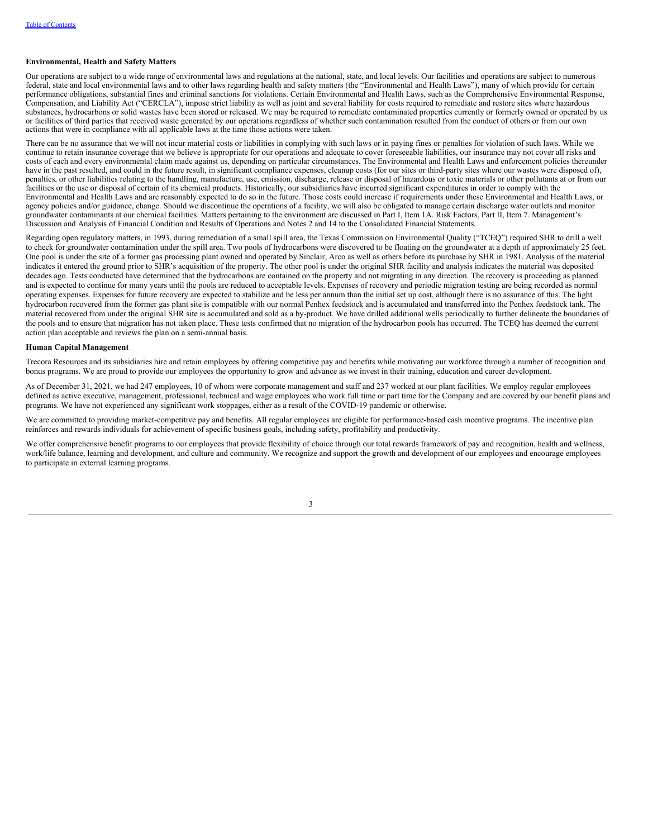#### **Environmental, Health and Safety Matters**

Our operations are subject to a wide range of environmental laws and regulations at the national, state, and local levels. Our facilities and operations are subject to numerous federal, state and local environmental laws and to other laws regarding health and safety matters (the "Environmental and Health Laws"), many of which provide for certain performance obligations, substantial fines and criminal sanctions for violations. Certain Environmental and Health Laws, such as the Comprehensive Environmental Response, Compensation, and Liability Act ("CERCLA"), impose strict liability as well as joint and several liability for costs required to remediate and restore sites where hazardous substances, hydrocarbons or solid wastes have been stored or released. We may be required to remediate contaminated properties currently or formerly owned or operated by us or facilities of third parties that received waste generated by our operations regardless of whether such contamination resulted from the conduct of others or from our own actions that were in compliance with all applicable laws at the time those actions were taken.

There can be no assurance that we will not incur material costs or liabilities in complying with such laws or in paying fines or penalties for violation of such laws. While we continue to retain insurance coverage that we believe is appropriate for our operations and adequate to cover foreseeable liabilities, our insurance may not cover all risks and costs of each and every environmental claim made against us, depending on particular circumstances. The Environmental and Health Laws and enforcement policies thereunder have in the past resulted, and could in the future result, in significant compliance expenses, cleanup costs (for our sites or third-party sites where our wastes were disposed of), penalties, or other liabilities relating to the handling, manufacture, use, emission, discharge, release or disposal of hazardous or toxic materials or other pollutants at or from our facilities or the use or disposal of certain of its chemical products. Historically, our subsidiaries have incurred significant expenditures in order to comply with the Environmental and Health Laws and are reasonably expected to do so in the future. Those costs could increase if requirements under these Environmental and Health Laws, or agency policies and/or guidance, change. Should we discontinue the operations of a facility, we will also be obligated to manage certain discharge water outlets and monitor groundwater contaminants at our chemical facilities. Matters pertaining to the environment are discussed in Part I, Item 1A. Risk Factors, Part II, Item 7. Management's Discussion and Analysis of Financial Condition and Results of Operations and Notes 2 and 14 to the Consolidated Financial Statements.

Regarding open regulatory matters, in 1993, during remediation of a small spill area, the Texas Commission on Environmental Quality ("TCEQ") required SHR to drill a well to check for groundwater contamination under the spill area. Two pools of hydrocarbons were discovered to be floating on the groundwater at a depth of approximately 25 feet. One pool is under the site of a former gas processing plant owned and operated by Sinclair, Arco as well as others before its purchase by SHR in 1981. Analysis of the material indicates it entered the ground prior to SHR's acquisition of the property. The other pool is under the original SHR facility and analysis indicates the material was deposited decades ago. Tests conducted have determined that the hydrocarbons are contained on the property and not migrating in any direction. The recovery is proceeding as planned and is expected to continue for many years until the pools are reduced to acceptable levels. Expenses of recovery and periodic migration testing are being recorded as normal operating expenses. Expenses for future recovery are expected to stabilize and be less per annum than the initial set up cost, although there is no assurance of this. The light hydrocarbon recovered from the former gas plant site is compatible with our normal Penhex feedstock and is accumulated and transferred into the Penhex feedstock tank. The material recovered from under the original SHR site is accumulated and sold as a by-product. We have drilled additional wells periodically to further delineate the boundaries of the pools and to ensure that migration has not taken place. These tests confirmed that no migration of the hydrocarbon pools has occurred. The TCEQ has deemed the current action plan acceptable and reviews the plan on a semi-annual basis.

## <span id="page-5-0"></span>**Human Capital Management**

Trecora Resources and its subsidiaries hire and retain employees by offering competitive pay and benefits while motivating our workforce through a number of recognition and bonus programs. We are proud to provide our employees the opportunity to grow and advance as we invest in their training, education and career development.

As of December 31, 2021, we had 247 employees, 10 of whom were corporate management and staff and 237 worked at our plant facilities. We employ regular employees defined as active executive, management, professional, technical and wage employees who work full time or part time for the Company and are covered by our benefit plans and programs. We have not experienced any significant work stoppages, either as a result of the COVID-19 pandemic or otherwise.

We are committed to providing market-competitive pay and benefits. All regular employees are eligible for performance-based cash incentive programs. The incentive plan reinforces and rewards individuals for achievement of specific business goals, including safety, profitability and productivity.

<span id="page-5-1"></span>We offer comprehensive benefit programs to our employees that provide flexibility of choice through our total rewards framework of pay and recognition, health and wellness, work/life balance, learning and development, and culture and community. We recognize and support the growth and development of our employees and encourage employees to participate in external learning programs.

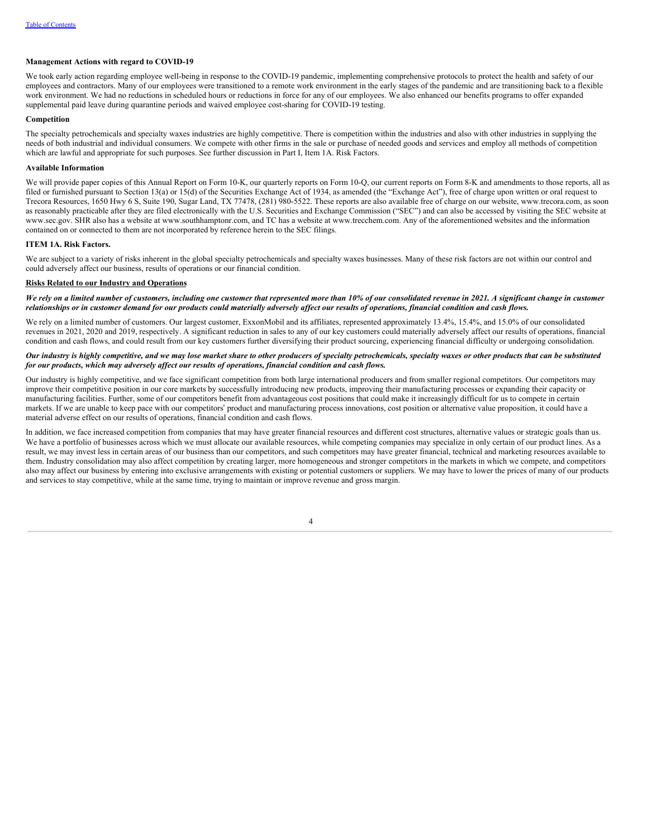## **Management Actions with regard to COVID-19**

We took early action regarding employee well-being in response to the COVID-19 pandemic, implementing comprehensive protocols to protect the health and safety of our employees and contractors. Many of our employees were transitioned to a remote work environment in the early stages of the pandemic and are transitioning back to a flexible work environment. We had no reductions in scheduled hours or reductions in force for any of our employees. We also enhanced our benefits programs to offer expanded supplemental paid leave during quarantine periods and waived employee cost-sharing for COVID-19 testing.

#### <span id="page-6-0"></span>**Competition**

The specialty petrochemicals and specialty waxes industries are highly competitive. There is competition within the industries and also with other industries in supplying the needs of both industrial and individual consumers. We compete with other firms in the sale or purchase of needed goods and services and employ all methods of competition which are lawful and appropriate for such purposes. See further discussion in Part I, Item 1A. Risk Factors.

#### <span id="page-6-1"></span>**Available Information**

We will provide paper copies of this Annual Report on Form 10-K, our quarterly reports on Form 10-Q, our current reports on Form 8-K and amendments to those reports, all as filed or furnished pursuant to Section 13(a) or 15(d) of the Securities Exchange Act of 1934, as amended (the "Exchange Act"), free of charge upon written or oral request to Trecora Resources, 1650 Hwy 6 S, Suite 190, Sugar Land, TX 77478, (281) 980-5522. These reports are also available free of charge on our website, www.trecora.com, as soon as reasonably practicable after they are filed electronically with the U.S. Securities and Exchange Commission ("SEC") and can also be accessed by visiting the SEC website at www.sec.gov. SHR also has a website at www.southhamptonr.com, and TC has a website at www.trecchem.com. Any of the aforementioned websites and the information contained on or connected to them are not incorporated by reference herein to the SEC filings.

#### <span id="page-6-2"></span>**ITEM 1A. Risk Factors.**

We are subject to a variety of risks inherent in the global specialty petrochemicals and specialty waxes businesses. Many of these risk factors are not within our control and could adversely affect our business, results of operations or our financial condition.

#### **Risks Related to our Industry and Operations**

We rely on a limited number of customers, including one customer that represented more than 10% of our consolidated revenue in 2021. A significant change in customer relationships or in customer demand for our products could materially adversely affect our results of operations, financial condition and cash flows.

We rely on a limited number of customers. Our largest customer, ExxonMobil and its affiliates, represented approximately 13.4%, 15.4%, and 15.0% of our consolidated revenues in 2021, 2020 and 2019, respectively. A significant reduction in sales to any of our key customers could materially adversely affect our results of operations, financial condition and cash flows, and could result from our key customers further diversifying their product sourcing, experiencing financial difficulty or undergoing consolidation.

## Our industry is highly competitive, and we may lose market share to other producers of specialty petrochemicals, specialty waxes or other products that can be substituted for our products, which may adversely affect our results of operations, financial condition and cash flows.

Our industry is highly competitive, and we face significant competition from both large international producers and from smaller regional competitors. Our competitors may improve their competitive position in our core markets by successfully introducing new products, improving their manufacturing processes or expanding their capacity or manufacturing facilities. Further, some of our competitors benefit from advantageous cost positions that could make it increasingly difficult for us to compete in certain markets. If we are unable to keep pace with our competitors' product and manufacturing process innovations, cost position or alternative value proposition, it could have a material adverse effect on our results of operations, financial condition and cash flows.

In addition, we face increased competition from companies that may have greater financial resources and different cost structures, alternative values or strategic goals than us. We have a portfolio of businesses across which we must allocate our available resources, while competing companies may specialize in only certain of our product lines. As a result, we may invest less in certain areas of our business than our competitors, and such competitors may have greater financial, technical and marketing resources available to them. Industry consolidation may also affect competition by creating larger, more homogeneous and stronger competitors in the markets in which we compete, and competitors also may affect our business by entering into exclusive arrangements with existing or potential customers or suppliers. We may have to lower the prices of many of our products and services to stay competitive, while at the same time, trying to maintain or improve revenue and gross margin.

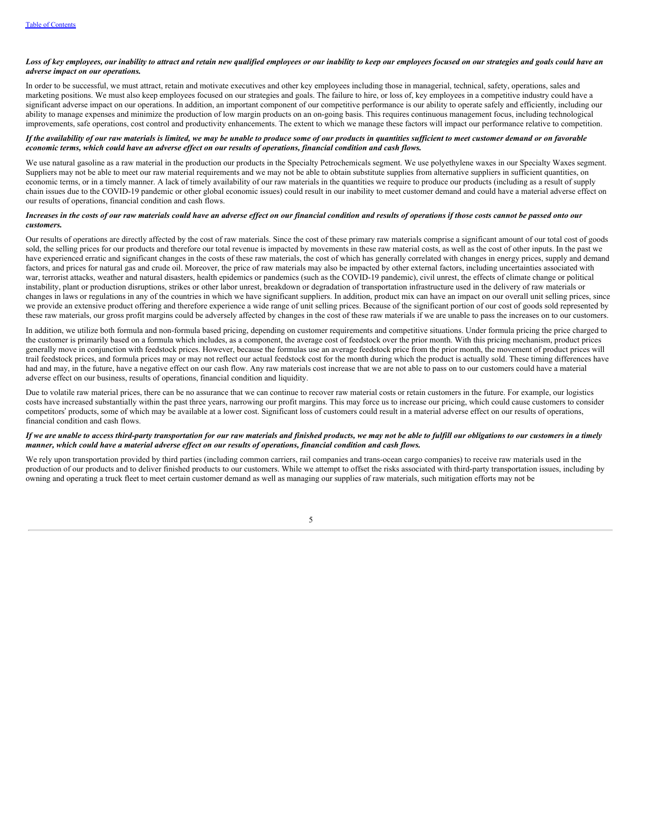## Loss of key employees, our inability to attract and retain new qualified employees or our inability to keep our employees focused on our strategies and goals could have an *adverse impact on our operations.*

In order to be successful, we must attract, retain and motivate executives and other key employees including those in managerial, technical, safety, operations, sales and marketing positions. We must also keep employees focused on our strategies and goals. The failure to hire, or loss of, key employees in a competitive industry could have a significant adverse impact on our operations. In addition, an important component of our competitive performance is our ability to operate safely and efficiently, including our ability to manage expenses and minimize the production of low margin products on an on-going basis. This requires continuous management focus, including technological improvements, safe operations, cost control and productivity enhancements. The extent to which we manage these factors will impact our performance relative to competition.

## If the availability of our raw materials is limited, we may be unable to produce some of our products in quantities sufficient to meet customer demand or on favorable economic terms, which could have an adverse effect on our results of operations, financial condition and cash flows.

We use natural gasoline as a raw material in the production our products in the Specialty Petrochemicals segment. We use polyethylene waxes in our Specialty Waxes segment. Suppliers may not be able to meet our raw material requirements and we may not be able to obtain substitute supplies from alternative suppliers in sufficient quantities, on economic terms, or in a timely manner. A lack of timely availability of our raw materials in the quantities we require to produce our products (including as a result of supply chain issues due to the COVID-19 pandemic or other global economic issues) could result in our inability to meet customer demand and could have a material adverse effect on our results of operations, financial condition and cash flows.

## Increases in the costs of our raw materials could have an adverse effect on our financial condition and results of operations if those costs cannot be passed onto our *customers.*

Our results of operations are directly affected by the cost of raw materials. Since the cost of these primary raw materials comprise a significant amount of our total cost of goods sold, the selling prices for our products and therefore our total revenue is impacted by movements in these raw material costs, as well as the cost of other inputs. In the past we have experienced erratic and significant changes in the costs of these raw materials, the cost of which has generally correlated with changes in energy prices, supply and demand factors, and prices for natural gas and crude oil. Moreover, the price of raw materials may also be impacted by other external factors, including uncertainties associated with war, terrorist attacks, weather and natural disasters, health epidemics or pandemics (such as the COVID-19 pandemic), civil unrest, the effects of climate change or political instability, plant or production disruptions, strikes or other labor unrest, breakdown or degradation of transportation infrastructure used in the delivery of raw materials or changes in laws or regulations in any of the countries in which we have significant suppliers. In addition, product mix can have an impact on our overall unit selling prices, since we provide an extensive product offering and therefore experience a wide range of unit selling prices. Because of the significant portion of our cost of goods sold represented by these raw materials, our gross profit margins could be adversely affected by changes in the cost of these raw materials if we are unable to pass the increases on to our customers.

In addition, we utilize both formula and non-formula based pricing, depending on customer requirements and competitive situations. Under formula pricing the price charged to the customer is primarily based on a formula which includes, as a component, the average cost of feedstock over the prior month. With this pricing mechanism, product prices generally move in conjunction with feedstock prices. However, because the formulas use an average feedstock price from the prior month, the movement of product prices will trail feedstock prices, and formula prices may or may not reflect our actual feedstock cost for the month during which the product is actually sold. These timing differences have had and may, in the future, have a negative effect on our cash flow. Any raw materials cost increase that we are not able to pass on to our customers could have a material adverse effect on our business, results of operations, financial condition and liquidity.

Due to volatile raw material prices, there can be no assurance that we can continue to recover raw material costs or retain customers in the future. For example, our logistics costs have increased substantially within the past three years, narrowing our profit margins. This may force us to increase our pricing, which could cause customers to consider competitors' products, some of which may be available at a lower cost. Significant loss of customers could result in a material adverse effect on our results of operations, financial condition and cash flows.

## If we are unable to access third-party transportation for our raw materials and finished products, we may not be able to fulfill our obligations to our customers in a timely manner, which could have a material adverse effect on our results of operations, financial condition and cash flows.

We rely upon transportation provided by third parties (including common carriers, rail companies and trans-ocean cargo companies) to receive raw materials used in the production of our products and to deliver finished products to our customers. While we attempt to offset the risks associated with third-party transportation issues, including by owning and operating a truck fleet to meet certain customer demand as well as managing our supplies of raw materials, such mitigation efforts may not be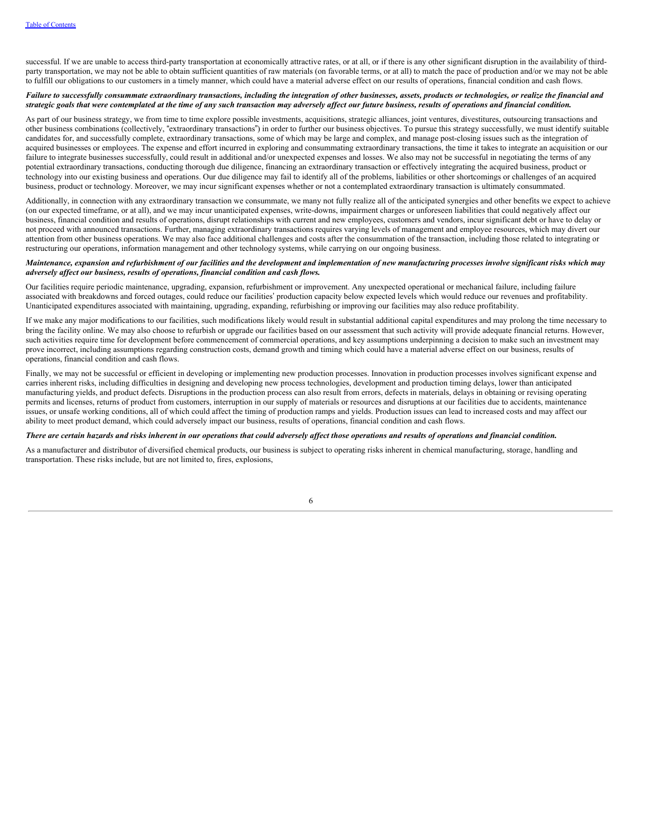successful. If we are unable to access third-party transportation at economically attractive rates, or at all, or if there is any other significant disruption in the availability of thirdparty transportation, we may not be able to obtain sufficient quantities of raw materials (on favorable terms, or at all) to match the pace of production and/or we may not be able to fulfill our obligations to our customers in a timely manner, which could have a material adverse effect on our results of operations, financial condition and cash flows.

## Failure to successfully consummate extraordinary transactions, including the integration of other businesses, assets, products or technologies, or realize the financial and strategic goals that were contemplated at the time of any such transaction may adversely affect our future business, results of operations and financial condition.

As part of our business strategy, we from time to time explore possible investments, acquisitions, strategic alliances, joint ventures, divestitures, outsourcing transactions and other business combinations (collectively, "extraordinary transactions") in order to further our business objectives. To pursue this strategy successfully, we must identify suitable candidates for, and successfully complete, extraordinary transactions, some of which may be large and complex, and manage post-closing issues such as the integration of acquired businesses or employees. The expense and effort incurred in exploring and consummating extraordinary transactions, the time it takes to integrate an acquisition or our failure to integrate businesses successfully, could result in additional and/or unexpected expenses and losses. We also may not be successful in negotiating the terms of any potential extraordinary transactions, conducting thorough due diligence, financing an extraordinary transaction or effectively integrating the acquired business, product or technology into our existing business and operations. Our due diligence may fail to identify all of the problems, liabilities or other shortcomings or challenges of an acquired business, product or technology. Moreover, we may incur significant expenses whether or not a contemplated extraordinary transaction is ultimately consummated.

Additionally, in connection with any extraordinary transaction we consummate, we many not fully realize all of the anticipated synergies and other benefits we expect to achieve (on our expected timeframe, or at all), and we may incur unanticipated expenses, write-downs, impairment charges or unforeseen liabilities that could negatively affect our business, financial condition and results of operations, disrupt relationships with current and new employees, customers and vendors, incur significant debt or have to delay or not proceed with announced transactions. Further, managing extraordinary transactions requires varying levels of management and employee resources, which may divert our attention from other business operations. We may also face additional challenges and costs after the consummation of the transaction, including those related to integrating or restructuring our operations, information management and other technology systems, while carrying on our ongoing business.

## Maintenance, expansion and refurbishment of our facilities and the development and implementation of new manufacturing processes involve significant risks which may *adversely af ect our business, results of operations, financial condition and cash flows.*

Our facilities require periodic maintenance, upgrading, expansion, refurbishment or improvement. Any unexpected operational or mechanical failure, including failure associated with breakdowns and forced outages, could reduce our facilities' production capacity below expected levels which would reduce our revenues and profitability. Unanticipated expenditures associated with maintaining, upgrading, expanding, refurbishing or improving our facilities may also reduce profitability.

If we make any major modifications to our facilities, such modifications likely would result in substantial additional capital expenditures and may prolong the time necessary to bring the facility online. We may also choose to refurbish or upgrade our facilities based on our assessment that such activity will provide adequate financial returns. However, such activities require time for development before commencement of commercial operations, and key assumptions underpinning a decision to make such an investment may prove incorrect, including assumptions regarding construction costs, demand growth and timing which could have a material adverse effect on our business, results of operations, financial condition and cash flows.

Finally, we may not be successful or efficient in developing or implementing new production processes. Innovation in production processes involves significant expense and carries inherent risks, including difficulties in designing and developing new process technologies, development and production timing delays, lower than anticipated manufacturing yields, and product defects. Disruptions in the production process can also result from errors, defects in materials, delays in obtaining or revising operating permits and licenses, returns of product from customers, interruption in our supply of materials or resources and disruptions at our facilities due to accidents, maintenance issues, or unsafe working conditions, all of which could affect the timing of production ramps and yields. Production issues can lead to increased costs and may affect our ability to meet product demand, which could adversely impact our business, results of operations, financial condition and cash flows.

There are certain hazards and risks inherent in our operations that could adversely affect those operations and results of operations and financial condition.

As a manufacturer and distributor of diversified chemical products, our business is subject to operating risks inherent in chemical manufacturing, storage, handling and transportation. These risks include, but are not limited to, fires, explosions,

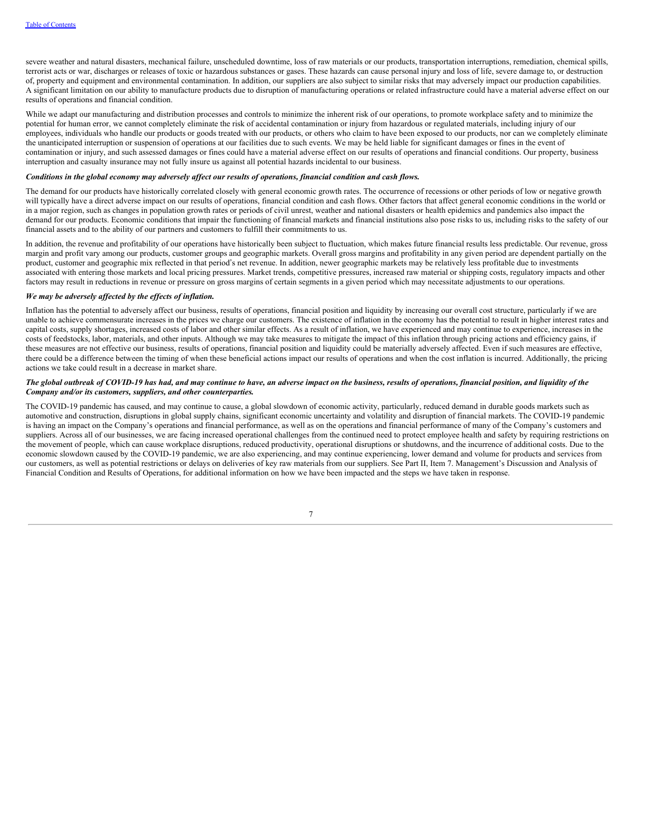severe weather and natural disasters, mechanical failure, unscheduled downtime, loss of raw materials or our products, transportation interruptions, remediation, chemical spills, terrorist acts or war, discharges or releases of toxic or hazardous substances or gases. These hazards can cause personal injury and loss of life, severe damage to, or destruction of, property and equipment and environmental contamination. In addition, our suppliers are also subject to similar risks that may adversely impact our production capabilities. A significant limitation on our ability to manufacture products due to disruption of manufacturing operations or related infrastructure could have a material adverse effect on our results of operations and financial condition.

While we adapt our manufacturing and distribution processes and controls to minimize the inherent risk of our operations, to promote workplace safety and to minimize the potential for human error, we cannot completely eliminate the risk of accidental contamination or injury from hazardous or regulated materials, including injury of our employees, individuals who handle our products or goods treated with our products, or others who claim to have been exposed to our products, nor can we completely eliminate the unanticipated interruption or suspension of operations at our facilities due to such events. We may be held liable for significant damages or fines in the event of contamination or injury, and such assessed damages or fines could have a material adverse effect on our results of operations and financial conditions. Our property, business interruption and casualty insurance may not fully insure us against all potential hazards incidental to our business.

## Conditions in the global economy may adversely affect our results of operations, financial condition and cash flows.

The demand for our products have historically correlated closely with general economic growth rates. The occurrence of recessions or other periods of low or negative growth will typically have a direct adverse impact on our results of operations, financial condition and cash flows. Other factors that affect general economic conditions in the world or in a major region, such as changes in population growth rates or periods of civil unrest, weather and national disasters or health epidemics and pandemics also impact the demand for our products. Economic conditions that impair the functioning of financial markets and financial institutions also pose risks to us, including risks to the safety of our financial assets and to the ability of our partners and customers to fulfill their commitments to us.

In addition, the revenue and profitability of our operations have historically been subject to fluctuation, which makes future financial results less predictable. Our revenue, gross margin and profit vary among our products, customer groups and geographic markets. Overall gross margins and profitability in any given period are dependent partially on the product, customer and geographic mix reflected in that period's net revenue. In addition, newer geographic markets may be relatively less profitable due to investments associated with entering those markets and local pricing pressures. Market trends, competitive pressures, increased raw material or shipping costs, regulatory impacts and other factors may result in reductions in revenue or pressure on gross margins of certain segments in a given period which may necessitate adjustments to our operations.

#### *We* may be adversely affected by the effects of inflation.

Inflation has the potential to adversely affect our business, results of operations, financial position and liquidity by increasing our overall cost structure, particularly if we are unable to achieve commensurate increases in the prices we charge our customers. The existence of inflation in the economy has the potential to result in higher interest rates and capital costs, supply shortages, increased costs of labor and other similar effects. As a result of inflation, we have experienced and may continue to experience, increases in the costs of feedstocks, labor, materials, and other inputs. Although we may take measures to mitigate the impact of this inflation through pricing actions and efficiency gains, if these measures are not effective our business, results of operations, financial position and liquidity could be materially adversely affected. Even if such measures are effective, there could be a difference between the timing of when these beneficial actions impact our results of operations and when the cost inflation is incurred. Additionally, the pricing actions we take could result in a decrease in market share.

## The global outbreak of COVID-19 has had, and may continue to have, an adverse impact on the business, results of operations, financial position, and liquidity of the *Company and/or its customers, suppliers, and other counterparties.*

The COVID-19 pandemic has caused, and may continue to cause, a global slowdown of economic activity, particularly, reduced demand in durable goods markets such as automotive and construction, disruptions in global supply chains, significant economic uncertainty and volatility and disruption of financial markets. The COVID-19 pandemic is having an impact on the Company's operations and financial performance, as well as on the operations and financial performance of many of the Company's customers and suppliers. Across all of our businesses, we are facing increased operational challenges from the continued need to protect employee health and safety by requiring restrictions on the movement of people, which can cause workplace disruptions, reduced productivity, operational disruptions or shutdowns, and the incurrence of additional costs. Due to the economic slowdown caused by the COVID-19 pandemic, we are also experiencing, and may continue experiencing, lower demand and volume for products and services from our customers, as well as potential restrictions or delays on deliveries of key raw materials from our suppliers. See Part II, Item 7. Management's Discussion and Analysis of Financial Condition and Results of Operations, for additional information on how we have been impacted and the steps we have taken in response.

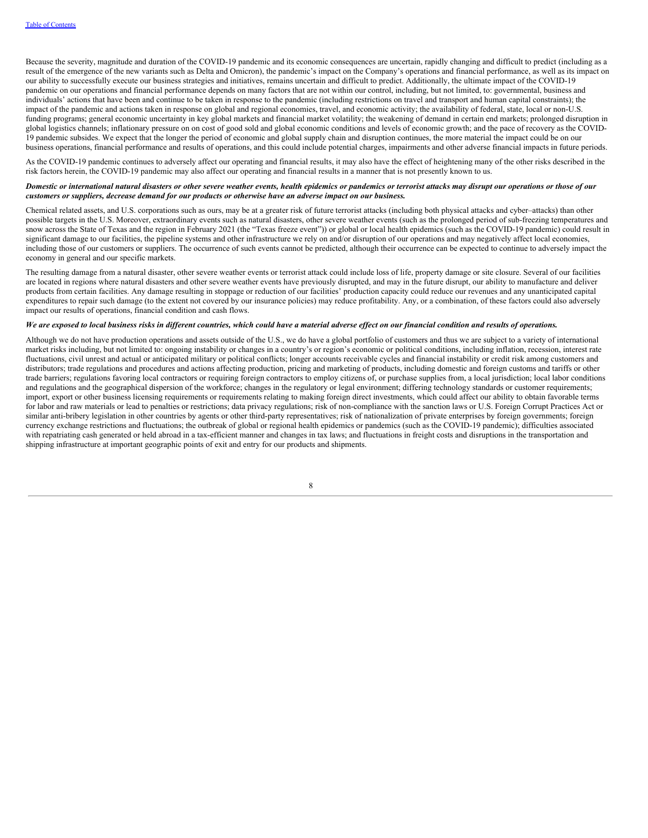Because the severity, magnitude and duration of the COVID-19 pandemic and its economic consequences are uncertain, rapidly changing and difficult to predict (including as a result of the emergence of the new variants such as Delta and Omicron), the pandemic's impact on the Company's operations and financial performance, as well as its impact on our ability to successfully execute our business strategies and initiatives, remains uncertain and difficult to predict. Additionally, the ultimate impact of the COVID-19 pandemic on our operations and financial performance depends on many factors that are not within our control, including, but not limited, to: governmental, business and individuals' actions that have been and continue to be taken in response to the pandemic (including restrictions on travel and transport and human capital constraints); the impact of the pandemic and actions taken in response on global and regional economies, travel, and economic activity; the availability of federal, state, local or non-U.S. funding programs; general economic uncertainty in key global markets and financial market volatility; the weakening of demand in certain end markets; prolonged disruption in global logistics channels; inflationary pressure on on cost of good sold and global economic conditions and levels of economic growth; and the pace of recovery as the COVID-19 pandemic subsides. We expect that the longer the period of economic and global supply chain and disruption continues, the more material the impact could be on our business operations, financial performance and results of operations, and this could include potential charges, impairments and other adverse financial impacts in future periods.

As the COVID-19 pandemic continues to adversely affect our operating and financial results, it may also have the effect of heightening many of the other risks described in the risk factors herein, the COVID-19 pandemic may also affect our operating and financial results in a manner that is not presently known to us.

#### Domestic or international natural disasters or other severe weather events, health epidemics or pandemics or terrorist attacks may disrupt our operations or those of our customers or suppliers, decrease demand for our products or otherwise have an adverse impact on our business.

Chemical related assets, and U.S. corporations such as ours, may be at a greater risk of future terrorist attacks (including both physical attacks and cyber–attacks) than other possible targets in the U.S. Moreover, extraordinary events such as natural disasters, other severe weather events (such as the prolonged period of sub-freezing temperatures and snow across the State of Texas and the region in February 2021 (the "Texas freeze event")) or global or local health epidemics (such as the COVID-19 pandemic) could result in significant damage to our facilities, the pipeline systems and other infrastructure we rely on and/or disruption of our operations and may negatively affect local economies, including those of our customers or suppliers. The occurrence of such events cannot be predicted, although their occurrence can be expected to continue to adversely impact the economy in general and our specific markets.

The resulting damage from a natural disaster, other severe weather events or terrorist attack could include loss of life, property damage or site closure. Several of our facilities are located in regions where natural disasters and other severe weather events have previously disrupted, and may in the future disrupt, our ability to manufacture and deliver products from certain facilities. Any damage resulting in stoppage or reduction of our facilities' production capacity could reduce our revenues and any unanticipated capital expenditures to repair such damage (to the extent not covered by our insurance policies) may reduce profitability. Any, or a combination, of these factors could also adversely impact our results of operations, financial condition and cash flows.

## We are exposed to local business risks in different countries, which could have a material adverse effect on our financial condition and results of operations.

Although we do not have production operations and assets outside of the U.S., we do have a global portfolio of customers and thus we are subject to a variety of international market risks including, but not limited to: ongoing instability or changes in a country's or region's economic or political conditions, including inflation, recession, interest rate fluctuations, civil unrest and actual or anticipated military or political conflicts; longer accounts receivable cycles and financial instability or credit risk among customers and distributors; trade regulations and procedures and actions affecting production, pricing and marketing of products, including domestic and foreign customs and tariffs or other trade barriers; regulations favoring local contractors or requiring foreign contractors to employ citizens of, or purchase supplies from, a local jurisdiction; local labor conditions and regulations and the geographical dispersion of the workforce; changes in the regulatory or legal environment; differing technology standards or customer requirements; import, export or other business licensing requirements or requirements relating to making foreign direct investments, which could affect our ability to obtain favorable terms for labor and raw materials or lead to penalties or restrictions; data privacy regulations; risk of non-compliance with the sanction laws or U.S. Foreign Corrupt Practices Act or similar anti-bribery legislation in other countries by agents or other third-party representatives; risk of nationalization of private enterprises by foreign governments; foreign currency exchange restrictions and fluctuations; the outbreak of global or regional health epidemics or pandemics (such as the COVID-19 pandemic); difficulties associated with repatriating cash generated or held abroad in a tax-efficient manner and changes in tax laws; and fluctuations in freight costs and disruptions in the transportation and shipping infrastructure at important geographic points of exit and entry for our products and shipments.

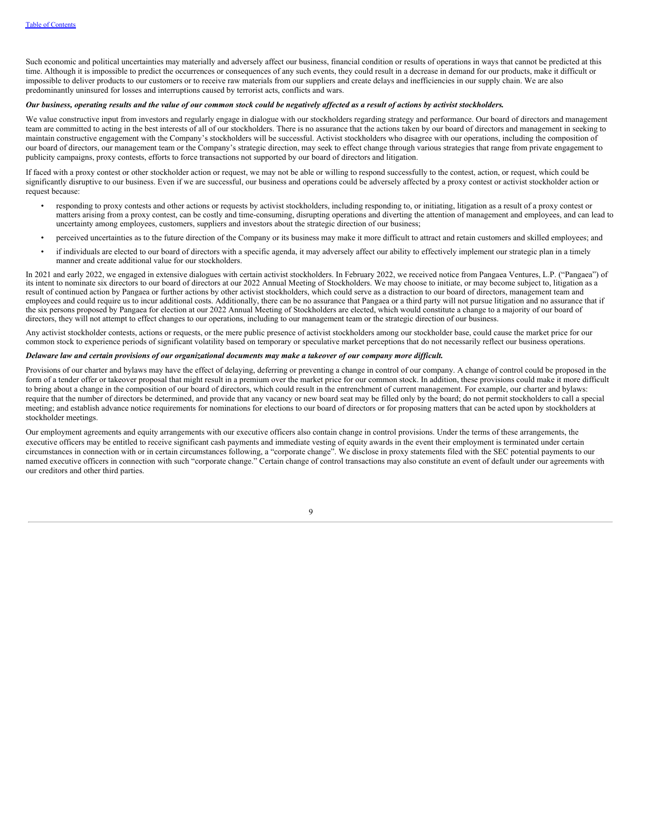Such economic and political uncertainties may materially and adversely affect our business, financial condition or results of operations in ways that cannot be predicted at this time. Although it is impossible to predict the occurrences or consequences of any such events, they could result in a decrease in demand for our products, make it difficult or impossible to deliver products to our customers or to receive raw materials from our suppliers and create delays and inefficiencies in our supply chain. We are also predominantly uninsured for losses and interruptions caused by terrorist acts, conflicts and wars.

#### Our business, operating results and the value of our common stock could be negatively affected as a result of actions by activist stockholders.

We value constructive input from investors and regularly engage in dialogue with our stockholders regarding strategy and performance. Our board of directors and management team are committed to acting in the best interests of all of our stockholders. There is no assurance that the actions taken by our board of directors and management in seeking to maintain constructive engagement with the Company's stockholders will be successful. Activist stockholders who disagree with our operations, including the composition of our board of directors, our management team or the Company's strategic direction, may seek to effect change through various strategies that range from private engagement to publicity campaigns, proxy contests, efforts to force transactions not supported by our board of directors and litigation.

If faced with a proxy contest or other stockholder action or request, we may not be able or willing to respond successfully to the contest, action, or request, which could be significantly disruptive to our business. Even if we are successful, our business and operations could be adversely affected by a proxy contest or activist stockholder action or request because:

- responding to proxy contests and other actions or requests by activist stockholders, including responding to, or initiating, litigation as a result of a proxy contest or matters arising from a proxy contest, can be costly and time-consuming, disrupting operations and diverting the attention of management and employees, and can lead to uncertainty among employees, customers, suppliers and investors about the strategic direction of our business;
- perceived uncertainties as to the future direction of the Company or its business may make it more difficult to attract and retain customers and skilled employees; and
- if individuals are elected to our board of directors with a specific agenda, it may adversely affect our ability to effectively implement our strategic plan in a timely manner and create additional value for our stockholders.

In 2021 and early 2022, we engaged in extensive dialogues with certain activist stockholders. In February 2022, we received notice from Pangaea Ventures, L.P. ("Pangaea") of its intent to nominate six directors to our board of directors at our 2022 Annual Meeting of Stockholders. We may choose to initiate, or may become subject to, litigation as a result of continued action by Pangaea or further actions by other activist stockholders, which could serve as a distraction to our board of directors, management team and employees and could require us to incur additional costs. Additionally, there can be no assurance that Pangaea or a third party will not pursue litigation and no assurance that if the six persons proposed by Pangaea for election at our 2022 Annual Meeting of Stockholders are elected, which would constitute a change to a majority of our board of directors, they will not attempt to effect changes to our operations, including to our management team or the strategic direction of our business.

Any activist stockholder contests, actions or requests, or the mere public presence of activist stockholders among our stockholder base, could cause the market price for our common stock to experience periods of significant volatility based on temporary or speculative market perceptions that do not necessarily reflect our business operations.

## Delaware law and certain provisions of our organizational documents may make a takeover of our company more difficult.

Provisions of our charter and bylaws may have the effect of delaying, deferring or preventing a change in control of our company. A change of control could be proposed in the form of a tender offer or takeover proposal that might result in a premium over the market price for our common stock. In addition, these provisions could make it more difficult to bring about a change in the composition of our board of directors, which could result in the entrenchment of current management. For example, our charter and bylaws: require that the number of directors be determined, and provide that any vacancy or new board seat may be filled only by the board; do not permit stockholders to call a special meeting; and establish advance notice requirements for nominations for elections to our board of directors or for proposing matters that can be acted upon by stockholders at stockholder meetings.

Our employment agreements and equity arrangements with our executive officers also contain change in control provisions. Under the terms of these arrangements, the executive officers may be entitled to receive significant cash payments and immediate vesting of equity awards in the event their employment is terminated under certain circumstances in connection with or in certain circumstances following, a "corporate change". We disclose in proxy statements filed with the SEC potential payments to our named executive officers in connection with such "corporate change." Certain change of control transactions may also constitute an event of default under our agreements with our creditors and other third parties.

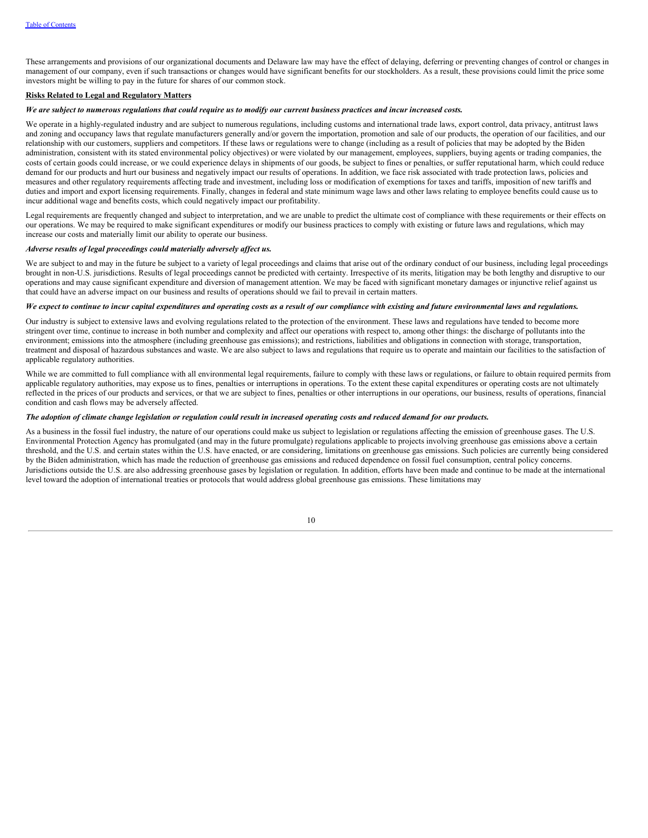These arrangements and provisions of our organizational documents and Delaware law may have the effect of delaying, deferring or preventing changes of control or changes in management of our company, even if such transactions or changes would have significant benefits for our stockholders. As a result, these provisions could limit the price some investors might be willing to pay in the future for shares of our common stock.

## **Risks Related to Legal and Regulatory Matters**

#### We are subject to numerous regulations that could require us to modify our current business practices and incur increased costs.

We operate in a highly-regulated industry and are subject to numerous regulations, including customs and international trade laws, export control, data privacy, antitrust laws and zoning and occupancy laws that regulate manufacturers generally and/or govern the importation, promotion and sale of our products, the operation of our facilities, and our relationship with our customers, suppliers and competitors. If these laws or regulations were to change (including as a result of policies that may be adopted by the Biden administration, consistent with its stated environmental policy objectives) or were violated by our management, employees, suppliers, buying agents or trading companies, the costs of certain goods could increase, or we could experience delays in shipments of our goods, be subject to fines or penalties, or suffer reputational harm, which could reduce demand for our products and hurt our business and negatively impact our results of operations. In addition, we face risk associated with trade protection laws, policies and measures and other regulatory requirements affecting trade and investment, including loss or modification of exemptions for taxes and tariffs, imposition of new tariffs and duties and import and export licensing requirements. Finally, changes in federal and state minimum wage laws and other laws relating to employee benefits could cause us to incur additional wage and benefits costs, which could negatively impact our profitability.

Legal requirements are frequently changed and subject to interpretation, and we are unable to predict the ultimate cost of compliance with these requirements or their effects on our operations. We may be required to make significant expenditures or modify our business practices to comply with existing or future laws and regulations, which may increase our costs and materially limit our ability to operate our business.

## *Adverse results of legal proceedings could materially adversely af ect us.*

We are subject to and may in the future be subject to a variety of legal proceedings and claims that arise out of the ordinary conduct of our business, including legal proceedings brought in non-U.S. jurisdictions. Results of legal proceedings cannot be predicted with certainty. Irrespective of its merits, litigation may be both lengthy and disruptive to our operations and may cause significant expenditure and diversion of management attention. We may be faced with significant monetary damages or injunctive relief against us that could have an adverse impact on our business and results of operations should we fail to prevail in certain matters.

## We expect to continue to incur capital expenditures and operating costs as a result of our compliance with existing and future environmental laws and regulations.

Our industry is subject to extensive laws and evolving regulations related to the protection of the environment. These laws and regulations have tended to become more stringent over time, continue to increase in both number and complexity and affect our operations with respect to, among other things: the discharge of pollutants into the environment; emissions into the atmosphere (including greenhouse gas emissions); and restrictions, liabilities and obligations in connection with storage, transportation, treatment and disposal of hazardous substances and waste. We are also subject to laws and regulations that require us to operate and maintain our facilities to the satisfaction of applicable regulatory authorities.

While we are committed to full compliance with all environmental legal requirements, failure to comply with these laws or regulations, or failure to obtain required permits from applicable regulatory authorities, may expose us to fines, penalties or interruptions in operations. To the extent these capital expenditures or operating costs are not ultimately reflected in the prices of our products and services, or that we are subject to fines, penalties or other interruptions in our operations, our business, results of operations, financial condition and cash flows may be adversely affected.

## The adoption of climate change legislation or regulation could result in increased operating costs and reduced demand for our products.

As a business in the fossil fuel industry, the nature of our operations could make us subject to legislation or regulations affecting the emission of greenhouse gases. The U.S. Environmental Protection Agency has promulgated (and may in the future promulgate) regulations applicable to projects involving greenhouse gas emissions above a certain threshold, and the U.S. and certain states within the U.S. have enacted, or are considering, limitations on greenhouse gas emissions. Such policies are currently being considered by the Biden administration, which has made the reduction of greenhouse gas emissions and reduced dependence on fossil fuel consumption, central policy concerns. Jurisdictions outside the U.S. are also addressing greenhouse gases by legislation or regulation. In addition, efforts have been made and continue to be made at the international level toward the adoption of international treaties or protocols that would address global greenhouse gas emissions. These limitations may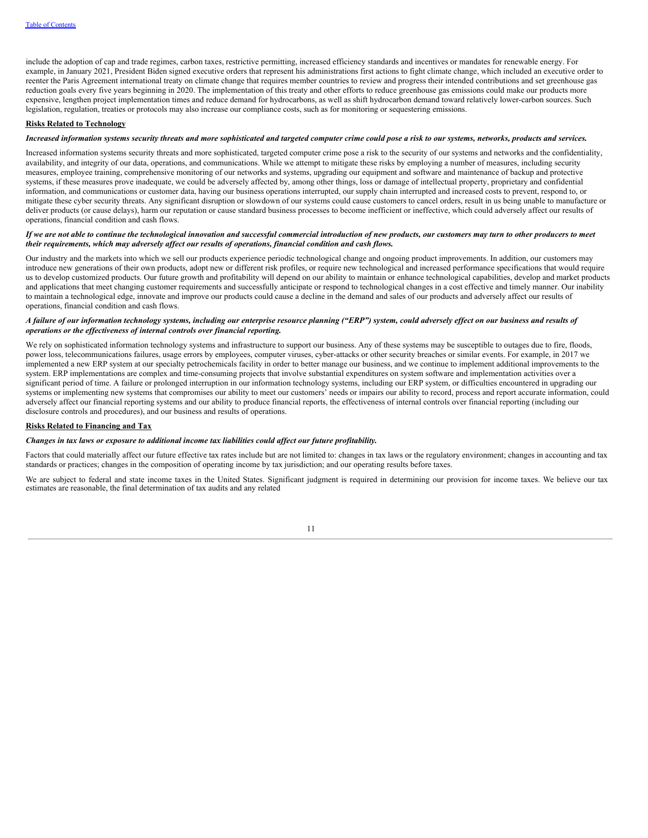include the adoption of cap and trade regimes, carbon taxes, restrictive permitting, increased efficiency standards and incentives or mandates for renewable energy. For example, in January 2021, President Biden signed executive orders that represent his administrations first actions to fight climate change, which included an executive order to reenter the Paris Agreement international treaty on climate change that requires member countries to review and progress their intended contributions and set greenhouse gas reduction goals every five years beginning in 2020. The implementation of this treaty and other efforts to reduce greenhouse gas emissions could make our products more expensive, lengthen project implementation times and reduce demand for hydrocarbons, as well as shift hydrocarbon demand toward relatively lower-carbon sources. Such legislation, regulation, treaties or protocols may also increase our compliance costs, such as for monitoring or sequestering emissions.

## **Risks Related to Technology**

## Increased information systems security threats and more sophisticated and targeted computer crime could pose a risk to our systems, networks, products and services.

Increased information systems security threats and more sophisticated, targeted computer crime pose a risk to the security of our systems and networks and the confidentiality, availability, and integrity of our data, operations, and communications. While we attempt to mitigate these risks by employing a number of measures, including security measures, employee training, comprehensive monitoring of our networks and systems, upgrading our equipment and software and maintenance of backup and protective systems, if these measures prove inadequate, we could be adversely affected by, among other things, loss or damage of intellectual property, proprietary and confidential information. and communications or customer data, having our business operations interrupted, our supply chain interrupted and increased costs to prevent, respond to, or mitigate these cyber security threats. Any significant disruption or slowdown of our systems could cause customers to cancel orders, result in us being unable to manufacture or deliver products (or cause delays), harm our reputation or cause standard business processes to become inefficient or ineffective, which could adversely affect our results of operations, financial condition and cash flows.

## If we are not able to continue the technological innovation and successful commercial introduction of new products, our customers may turn to other producers to meet *their requirements, which may adversely af ect our results of operations, financial condition and cash flows.*

Our industry and the markets into which we sell our products experience periodic technological change and ongoing product improvements. In addition, our customers may introduce new generations of their own products, adopt new or different risk profiles, or require new technological and increased performance specifications that would require us to develop customized products. Our future growth and profitability will depend on our ability to maintain or enhance technological capabilities, develop and market products and applications that meet changing customer requirements and successfully anticipate or respond to technological changes in a cost effective and timely manner. Our inability to maintain a technological edge, innovate and improve our products could cause a decline in the demand and sales of our products and adversely affect our results of operations, financial condition and cash flows.

## A failure of our information technology systems, including our enterprise resource planning ("ERP") system, could adversely effect on our business and results of *operations or the ef ectiveness of internal controls over financial reporting.*

We rely on sophisticated information technology systems and infrastructure to support our business. Any of these systems may be susceptible to outages due to fire, floods, power loss, telecommunications failures, usage errors by employees, computer viruses, cyber-attacks or other security breaches or similar events. For example, in 2017 we implemented a new ERP system at our specialty petrochemicals facility in order to better manage our business, and we continue to implement additional improvements to the system. ERP implementations are complex and time-consuming projects that involve substantial expenditures on system software and implementation activities over a significant period of time. A failure or prolonged interruption in our information technology systems, including our ERP system, or difficulties encountered in upgrading our systems or implementing new systems that compromises our ability to meet our customers' needs or impairs our ability to record, process and report accurate information, could adversely affect our financial reporting systems and our ability to produce financial reports, the effectiveness of internal controls over financial reporting (including our disclosure controls and procedures), and our business and results of operations.

## **Risks Related to Financing and Tax**

#### Changes in tax laws or exposure to additional income tax liabilities could affect our future profitability.

Factors that could materially affect our future effective tax rates include but are not limited to: changes in tax laws or the regulatory environment; changes in accounting and tax standards or practices; changes in the composition of operating income by tax jurisdiction; and our operating results before taxes.

We are subject to federal and state income taxes in the United States. Significant judgment is required in determining our provision for income taxes. We believe our tax estimates are reasonable, the final determination of tax audits and any related

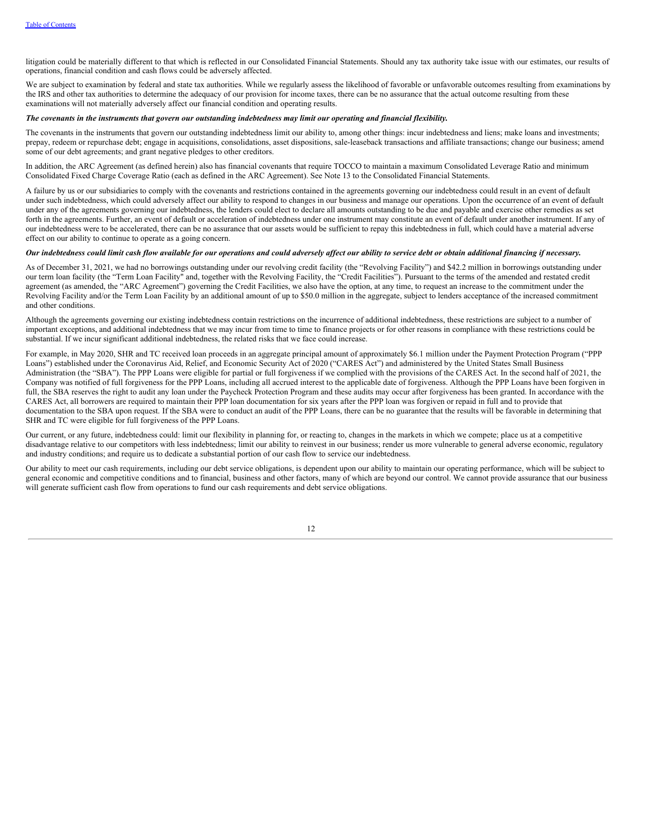litigation could be materially different to that which is reflected in our Consolidated Financial Statements. Should any tax authority take issue with our estimates, our results of operations, financial condition and cash flows could be adversely affected.

We are subject to examination by federal and state tax authorities. While we regularly assess the likelihood of favorable or unfavorable outcomes resulting from examinations by the IRS and other tax authorities to determine the adequacy of our provision for income taxes, there can be no assurance that the actual outcome resulting from these examinations will not materially adversely affect our financial condition and operating results.

## The covenants in the instruments that govern our outstanding indebtedness may limit our operating and financial flexibility.

The covenants in the instruments that govern our outstanding indebtedness limit our ability to, among other things: incur indebtedness and liens; make loans and investments; prepay, redeem or repurchase debt; engage in acquisitions, consolidations, asset dispositions, sale-leaseback transactions and affiliate transactions; change our business; amend some of our debt agreements; and grant negative pledges to other creditors.

In addition, the ARC Agreement (as defined herein) also has financial covenants that require TOCCO to maintain a maximum Consolidated Leverage Ratio and minimum Consolidated Fixed Charge Coverage Ratio (each as defined in the ARC Agreement). See Note 13 to the Consolidated Financial Statements.

A failure by us or our subsidiaries to comply with the covenants and restrictions contained in the agreements governing our indebtedness could result in an event of default under such indebtedness, which could adversely affect our ability to respond to changes in our business and manage our operations. Upon the occurrence of an event of default under any of the agreements governing our indebtedness, the lenders could elect to declare all amounts outstanding to be due and payable and exercise other remedies as set forth in the agreements. Further, an event of default or acceleration of indebtedness under one instrument may constitute an event of default under another instrument. If any of our indebtedness were to be accelerated, there can be no assurance that our assets would be sufficient to repay this indebtedness in full, which could have a material adverse effect on our ability to continue to operate as a going concern.

#### Our indebtedness could limit cash flow available for our operations and could adversely affect our ability to service debt or obtain additional financing if necessary.

As of December 31, 2021, we had no borrowings outstanding under our revolving credit facility (the "Revolving Facility") and \$42.2 million in borrowings outstanding under our term loan facility (the "Term Loan Facility" and, together with the Revolving Facility, the "Credit Facilities"). Pursuant to the terms of the amended and restated credit agreement (as amended, the "ARC Agreement") governing the Credit Facilities, we also have the option, at any time, to request an increase to the commitment under the Revolving Facility and/or the Term Loan Facility by an additional amount of up to \$50.0 million in the aggregate, subject to lenders acceptance of the increased commitment and other conditions.

Although the agreements governing our existing indebtedness contain restrictions on the incurrence of additional indebtedness, these restrictions are subject to a number of important exceptions, and additional indebtedness that we may incur from time to time to finance projects or for other reasons in compliance with these restrictions could be substantial. If we incur significant additional indebtedness, the related risks that we face could increase.

For example, in May 2020, SHR and TC received loan proceeds in an aggregate principal amount of approximately \$6.1 million under the Payment Protection Program ("PPP Loans") established under the Coronavirus Aid, Relief, and Economic Security Act of 2020 ("CARES Act") and administered by the United States Small Business Administration (the "SBA"). The PPP Loans were eligible for partial or full forgiveness if we complied with the provisions of the CARES Act. In the second half of 2021, the Company was notified of full forgiveness for the PPP Loans, including all accrued interest to the applicable date of forgiveness. Although the PPP Loans have been forgiven in full, the SBA reserves the right to audit any loan under the Paycheck Protection Program and these audits may occur after forgiveness has been granted. In accordance with the CARES Act, all borrowers are required to maintain their PPP loan documentation for six years after the PPP loan was forgiven or repaid in full and to provide that documentation to the SBA upon request. If the SBA were to conduct an audit of the PPP Loans, there can be no guarantee that the results will be favorable in determining that SHR and TC were eligible for full forgiveness of the PPP Loans.

Our current, or any future, indebtedness could: limit our flexibility in planning for, or reacting to, changes in the markets in which we compete; place us at a competitive disadvantage relative to our competitors with less indebtedness; limit our ability to reinvest in our business; render us more vulnerable to general adverse economic, regulatory and industry conditions; and require us to dedicate a substantial portion of our cash flow to service our indebtedness.

Our ability to meet our cash requirements, including our debt service obligations, is dependent upon our ability to maintain our operating performance, which will be subject to general economic and competitive conditions and to financial, business and other factors, many of which are beyond our control. We cannot provide assurance that our business will generate sufficient cash flow from operations to fund our cash requirements and debt service obligations.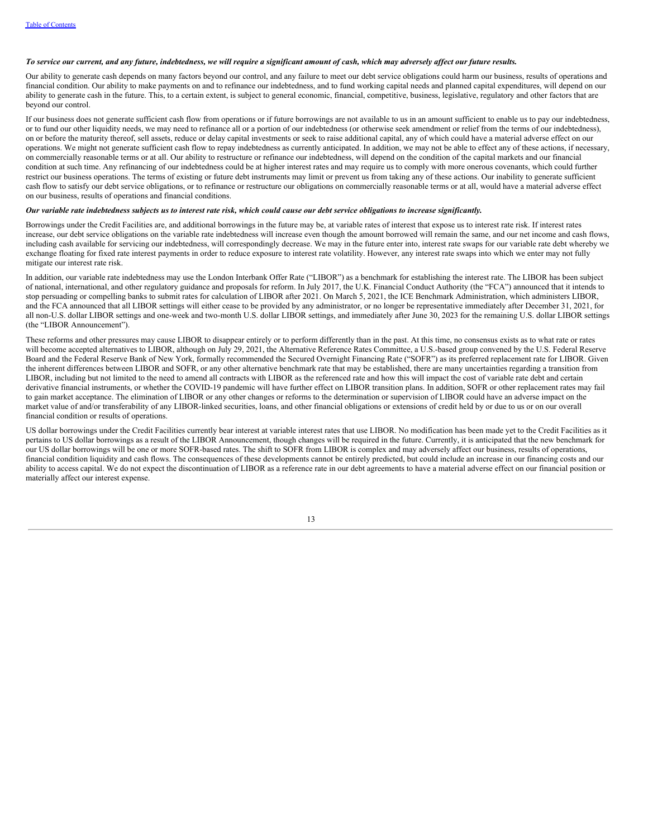## To service our current, and any future, indebtedness, we will require a significant amount of cash, which may adversely affect our future results.

Our ability to generate cash depends on many factors beyond our control, and any failure to meet our debt service obligations could harm our business, results of operations and financial condition. Our ability to make payments on and to refinance our indebtedness, and to fund working capital needs and planned capital expenditures, will depend on our ability to generate cash in the future. This, to a certain extent, is subject to general economic, financial, competitive, business, legislative, regulatory and other factors that are beyond our control.

If our business does not generate sufficient cash flow from operations or if future borrowings are not available to us in an amount sufficient to enable us to pay our indebtedness, or to fund our other liquidity needs, we may need to refinance all or a portion of our indebtedness (or otherwise seek amendment or relief from the terms of our indebtedness), on or before the maturity thereof, sell assets, reduce or delay capital investments or seek to raise additional capital, any of which could have a material adverse effect on our operations. We might not generate sufficient cash flow to repay indebtedness as currently anticipated. In addition, we may not be able to effect any of these actions, if necessary, on commercially reasonable terms or at all. Our ability to restructure or refinance our indebtedness, will depend on the condition of the capital markets and our financial condition at such time. Any refinancing of our indebtedness could be at higher interest rates and may require us to comply with more onerous covenants, which could further restrict our business operations. The terms of existing or future debt instruments may limit or prevent us from taking any of these actions. Our inability to generate sufficient cash flow to satisfy our debt service obligations, or to refinance or restructure our obligations on commercially reasonable terms or at all, would have a material adverse effect on our business, results of operations and financial conditions.

## Our variable rate indebtedness subjects us to interest rate risk, which could cause our debt service obligations to increase significantly.

Borrowings under the Credit Facilities are, and additional borrowings in the future may be, at variable rates of interest that expose us to interest rate risk. If interest rates increase, our debt service obligations on the variable rate indebtedness will increase even though the amount borrowed will remain the same, and our net income and cash flows, including cash available for servicing our indebtedness, will correspondingly decrease. We may in the future enter into, interest rate swaps for our variable rate debt whereby we exchange floating for fixed rate interest payments in order to reduce exposure to interest rate volatility. However, any interest rate swaps into which we enter may not fully mitigate our interest rate risk.

In addition, our variable rate indebtedness may use the London Interbank Offer Rate ("LIBOR") as a benchmark for establishing the interest rate. The LIBOR has been subject of national, international, and other regulatory guidance and proposals for reform. In July 2017, the U.K. Financial Conduct Authority (the "FCA") announced that it intends to stop persuading or compelling banks to submit rates for calculation of LIBOR after 2021. On March 5, 2021, the ICE Benchmark Administration, which administers LIBOR, and the FCA announced that all LIBOR settings will either cease to be provided by any administrator, or no longer be representative immediately after December 31, 2021, for all non-U.S. dollar LIBOR settings and one-week and two-month U.S. dollar LIBOR settings, and immediately after June 30, 2023 for the remaining U.S. dollar LIBOR settings (the "LIBOR Announcement").

These reforms and other pressures may cause LIBOR to disappear entirely or to perform differently than in the past. At this time, no consensus exists as to what rate or rates will become accepted alternatives to LIBOR, although on July 29, 2021, the Alternative Reference Rates Committee, a U.S.-based group convened by the U.S. Federal Reserve Board and the Federal Reserve Bank of New York, formally recommended the Secured Overnight Financing Rate ("SOFR") as its preferred replacement rate for LIBOR. Given the inherent differences between LIBOR and SOFR, or any other alternative benchmark rate that may be established, there are many uncertainties regarding a transition from LIBOR, including but not limited to the need to amend all contracts with LIBOR as the referenced rate and how this will impact the cost of variable rate debt and certain derivative financial instruments, or whether the COVID-19 pandemic will have further effect on LIBOR transition plans. In addition, SOFR or other replacement rates may fail to gain market acceptance. The elimination of LIBOR or any other changes or reforms to the determination or supervision of LIBOR could have an adverse impact on the market value of and/or transferability of any LIBOR-linked securities, loans, and other financial obligations or extensions of credit held by or due to us or on our overall financial condition or results of operations.

<span id="page-15-0"></span>US dollar borrowings under the Credit Facilities currently bear interest at variable interest rates that use LIBOR. No modification has been made yet to the Credit Facilities as it pertains to US dollar borrowings as a result of the LIBOR Announcement, though changes will be required in the future. Currently, it is anticipated that the new benchmark for our US dollar borrowings will be one or more SOFR-based rates. The shift to SOFR from LIBOR is complex and may adversely affect our business, results of operations, financial condition liquidity and cash flows. The consequences of these developments cannot be entirely predicted, but could include an increase in our financing costs and our ability to access capital. We do not expect the discontinuation of LIBOR as a reference rate in our debt agreements to have a material adverse effect on our financial position or materially affect our interest expense.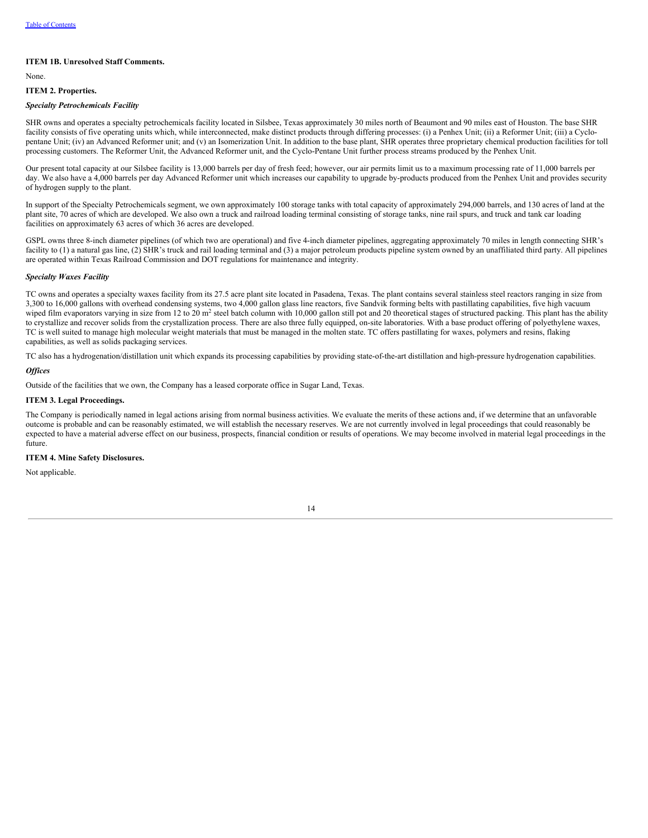## **ITEM 1B. Unresolved Staff Comments.**

None.

#### <span id="page-16-0"></span>**ITEM 2. Properties.**

#### *Specialty Petrochemicals Facility*

SHR owns and operates a specialty petrochemicals facility located in Silsbee, Texas approximately 30 miles north of Beaumont and 90 miles east of Houston. The base SHR facility consists of five operating units which, while interconnected, make distinct products through differing processes: (i) a Penhex Unit; (ii) a Reformer Unit; (iii) a Cyclopentane Unit; (iv) an Advanced Reformer unit; and (v) an Isomerization Unit. In addition to the base plant, SHR operates three proprietary chemical production facilities for toll processing customers. The Reformer Unit, the Advanced Reformer unit, and the Cyclo-Pentane Unit further process streams produced by the Penhex Unit.

Our present total capacity at our Silsbee facility is 13,000 barrels per day of fresh feed; however, our air permits limit us to a maximum processing rate of 11,000 barrels per day. We also have a 4,000 barrels per day Advanced Reformer unit which increases our capability to upgrade by-products produced from the Penhex Unit and provides security of hydrogen supply to the plant.

In support of the Specialty Petrochemicals segment, we own approximately 100 storage tanks with total capacity of approximately 294,000 barrels, and 130 acres of land at the plant site, 70 acres of which are developed. We also own a truck and railroad loading terminal consisting of storage tanks, nine rail spurs, and truck and tank car loading facilities on approximately 63 acres of which 36 acres are developed.

GSPL owns three 8-inch diameter pipelines (of which two are operational) and five 4-inch diameter pipelines, aggregating approximately 70 miles in length connecting SHR's facility to (1) a natural gas line, (2) SHR's truck and rail loading terminal and (3) a major petroleum products pipeline system owned by an unaffiliated third party. All pipelines are operated within Texas Railroad Commission and DOT regulations for maintenance and integrity.

#### *Specialty Waxes Facility*

TC owns and operates a specialty waxes facility from its 27.5 acre plant site located in Pasadena, Texas. The plant contains several stainless steel reactors ranging in size from 3,300 to 16,000 gallons with overhead condensing systems, two 4,000 gallon glass line reactors, five Sandvik forming belts with pastillating capabilities, five high vacuum wiped film evaporators varying in size from 12 to 20  $m<sup>2</sup>$  steel batch column with 10,000 gallon still pot and 20 theoretical stages of structured packing. This plant has the ability to crystallize and recover solids from the crystallization process. There are also three fully equipped, on-site laboratories. With a base product offering of polyethylene waxes, TC is well suited to manage high molecular weight materials that must be managed in the molten state. TC offers pastillating for waxes, polymers and resins, flaking capabilities, as well as solids packaging services.

TC also has a hydrogenation/distillation unit which expands its processing capabilities by providing state-of-the-art distillation and high-pressure hydrogenation capabilities.

## *Of ices*

Outside of the facilities that we own, the Company has a leased corporate office in Sugar Land, Texas.

## <span id="page-16-1"></span>**ITEM 3. Legal Proceedings.**

The Company is periodically named in legal actions arising from normal business activities. We evaluate the merits of these actions and, if we determine that an unfavorable outcome is probable and can be reasonably estimated, we will establish the necessary reserves. We are not currently involved in legal proceedings that could reasonably be expected to have a material adverse effect on our business, prospects, financial condition or results of operations. We may become involved in material legal proceedings in the future.

## <span id="page-16-2"></span>**ITEM 4. Mine Safety Disclosures.**

<span id="page-16-3"></span>Not applicable.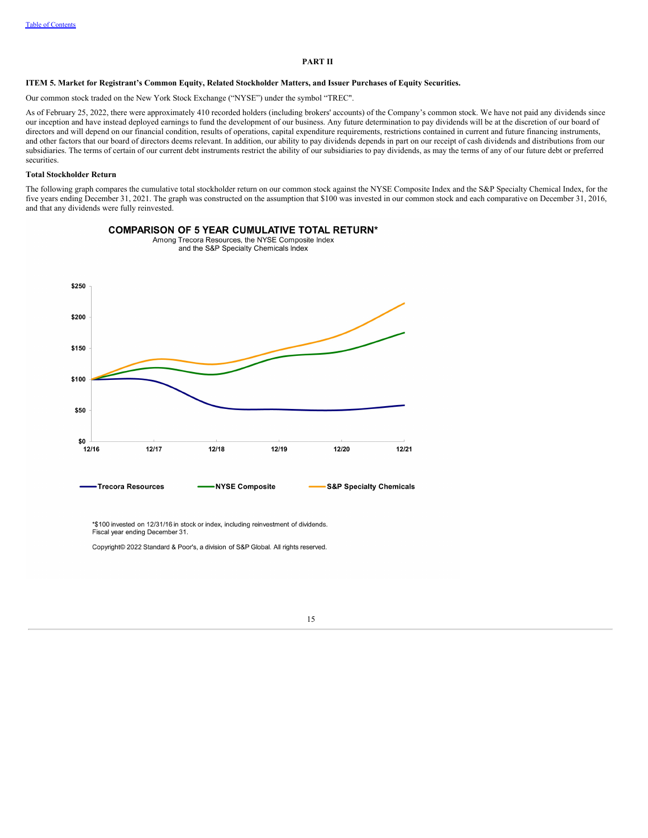## **PART II**

#### <span id="page-17-0"></span>ITEM 5. Market for Registrant's Common Equity, Related Stockholder Matters, and Issuer Purchases of Equity Securities.

**COMPARISON OF 5 YEAR CUMULATIVE TOTAL RETURN\*** Among Trecora Resources, the NYSE Composite Index and the S&P Specialty Chemicals Index

Our common stock traded on the New York Stock Exchange ("NYSE") under the symbol "TREC".

As of February 25, 2022, there were approximately 410 recorded holders (including brokers' accounts) of the Company's common stock. We have not paid any dividends since our inception and have instead deployed earnings to fund the development of our business. Any future determination to pay dividends will be at the discretion of our board of directors and will depend on our financial condition, results of operations, capital expenditure requirements, restrictions contained in current and future financing instruments, and other factors that our board of directors deems relevant. In addition, our ability to pay dividends depends in part on our receipt of cash dividends and distributions from our subsidiaries. The terms of certain of our current debt instruments restrict the ability of our subsidiaries to pay dividends, as may the terms of any of our future debt or preferred securities.

# **Total Stockholder Return**

The following graph compares the cumulative total stockholder return on our common stock against the NYSE Composite Index and the S&P Specialty Chemical Index, for the five years ending December 31, 2021. The graph was constructed on the assumption that \$100 was invested in our common stock and each comparative on December 31, 2016, and that any dividends were fully reinvested.



\*\$100 invested on 12/31/16 in stock or index, including reinvestment of dividends. Fiscal year ending December 31

Copyright<sup>©</sup> 2022 Standard & Poor's, a division of S&P Global. All rights reserved.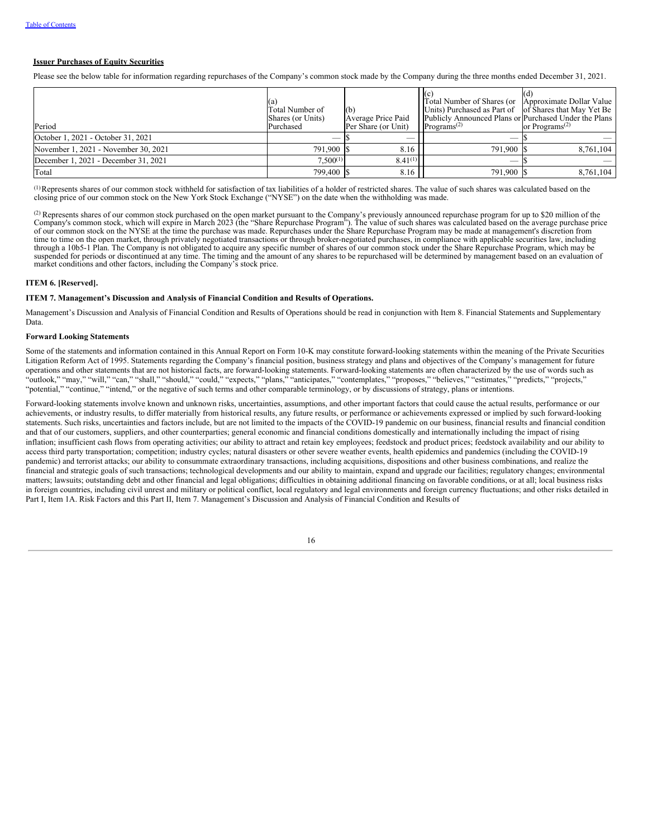## **Issuer Purchases of Equity Securities**

Please see the below table for information regarding repurchases of the Company's common stock made by the Company during the three months ended December 31, 2021.

| Period                               | (a<br>Total Number of<br>Shares (or Units)<br>Purchased | (b)<br>Average Price Paid<br>Per Share (or Unit) | Total Number of Shares (or<br>Units) Purchased as Part of lof Shares that May Yet Be<br>Publicly Announced Plans or Purchased Under the Plans<br>Proerams <sup>(2)</sup> | Approximate Dollar Value<br>or Programs <sup><math>(2)</math></sup> |
|--------------------------------------|---------------------------------------------------------|--------------------------------------------------|--------------------------------------------------------------------------------------------------------------------------------------------------------------------------|---------------------------------------------------------------------|
| October 1, 2021 - October 31, 2021   |                                                         |                                                  |                                                                                                                                                                          |                                                                     |
| November 1, 2021 - November 30, 2021 | 791,900 \$                                              | 8.16                                             | 791.900                                                                                                                                                                  | 8.761.104                                                           |
| December 1, 2021 - December 31, 2021 | $7.500^{(1)}$                                           | $8.41^{(1)}$                                     |                                                                                                                                                                          |                                                                     |
| Total                                | 799,400 \$                                              | 8.16                                             | 791.900                                                                                                                                                                  | 8,761,104                                                           |

 $(1)$  Represents shares of our common stock withheld for satisfaction of tax liabilities of a holder of restricted shares. The value of such shares was calculated based on the closing price of our common stock on the New York Stock Exchange ("NYSE") on the date when the withholding was made.

<sup>(2)</sup> Represents shares of our common stock purchased on the open market pursuant to the Company's previously announced repurchase program for up to \$20 million of the<br>Company's common stock, which will expire in March 202 of our common stock on the NYSE at the time the purchase was made. Repurchases under the Share Repurchase Program may be made at management's discretion from time to time on the open market, through privately negotiated transactions or through broker-negotiated purchases, in compliance with applicable securities law, including through a 10b5-1 Plan. The Company is not obligated to acquire any specific number of shares of our common stock under the Share Repurchase Program, which may be suspended for periods or discontinued at any time. The timing and the amount of any shares to be repurchased will be determined by management based on an evaluation of market conditions and other factors, including the Company's stock price. (2)

#### <span id="page-18-0"></span>**ITEM 6. [Reserved].**

#### <span id="page-18-1"></span>**ITEM 7. Management's Discussion and Analysis of Financial Condition and Results of Operations.**

Management's Discussion and Analysis of Financial Condition and Results of Operations should be read in conjunction with Item 8. Financial Statements and Supplementary Data.

#### <span id="page-18-2"></span>**Forward Looking Statements**

Some of the statements and information contained in this Annual Report on Form 10-K may constitute forward-looking statements within the meaning of the Private Securities Litigation Reform Act of 1995. Statements regarding the Company's financial position, business strategy and plans and objectives of the Company's management for future operations and other statements that are not historical facts, are forward-looking statements. Forward-looking statements are often characterized by the use of words such as "outlook," "may," "will," "can," "shall," "should," "could," "expects," "plans," "anticipates," "contemplates," "proposes," "believes," "estimates," "predicts," "projects," "potential," "continue," "intend," or the negative of such terms and other comparable terminology, or by discussions of strategy, plans or intentions.

Forward-looking statements involve known and unknown risks, uncertainties, assumptions, and other important factors that could cause the actual results, performance or our achievements, or industry results, to differ materially from historical results, any future results, or performance or achievements expressed or implied by such forward-looking statements. Such risks, uncertainties and factors include, but are not limited to the impacts of the COVID-19 pandemic on our business, financial results and financial condition and that of our customers, suppliers, and other counterparties; general economic and financial conditions domestically and internationally including the impact of rising inflation; insufficient cash flows from operating activities; our ability to attract and retain key employees; feedstock and product prices; feedstock availability and our ability to access third party transportation; competition; industry cycles; natural disasters or other severe weather events, health epidemics and pandemics (including the COVID-19 pandemic) and terrorist attacks; our ability to consummate extraordinary transactions, including acquisitions, dispositions and other business combinations, and realize the financial and strategic goals of such transactions; technological developments and our ability to maintain, expand and upgrade our facilities; regulatory changes; environmental matters; lawsuits; outstanding debt and other financial and legal obligations; difficulties in obtaining additional financing on favorable conditions, or at all; local business risks in foreign countries, including civil unrest and military or political conflict, local regulatory and legal environments and foreign currency fluctuations; and other risks detailed in Part I, Item 1A. Risk Factors and this Part II, Item 7. Management's Discussion and Analysis of Financial Condition and Results of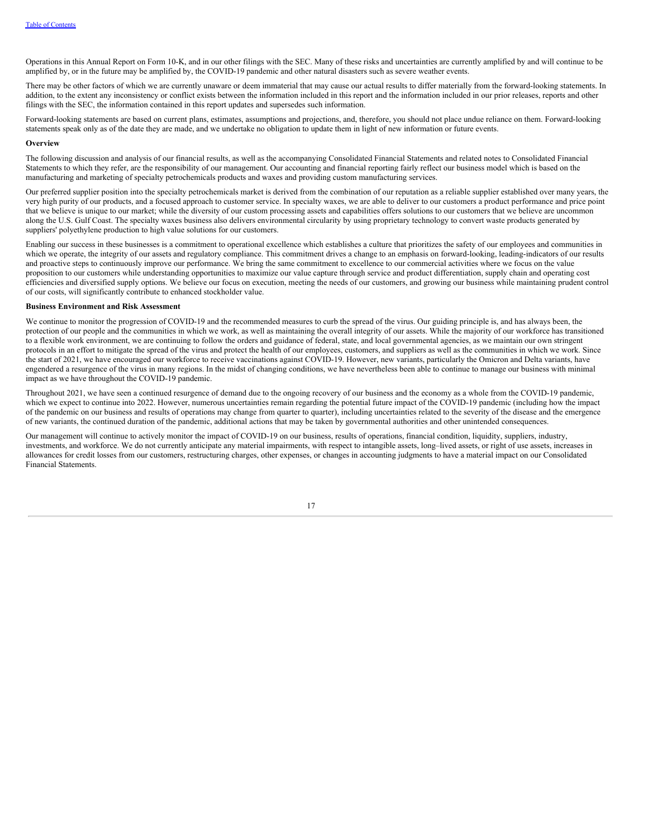Operations in this Annual Report on Form 10-K, and in our other filings with the SEC. Many of these risks and uncertainties are currently amplified by and will continue to be amplified by, or in the future may be amplified by, the COVID-19 pandemic and other natural disasters such as severe weather events.

There may be other factors of which we are currently unaware or deem immaterial that may cause our actual results to differ materially from the forward-looking statements. In addition, to the extent any inconsistency or conflict exists between the information included in this report and the information included in our prior releases, reports and other filings with the SEC, the information contained in this report updates and supersedes such information.

Forward-looking statements are based on current plans, estimates, assumptions and projections, and, therefore, you should not place undue reliance on them. Forward-looking statements speak only as of the date they are made, and we undertake no obligation to update them in light of new information or future events.

## <span id="page-19-0"></span>**Overview**

The following discussion and analysis of our financial results, as well as the accompanying Consolidated Financial Statements and related notes to Consolidated Financial Statements to which they refer, are the responsibility of our management. Our accounting and financial reporting fairly reflect our business model which is based on the manufacturing and marketing of specialty petrochemicals products and waxes and providing custom manufacturing services.

Our preferred supplier position into the specialty petrochemicals market is derived from the combination of our reputation as a reliable supplier established over many years, the very high purity of our products, and a focused approach to customer service. In specialty waxes, we are able to deliver to our customers a product performance and price point that we believe is unique to our market; while the diversity of our custom processing assets and capabilities offers solutions to our customers that we believe are uncommon along the U.S. Gulf Coast. The specialty waxes business also delivers environmental circularity by using proprietary technology to convert waste products generated by suppliers' polyethylene production to high value solutions for our customers.

Enabling our success in these businesses is a commitment to operational excellence which establishes a culture that prioritizes the safety of our employees and communities in which we operate, the integrity of our assets and regulatory compliance. This commitment drives a change to an emphasis on forward-looking, leading-indicators of our results and proactive steps to continuously improve our performance. We bring the same commitment to excellence to our commercial activities where we focus on the value proposition to our customers while understanding opportunities to maximize our value capture through service and product differentiation, supply chain and operating cost efficiencies and diversified supply options. We believe our focus on execution, meeting the needs of our customers, and growing our business while maintaining prudent control of our costs, will significantly contribute to enhanced stockholder value.

## <span id="page-19-1"></span>**Business Environment and Risk Assessment**

We continue to monitor the progression of COVID-19 and the recommended measures to curb the spread of the virus. Our guiding principle is, and has always been, the protection of our people and the communities in which we work, as well as maintaining the overall integrity of our assets. While the majority of our workforce has transitioned to a flexible work environment, we are continuing to follow the orders and guidance of federal, state, and local governmental agencies, as we maintain our own stringent protocols in an effort to mitigate the spread of the virus and protect the health of our employees, customers, and suppliers as well as the communities in which we work. Since the start of 2021, we have encouraged our workforce to receive vaccinations against COVID-19. However, new variants, particularly the Omicron and Delta variants, have engendered a resurgence of the virus in many regions. In the midst of changing conditions, we have nevertheless been able to continue to manage our business with minimal impact as we have throughout the COVID-19 pandemic.

Throughout 2021, we have seen a continued resurgence of demand due to the ongoing recovery of our business and the economy as a whole from the COVID-19 pandemic, which we expect to continue into 2022. However, numerous uncertainties remain regarding the potential future impact of the COVID-19 pandemic (including how the impact of the pandemic on our business and results of operations may change from quarter to quarter), including uncertainties related to the severity of the disease and the emergence of new variants, the continued duration of the pandemic, additional actions that may be taken by governmental authorities and other unintended consequences.

Our management will continue to actively monitor the impact of COVID-19 on our business, results of operations, financial condition, liquidity, suppliers, industry, investments, and workforce. We do not currently anticipate any material impairments, with respect to intangible assets, long–lived assets, or right of use assets, increases in allowances for credit losses from our customers, restructuring charges, other expenses, or changes in accounting judgments to have a material impact on our Consolidated Financial Statements.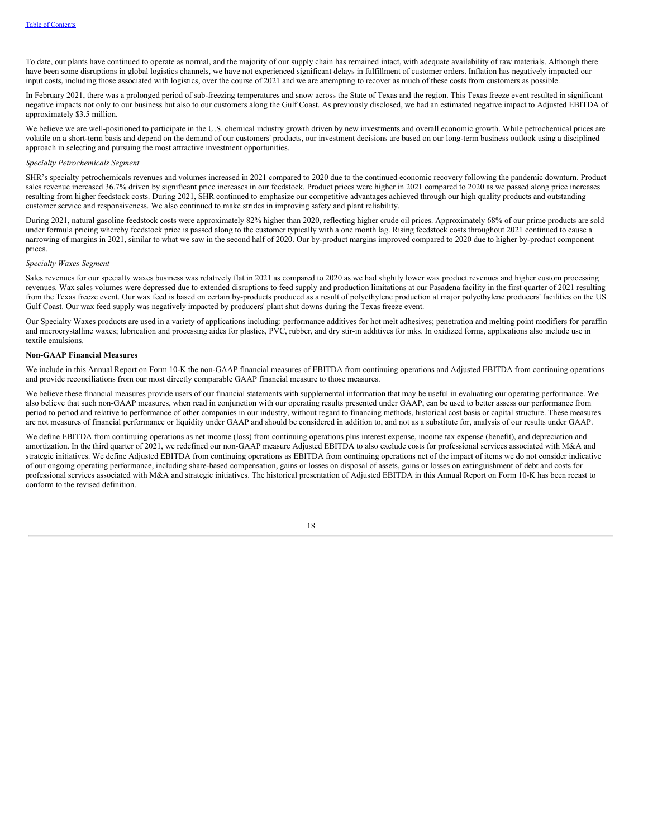To date, our plants have continued to operate as normal, and the majority of our supply chain has remained intact, with adequate availability of raw materials. Although there have been some disruptions in global logistics channels, we have not experienced significant delays in fulfillment of customer orders. Inflation has negatively impacted our input costs, including those associated with logistics, over the course of 2021 and we are attempting to recover as much of these costs from customers as possible.

In February 2021, there was a prolonged period of sub-freezing temperatures and snow across the State of Texas and the region. This Texas freeze event resulted in significant negative impacts not only to our business but also to our customers along the Gulf Coast. As previously disclosed, we had an estimated negative impact to Adjusted EBITDA of approximately \$3.5 million.

We believe we are well-positioned to participate in the U.S. chemical industry growth driven by new investments and overall economic growth. While petrochemical prices are volatile on a short-term basis and depend on the demand of our customers' products, our investment decisions are based on our long-term business outlook using a disciplined approach in selecting and pursuing the most attractive investment opportunities.

## *Specialty Petrochemicals Segment*

SHR's specialty petrochemicals revenues and volumes increased in 2021 compared to 2020 due to the continued economic recovery following the pandemic downturn. Product sales revenue increased 36.7% driven by significant price increases in our feedstock. Product prices were higher in 2021 compared to 2020 as we passed along price increases resulting from higher feedstock costs. During 2021, SHR continued to emphasize our competitive advantages achieved through our high quality products and outstanding customer service and responsiveness. We also continued to make strides in improving safety and plant reliability.

During 2021, natural gasoline feedstock costs were approximately 82% higher than 2020, reflecting higher crude oil prices. Approximately 68% of our prime products are sold under formula pricing whereby feedstock price is passed along to the customer typically with a one month lag. Rising feedstock costs throughout 2021 continued to cause a narrowing of margins in 2021, similar to what we saw in the second half of 2020. Our by-product margins improved compared to 2020 due to higher by-product component prices.

#### *Specialty Waxes Segment*

Sales revenues for our specialty waxes business was relatively flat in 2021 as compared to 2020 as we had slightly lower wax product revenues and higher custom processing revenues. Wax sales volumes were depressed due to extended disruptions to feed supply and production limitations at our Pasadena facility in the first quarter of 2021 resulting from the Texas freeze event. Our wax feed is based on certain by-products produced as a result of polyethylene production at major polyethylene producers' facilities on the US Gulf Coast. Our wax feed supply was negatively impacted by producers' plant shut downs during the Texas freeze event.

Our Specialty Waxes products are used in a variety of applications including: performance additives for hot melt adhesives; penetration and melting point modifiers for paraffin and microcrystalline waxes; lubrication and processing aides for plastics, PVC, rubber, and dry stir-in additives for inks. In oxidized forms, applications also include use in textile emulsions.

## **Non-GAAP Financial Measures**

We include in this Annual Report on Form 10-K the non-GAAP financial measures of EBITDA from continuing operations and Adjusted EBITDA from continuing operations and provide reconciliations from our most directly comparable GAAP financial measure to those measures.

We believe these financial measures provide users of our financial statements with supplemental information that may be useful in evaluating our operating performance. We also believe that such non-GAAP measures, when read in conjunction with our operating results presented under GAAP, can be used to better assess our performance from period to period and relative to performance of other companies in our industry, without regard to financing methods, historical cost basis or capital structure. These measures are not measures of financial performance or liquidity under GAAP and should be considered in addition to, and not as a substitute for, analysis of our results under GAAP.

We define EBITDA from continuing operations as net income (loss) from continuing operations plus interest expense, income tax expense (benefit), and depreciation and amortization. In the third quarter of 2021, we redefined our non-GAAP measure Adjusted EBITDA to also exclude costs for professional services associated with M&A and strategic initiatives. We define Adjusted EBITDA from continuing operations as EBITDA from continuing operations net of the impact of items we do not consider indicative of our ongoing operating performance, including share-based compensation, gains or losses on disposal of assets, gains or losses on extinguishment of debt and costs for professional services associated with M&A and strategic initiatives. The historical presentation of Adjusted EBITDA in this Annual Report on Form 10-K has been recast to conform to the revised definition.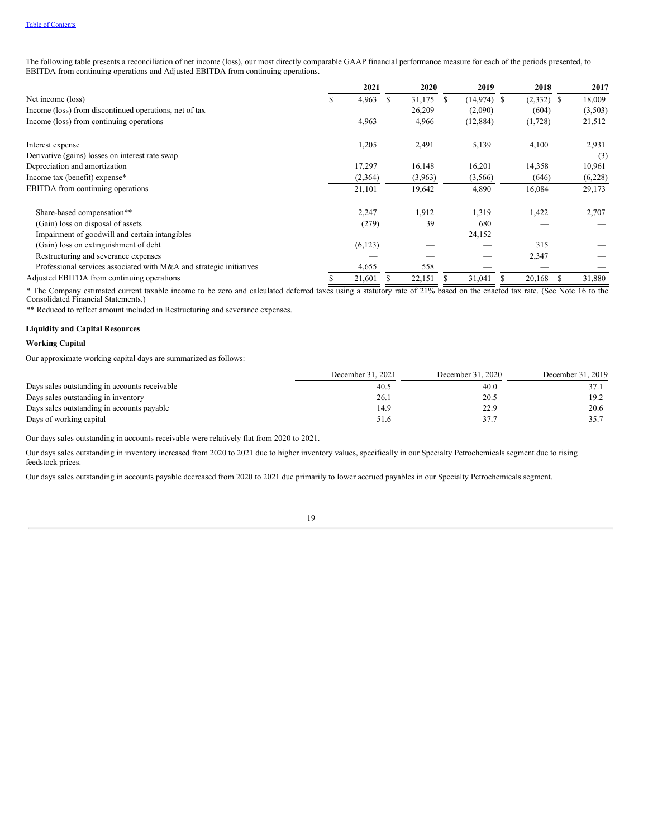The following table presents a reconciliation of net income (loss), our most directly comparable GAAP financial performance measure for each of the periods presented, to EBITDA from continuing operations and Adjusted EBITDA from continuing operations.

|                                                                     | 2021     | 2020    |    | 2019           | 2018     |                         | 2017 |
|---------------------------------------------------------------------|----------|---------|----|----------------|----------|-------------------------|------|
| Net income (loss)                                                   | 4,963    | 31,175  | -8 | $(14, 974)$ \$ | (2, 332) | 18,009<br><sup>\$</sup> |      |
| Income (loss) from discontinued operations, net of tax              |          | 26,209  |    | (2,090)        | (604)    | (3,503)                 |      |
| Income (loss) from continuing operations                            | 4,963    | 4,966   |    | (12, 884)      | (1,728)  | 21,512                  |      |
| Interest expense                                                    | 1,205    | 2,491   |    | 5,139          | 4,100    | 2,931                   |      |
| Derivative (gains) losses on interest rate swap                     |          |         |    |                |          |                         | (3)  |
| Depreciation and amortization                                       | 17,297   | 16,148  |    | 16,201         | 14,358   | 10,961                  |      |
| Income tax (benefit) expense*                                       | (2,364)  | (3,963) |    | (3,566)        | (646)    | (6,228)                 |      |
| EBITDA from continuing operations                                   | 21,101   | 19,642  |    | 4,890          | 16,084   | 29,173                  |      |
| Share-based compensation**                                          | 2,247    | 1,912   |    | 1,319          | 1,422    | 2,707                   |      |
| (Gain) loss on disposal of assets                                   | (279)    | 39      |    | 680            |          |                         |      |
| Impairment of goodwill and certain intangibles                      |          |         |    | 24,152         |          |                         |      |
| (Gain) loss on extinguishment of debt                               | (6, 123) |         |    |                | 315      |                         |      |
| Restructuring and severance expenses                                |          |         |    |                | 2,347    |                         |      |
| Professional services associated with M&A and strategic initiatives | 4,655    | 558     |    |                |          |                         |      |
| Adjusted EBITDA from continuing operations                          | 21,601   | 22,151  |    | 31,041         | 20,168   | 31,880<br><sup>\$</sup> |      |

\* The Company estimated current taxable income to be zero and calculated deferred taxes using a statutory rate of 21% based on the enacted tax rate. (See Note 16 to the Consolidated Financial Statements.)

\*\* Reduced to reflect amount included in Restructuring and severance expenses.

#### <span id="page-21-0"></span>**Liquidity and Capital Resources**

## **Working Capital**

Our approximate working capital days are summarized as follows:

|                                               | December 31, 2021 | December 31, 2020 | December 31, 2019 |
|-----------------------------------------------|-------------------|-------------------|-------------------|
| Days sales outstanding in accounts receivable | 40.5              | 40.0              |                   |
| Days sales outstanding in inventory           | 26.1              | 20.5              | 19.2              |
| Days sales outstanding in accounts payable    | 14.9              | 22.9              | 20.6              |
| Days of working capital                       | 51.6              | 377               |                   |

Our days sales outstanding in accounts receivable were relatively flat from 2020 to 2021.

Our days sales outstanding in inventory increased from 2020 to 2021 due to higher inventory values, specifically in our Specialty Petrochemicals segment due to rising feedstock prices.

Our days sales outstanding in accounts payable decreased from 2020 to 2021 due primarily to lower accrued payables in our Specialty Petrochemicals segment.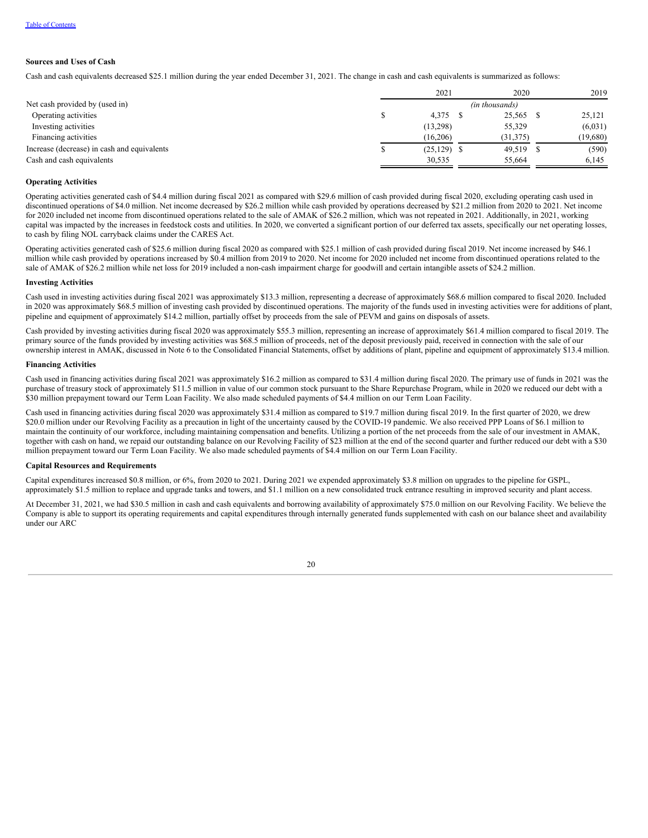## **Sources and Uses of Cash**

Cash and cash equivalents decreased \$25.1 million during the year ended December 31, 2021. The change in cash and cash equivalents is summarized as follows:

|                                             | 2021          | 2020           | 2019     |
|---------------------------------------------|---------------|----------------|----------|
| Net cash provided by (used in)              |               | (in thousands) |          |
| Operating activities                        | $4,375$ \$    | 25,565 \$      | 25,121   |
| Investing activities                        | (13,298)      | 55,329         | (6,031)  |
| Financing activities                        | (16,206)      | (31, 375)      | (19,680) |
| Increase (decrease) in cash and equivalents | $(25,129)$ \$ | 49,519 \$      | (590)    |
| Cash and cash equivalents                   | 30,535        | 55,664         | 6,145    |

## **Operating Activities**

Operating activities generated cash of \$4.4 million during fiscal 2021 as compared with \$29.6 million of cash provided during fiscal 2020, excluding operating cash used in discontinued operations of \$4.0 million. Net income decreased by \$26.2 million while cash provided by operations decreased by \$21.2 million from 2020 to 2021. Net income for 2020 included net income from discontinued operations related to the sale of AMAK of \$26.2 million, which was not repeated in 2021. Additionally, in 2021, working capital was impacted by the increases in feedstock costs and utilities. In 2020, we converted a significant portion of our deferred tax assets, specifically our net operating losses, to cash by filing NOL carryback claims under the CARES Act.

Operating activities generated cash of \$25.6 million during fiscal 2020 as compared with \$25.1 million of cash provided during fiscal 2019. Net income increased by \$46.1 million while cash provided by operations increased by \$0.4 million from 2019 to 2020. Net income for 2020 included net income from discontinued operations related to the sale of AMAK of \$26.2 million while net loss for 2019 included a non-cash impairment charge for goodwill and certain intangible assets of \$24.2 million.

## **Investing Activities**

Cash used in investing activities during fiscal 2021 was approximately \$13.3 million, representing a decrease of approximately \$68.6 million compared to fiscal 2020. Included in 2020 was approximately \$68.5 million of investing cash provided by discontinued operations. The majority of the funds used in investing activities were for additions of plant, pipeline and equipment of approximately \$14.2 million, partially offset by proceeds from the sale of PEVM and gains on disposals of assets.

Cash provided by investing activities during fiscal 2020 was approximately \$55.3 million, representing an increase of approximately \$61.4 million compared to fiscal 2019. The primary source of the funds provided by investing activities was \$68.5 million of proceeds, net of the deposit previously paid, received in connection with the sale of our ownership interest in AMAK, discussed in Note 6 to the Consolidated Financial Statements, offset by additions of plant, pipeline and equipment of approximately \$13.4 million.

## **Financing Activities**

Cash used in financing activities during fiscal 2021 was approximately \$16.2 million as compared to \$31.4 million during fiscal 2020. The primary use of funds in 2021 was the purchase of treasury stock of approximately \$11.5 million in value of our common stock pursuant to the Share Repurchase Program, while in 2020 we reduced our debt with a \$30 million prepayment toward our Term Loan Facility. We also made scheduled payments of \$4.4 million on our Term Loan Facility.

Cash used in financing activities during fiscal 2020 was approximately \$31.4 million as compared to \$19.7 million during fiscal 2019. In the first quarter of 2020, we drew \$20.0 million under our Revolving Facility as a precaution in light of the uncertainty caused by the COVID-19 pandemic. We also received PPP Loans of \$6.1 million to maintain the continuity of our workforce, including maintaining compensation and benefits. Utilizing a portion of the net proceeds from the sale of our investment in AMAK, together with cash on hand, we repaid our outstanding balance on our Revolving Facility of \$23 million at the end of the second quarter and further reduced our debt with a \$30 million prepayment toward our Term Loan Facility. We also made scheduled payments of \$4.4 million on our Term Loan Facility.

## **Capital Resources and Requirements**

Capital expenditures increased \$0.8 million, or 6%, from 2020 to 2021. During 2021 we expended approximately \$3.8 million on upgrades to the pipeline for GSPL, approximately \$1.5 million to replace and upgrade tanks and towers, and \$1.1 million on a new consolidated truck entrance resulting in improved security and plant access.

At December 31, 2021, we had \$30.5 million in cash and cash equivalents and borrowing availability of approximately \$75.0 million on our Revolving Facility. We believe the Company is able to support its operating requirements and capital expenditures through internally generated funds supplemented with cash on our balance sheet and availability under our ARC

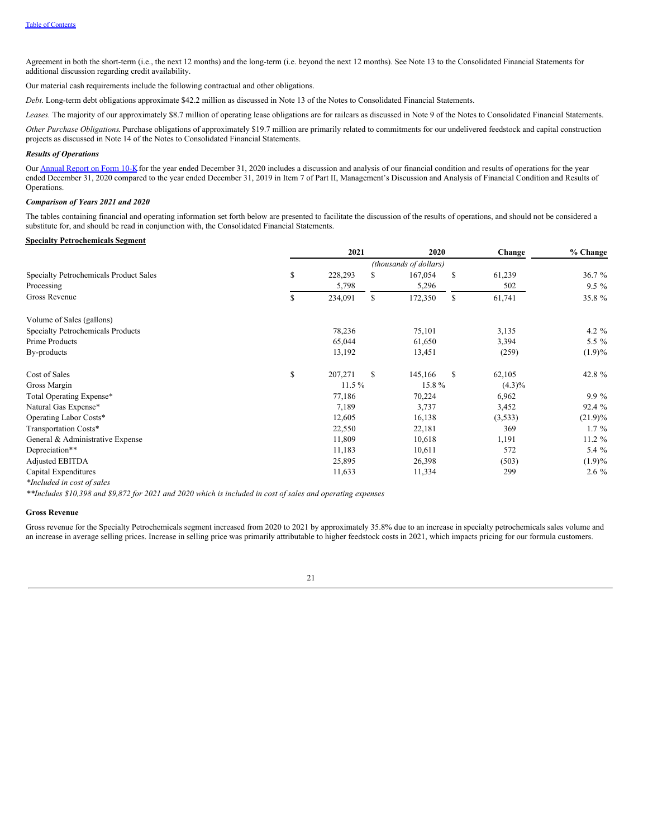Agreement in both the short-term (i.e., the next 12 months) and the long-term (i.e. beyond the next 12 months). See Note 13 to the Consolidated Financial Statements for additional discussion regarding credit availability.

Our material cash requirements include the following contractual and other obligations.

*Debt*. Long-term debt obligations approximate \$42.2 million as discussed in Note 13 of the Notes to Consolidated Financial Statements.

*Leases.* The majority of our approximately \$8.7 million of operating lease obligations are for railcars as discussed in Note 9 of the Notes to Consolidated Financial Statements.

*Other Purchase Obligations*. Purchase obligations of approximately \$19.7 million are primarily related to commitments for our undelivered feedstock and capital construction projects as discussed in Note 14 of the Notes to Consolidated Financial Statements.

## <span id="page-23-0"></span>*Results of Operations*

Our [A](http://www.sec.gov/ix?doc=/Archives/edgar/data/7039/000000703921000036/trec-20201231.htm)nnual [Report](http://www.sec.gov/ix?doc=/Archives/edgar/data/7039/000000703921000036/trec-20201231.htm) on Form 10-K for the year ended December 31, 2020 includes a discussion and analysis of our financial condition and results of operations for the year ended December 31, 2020 compared to the year ended December 31, 2019 in Item 7 of Part II, Management's Discussion and Analysis of Financial Condition and Results of Operations.

## *Comparison of Years 2021 and 2020*

The tables containing financial and operating information set forth below are presented to facilitate the discussion of the results of operations, and should not be considered a substitute for, and should be read in conjunction with, the Consolidated Financial Statements.

#### **Specialty Petrochemicals Segment**

|                                                                                                                                                                    |    | 2021     |     | 2020                   |    | Change    | % Change   |
|--------------------------------------------------------------------------------------------------------------------------------------------------------------------|----|----------|-----|------------------------|----|-----------|------------|
|                                                                                                                                                                    |    |          |     | (thousands of dollars) |    |           |            |
| Specialty Petrochemicals Product Sales                                                                                                                             | \$ | 228,293  | \$. | 167,054                | S. | 61,239    | 36.7 %     |
| Processing                                                                                                                                                         |    | 5,798    |     | 5,296                  |    | 502       | $9.5\%$    |
| Gross Revenue                                                                                                                                                      | S  | 234,091  | S   | 172,350                | \$ | 61,741    | 35.8 %     |
| Volume of Sales (gallons)                                                                                                                                          |    |          |     |                        |    |           |            |
| Specialty Petrochemicals Products                                                                                                                                  |    | 78,236   |     | 75,101                 |    | 3,135     | 4.2 $%$    |
| Prime Products                                                                                                                                                     |    | 65,044   |     | 61,650                 |    | 3,394     | 5.5 $%$    |
| By-products                                                                                                                                                        |    | 13,192   |     | 13,451                 |    | (259)     | $(1.9)\%$  |
| Cost of Sales                                                                                                                                                      | \$ | 207,271  | S   | 145,166                | S. | 62,105    | 42.8 %     |
| Gross Margin                                                                                                                                                       |    | $11.5\%$ |     | 15.8%                  |    | $(4.3)\%$ |            |
| Total Operating Expense*                                                                                                                                           |    | 77,186   |     | 70,224                 |    | 6,962     | $9.9\%$    |
| Natural Gas Expense*                                                                                                                                               |    | 7,189    |     | 3,737                  |    | 3,452     | 92.4 %     |
| Operating Labor Costs*                                                                                                                                             |    | 12,605   |     | 16,138                 |    | (3, 533)  | $(21.9)\%$ |
| Transportation Costs*                                                                                                                                              |    | 22,550   |     | 22,181                 |    | 369       | $1.7\%$    |
| General & Administrative Expense                                                                                                                                   |    | 11,809   |     | 10,618                 |    | 1,191     | 11.2 %     |
| Depreciation**                                                                                                                                                     |    | 11,183   |     | 10,611                 |    | 572       | 5.4 $%$    |
| Adjusted EBITDA                                                                                                                                                    |    | 25,895   |     | 26,398                 |    | (503)     | $(1.9)\%$  |
| Capital Expenditures                                                                                                                                               |    | 11,633   |     | 11,334                 |    | 299       | $2.6\%$    |
| $\mathbf{u}$ , $\mathbf{v}$ , $\mathbf{v}$ , $\mathbf{v}$ , $\mathbf{v}$ , $\mathbf{v}$ , $\mathbf{v}$ , $\mathbf{v}$ , $\mathbf{v}$ , $\mathbf{v}$ , $\mathbf{v}$ |    |          |     |                        |    |           |            |

*\*Included in cost of sales*

\*\*Includes \$10,398 and \$9,872 for 2021 and 2020 which is included in cost of sales and operating expenses

## **Gross Revenue**

Gross revenue for the Specialty Petrochemicals segment increased from 2020 to 2021 by approximately 35.8% due to an increase in specialty petrochemicals sales volume and an increase in average selling prices. Increase in selling price was primarily attributable to higher feedstock costs in 2021, which impacts pricing for our formula customers.

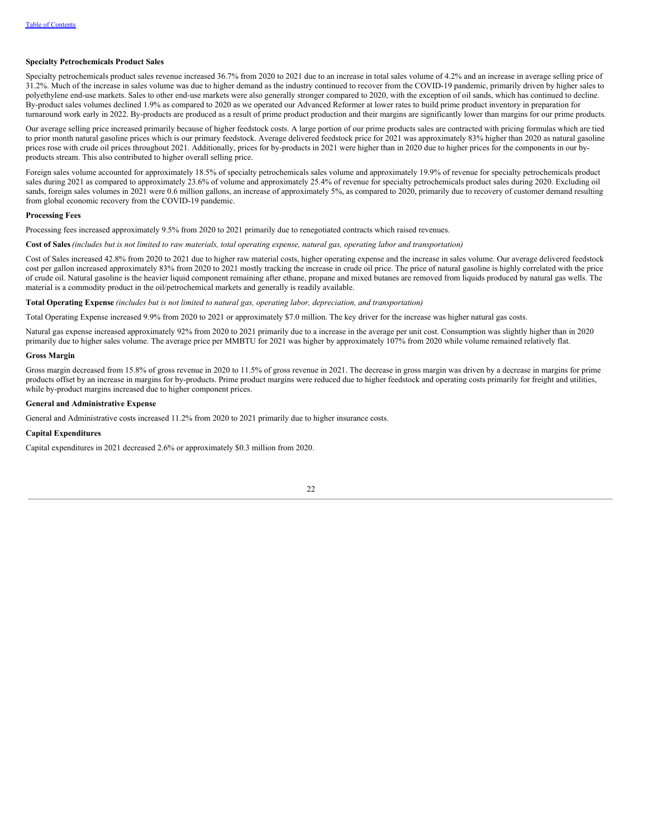#### **Specialty Petrochemicals Product Sales**

Specialty petrochemicals product sales revenue increased 36.7% from 2020 to 2021 due to an increase in total sales volume of 4.2% and an increase in average selling price of 31.2%. Much of the increase in sales volume was due to higher demand as the industry continued to recover from the COVID-19 pandemic, primarily driven by higher sales to polyethylene end-use markets. Sales to other end-use markets were also generally stronger compared to 2020, with the exception of oil sands, which has continued to decline. By-product sales volumes declined 1.9% as compared to 2020 as we operated our Advanced Reformer at lower rates to build prime product inventory in preparation for turnaround work early in 2022. By-products are produced as a result of prime product production and their margins are significantly lower than margins for our prime products.

Our average selling price increased primarily because of higher feedstock costs. A large portion of our prime products sales are contracted with pricing formulas which are tied to prior month natural gasoline prices which is our primary feedstock. Average delivered feedstock price for 2021 was approximately 83% higher than 2020 as natural gasoline prices rose with crude oil prices throughout 2021. Additionally, prices for by-products in 2021 were higher than in 2020 due to higher prices for the components in our byproducts stream. This also contributed to higher overall selling price.

Foreign sales volume accounted for approximately 18.5% of specialty petrochemicals sales volume and approximately 19.9% of revenue for specialty petrochemicals product sales during 2021 as compared to approximately 23.6% of volume and approximately 25.4% of revenue for specialty petrochemicals product sales during 2020. Excluding oil sands, foreign sales volumes in 2021 were 0.6 million gallons, an increase of approximately 5%, as compared to 2020, primarily due to recovery of customer demand resulting from global economic recovery from the COVID-19 pandemic.

#### **Processing Fees**

Processing fees increased approximately 9.5% from 2020 to 2021 primarily due to renegotiated contracts which raised revenues.

Cost of Sales (includes but is not limited to raw materials, total operating expense, natural gas, operating labor and transportation)

Cost of Sales increased 42.8% from 2020 to 2021 due to higher raw material costs, higher operating expense and the increase in sales volume. Our average delivered feedstock cost per gallon increased approximately 83% from 2020 to 2021 mostly tracking the increase in crude oil price. The price of natural gasoline is highly correlated with the price of crude oil. Natural gasoline is the heavier liquid component remaining after ethane, propane and mixed butanes are removed from liquids produced by natural gas wells. The material is a commodity product in the oil/petrochemical markets and generally is readily available.

Total Operating Expense (includes but is not limited to natural gas, operating labor, depreciation, and transportation)

Total Operating Expense increased 9.9% from 2020 to 2021 or approximately \$7.0 million. The key driver for the increase was higher natural gas costs.

Natural gas expense increased approximately 92% from 2020 to 2021 primarily due to a increase in the average per unit cost. Consumption was slightly higher than in 2020 primarily due to higher sales volume. The average price per MMBTU for 2021 was higher by approximately 107% from 2020 while volume remained relatively flat.

#### **Gross Margin**

Gross margin decreased from 15.8% of gross revenue in 2020 to 11.5% of gross revenue in 2021. The decrease in gross margin was driven by a decrease in margins for prime products offset by an increase in margins for by-products. Prime product margins were reduced due to higher feedstock and operating costs primarily for freight and utilities, while by-product margins increased due to higher component prices.

## **General and Administrative Expense**

General and Administrative costs increased 11.2% from 2020 to 2021 primarily due to higher insurance costs.

## **Capital Expenditures**

Capital expenditures in 2021 decreased 2.6% or approximately \$0.3 million from 2020.

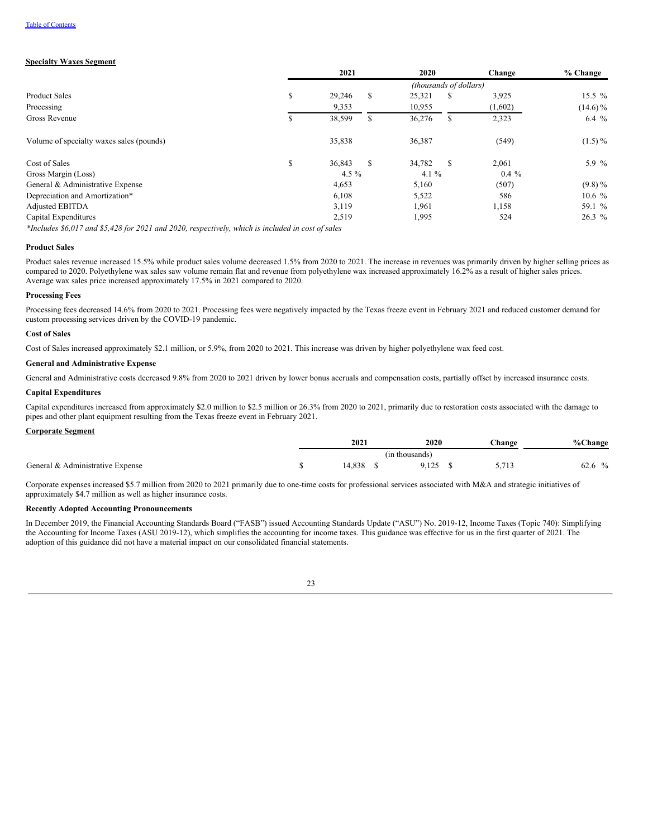## **Specialty Waxes Segment**

|                                                                                                                                                                                                                                                                                                                                                                                                                                                                                                                                                                                                         |                        | 2021     |   | 2020     |   | Change  | $%$ Change |  |  |  |
|---------------------------------------------------------------------------------------------------------------------------------------------------------------------------------------------------------------------------------------------------------------------------------------------------------------------------------------------------------------------------------------------------------------------------------------------------------------------------------------------------------------------------------------------------------------------------------------------------------|------------------------|----------|---|----------|---|---------|------------|--|--|--|
|                                                                                                                                                                                                                                                                                                                                                                                                                                                                                                                                                                                                         | (thousands of dollars) |          |   |          |   |         |            |  |  |  |
| <b>Product Sales</b>                                                                                                                                                                                                                                                                                                                                                                                                                                                                                                                                                                                    | S                      | 29,246   | S | 25,321   | S | 3,925   | $15.5\%$   |  |  |  |
| Processing                                                                                                                                                                                                                                                                                                                                                                                                                                                                                                                                                                                              |                        | 9,353    |   | 10,955   |   | (1,602) | $(14.6)\%$ |  |  |  |
| Gross Revenue                                                                                                                                                                                                                                                                                                                                                                                                                                                                                                                                                                                           | S                      | 38,599   | S | 36,276   | S | 2,323   | 6.4 $%$    |  |  |  |
| Volume of specialty waxes sales (pounds)                                                                                                                                                                                                                                                                                                                                                                                                                                                                                                                                                                |                        | 35,838   |   | 36,387   |   | (549)   | $(1.5)\%$  |  |  |  |
| Cost of Sales                                                                                                                                                                                                                                                                                                                                                                                                                                                                                                                                                                                           | S                      | 36,843   | S | 34.782   | S | 2,061   | 5.9 $%$    |  |  |  |
| Gross Margin (Loss)                                                                                                                                                                                                                                                                                                                                                                                                                                                                                                                                                                                     |                        | 4.5 $\%$ |   | 4.1 $\%$ |   | $0.4\%$ |            |  |  |  |
| General & Administrative Expense                                                                                                                                                                                                                                                                                                                                                                                                                                                                                                                                                                        |                        | 4,653    |   | 5,160    |   | (507)   | $(9.8)\%$  |  |  |  |
| Depreciation and Amortization*                                                                                                                                                                                                                                                                                                                                                                                                                                                                                                                                                                          |                        | 6,108    |   | 5,522    |   | 586     | $10.6\%$   |  |  |  |
| <b>Adjusted EBITDA</b>                                                                                                                                                                                                                                                                                                                                                                                                                                                                                                                                                                                  |                        | 3,119    |   | 1,961    |   | 1,158   | 59.1 %     |  |  |  |
| Capital Expenditures                                                                                                                                                                                                                                                                                                                                                                                                                                                                                                                                                                                    |                        | 2,519    |   | 1,995    |   | 524     | 26.3 %     |  |  |  |
| $\mathcal{A} \times \mathcal{A} \times \mathcal{A} \times \mathcal{A} \times \mathcal{A} \times \mathcal{A} \times \mathcal{A} \times \mathcal{A} \times \mathcal{A} \times \mathcal{A} \times \mathcal{A} \times \mathcal{A} \times \mathcal{A} \times \mathcal{A} \times \mathcal{A} \times \mathcal{A} \times \mathcal{A} \times \mathcal{A} \times \mathcal{A} \times \mathcal{A} \times \mathcal{A} \times \mathcal{A} \times \mathcal{A} \times \mathcal{A} \times \mathcal{A} \times \mathcal{A} \times \mathcal{A} \times \mathcal{$<br>$\rightarrow$ $\rightarrow$ $\rightarrow$ $\rightarrow$ |                        |          |   |          |   |         |            |  |  |  |

*\*Includes \$6,017 and \$5,428 for 2021 and 2020, respectively, which is included in cost of sales*

#### **Product Sales**

Product sales revenue increased 15.5% while product sales volume decreased 1.5% from 2020 to 2021. The increase in revenues was primarily driven by higher selling prices as compared to 2020. Polyethylene wax sales saw volume remain flat and revenue from polyethylene wax increased approximately 16.2% as a result of higher sales prices. Average wax sales price increased approximately 17.5% in 2021 compared to 2020.

## **Processing Fees**

Processing fees decreased 14.6% from 2020 to 2021. Processing fees were negatively impacted by the Texas freeze event in February 2021 and reduced customer demand for custom processing services driven by the COVID-19 pandemic.

#### **Cost of Sales**

Cost of Sales increased approximately \$2.1 million, or 5.9%, from 2020 to 2021. This increase was driven by higher polyethylene wax feed cost.

## **General and Administrative Expense**

General and Administrative costs decreased 9.8% from 2020 to 2021 driven by lower bonus accruals and compensation costs, partially offset by increased insurance costs.

#### **Capital Expenditures**

Capital expenditures increased from approximately \$2.0 million to \$2.5 million or 26.3% from 2020 to 2021, primarily due to restoration costs associated with the damage to pipes and other plant equipment resulting from the Texas freeze event in February 2021.

#### **Corporate Segment**

|                                  |                | 2021  |  | 2020 |  | Change | %Change      |
|----------------------------------|----------------|-------|--|------|--|--------|--------------|
|                                  | (in thousands) |       |  |      |  |        |              |
| General & Administrative Expense |                | 4.838 |  | .125 |  | 5,713  | $\%$<br>62.0 |

Corporate expenses increased \$5.7 million from 2020 to 2021 primarily due to one-time costs for professional services associated with M&A and strategic initiatives of approximately \$4.7 million as well as higher insurance costs.

## <span id="page-25-0"></span>**Recently Adopted Accounting Pronouncements**

In December 2019, the Financial Accounting Standards Board ("FASB") issued Accounting Standards Update ("ASU") No. 2019-12, Income Taxes (Topic 740): Simplifying the Accounting for Income Taxes (ASU 2019-12), which simplifies the accounting for income taxes. This guidance was effective for us in the first quarter of 2021. The adoption of this guidance did not have a material impact on our consolidated financial statements.

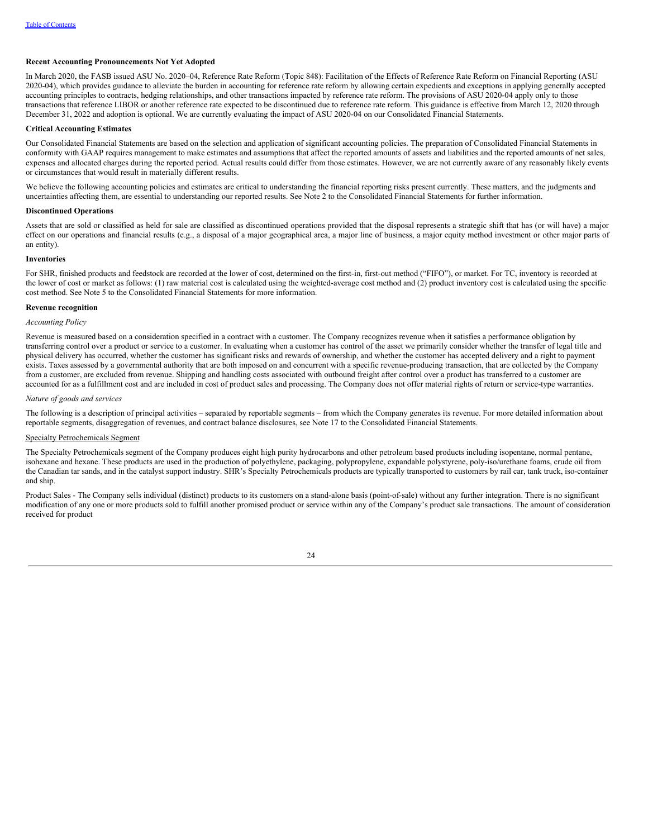#### **Recent Accounting Pronouncements Not Yet Adopted**

In March 2020, the FASB issued ASU No. 2020–04, Reference Rate Reform (Topic 848): Facilitation of the Effects of Reference Rate Reform on Financial Reporting (ASU 2020-04), which provides guidance to alleviate the burden in accounting for reference rate reform by allowing certain expedients and exceptions in applying generally accepted accounting principles to contracts, hedging relationships, and other transactions impacted by reference rate reform. The provisions of ASU 2020-04 apply only to those transactions that reference LIBOR or another reference rate expected to be discontinued due to reference rate reform. This guidance is effective from March 12, 2020 through December 31, 2022 and adoption is optional. We are currently evaluating the impact of ASU 2020-04 on our Consolidated Financial Statements.

## <span id="page-26-0"></span>**Critical Accounting Estimates**

Our Consolidated Financial Statements are based on the selection and application of significant accounting policies. The preparation of Consolidated Financial Statements in conformity with GAAP requires management to make estimates and assumptions that affect the reported amounts of assets and liabilities and the reported amounts of net sales, expenses and allocated charges during the reported period. Actual results could differ from those estimates. However, we are not currently aware of any reasonably likely events or circumstances that would result in materially different results.

We believe the following accounting policies and estimates are critical to understanding the financial reporting risks present currently. These matters, and the judgments and uncertainties affecting them, are essential to understanding our reported results. See Note 2 to the Consolidated Financial Statements for further information.

## **Discontinued Operations**

Assets that are sold or classified as held for sale are classified as discontinued operations provided that the disposal represents a strategic shift that has (or will have) a major effect on our operations and financial results (e.g., a disposal of a major geographical area, a major line of business, a major equity method investment or other major parts of an entity).

#### **Inventories**

For SHR, finished products and feedstock are recorded at the lower of cost, determined on the first-in, first-out method ("FIFO"), or market. For TC, inventory is recorded at the lower of cost or market as follows: (1) raw material cost is calculated using the weighted-average cost method and (2) product inventory cost is calculated using the specific cost method. See Note 5 to the Consolidated Financial Statements for more information.

#### **Revenue recognition**

# *Accounting Policy*

Revenue is measured based on a consideration specified in a contract with a customer. The Company recognizes revenue when it satisfies a performance obligation by transferring control over a product or service to a customer. In evaluating when a customer has control of the asset we primarily consider whether the transfer of legal title and physical delivery has occurred, whether the customer has significant risks and rewards of ownership, and whether the customer has accepted delivery and a right to payment exists. Taxes assessed by a governmental authority that are both imposed on and concurrent with a specific revenue-producing transaction, that are collected by the Company from a customer, are excluded from revenue. Shipping and handling costs associated with outbound freight after control over a product has transferred to a customer are accounted for as a fulfillment cost and are included in cost of product sales and processing. The Company does not offer material rights of return or service-type warranties.

#### *Nature of goods and services*

The following is a description of principal activities – separated by reportable segments – from which the Company generates its revenue. For more detailed information about reportable segments, disaggregation of revenues, and contract balance disclosures, see Note 17 to the Consolidated Financial Statements.

#### Specialty Petrochemicals Segment

The Specialty Petrochemicals segment of the Company produces eight high purity hydrocarbons and other petroleum based products including isopentane, normal pentane, isohexane and hexane. These products are used in the production of polyethylene, packaging, polypropylene, expandable polystyrene, poly-iso/urethane foams, crude oil from the Canadian tar sands, and in the catalyst support industry. SHR's Specialty Petrochemicals products are typically transported to customers by rail car, tank truck, iso-container and ship.

Product Sales - The Company sells individual (distinct) products to its customers on a stand-alone basis (point-of-sale) without any further integration. There is no significant modification of any one or more products sold to fulfill another promised product or service within any of the Company's product sale transactions. The amount of consideration received for product

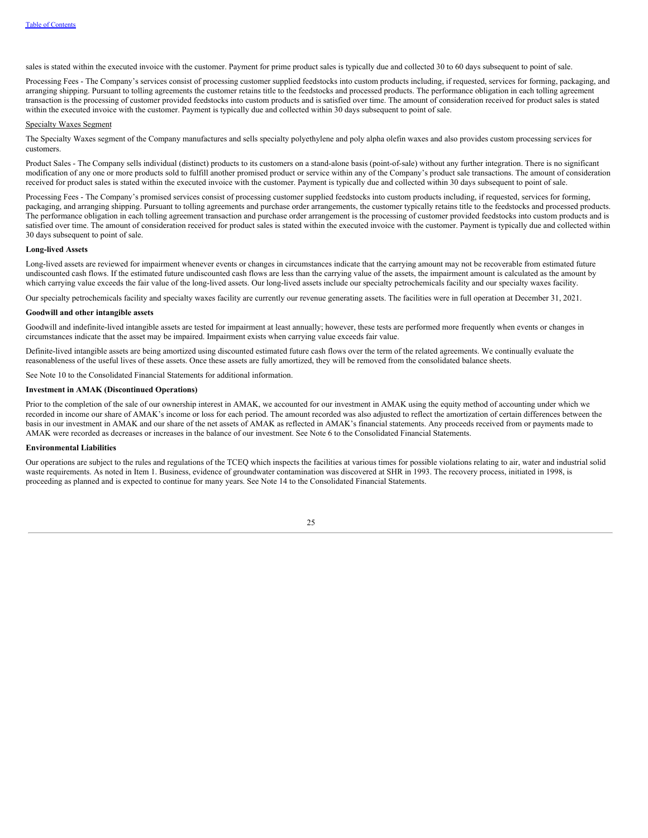sales is stated within the executed invoice with the customer. Payment for prime product sales is typically due and collected 30 to 60 days subsequent to point of sale.

Processing Fees - The Company's services consist of processing customer supplied feedstocks into custom products including, if requested, services for forming, packaging, and arranging shipping. Pursuant to tolling agreements the customer retains title to the feedstocks and processed products. The performance obligation in each tolling agreement transaction is the processing of customer provided feedstocks into custom products and is satisfied over time. The amount of consideration received for product sales is stated within the executed invoice with the customer. Payment is typically due and collected within 30 days subsequent to point of sale.

#### Specialty Waxes Segment

The Specialty Waxes segment of the Company manufactures and sells specialty polyethylene and poly alpha olefin waxes and also provides custom processing services for customers.

Product Sales - The Company sells individual (distinct) products to its customers on a stand-alone basis (point-of-sale) without any further integration. There is no significant modification of any one or more products sold to fulfill another promised product or service within any of the Company's product sale transactions. The amount of consideration received for product sales is stated within the executed invoice with the customer. Payment is typically due and collected within 30 days subsequent to point of sale.

Processing Fees - The Company's promised services consist of processing customer supplied feedstocks into custom products including, if requested, services for forming, packaging, and arranging shipping. Pursuant to tolling agreements and purchase order arrangements, the customer typically retains title to the feedstocks and processed products. The performance obligation in each tolling agreement transaction and purchase order arrangement is the processing of customer provided feedstocks into custom products and is satisfied over time. The amount of consideration received for product sales is stated within the executed invoice with the customer. Payment is typically due and collected within 30 days subsequent to point of sale.

## **Long-lived Assets**

Long-lived assets are reviewed for impairment whenever events or changes in circumstances indicate that the carrying amount may not be recoverable from estimated future undiscounted cash flows. If the estimated future undiscounted cash flows are less than the carrying value of the assets, the impairment amount is calculated as the amount by which carrying value exceeds the fair value of the long-lived assets. Our long-lived assets include our specialty petrochemicals facility and our specialty waxes facility.

Our specialty petrochemicals facility and specialty waxes facility are currently our revenue generating assets. The facilities were in full operation at December 31, 2021.

## **Goodwill and other intangible assets**

Goodwill and indefinite-lived intangible assets are tested for impairment at least annually; however, these tests are performed more frequently when events or changes in circumstances indicate that the asset may be impaired. Impairment exists when carrying value exceeds fair value.

Definite-lived intangible assets are being amortized using discounted estimated future cash flows over the term of the related agreements. We continually evaluate the reasonableness of the useful lives of these assets. Once these assets are fully amortized, they will be removed from the consolidated balance sheets.

See Note 10 to the Consolidated Financial Statements for additional information.

#### **Investment in AMAK (Discontinued Operations)**

Prior to the completion of the sale of our ownership interest in AMAK, we accounted for our investment in AMAK using the equity method of accounting under which we recorded in income our share of AMAK's income or loss for each period. The amount recorded was also adjusted to reflect the amortization of certain differences between the basis in our investment in AMAK and our share of the net assets of AMAK as reflected in AMAK's financial statements. Any proceeds received from or payments made to AMAK were recorded as decreases or increases in the balance of our investment. See Note 6 to the Consolidated Financial Statements.

#### **Environmental Liabilities**

Our operations are subject to the rules and regulations of the TCEQ which inspects the facilities at various times for possible violations relating to air, water and industrial solid waste requirements. As noted in Item 1. Business, evidence of groundwater contamination was discovered at SHR in 1993. The recovery process, initiated in 1998, is proceeding as planned and is expected to continue for many years. See Note 14 to the Consolidated Financial Statements.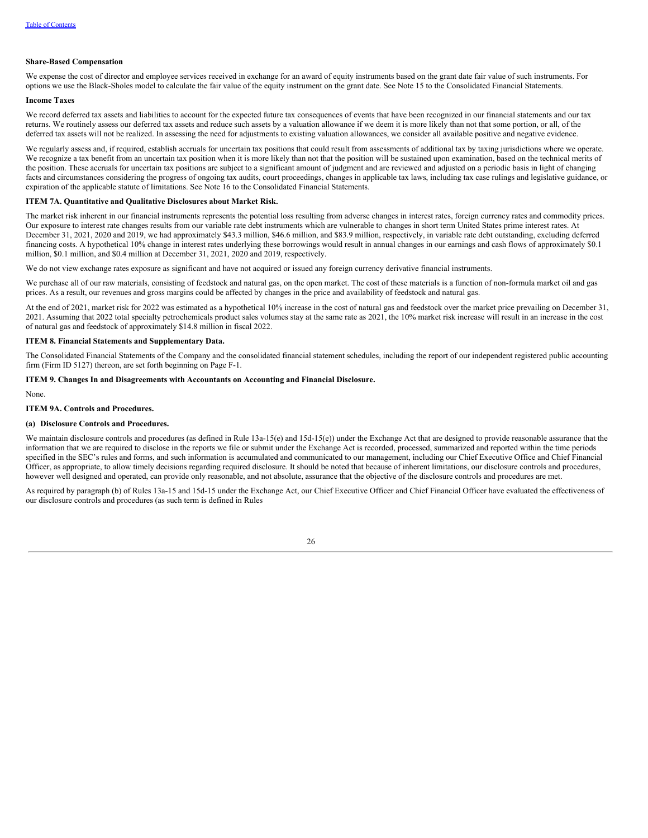#### **Share-Based Compensation**

We expense the cost of director and employee services received in exchange for an award of equity instruments based on the grant date fair value of such instruments. For options we use the Black-Sholes model to calculate the fair value of the equity instrument on the grant date. See Note 15 to the Consolidated Financial Statements.

## **Income Taxes**

We record deferred tax assets and liabilities to account for the expected future tax consequences of events that have been recognized in our financial statements and our tax returns. We routinely assess our deferred tax assets and reduce such assets by a valuation allowance if we deem it is more likely than not that some portion, or all, of the deferred tax assets will not be realized. In assessing the need for adjustments to existing valuation allowances, we consider all available positive and negative evidence.

We regularly assess and, if required, establish accruals for uncertain tax positions that could result from assessments of additional tax by taxing jurisdictions where we operate. We recognize a tax benefit from an uncertain tax position when it is more likely than not that the position will be sustained upon examination, based on the technical merits of the position. These accruals for uncertain tax positions are subject to a significant amount of judgment and are reviewed and adjusted on a periodic basis in light of changing facts and circumstances considering the progress of ongoing tax audits, court proceedings, changes in applicable tax laws, including tax case rulings and legislative guidance, or expiration of the applicable statute of limitations. See Note 16 to the Consolidated Financial Statements.

## <span id="page-28-0"></span>**ITEM 7A. Quantitative and Qualitative Disclosures about Market Risk.**

The market risk inherent in our financial instruments represents the potential loss resulting from adverse changes in interest rates, foreign currency rates and commodity prices. Our exposure to interest rate changes results from our variable rate debt instruments which are vulnerable to changes in short term United States prime interest rates. At December 31, 2021, 2020 and 2019, we had approximately \$43.3 million, \$46.6 million, and \$83.9 million, respectively, in variable rate debt outstanding, excluding deferred financing costs. A hypothetical 10% change in interest rates underlying these borrowings would result in annual changes in our earnings and cash flows of approximately \$0.1 million, \$0.1 million, and \$0.4 million at December 31, 2021, 2020 and 2019, respectively.

We do not view exchange rates exposure as significant and have not acquired or issued any foreign currency derivative financial instruments.

We purchase all of our raw materials, consisting of feedstock and natural gas, on the open market. The cost of these materials is a function of non-formula market oil and gas prices. As a result, our revenues and gross margins could be affected by changes in the price and availability of feedstock and natural gas.

At the end of 2021, market risk for 2022 was estimated as a hypothetical 10% increase in the cost of natural gas and feedstock over the market price prevailing on December 31, 2021. Assuming that 2022 total specialty petrochemicals product sales volumes stay at the same rate as 2021, the 10% market risk increase will result in an increase in the cost of natural gas and feedstock of approximately \$14.8 million in fiscal 2022.

## <span id="page-28-1"></span>**ITEM 8. Financial Statements and Supplementary Data.**

The Consolidated Financial Statements of the Company and the consolidated financial statement schedules, including the report of our independent registered public accounting firm (Firm ID 5127) thereon, are set forth beginning on Page F-1.

## <span id="page-28-2"></span>**ITEM 9. Changes In and Disagreements with Accountants on Accounting and Financial Disclosure.**

None.

#### <span id="page-28-3"></span>**ITEM 9A. Controls and Procedures.**

## **(a) Disclosure Controls and Procedures.**

We maintain disclosure controls and procedures (as defined in Rule 13a-15(e) and 15d-15(e)) under the Exchange Act that are designed to provide reasonable assurance that the information that we are required to disclose in the reports we file or submit under the Exchange Act is recorded, processed, summarized and reported within the time periods specified in the SEC's rules and forms, and such information is accumulated and communicated to our management, including our Chief Executive Office and Chief Financial Officer, as appropriate, to allow timely decisions regarding required disclosure. It should be noted that because of inherent limitations, our disclosure controls and procedures, however well designed and operated, can provide only reasonable, and not absolute, assurance that the objective of the disclosure controls and procedures are met.

As required by paragraph (b) of Rules 13a-15 and 15d-15 under the Exchange Act, our Chief Executive Officer and Chief Financial Officer have evaluated the effectiveness of our disclosure controls and procedures (as such term is defined in Rules

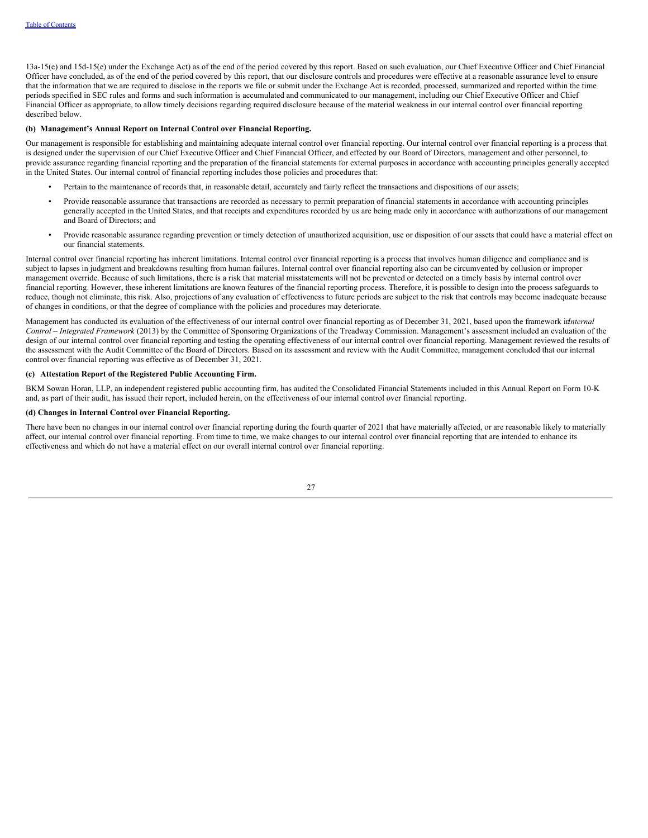13a-15(e) and 15d-15(e) under the Exchange Act) as of the end of the period covered by this report. Based on such evaluation, our Chief Executive Officer and Chief Financial Officer have concluded, as of the end of the period covered by this report, that our disclosure controls and procedures were effective at a reasonable assurance level to ensure that the information that we are required to disclose in the reports we file or submit under the Exchange Act is recorded, processed, summarized and reported within the time periods specified in SEC rules and forms and such information is accumulated and communicated to our management, including our Chief Executive Officer and Chief Financial Officer as appropriate, to allow timely decisions regarding required disclosure because of the material weakness in our internal control over financial reporting described below.

## **(b) Management's Annual Report on Internal Control over Financial Reporting.**

Our management is responsible for establishing and maintaining adequate internal control over financial reporting. Our internal control over financial reporting is a process that is designed under the supervision of our Chief Executive Officer and Chief Financial Officer, and effected by our Board of Directors, management and other personnel, to provide assurance regarding financial reporting and the preparation of the financial statements for external purposes in accordance with accounting principles generally accepted in the United States. Our internal control of financial reporting includes those policies and procedures that:

- Pertain to the maintenance of records that, in reasonable detail, accurately and fairly reflect the transactions and dispositions of our assets;
- Provide reasonable assurance that transactions are recorded as necessary to permit preparation of financial statements in accordance with accounting principles generally accepted in the United States, and that receipts and expenditures recorded by us are being made only in accordance with authorizations of our management and Board of Directors; and
- Provide reasonable assurance regarding prevention or timely detection of unauthorized acquisition, use or disposition of our assets that could have a material effect on our financial statements.

Internal control over financial reporting has inherent limitations. Internal control over financial reporting is a process that involves human diligence and compliance and is subject to lapses in judgment and breakdowns resulting from human failures. Internal control over financial reporting also can be circumvented by collusion or improper management override. Because of such limitations, there is a risk that material misstatements will not be prevented or detected on a timely basis by internal control over financial reporting. However, these inherent limitations are known features of the financial reporting process. Therefore, it is possible to design into the process safeguards to reduce, though not eliminate, this risk. Also, projections of any evaluation of effectiveness to future periods are subject to the risk that controls may become inadequate because of changes in conditions, or that the degree of compliance with the policies and procedures may deteriorate.

Management has conducted its evaluation of the effectiveness of our internal control over financial reporting as of December 31, 2021, based upon the framework in*Internal Control – Integrated Framework* (2013) by the Committee of Sponsoring Organizations of the Treadway Commission. Management's assessment included an evaluation of the design of our internal control over financial reporting and testing the operating effectiveness of our internal control over financial reporting. Management reviewed the results of the assessment with the Audit Committee of the Board of Directors. Based on its assessment and review with the Audit Committee, management concluded that our internal control over financial reporting was effective as of December 31, 2021.

## **(c) Attestation Report of the Registered Public Accounting Firm.**

BKM Sowan Horan, LLP, an independent registered public accounting firm, has audited the Consolidated Financial Statements included in this Annual Report on Form 10-K and, as part of their audit, has issued their report, included herein, on the effectiveness of our internal control over financial reporting.

## **(d) Changes in Internal Control over Financial Reporting.**

There have been no changes in our internal control over financial reporting during the fourth quarter of 2021 that have materially affected, or are reasonable likely to materially affect, our internal control over financial reporting. From time to time, we make changes to our internal control over financial reporting that are intended to enhance its effectiveness and which do not have a material effect on our overall internal control over financial reporting.

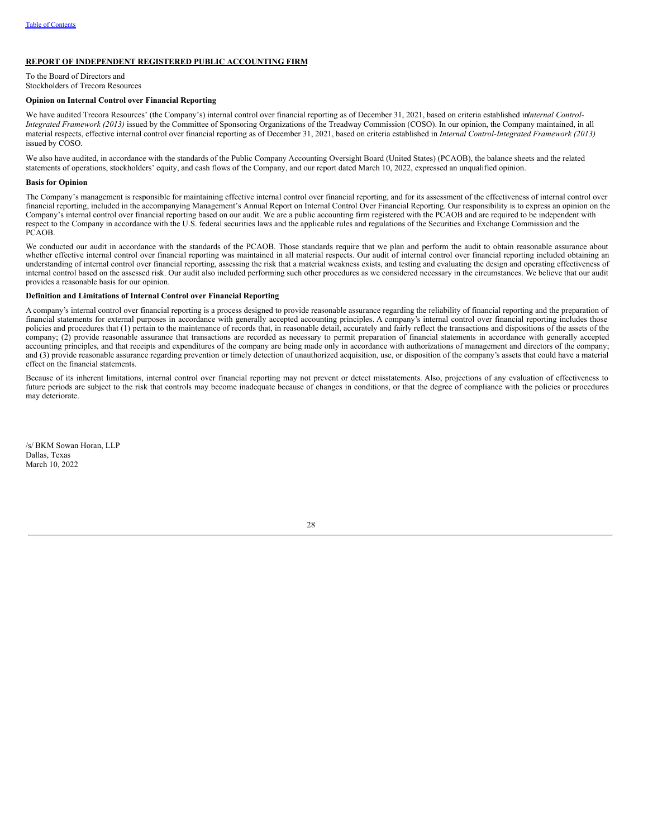## **REPORT OF INDEPENDENT REGISTERED PUBLIC ACCOUNTING FIRM**

To the Board of Directors and Stockholders of Trecora Resources

## **Opinion on Internal Control over Financial Reporting**

We have audited Trecora Resources' (the Company's) internal control over financial reporting as of December 31, 2021, based on criteria established in*Internal Control-Integrated Framework (2013)* issued by the Committee of Sponsoring Organizations of the Treadway Commission (COSO). In our opinion, the Company maintained, in all material respects, effective internal control over financial reporting as of December 31, 2021, based on criteria established in *Internal Control-Integrated Framework (2013)* issued by COSO.

We also have audited, in accordance with the standards of the Public Company Accounting Oversight Board (United States) (PCAOB), the balance sheets and the related statements of operations, stockholders' equity, and cash flows of the Company, and our report dated March 10, 2022, expressed an unqualified opinion.

## **Basis for Opinion**

The Company's management is responsible for maintaining effective internal control over financial reporting, and for its assessment of the effectiveness of internal control over financial reporting, included in the accompanying Management's Annual Report on Internal Control Over Financial Reporting. Our responsibility is to express an opinion on the Company's internal control over financial reporting based on our audit. We are a public accounting firm registered with the PCAOB and are required to be independent with respect to the Company in accordance with the U.S. federal securities laws and the applicable rules and regulations of the Securities and Exchange Commission and the PCAOB.

We conducted our audit in accordance with the standards of the PCAOB. Those standards require that we plan and perform the audit to obtain reasonable assurance about whether effective internal control over financial reporting was maintained in all material respects. Our audit of internal control over financial reporting included obtaining an understanding of internal control over financial reporting, assessing the risk that a material weakness exists, and testing and evaluating the design and operating effectiveness of internal control based on the assessed risk. Our audit also included performing such other procedures as we considered necessary in the circumstances. We believe that our audit provides a reasonable basis for our opinion.

#### **Definition and Limitations of Internal Control over Financial Reporting**

A company's internal control over financial reporting is a process designed to provide reasonable assurance regarding the reliability of financial reporting and the preparation of financial statements for external purposes in accordance with generally accepted accounting principles. A company's internal control over financial reporting includes those policies and procedures that (1) pertain to the maintenance of records that, in reasonable detail, accurately and fairly reflect the transactions and dispositions of the assets of the company; (2) provide reasonable assurance that transactions are recorded as necessary to permit preparation of financial statements in accordance with generally accepted accounting principles, and that receipts and expenditures of the company are being made only in accordance with authorizations of management and directors of the company; and (3) provide reasonable assurance regarding prevention or timely detection of unauthorized acquisition, use, or disposition of the company's assets that could have a material effect on the financial statements.

Because of its inherent limitations, internal control over financial reporting may not prevent or detect misstatements. Also, projections of any evaluation of effectiveness to future periods are subject to the risk that controls may become inadequate because of changes in conditions, or that the degree of compliance with the policies or procedures may deteriorate.

<span id="page-30-0"></span>/s/ BKM Sowan Horan, LLP Dallas, Texas March 10, 2022

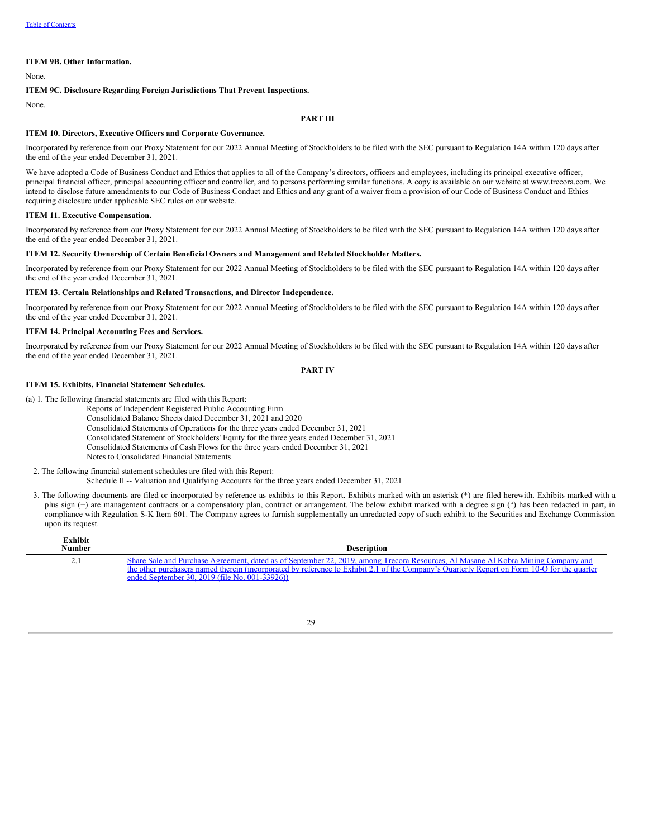## **ITEM 9B. Other Information.**

None.

## <span id="page-31-0"></span>**ITEM 9C. Disclosure Regarding Foreign Jurisdictions That Prevent Inspections.**

<span id="page-31-1"></span>None.

## **PART III**

## <span id="page-31-2"></span>**ITEM 10. Directors, Executive Officers and Corporate Governance.**

Incorporated by reference from our Proxy Statement for our 2022 Annual Meeting of Stockholders to be filed with the SEC pursuant to Regulation 14A within 120 days after the end of the year ended December 31, 2021.

We have adopted a Code of Business Conduct and Ethics that applies to all of the Company's directors, officers and employees, including its principal executive officer, principal financial officer, principal accounting officer and controller, and to persons performing similar functions. A copy is available on our website at www.trecora.com. We intend to disclose future amendments to our Code of Business Conduct and Ethics and any grant of a waiver from a provision of our Code of Business Conduct and Ethics requiring disclosure under applicable SEC rules on our website.

## <span id="page-31-3"></span>**ITEM 11. Executive Compensation.**

Incorporated by reference from our Proxy Statement for our 2022 Annual Meeting of Stockholders to be filed with the SEC pursuant to Regulation 14A within 120 days after the end of the year ended December 31, 2021.

## <span id="page-31-4"></span>**ITEM 12. Security Ownership of Certain Beneficial Owners and Management and Related Stockholder Matters.**

Incorporated by reference from our Proxy Statement for our 2022 Annual Meeting of Stockholders to be filed with the SEC pursuant to Regulation 14A within 120 days after the end of the year ended December 31, 2021.

#### <span id="page-31-5"></span>**ITEM 13. Certain Relationships and Related Transactions, and Director Independence.**

Incorporated by reference from our Proxy Statement for our 2022 Annual Meeting of Stockholders to be filed with the SEC pursuant to Regulation 14A within 120 days after the end of the year ended December 31, 2021.

## <span id="page-31-6"></span>**ITEM 14. Principal Accounting Fees and Services.**

Incorporated by reference from our Proxy Statement for our 2022 Annual Meeting of Stockholders to be filed with the SEC pursuant to Regulation 14A within 120 days after the end of the year ended December 31, 2021.

#### **PART IV**

## <span id="page-31-8"></span><span id="page-31-7"></span>**ITEM 15. Exhibits, Financial Statement Schedules.**

(a) 1. The following financial statements are filed with this Report:

- Reports of Independent Registered Public Accounting Firm
- Consolidated Balance Sheets dated December 31, 2021 and 2020
- Consolidated Statements of Operations for the three years ended December 31, 2021
- Consolidated Statement of Stockholders' Equity for the three years ended December 31, 2021
- Consolidated Statements of Cash Flows for the three years ended December 31, 2021
- Notes to Consolidated Financial Statements
- 2. The following financial statement schedules are filed with this Report:
- Schedule II -- Valuation and Qualifying Accounts for the three years ended December 31, 2021
- 3. The following documents are filed or incorporated by reference as exhibits to this Report. Exhibits marked with an asterisk (\*) are filed herewith. Exhibits marked with a plus sign (+) are management contracts or a compensatory plan, contract or arrangement. The below exhibit marked with a degree sign (°) has been redacted in part, in compliance with Regulation S-K Item 601. The Company agrees to furnish supplementally an unredacted copy of such exhibit to the Securities and Exchange Commission upon its request.

| Exhibit<br><b>Number</b> | Description                                                                                                                                 |
|--------------------------|---------------------------------------------------------------------------------------------------------------------------------------------|
| <b>4.</b>                | Share Sale and Purchase Agreement, dated as of September 22, 2019, among Trecora Resources, Al Masane Al Kobra Mining Company and           |
|                          | the other nurchasers named therein (incorporated by reference to Exhibit 2.1 of the Company's Ouarterly Report on Form 10-O for the quarter |
|                          | ended Sentember 30, 2019 (file No. 001-33926)                                                                                               |

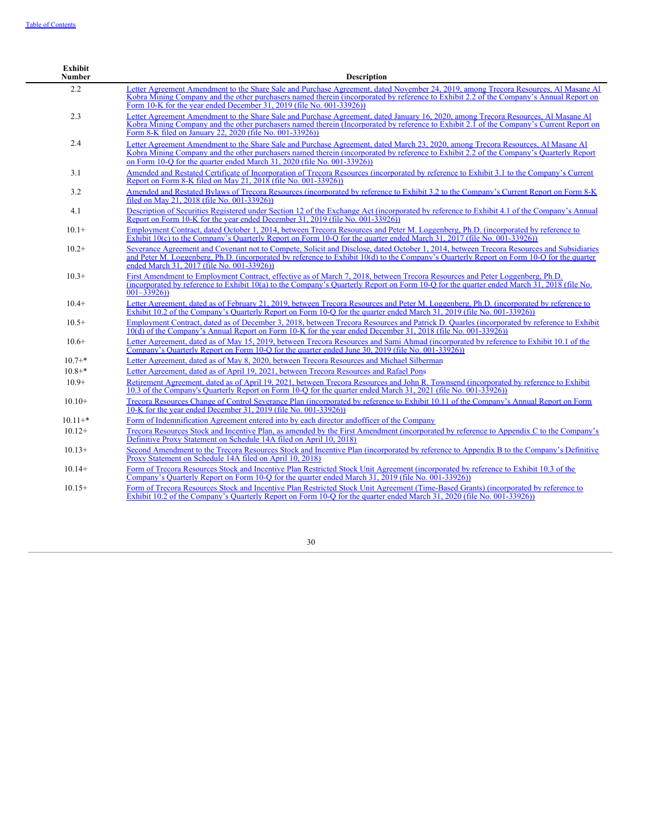| <b>Exhibit</b><br><b>Number</b> | <b>Description</b>                                                                                                                                                                                                                                                                                                                                     |
|---------------------------------|--------------------------------------------------------------------------------------------------------------------------------------------------------------------------------------------------------------------------------------------------------------------------------------------------------------------------------------------------------|
| 2.2                             | Letter Agreement Amendment to the Share Sale and Purchase Agreement, dated November 24, 2019, among Trecora Resources, Al Masane Al<br>Kobra Mining Company and the other purchasers named therein (incorporated by reference to Exhibit 2.2 of the Company's Annual Report on<br>Form 10-K for the year ended December 31, 2019 (file No. 001-33926)  |
| 2.3                             | Letter Agreement Amendment to the Share Sale and Purchase Agreement, dated January 16, 2020, among Trecora Resources, Al Masane Al<br>Kobra Mining Company and the other purchasers named therein (Incorporated by reference to Exhibit 2.1 of the Company's Current Report on<br>Form 8-K filed on January 22, 2020 (file No. 001-33926))             |
| 2.4                             | Letter Agreement Amendment to the Share Sale and Purchase Agreement, dated March 23, 2020, among Trecora Resources, Al Masane Al<br>Kobra Mining Company and the other purchasers named therein (incorporated by reference to Exhibit 2.2 of the Company's Quarterly Report<br>on Form 10-O for the quarter ended March 31, 2020 (file No. 001-33926)) |
| 3.1                             | Amended and Restated Certificate of Incorporation of Trecora Resources (incorporated by reference to Exhibit 3.1 to the Company's Current<br>Report on Form 8-K filed on May 21, 2018 (file No. 001-33926))                                                                                                                                            |
| 3.2                             | Amended and Restated Bylaws of Trecora Resources (incorporated by reference to Exhibit 3.2 to the Company's Current Report on Form 8-K<br>filed on May 21, 2018 (file No. 001-33926))                                                                                                                                                                  |
| 4.1                             | Description of Securities Registered under Section 12 of the Exchange Act (incorporated by reference to Exhibit 4.1 of the Company's Annual<br>Report on Form 10-K for the year ended December 31, 2019 (file No. 001-33926)                                                                                                                           |
| $10.1+$                         | Employment Contract, dated October 1, 2014, between Trecora Resources and Peter M. Loggenberg, Ph.D. (incorporated by reference to<br>Exhibit 10(c) to the Company's Ouarterly Report on Form 10-O for the quarter ended March 31, 2017 (file No. 001-33926))                                                                                          |
| $10.2+$                         | Severance Agreement and Covenant not to Compete, Solicit and Disclose, dated October 1, 2014, between Trecora Resources and Subsidiaries<br>and Peter M. Loggenberg, Ph.D. (incorporated by reference to Exhibit 10(d) to the Company's Quarterly Report on Form 10-Q for the quarter<br>ended March 31, 2017 (file No. 001-33926))                    |
| $10.3+$                         | First Amendment to Employment Contract, effective as of March 7, 2018, between Trecora Resources and Peter Loggenberg, Ph.D.<br>(incorporated by reference to Exhibit 10(a) to the Company's Quarterly Report on Form 10-O for the quarter ended March 31, 2018 (file No.<br>$(001 - 33926)$                                                           |
| $10.4+$                         | Letter Agreement, dated as of February 21, 2019, between Trecora Resources and Peter M. Loggenberg, Ph.D. (incorporated by reference to<br>Exhibit 10.2 of the Company's Quarterly Report on Form 10-O for the quarter ended March 31, 2019 (file No. 001-33926))                                                                                      |
| $10.5+$                         | Employment Contract, dated as of December 3, 2018, between Trecora Resources and Patrick D. Quarles (incorporated by reference to Exhibit<br>10(d) of the Company's Annual Report on Form 10-K for the year ended December 31, 2018 (file No. 001-33926))                                                                                              |
| $10.6+$                         | Letter Agreement, dated as of May 15, 2019, between Trecora Resources and Sami Ahmad (incorporated by reference to Exhibit 10.1 of the<br>Company's Quarterly Report on Form 10-Q for the quarter ended June 30, 2019 (file No. 001-33926))                                                                                                            |
| $10.7+*$                        | Letter Agreement, dated as of May 8, 2020, between Trecora Resources and Michael Silberman                                                                                                                                                                                                                                                             |
| $10.8+*$                        | Letter Agreement, dated as of April 19, 2021, between Trecora Resources and Rafael Pons                                                                                                                                                                                                                                                                |
| $10.9+$                         | Retirement Agreement, dated as of April 19, 2021, between Trecora Resources and John R. Townsend (incorporated by reference to Exhibit<br>10.3 of the Company's Quarterly Report on Form 10-Q for the quarter ended March 31, 2021 (file No. 001-33926))                                                                                               |
| $10.10+$                        | Trecora Resources Change of Control Severance Plan (incorporated by reference to Exhibit 10.11 of the Company's Annual Report on Form<br>10-K for the year ended December 31, 2019 (file No. 001-33926))                                                                                                                                               |
| $10.11+$ *                      | Form of Indemnification Agreement entered into by each director and officer of the Company                                                                                                                                                                                                                                                             |
| $10.12+$                        | Trecora Resources Stock and Incentive Plan, as amended by the First Amendment (incorporated by reference to Appendix C to the Company's<br>Definitive Proxy Statement on Schedule 14A filed on April 10, 2018)                                                                                                                                         |
| $10.13+$                        | Second Amendment to the Trecora Resources Stock and Incentive Plan (incorporated by reference to Appendix B to the Company's Definitive<br>Proxy Statement on Schedule 14A filed on April 10, 2018)                                                                                                                                                    |
| $10.14+$                        | Form of Trecora Resources Stock and Incentive Plan Restricted Stock Unit Agreement (incorporated by reference to Exhibit 10.3 of the<br>Company's Ouarterly Report on Form 10-O for the quarter ended March 31, 2019 (file No. 001-33926))                                                                                                             |
| $10.15+$                        | Form of Trecora Resources Stock and Incentive Plan Restricted Stock Unit Agreement (Time-Based Grants) (incorporated by reference to<br>Exhibit 10.2 of the Company's Quarterly Report on Form 10-Q for the quarter ended March 31, 2020 (file No. 001-33926))                                                                                         |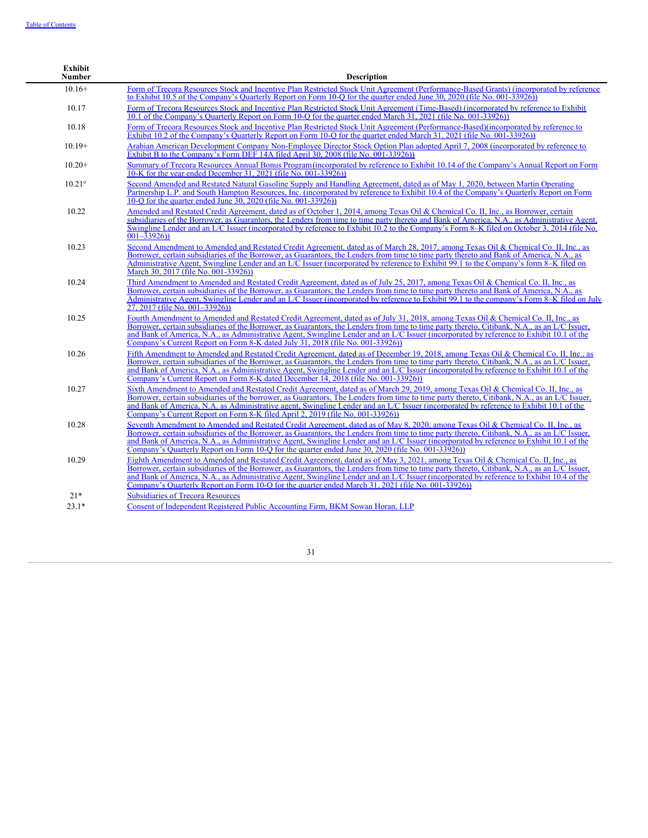| <b>Exhibit</b><br><b>Number</b> | <b>Description</b>                                                                                                                                                                                                                                                                                                                                                                                                                                                                                                                 |  |
|---------------------------------|------------------------------------------------------------------------------------------------------------------------------------------------------------------------------------------------------------------------------------------------------------------------------------------------------------------------------------------------------------------------------------------------------------------------------------------------------------------------------------------------------------------------------------|--|
| $10.16+$                        | Form of Trecora Resources Stock and Incentive Plan Restricted Stock Unit Agreement (Performance-Based Grants) (incorporated by reference<br>to Exhibit 10.5 of the Company's Quarterly Report on Form 10-O for the quarter ended June 30, 2020 (file No. 001-33926))                                                                                                                                                                                                                                                               |  |
| 10.17                           | Form of Trecora Resources Stock and Incentive Plan Restricted Stock Unit Agreement (Time-Based) (incorporated by reference to Exhibit<br>10.1 of the Company's Quarterly Report on Form 10-Q for the quarter ended March 31, 2021 (file No. 001-33926))                                                                                                                                                                                                                                                                            |  |
| 10.18                           | Form of Trecora Resources Stock and Incentive Plan Restricted Stock Unit Agreement (Performance-Based) (incorporated by reference to<br>Exhibit 10.2 of the Company's Quarterly Report on Form 10-O for the quarter ended March 31, 2021 (file No. 001-33926))                                                                                                                                                                                                                                                                     |  |
| $10.19+$                        | Arabian American Development Company Non-Employee Director Stock Option Plan adopted April 7, 2008 (incorporated by reference to<br>Exhibit B to the Company's Form DEF 14A filed April 30, 2008 (file No. 001-33926))                                                                                                                                                                                                                                                                                                             |  |
| $10.20+$                        | Summary of Trecora Resources Annual Bonus Program (incorporated by reference to Exhibit 10.14 of the Company's Annual Report on Form<br>10-K for the year ended December 31, 2021 (file No. 001-33926))                                                                                                                                                                                                                                                                                                                            |  |
| $10.21^{\circ}$                 | Second Amended and Restated Natural Gasoline Supply and Handling Agreement, dated as of May 1, 2020, between Martin Operating<br>Partnership L.P. and South Hampton Resources. Inc. (incorporated by reference to Exhibit 10.4 of the Company's Ouarterly Report on Form<br>10-Q for the quarter ended June 30, 2020 (file No. 001-33926))                                                                                                                                                                                         |  |
| 10.22                           | Amended and Restated Credit Agreement, dated as of October 1, 2014, among Texas Oil & Chemical Co. II, Inc., as Borrower, certain<br>subsidiaries of the Borrower, as Guarantors, the Lenders from time to time party thereto and Bank of America, N.A., as Administrative Agent,<br>Swingline Lender and an L/C Issuer (incorporated by reference to Exhibit 10.2 to the Company's Form 8–K filed on October 3, 2014 (file No.<br>$001 - 33926$                                                                                   |  |
| 10.23                           | Second Amendment to Amended and Restated Credit Agreement, dated as of March 28, 2017, among Texas Oil & Chemical Co. II, Inc., as<br>Borrower, certain subsidiaries of the Borrower, as Guarantors, the Lenders from time to time party thereto and Bank of America, N.A., as<br>Administrative Agent, Swingline Lender and an L/C Issuer (incorporated by reference to Exhibit 99.1 to the Company's form 8–K filed on<br>March 30, 2017 (file No. 001-33926))                                                                   |  |
| 10.24                           | Third Amendment to Amended and Restated Credit Agreement, dated as of July 25, 2017, among Texas Oil & Chemical Co. II, Inc., as<br>Borrower, certain subsidiaries of the Borrower, as Guarantors, the Lenders from time to time party thereto and Bank of America, N.A., as<br>Administrative Agent, Swingline Lender and an L/C Issuer (incorporated by reference to Exhibit 99.1 to the company's Form 8–K filed on July<br>27, 2017 (file No. 001-33926))                                                                      |  |
| 10.25                           | Fourth Amendment to Amended and Restated Credit Agreement, dated as of July 31, 2018, among Texas Oil & Chemical Co. II, Inc., as<br>Borrower, certain subsidiaries of the Borrower, as Guarantors, the Lenders from time to time party thereto, Citibank, N.A., as an L/C Issuer,<br>and Bank of America, N.A., as Administrative Agent, Swingline Lender and an L/C Issuer (incorporated by reference to Exhibit 10.1 of the<br>Company's Current Report on Form 8-K dated July 31, 2018 (file No. 001-33926))                   |  |
| 10.26                           | Fifth Amendment to Amended and Restated Credit Agreement, dated as of December 19, 2018, among Texas Oil & Chemical Co. II, Inc., as<br>Borrower, certain subsidiaries of the Borrower, as Guarantors, the Lenders from time to time party thereto, Citibank, N.A., as an L/C Issuer,<br>and Bank of America, N.A., as Administrative Agent. Swingline Lender and an L/C Issuer (incorporated by reference to Exhibit 10.1 of the<br>Company's Current Report on Form 8-K dated December 14, 2018 (file No. 001-33926))            |  |
| 10.27                           | Sixth Amendment to Amended and Restated Credit Agreement, dated as of March 29, 2019, among Texas Oil & Chemical Co. II, Inc., as<br>Borrower, certain subsidiaries of the borrower, as Guarantors, The Lenders from time to time party thereto, Citibank, N.A., as an L/C Issuer,<br>and Bank of America, N.A. as Administrative agent. Swingline Lender and an L/C Issuer (incorporated by reference to Exhibit 10.1 of the<br>Company's Current Report on Form 8-K filed April 2, 2019 (file No. 001-33926))                    |  |
| 10.28                           | Seventh Amendment to Amended and Restated Credit Agreement, dated as of May 8, 2020, among Texas Oil & Chemical Co. II, Inc., as<br>Borrower, certain subsidiaries of the Borrower, as Guarantors, the Lenders from time to time party thereto, Citibank, N.A., as an L/C Issuer,<br>and Bank of America, N.A., as Administrative Agent, Swingline Lender and an L/C Issuer (incorporated by reference to Exhibit 10.1 of the<br>Company's Quarterly Report on Form 10-Q for the quarter ended June 30, 2020 (file No. 001-33926)) |  |
| 10.29                           | Eighth Amendment to Amended and Restated Credit Agreement, dated as of May 3, 2021, among Texas Oil & Chemical Co. II, Inc., as<br>Borrower, certain subsidiaries of the Borrower, as Guarantors, the Lenders from time to time party thereto, Citibank, N.A., as an L/C Issuer,<br>and Bank of America, N.A., as Administrative Agent. Swingline Lender and an L/C Issuer (incorporated by reference to Exhibit 10.4 of the<br>Company's Ouarterly Report on Form 10-O for the quarter ended March 31, 2021 (file No. 001-33926)) |  |
| $21*$                           | <b>Subsidiaries of Trecora Resources</b>                                                                                                                                                                                                                                                                                                                                                                                                                                                                                           |  |
| $23.1*$                         | Consent of Independent Registered Public Accounting Firm, BKM Sowan Horan, LLP                                                                                                                                                                                                                                                                                                                                                                                                                                                     |  |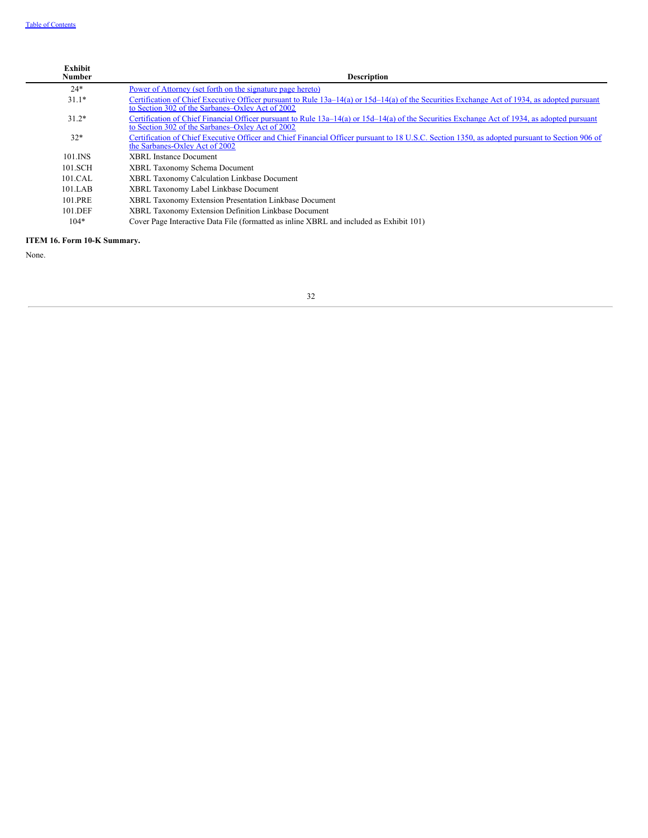| Exhibit<br><b>Number</b> | <b>Description</b>                                                                                                                                                                               |
|--------------------------|--------------------------------------------------------------------------------------------------------------------------------------------------------------------------------------------------|
| $24*$                    | Power of Attorney (set forth on the signature page hereto)                                                                                                                                       |
| $31.1*$                  | Certification of Chief Executive Officer pursuant to Rule 13a–14(a) or 15d–14(a) of the Securities Exchange Act of 1934, as adopted pursuant<br>to Section 302 of the Sarbanes–Oxley Act of 2002 |
| $31.2*$                  | Certification of Chief Financial Officer pursuant to Rule 13a–14(a) or 15d–14(a) of the Securities Exchange Act of 1934, as adopted pursuant<br>to Section 302 of the Sarbanes–Oxley Act of 2002 |
| $32*$                    | Certification of Chief Executive Officer and Chief Financial Officer pursuant to 18 U.S.C. Section 1350, as adopted pursuant to Section 906 of<br>the Sarbanes-Oxley Act of 2002                 |
| 101.INS                  | <b>XBRL</b> Instance Document                                                                                                                                                                    |
| 101.SCH                  | XBRL Taxonomy Schema Document                                                                                                                                                                    |
| 101.CAL                  | XBRL Taxonomy Calculation Linkbase Document                                                                                                                                                      |
| 101.LAB                  | XBRL Taxonomy Label Linkbase Document                                                                                                                                                            |
| 101.PRE                  | XBRL Taxonomy Extension Presentation Linkbase Document                                                                                                                                           |
| 101.DEF                  | XBRL Taxonomy Extension Definition Linkbase Document                                                                                                                                             |
| $104*$                   | Cover Page Interactive Data File (formatted as inline XBRL and included as Exhibit 101)                                                                                                          |

# <span id="page-34-0"></span>**ITEM 16. Form 10-K Summary.**

None.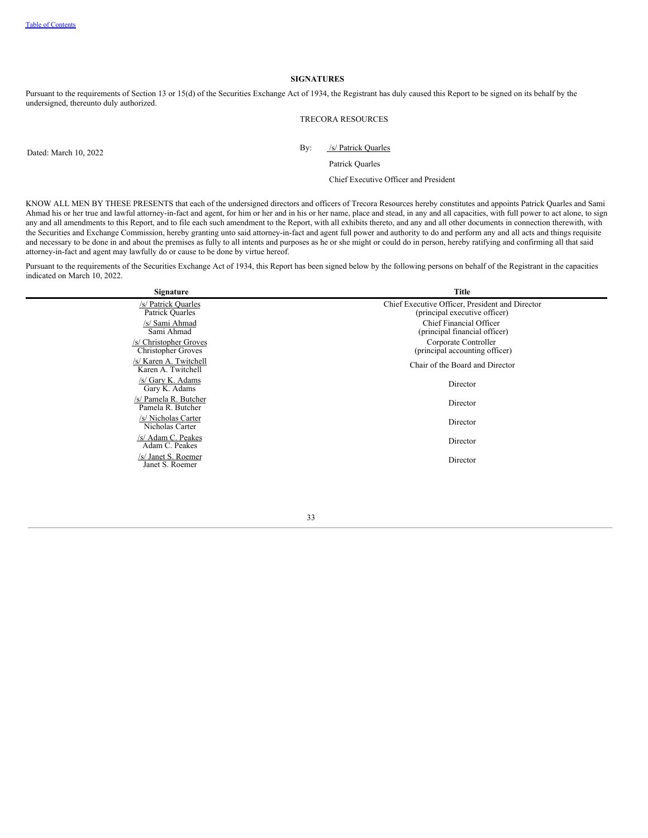## **SIGNATURES**

<span id="page-35-0"></span>Pursuant to the requirements of Section 13 or 15(d) of the Securities Exchange Act of 1934, the Registrant has duly caused this Report to be signed on its behalf by the undersigned, thereunto duly authorized.

# TRECORA RESOURCES

Dated: March 10, 2022

By: /s/ Patrick Quarles

Patrick Quarles

Chief Executive Officer and President

KNOW ALL MEN BY THESE PRESENTS that each of the undersigned directors and officers of Trecora Resources hereby constitutes and appoints Patrick Quarles and Sami Ahmad his or her true and lawful attorney-in-fact and agent, for him or her and in his or her name, place and stead, in any and all capacities, with full power to act alone, to sign any and all amendments to this Report, and to file each such amendment to the Report, with all exhibits thereto, and any and all other documents in connection therewith, with the Securities and Exchange Commission, hereby granting unto said attorney-in-fact and agent full power and authority to do and perform any and all acts and things requisite and necessary to be done in and about the premises as fully to all intents and purposes as he or she might or could do in person, hereby ratifying and confirming all that said attorney-in-fact and agent may lawfully do or cause to be done by virtue hereof.

Pursuant to the requirements of the Securities Exchange Act of 1934, this Report has been signed below by the following persons on behalf of the Registrant in the capacities indicated on March 10, 2022.

| <b>Signature</b>                             | <b>Title</b>                                                                     |
|----------------------------------------------|----------------------------------------------------------------------------------|
| /s/ Patrick Quarles<br>Patrick Quarles       | Chief Executive Officer, President and Director<br>(principal executive officer) |
| /s/ Sami Ahmad<br>Sami Ahmad                 | Chief Financial Officer<br>(principal financial officer)                         |
| /s/ Christopher Groves<br>Christopher Groves | Corporate Controller<br>(principal accounting officer)                           |
| /s/ Karen A. Twitchell<br>Karen A. Twitchell | Chair of the Board and Director                                                  |
| /s/ Gary K. Adams<br>Gary K. Adams           | Director                                                                         |
| /s/ Pamela R. Butcher<br>Pamela R. Butcher   | Director                                                                         |
| /s/ Nicholas Carter<br>Nicholas Carter       | Director                                                                         |
| /s/ Adam C. Peakes<br>Adam C. Peakes         | Director                                                                         |
| /s/ Janet S. Roemer<br>Janet S. Roemer       | Director                                                                         |
|                                              |                                                                                  |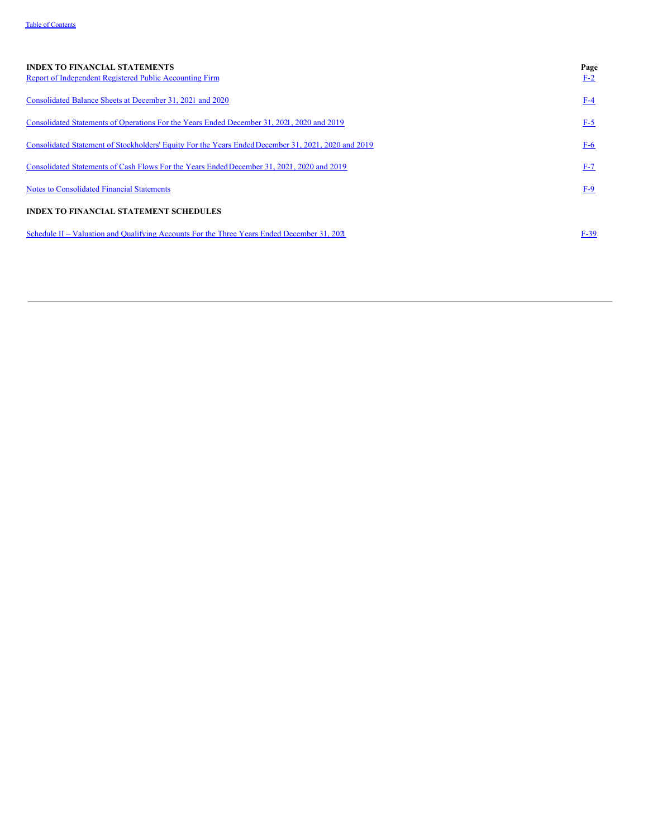<span id="page-36-0"></span>

| <b>INDEX TO FINANCIAL STATEMENTS</b><br>Report of Independent Registered Public Accounting Firm     | Page<br>$F-2$ |
|-----------------------------------------------------------------------------------------------------|---------------|
| Consolidated Balance Sheets at December 31, 2021 and 2020                                           | $F-4$         |
| Consolidated Statements of Operations For the Years Ended December 31, 2021, 2020 and 2019          | $F-5$         |
| Consolidated Statement of Stockholders' Equity For the Years Ended December 31, 2021, 2020 and 2019 | $F-6$         |
| Consolidated Statements of Cash Flows For the Years Ended December 31, 2021, 2020 and 2019          | $F-7$         |
| <b>Notes to Consolidated Financial Statements</b>                                                   | $F-9$         |
| <b>INDEX TO FINANCIAL STATEMENT SCHEDULES</b>                                                       |               |
| Schedule II – Valuation and Qualifying Accounts For the Three Years Ended December 31, 202          | $F-39$        |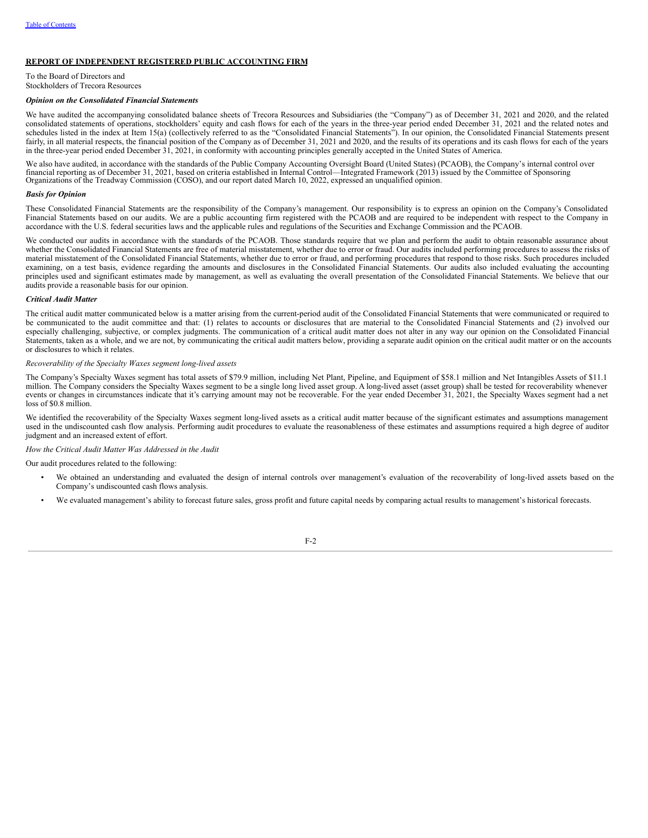## **REPORT OF INDEPENDENT REGISTERED PUBLIC ACCOUNTING FIRM**

To the Board of Directors and Stockholders of Trecora Resources

#### *Opinion on the Consolidated Financial Statements*

We have audited the accompanying consolidated balance sheets of Trecora Resources and Subsidiaries (the "Company") as of December 31, 2021 and 2020, and the related consolidated statements of operations, stockholders' equity and cash flows for each of the years in the three-year period ended December 31, 2021 and the related notes and schedules listed in the index at Item 15(a) (collectively referred to as the "Consolidated Financial Statements"). In our opinion, the Consolidated Financial Statements present fairly, in all material respects, the financial position of the Company as of December 31, 2021 and 2020, and the results of its operations and its cash flows for each of the years in the three-year period ended December 31, 2021, in conformity with accounting principles generally accepted in the United States of America.

We also have audited, in accordance with the standards of the Public Company Accounting Oversight Board (United States) (PCAOB), the Company's internal control over financial reporting as of December 31, 2021, based on cri Organizations of the Treadway Commission (COSO), and our report dated March 10, 2022, expressed an unqualified opinion.

#### *Basis for Opinion*

These Consolidated Financial Statements are the responsibility of the Company's management. Our responsibility is to express an opinion on the Company's Consolidated Financial Statements based on our audits. We are a public accounting firm registered with the PCAOB and are required to be independent with respect to the Company in accordance with the U.S. federal securities laws and the applicable rules and regulations of the Securities and Exchange Commission and the PCAOB.

We conducted our audits in accordance with the standards of the PCAOB. Those standards require that we plan and perform the audit to obtain reasonable assurance about whether the Consolidated Financial Statements are free of material misstatement, whether due to error or fraud. Our audits included performing procedures to assess the risks of material misstatement of the Consolidated Financial Statements, whether due to error or fraud, and performing procedures that respond to those risks. Such procedures included examining, on a test basis, evidence regarding the amounts and disclosures in the Consolidated Financial Statements. Our audits also included evaluating the accounting principles used and significant estimates made by management, as well as evaluating the overall presentation of the Consolidated Financial Statements. We believe that our audits provide a reasonable basis for our opinion.

#### *Critical Audit Matter*

The critical audit matter communicated below is a matter arising from the current-period audit of the Consolidated Financial Statements that were communicated or required to be communicated to the audit committee and that: (1) relates to accounts or disclosures that are material to the Consolidated Financial Statements and (2) involved our especially challenging, subjective, or complex judgments. The communication of a critical audit matter does not alter in any way our opinion on the Consolidated Financial Statements, taken as a whole, and we are not, by communicating the critical audit matters below, providing a separate audit opinion on the critical audit matter or on the accounts or disclosures to which it relates.

#### *Recoverability of the Specialty Waxes segment long-lived assets*

The Company's Specialty Waxes segment has total assets of \$79.9 million, including Net Plant, Pipeline, and Equipment of \$58.1 million and Net Intangibles Assets of \$11.1 million. The Company considers the Specialty Waxes segment to be a single long lived asset group. A long-lived asset (asset group) shall be tested for recoverability whenever events or changes in circumstances indicate that it's carrying amount may not be recoverable. For the year ended December 31, 2021, the Specialty Waxes segment had a net loss of \$0.8 million.

We identified the recoverability of the Specialty Waxes segment long-lived assets as a critical audit matter because of the significant estimates and assumptions management used in the undiscounted cash flow analysis. Performing audit procedures to evaluate the reasonableness of these estimates and assumptions required a high degree of auditor judgment and an increased extent of effort.

### *How the Critical Audit Matter Was Addressed in the Audit*

Our audit procedures related to the following:

- We obtained an understanding and evaluated the design of internal controls over management's evaluation of the recoverability of long-lived assets based on the Company's undiscounted cash flows analysis.
- We evaluated management's ability to forecast future sales, gross profit and future capital needs by comparing actual results to management's historical forecasts.

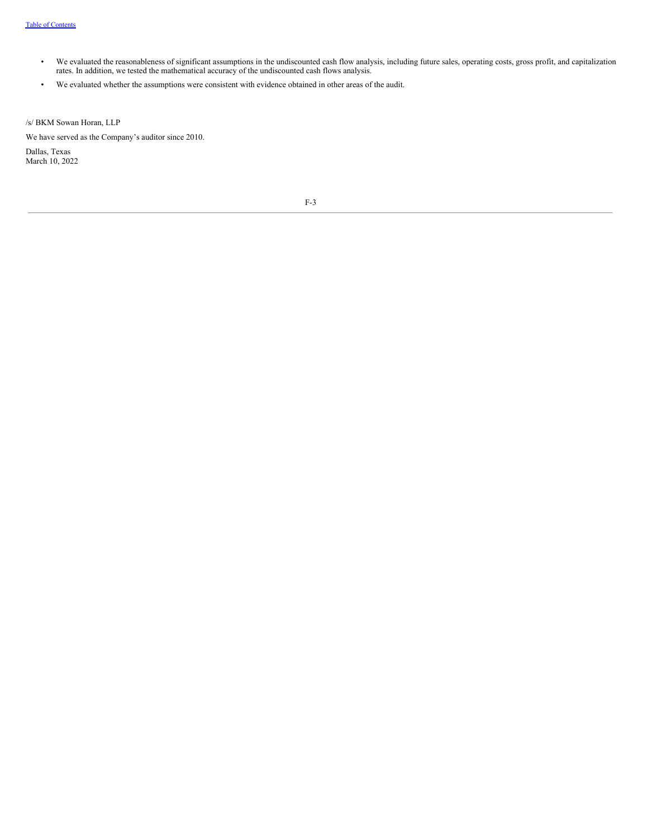- We evaluated the reasonableness of significant assumptions in the undiscounted cash flow analysis, including future sales, operating costs, gross profit, and capitalization rates. In addition, we tested the mathematical accuracy of the undiscounted cash flows analysis.
- We evaluated whether the assumptions were consistent with evidence obtained in other areas of the audit.

/s/ BKM Sowan Horan, LLP

We have served as the Company's auditor since 2010.

<span id="page-38-0"></span>Dallas, Texas March 10, 2022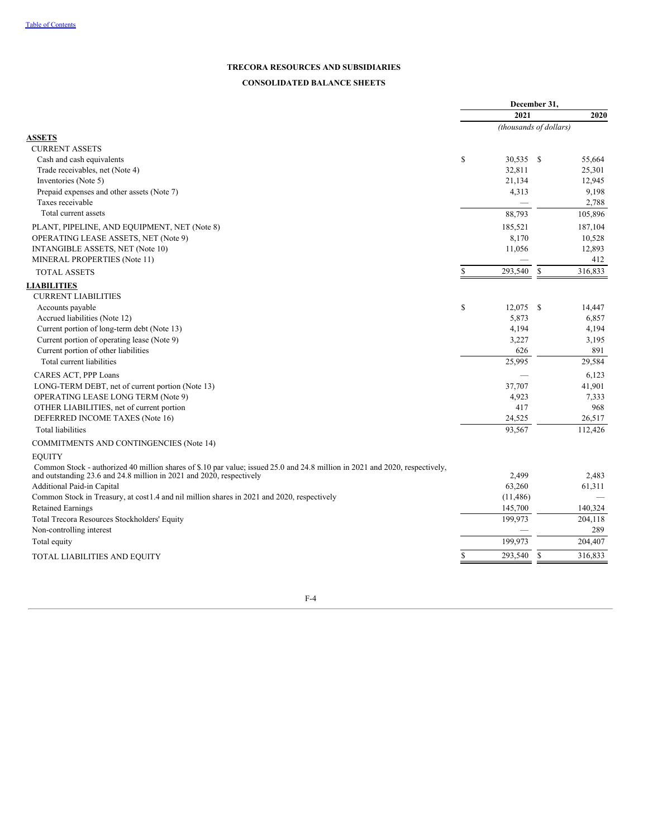## **TRECORA RESOURCES AND SUBSIDIARIES**

# **CONSOLIDATED BALANCE SHEETS**

<span id="page-39-0"></span>

| <b>ASSETS</b><br><b>CURRENT ASSETS</b>                                                                                       | 2021<br>(thousands of dollars)<br>30,535 \$<br>32,811<br>21,134 |              | 2020    |
|------------------------------------------------------------------------------------------------------------------------------|-----------------------------------------------------------------|--------------|---------|
|                                                                                                                              |                                                                 |              |         |
|                                                                                                                              |                                                                 |              |         |
|                                                                                                                              |                                                                 |              |         |
|                                                                                                                              |                                                                 |              |         |
| \$<br>Cash and cash equivalents                                                                                              |                                                                 |              | 55,664  |
| Trade receivables, net (Note 4)                                                                                              |                                                                 |              | 25,301  |
| Inventories (Note 5)                                                                                                         |                                                                 |              | 12,945  |
| Prepaid expenses and other assets (Note 7)                                                                                   | 4,313                                                           |              | 9,198   |
| Taxes receivable                                                                                                             |                                                                 |              | 2,788   |
| Total current assets                                                                                                         | 88,793                                                          |              | 105,896 |
| PLANT, PIPELINE, AND EQUIPMENT, NET (Note 8)                                                                                 | 185,521                                                         |              | 187,104 |
| OPERATING LEASE ASSETS, NET (Note 9)                                                                                         | 8,170                                                           |              | 10,528  |
| INTANGIBLE ASSETS, NET (Note 10)                                                                                             | 11,056                                                          |              | 12,893  |
| MINERAL PROPERTIES (Note 11)                                                                                                 |                                                                 |              | 412     |
| $\mathbb{S}$<br><b>TOTAL ASSETS</b>                                                                                          | 293,540 \$                                                      |              | 316,833 |
| <b>LIABILITIES</b>                                                                                                           |                                                                 |              |         |
| <b>CURRENT LIABILITIES</b>                                                                                                   |                                                                 |              |         |
| \$<br>Accounts payable                                                                                                       | $12,075$ \$                                                     |              | 14,447  |
| Accrued liabilities (Note 12)                                                                                                | 5,873                                                           |              | 6,857   |
| Current portion of long-term debt (Note 13)                                                                                  | 4,194                                                           |              | 4,194   |
| Current portion of operating lease (Note 9)                                                                                  | 3,227                                                           |              | 3,195   |
| Current portion of other liabilities                                                                                         | 626                                                             |              | 891     |
| Total current liabilities                                                                                                    | 25,995                                                          |              | 29,584  |
| CARES ACT, PPP Loans                                                                                                         |                                                                 |              | 6,123   |
| LONG-TERM DEBT, net of current portion (Note 13)                                                                             | 37,707                                                          |              | 41,901  |
| OPERATING LEASE LONG TERM (Note 9)                                                                                           | 4,923                                                           |              | 7,333   |
| OTHER LIABILITIES, net of current portion                                                                                    | 417                                                             |              | 968     |
| DEFERRED INCOME TAXES (Note 16)                                                                                              | 24,525                                                          |              | 26,517  |
| <b>Total liabilities</b>                                                                                                     | 93,567                                                          |              | 112,426 |
| <b>COMMITMENTS AND CONTINGENCIES (Note 14)</b>                                                                               |                                                                 |              |         |
| <b>EOUITY</b>                                                                                                                |                                                                 |              |         |
| Common Stock - authorized 40 million shares of \$.10 par value; issued 25.0 and 24.8 million in 2021 and 2020, respectively, |                                                                 |              |         |
| and outstanding 23.6 and 24.8 million in 2021 and 2020, respectively                                                         | 2,499                                                           |              | 2,483   |
| Additional Paid-in Capital                                                                                                   | 63,260                                                          |              | 61,311  |
| Common Stock in Treasury, at cost 1.4 and nil million shares in 2021 and 2020, respectively                                  | (11, 486)                                                       |              |         |
| <b>Retained Earnings</b>                                                                                                     | 145,700                                                         |              | 140,324 |
| Total Trecora Resources Stockholders' Equity                                                                                 | 199.973                                                         |              | 204,118 |
| Non-controlling interest                                                                                                     |                                                                 |              | 289     |
| Total equity                                                                                                                 | 199,973                                                         |              | 204,407 |
| \$<br>TOTAL LIABILITIES AND EQUITY                                                                                           | 293,540                                                         | $\mathbb{S}$ | 316,833 |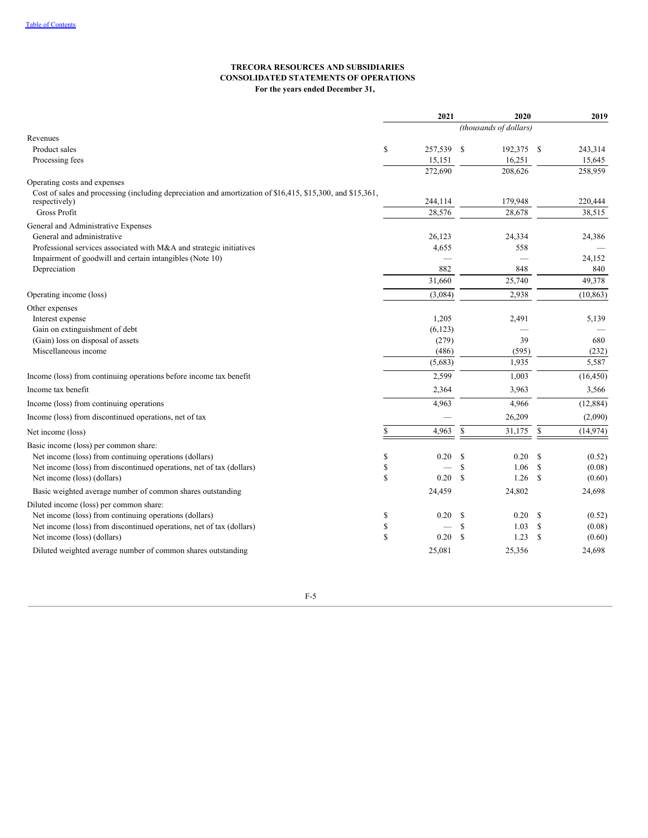## **TRECORA RESOURCES AND SUBSIDIARIES CONSOLIDATED STATEMENTS OF OPERATIONS For the years ended December 31,**

<span id="page-40-0"></span>

|                                                                                                                             | 2021             |               | 2020                   |               | 2019      |
|-----------------------------------------------------------------------------------------------------------------------------|------------------|---------------|------------------------|---------------|-----------|
|                                                                                                                             |                  |               | (thousands of dollars) |               |           |
| Revenues                                                                                                                    |                  |               |                        |               |           |
| Product sales                                                                                                               | \$<br>257,539 \$ |               | 192,375 \$             |               | 243,314   |
| Processing fees                                                                                                             | 15,151           |               | 16,251                 |               | 15,645    |
|                                                                                                                             | 272,690          |               | 208,626                |               | 258,959   |
| Operating costs and expenses                                                                                                |                  |               |                        |               |           |
| Cost of sales and processing (including depreciation and amortization of \$16,415, \$15,300, and \$15,361,<br>respectively) | 244,114          |               | 179,948                |               | 220,444   |
| Gross Profit                                                                                                                | 28,576           |               | 28,678                 |               | 38,515    |
| General and Administrative Expenses                                                                                         |                  |               |                        |               |           |
| General and administrative                                                                                                  | 26,123           |               | 24,334                 |               | 24,386    |
| Professional services associated with M&A and strategic initiatives                                                         | 4,655            |               | 558                    |               |           |
| Impairment of goodwill and certain intangibles (Note 10)                                                                    |                  |               |                        |               | 24,152    |
| Depreciation                                                                                                                | 882              |               | 848                    |               | 840       |
|                                                                                                                             | 31,660           |               | 25,740                 |               | 49,378    |
| Operating income (loss)                                                                                                     | (3,084)          |               | 2,938                  |               | (10, 863) |
| Other expenses                                                                                                              |                  |               |                        |               |           |
| Interest expense                                                                                                            | 1,205            |               | 2,491                  |               | 5,139     |
| Gain on extinguishment of debt                                                                                              | (6,123)          |               |                        |               |           |
| (Gain) loss on disposal of assets                                                                                           | (279)            |               | 39                     |               | 680       |
| Miscellaneous income                                                                                                        | (486)            |               | (595)                  |               | (232)     |
|                                                                                                                             | (5,683)          |               | 1,935                  |               | 5,587     |
| Income (loss) from continuing operations before income tax benefit                                                          | 2,599            |               | 1,003                  |               | (16, 450) |
| Income tax benefit                                                                                                          | 2,364            |               | 3,963                  |               | 3,566     |
| Income (loss) from continuing operations                                                                                    | 4,963            |               | 4,966                  |               | (12, 884) |
| Income (loss) from discontinued operations, net of tax                                                                      |                  |               | 26,209                 |               | (2,090)   |
| Net income (loss)                                                                                                           | \$<br>4,963      | \$            | 31,175                 | \$            | (14, 974) |
| Basic income (loss) per common share:                                                                                       |                  |               |                        |               |           |
| Net income (loss) from continuing operations (dollars)                                                                      | \$<br>0.20       | -S            | 0.20                   | <sup>\$</sup> | (0.52)    |
| Net income (loss) from discontinued operations, net of tax (dollars)                                                        | \$               | \$            | 1.06                   | $\mathbb{S}$  | (0.08)    |
| Net income (loss) (dollars)                                                                                                 | \$<br>0.20       | <sup>\$</sup> | 1.26                   | <sup>\$</sup> | (0.60)    |
| Basic weighted average number of common shares outstanding                                                                  | 24,459           |               | 24,802                 |               | 24,698    |
| Diluted income (loss) per common share:                                                                                     |                  |               |                        |               |           |
| Net income (loss) from continuing operations (dollars)                                                                      | \$<br>0.20       | <sup>\$</sup> | 0.20                   | -S            | (0.52)    |
| Net income (loss) from discontinued operations, net of tax (dollars)                                                        | \$               | \$            | 1.03                   | $\mathbb{S}$  | (0.08)    |
| Net income (loss) (dollars)                                                                                                 | \$<br>0.20       | <sup>\$</sup> | 1.23                   | <sup>\$</sup> | (0.60)    |
| Diluted weighted average number of common shares outstanding                                                                | 25.081           |               | 25.356                 |               | 24,698    |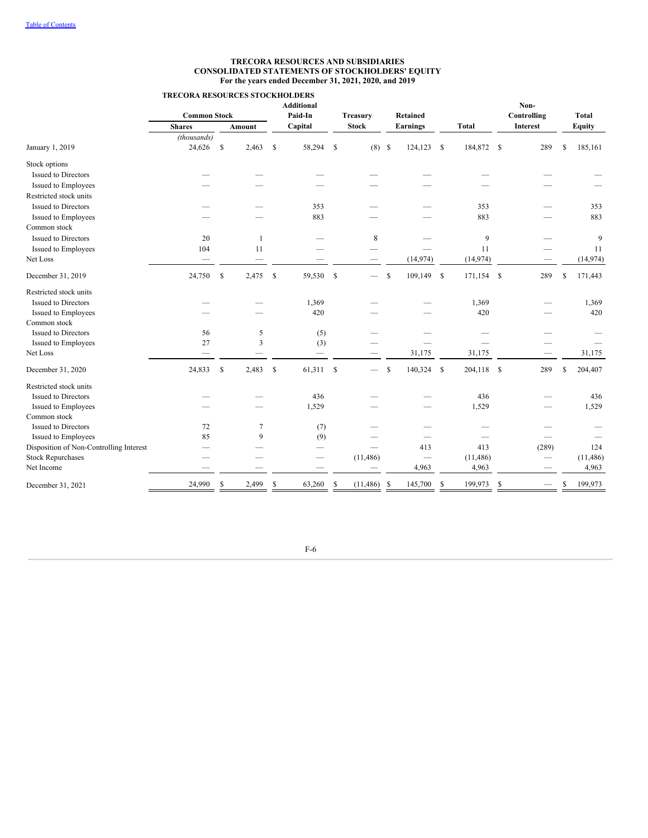### **TRECORA RESOURCES AND SUBSIDIARIES CONSOLIDATED STATEMENTS OF STOCKHOLDERS' EQUITY For the years ended December 31, 2021, 2020, and 2019**

<span id="page-41-0"></span>

|                                         | <b>TRECORA RESOURCES STOCKHOLDERS</b> |               |                         |               |                              |              |                          |              |                 |              |              |                          |    |               |
|-----------------------------------------|---------------------------------------|---------------|-------------------------|---------------|------------------------------|--------------|--------------------------|--------------|-----------------|--------------|--------------|--------------------------|----|---------------|
|                                         | <b>Common Stock</b>                   |               |                         |               | <b>Additional</b><br>Paid-In |              | <b>Treasury</b>          |              | <b>Retained</b> |              |              | Non-<br>Controlling      |    | <b>Total</b>  |
|                                         | <b>Shares</b>                         |               | Amount                  |               | Capital                      |              | <b>Stock</b>             |              | <b>Earnings</b> |              | <b>Total</b> | Interest                 |    | <b>Equity</b> |
| January 1, 2019                         | (thousands)<br>24,626                 | <sup>\$</sup> | 2,463                   | $\mathbb{S}$  | 58,294                       | $\mathbf{s}$ | $(8)$ \$                 |              | 124,123         | $\mathbf{s}$ | 184,872 \$   | 289                      | \$ | 185,161       |
| Stock options                           |                                       |               |                         |               |                              |              |                          |              |                 |              |              |                          |    |               |
| <b>Issued to Directors</b>              |                                       |               |                         |               |                              |              |                          |              |                 |              |              |                          |    |               |
| Issued to Employees                     |                                       |               |                         |               |                              |              |                          |              |                 |              |              |                          |    |               |
| Restricted stock units                  |                                       |               |                         |               |                              |              |                          |              |                 |              |              |                          |    |               |
| Issued to Directors                     |                                       |               |                         |               | 353                          |              |                          |              |                 |              | 353          |                          |    | 353           |
| Issued to Employees                     |                                       |               |                         |               | 883                          |              |                          |              |                 |              | 883          |                          |    | 883           |
| Common stock                            |                                       |               |                         |               |                              |              |                          |              |                 |              |              |                          |    |               |
| <b>Issued to Directors</b>              | 20                                    |               | -1                      |               |                              |              | 8                        |              |                 |              | 9            |                          |    | 9             |
| Issued to Employees                     | 104                                   |               | 11                      |               |                              |              |                          |              |                 |              | 11           |                          |    | 11            |
| Net Loss                                |                                       |               |                         |               |                              |              |                          |              | (14, 974)       |              | (14, 974)    |                          |    | (14, 974)     |
| December 31, 2019                       | 24,750                                | <b>S</b>      | 2,475                   | <sup>\$</sup> | 59,530                       | $\mathbf{s}$ | $\equiv$                 | $\mathbb{S}$ | 109,149         | $\mathbf s$  | 171,154 \$   | 289                      | S  | 171,443       |
| Restricted stock units                  |                                       |               |                         |               |                              |              |                          |              |                 |              |              |                          |    |               |
| <b>Issued to Directors</b>              |                                       |               |                         |               | 1,369                        |              |                          |              |                 |              | 1,369        |                          |    | 1,369         |
| Issued to Employees                     |                                       |               |                         |               | 420                          |              |                          |              |                 |              | 420          |                          |    | 420           |
| Common stock                            |                                       |               |                         |               |                              |              |                          |              |                 |              |              |                          |    |               |
| <b>Issued to Directors</b>              | 56                                    |               | 5                       |               | (5)                          |              |                          |              |                 |              |              |                          |    |               |
| Issued to Employees                     | 27                                    |               | $\overline{\mathbf{3}}$ |               | (3)                          |              |                          |              |                 |              |              |                          |    |               |
| Net Loss                                |                                       |               |                         |               |                              |              |                          |              | 31,175          |              | 31,175       |                          |    | 31,175        |
| December 31, 2020                       | 24,833                                | S             | 2,483                   | \$            | 61,311 \$                    |              | $\overline{\phantom{0}}$ | \$           | 140,324 \$      |              | 204,118 \$   | 289                      | \$ | 204,407       |
| Restricted stock units                  |                                       |               |                         |               |                              |              |                          |              |                 |              |              |                          |    |               |
| Issued to Directors                     |                                       |               |                         |               | 436                          |              |                          |              |                 |              | 436          |                          |    | 436           |
| Issued to Employees                     |                                       |               |                         |               | 1,529                        |              |                          |              |                 |              | 1,529        |                          |    | 1,529         |
| Common stock                            |                                       |               |                         |               |                              |              |                          |              |                 |              |              |                          |    |               |
| Issued to Directors                     | 72                                    |               | $\overline{7}$          |               | (7)                          |              |                          |              |                 |              |              |                          |    |               |
| Issued to Employees                     | 85                                    |               | 9                       |               | (9)                          |              |                          |              |                 |              |              |                          |    |               |
| Disposition of Non-Controlling Interest |                                       |               |                         |               | $\overline{\phantom{0}}$     |              | $\overline{\phantom{a}}$ |              | 413             |              | 413          | (289)                    |    | 124           |
| <b>Stock Repurchases</b>                |                                       |               |                         |               |                              |              | (11, 486)                |              |                 |              | (11, 486)    | $\overline{\phantom{0}}$ |    | (11, 486)     |
| Net Income                              |                                       |               |                         |               |                              |              |                          |              | 4,963           |              | 4,963        |                          |    | 4,963         |
| December 31, 2021                       | 24,990                                | S             | 2,499                   | \$            | 63,260                       |              | (11, 486)                | -S           | 145,700         | -S           | 199,973      | \$                       |    | 199,973       |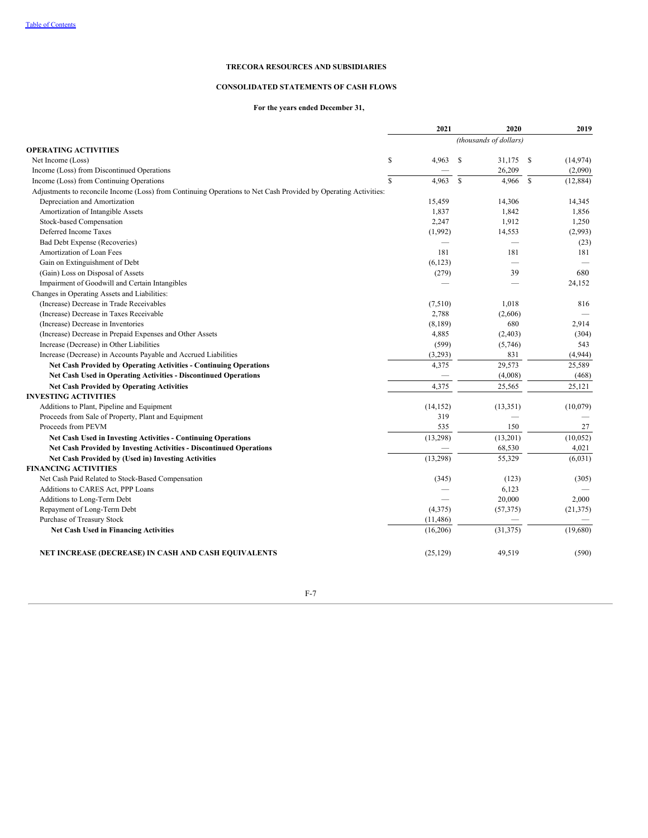## **TRECORA RESOURCES AND SUBSIDIARIES**

## **CONSOLIDATED STATEMENTS OF CASH FLOWS**

## **For the years ended December 31,**

|                                                                                                                 |    | 2021                     |               | 2020                     |          | 2019      |
|-----------------------------------------------------------------------------------------------------------------|----|--------------------------|---------------|--------------------------|----------|-----------|
|                                                                                                                 |    |                          |               | (thousands of dollars)   |          |           |
| <b>OPERATING ACTIVITIES</b>                                                                                     |    |                          |               |                          |          |           |
| Net Income (Loss)                                                                                               | \$ | 4,963                    | <sup>\$</sup> | 31,175 \$                |          | (14, 974) |
| Income (Loss) from Discontinued Operations                                                                      |    |                          |               | 26,209                   |          | (2,090)   |
| Income (Loss) from Continuing Operations                                                                        | S  | 4,963                    | $\mathbb{S}$  | 4,966                    | <b>S</b> | (12, 884) |
| Adjustments to reconcile Income (Loss) from Continuing Operations to Net Cash Provided by Operating Activities: |    |                          |               |                          |          |           |
| Depreciation and Amortization                                                                                   |    | 15,459                   |               | 14,306                   |          | 14,345    |
| Amortization of Intangible Assets                                                                               |    | 1,837                    |               | 1,842                    |          | 1,856     |
| Stock-based Compensation                                                                                        |    | 2,247                    |               | 1,912                    |          | 1,250     |
| Deferred Income Taxes                                                                                           |    | (1,992)                  |               | 14,553                   |          | (2,993)   |
| Bad Debt Expense (Recoveries)                                                                                   |    | $\overline{\phantom{0}}$ |               | $\overline{\phantom{0}}$ |          | (23)      |
| Amortization of Loan Fees                                                                                       |    | 181                      |               | 181                      |          | 181       |
| Gain on Extinguishment of Debt                                                                                  |    | (6,123)                  |               |                          |          |           |
| (Gain) Loss on Disposal of Assets                                                                               |    | (279)                    |               | 39                       |          | 680       |
| Impairment of Goodwill and Certain Intangibles                                                                  |    |                          |               |                          |          | 24,152    |
| Changes in Operating Assets and Liabilities:                                                                    |    |                          |               |                          |          |           |
| (Increase) Decrease in Trade Receivables                                                                        |    | (7,510)                  |               | 1.018                    |          | 816       |
| (Increase) Decrease in Taxes Receivable                                                                         |    | 2,788                    |               | (2,606)                  |          |           |
| (Increase) Decrease in Inventories                                                                              |    | (8,189)                  |               | 680                      |          | 2,914     |
| (Increase) Decrease in Prepaid Expenses and Other Assets                                                        |    | 4,885                    |               | (2,403)                  |          | (304)     |
| Increase (Decrease) in Other Liabilities                                                                        |    | (599)                    |               | (5,746)                  |          | 543       |
| Increase (Decrease) in Accounts Payable and Accrued Liabilities                                                 |    | (3,293)                  |               | 831                      |          | (4,944)   |
| <b>Net Cash Provided by Operating Activities - Continuing Operations</b>                                        |    | 4,375                    |               | 29,573                   |          | 25,589    |
| <b>Net Cash Used in Operating Activities - Discontinued Operations</b>                                          |    |                          |               | (4,008)                  |          | (468)     |
| <b>Net Cash Provided by Operating Activities</b>                                                                |    | 4,375                    |               | 25,565                   |          | 25,121    |
| <b>INVESTING ACTIVITIES</b>                                                                                     |    |                          |               |                          |          |           |
| Additions to Plant, Pipeline and Equipment                                                                      |    | (14, 152)                |               | (13,351)                 |          | (10,079)  |
| Proceeds from Sale of Property, Plant and Equipment                                                             |    | 319                      |               |                          |          |           |
| Proceeds from PEVM                                                                                              |    | 535                      |               | 150                      |          | 27        |
| Net Cash Used in Investing Activities - Continuing Operations                                                   |    | (13,298)                 |               | (13,201)                 |          | (10, 052) |
| <b>Net Cash Provided by Investing Activities - Discontinued Operations</b>                                      |    |                          |               | 68,530                   |          | 4,021     |
| Net Cash Provided by (Used in) Investing Activities                                                             |    | (13,298)                 |               | 55,329                   |          | (6,031)   |
| <b>FINANCING ACTIVITIES</b>                                                                                     |    |                          |               |                          |          |           |
| Net Cash Paid Related to Stock-Based Compensation                                                               |    | (345)                    |               | (123)                    |          | (305)     |
| Additions to CARES Act, PPP Loans                                                                               |    |                          |               | 6,123                    |          |           |
| Additions to Long-Term Debt                                                                                     |    |                          |               | 20,000                   |          | 2,000     |
| Repayment of Long-Term Debt                                                                                     |    | (4,375)                  |               | (57, 375)                |          | (21, 375) |
| Purchase of Treasury Stock                                                                                      |    | (11, 486)                |               |                          |          |           |
| Net Cash Used in Financing Activities                                                                           |    | (16,206)                 |               | (31, 375)                |          | (19,680)  |
| NET INCREASE (DECREASE) IN CASH AND CASH EQUIVALENTS                                                            |    | (25, 129)                |               | 49,519                   |          | (590)     |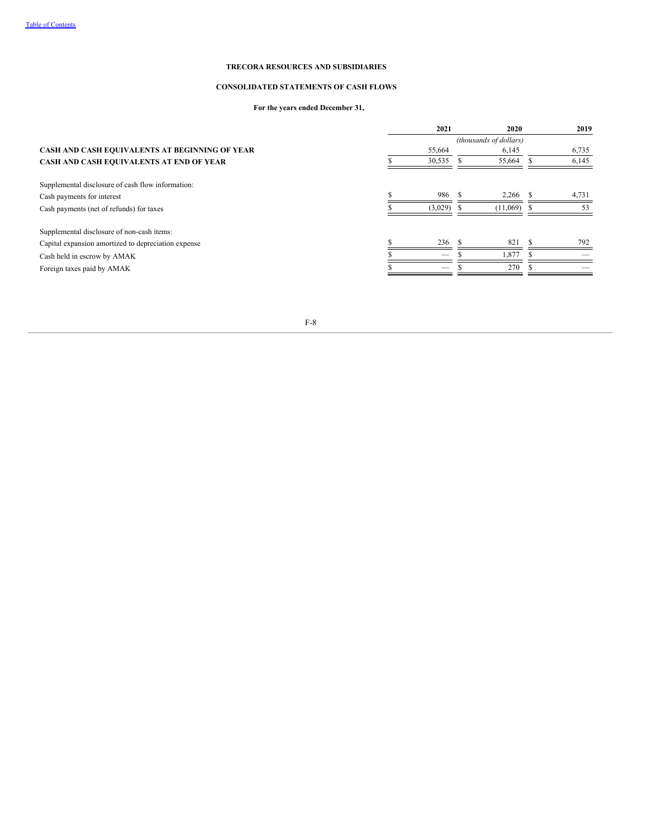## **TRECORA RESOURCES AND SUBSIDIARIES**

## **CONSOLIDATED STATEMENTS OF CASH FLOWS**

## **For the years ended December 31,**

<span id="page-43-0"></span>

|                                                     |                        | 2021    |    | 2020          |    | 2019  |
|-----------------------------------------------------|------------------------|---------|----|---------------|----|-------|
|                                                     | (thousands of dollars) |         |    |               |    |       |
| CASH AND CASH EQUIVALENTS AT BEGINNING OF YEAR      |                        | 55,664  |    | 6,145         |    | 6,735 |
| CASH AND CASH EQUIVALENTS AT END OF YEAR            |                        | 30,535  |    | 55,664        |    | 6,145 |
| Supplemental disclosure of cash flow information:   |                        |         |    |               |    |       |
| Cash payments for interest                          |                        | 986     |    | 2,266         | -8 | 4,731 |
| Cash payments (net of refunds) for taxes            |                        | (3.029) | -8 | $(11,069)$ \$ |    | 53    |
| Supplemental disclosure of non-cash items:          |                        |         |    |               |    |       |
| Capital expansion amortized to depreciation expense |                        | 236     |    | 821           |    | 792   |
| Cash held in escrow by AMAK                         |                        |         |    | 1,877         |    |       |
| Foreign taxes paid by AMAK                          |                        |         |    | 270           |    |       |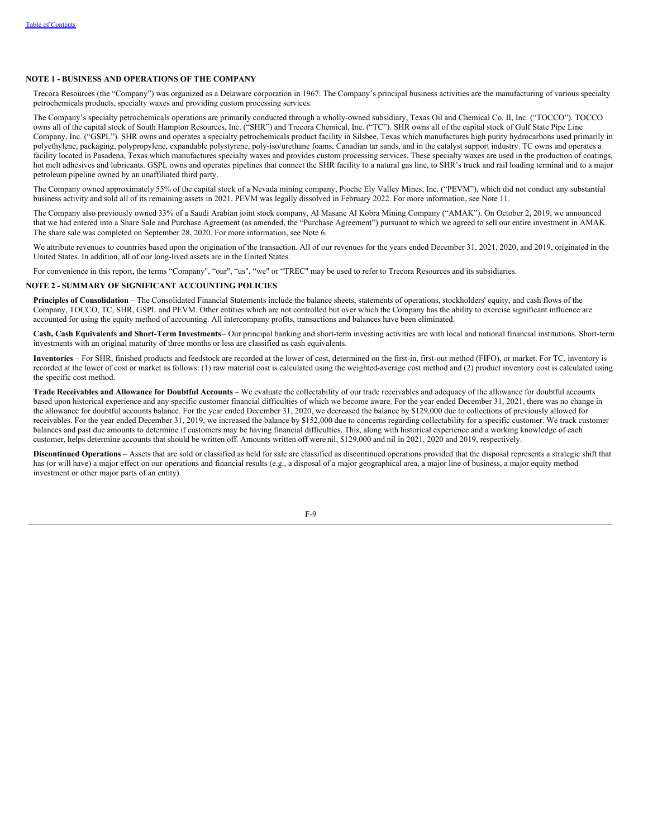#### **NOTE 1 - BUSINESS AND OPERATIONS OF THE COMPANY**

Trecora Resources (the "Company") was organized as a Delaware corporation in 1967. The Company's principal business activities are the manufacturing of various specialty petrochemicals products, specialty waxes and providing custom processing services.

The Company's specialty petrochemicals operations are primarily conducted through a wholly-owned subsidiary, Texas Oil and Chemical Co. II, Inc. ("TOCCO"). TOCCO owns all of the capital stock of South Hampton Resources, Inc. ("SHR") and Trecora Chemical, Inc. ("TC"). SHR owns all of the capital stock of Gulf State Pipe Line Company, Inc. ("GSPL"). SHR owns and operates a specialty petrochemicals product facility in Silsbee, Texas which manufactures high purity hydrocarbons used primarily in polyethylene, packaging, polypropylene, expandable polystyrene, poly-iso/urethane foams, Canadian tar sands, and in the catalyst support industry. TC owns and operates a facility located in Pasadena, Texas which manufactures specialty waxes and provides custom processing services. These specialty waxes are used in the production of coatings, hot melt adhesives and lubricants. GSPL owns and operates pipelines that connect the SHR facility to a natural gas line, to SHR's truck and rail loading terminal and to a major petroleum pipeline owned by an unaffiliated third party.

The Company owned approximately 55% of the capital stock of a Nevada mining company, Pioche Ely Valley Mines, Inc. ("PEVM"), which did not conduct any substantial business activity and sold all of its remaining assets in 2021. PEVM was legally dissolved in February 2022. For more information, see Note 11.

The Company also previously owned 33% of a Saudi Arabian joint stock company, Al Masane Al Kobra Mining Company ("AMAK"). On October 2, 2019, we announced that we had entered into a Share Sale and Purchase Agreement (as amended, the "Purchase Agreement") pursuant to which we agreed to sell our entire investment in AMAK. The share sale was completed on September 28, 2020. For more information, see Note 6.

We attribute revenues to countries based upon the origination of the transaction. All of our revenues for the years ended December 31, 2021, 2020, and 2019, originated in the United States. In addition, all of our long-lived assets are in the United States.

For convenience in this report, the terms "Company", "our", "us", "we" or "TREC" may be used to refer to Trecora Resources and its subsidiaries.

## **NOTE 2 - SUMMARY OF SIGNIFICANT ACCOUNTING POLICIES**

**Principles of Consolidation** – The Consolidated Financial Statements include the balance sheets, statements of operations, stockholders' equity, and cash flows of the Company, TOCCO, TC, SHR, GSPL and PEVM. Other entities which are not controlled but over which the Company has the ability to exercise significant influence are accounted for using the equity method of accounting. All intercompany profits, transactions and balances have been eliminated.

**Cash, Cash Equivalents and Short-Term Investments**– Our principal banking and short-term investing activities are with local and national financial institutions. Short-term investments with an original maturity of three months or less are classified as cash equivalents.

**Inventories** – For SHR, finished products and feedstock are recorded at the lower of cost, determined on the first-in, first-out method (FIFO), or market. For TC, inventory is recorded at the lower of cost or market as follows: (1) raw material cost is calculated using the weighted-average cost method and (2) product inventory cost is calculated using the specific cost method.

**Trade Receivables and Allowance for Doubtful Accounts** – We evaluate the collectability of our trade receivables and adequacy of the allowance for doubtful accounts based upon historical experience and any specific customer financial difficulties of which we become aware. For the year ended December 31, 2021, there was no change in the allowance for doubtful accounts balance. For the year ended December 31, 2020, we decreased the balance by \$129,000 due to collections of previously allowed for receivables. For the year ended December 31, 2019, we increased the balance by \$152,000 due to concerns regarding collectability for a specific customer. We track customer balances and past due amounts to determine if customers may be having financial difficulties. This, along with historical experience and a working knowledge of each customer, helps determine accounts that should be written off. Amounts written off were nil, \$129,000 and nil in 2021, 2020 and 2019, respectively.

**Discontinued Operations** – Assets that are sold or classified as held for sale are classified as discontinued operations provided that the disposal represents a strategic shift that has (or will have) a major effect on our operations and financial results (e.g., a disposal of a major geographical area, a major line of business, a major equity method investment or other major parts of an entity).

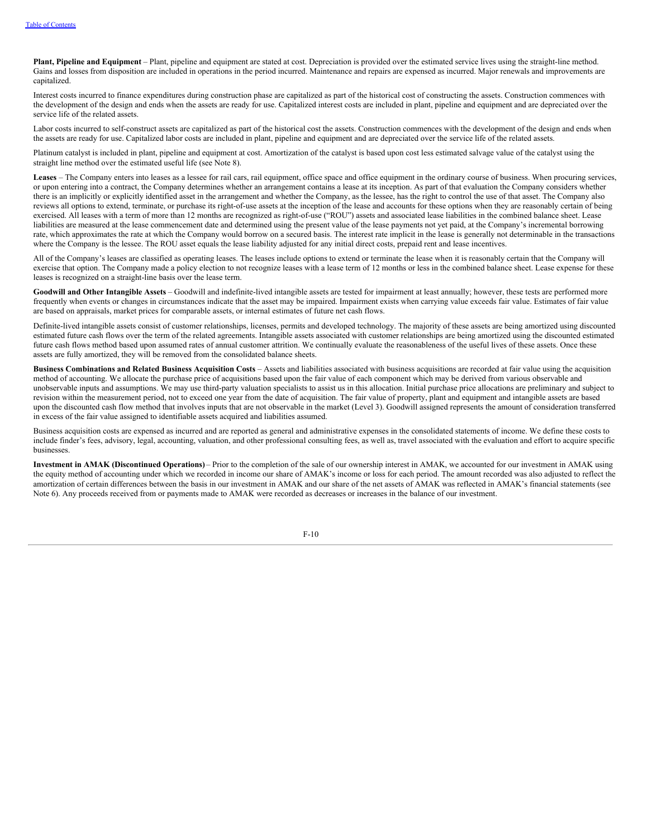**Plant, Pipeline and Equipment** – Plant, pipeline and equipment are stated at cost. Depreciation is provided over the estimated service lives using the straight-line method. Gains and losses from disposition are included in operations in the period incurred. Maintenance and repairs are expensed as incurred. Major renewals and improvements are capitalized.

Interest costs incurred to finance expenditures during construction phase are capitalized as part of the historical cost of constructing the assets. Construction commences with the development of the design and ends when the assets are ready for use. Capitalized interest costs are included in plant, pipeline and equipment and are depreciated over the service life of the related assets.

Labor costs incurred to self-construct assets are capitalized as part of the historical cost the assets. Construction commences with the development of the design and ends when the assets are ready for use. Capitalized labor costs are included in plant, pipeline and equipment and are depreciated over the service life of the related assets.

Platinum catalyst is included in plant, pipeline and equipment at cost. Amortization of the catalyst is based upon cost less estimated salvage value of the catalyst using the straight line method over the estimated useful life (see Note 8).

**Leases** – The Company enters into leases as a lessee for rail cars, rail equipment, office space and office equipment in the ordinary course of business. When procuring services, or upon entering into a contract, the Company determines whether an arrangement contains a lease at its inception. As part of that evaluation the Company considers whether there is an implicitly or explicitly identified asset in the arrangement and whether the Company, as the lessee, has the right to control the use of that asset. The Company also reviews all options to extend, terminate, or purchase its right-of-use assets at the inception of the lease and accounts for these options when they are reasonably certain of being exercised. All leases with a term of more than 12 months are recognized as right-of-use ("ROU") assets and associated lease liabilities in the combined balance sheet. Lease liabilities are measured at the lease commencement date and determined using the present value of the lease payments not yet paid, at the Company's incremental borrowing rate, which approximates the rate at which the Company would borrow on a secured basis. The interest rate implicit in the lease is generally not determinable in the transactions where the Company is the lessee. The ROU asset equals the lease liability adjusted for any initial direct costs, prepaid rent and lease incentives.

All of the Company's leases are classified as operating leases. The leases include options to extend or terminate the lease when it is reasonably certain that the Company will exercise that option. The Company made a policy election to not recognize leases with a lease term of 12 months or less in the combined balance sheet. Lease expense for these leases is recognized on a straight-line basis over the lease term.

**Goodwill and Other Intangible Assets** – Goodwill and indefinite-lived intangible assets are tested for impairment at least annually; however, these tests are performed more frequently when events or changes in circumstances indicate that the asset may be impaired. Impairment exists when carrying value exceeds fair value. Estimates of fair value are based on appraisals, market prices for comparable assets, or internal estimates of future net cash flows.

Definite-lived intangible assets consist of customer relationships, licenses, permits and developed technology. The majority of these assets are being amortized using discounted estimated future cash flows over the term of the related agreements. Intangible assets associated with customer relationships are being amortized using the discounted estimated future cash flows method based upon assumed rates of annual customer attrition. We continually evaluate the reasonableness of the useful lives of these assets. Once these assets are fully amortized, they will be removed from the consolidated balance sheets.

**Business Combinations and Related Business Acquisition Costs** – Assets and liabilities associated with business acquisitions are recorded at fair value using the acquisition method of accounting. We allocate the purchase price of acquisitions based upon the fair value of each component which may be derived from various observable and unobservable inputs and assumptions. We may use third-party valuation specialists to assist us in this allocation. Initial purchase price allocations are preliminary and subject to revision within the measurement period, not to exceed one year from the date of acquisition. The fair value of property, plant and equipment and intangible assets are based upon the discounted cash flow method that involves inputs that are not observable in the market (Level 3). Goodwill assigned represents the amount of consideration transferred in excess of the fair value assigned to identifiable assets acquired and liabilities assumed.

Business acquisition costs are expensed as incurred and are reported as general and administrative expenses in the consolidated statements of income. We define these costs to include finder's fees, advisory, legal, accounting, valuation, and other professional consulting fees, as well as, travel associated with the evaluation and effort to acquire specific businesses.

**Investment in AMAK (Discontinued Operations)** – Prior to the completion of the sale of our ownership interest in AMAK, we accounted for our investment in AMAK using the equity method of accounting under which we recorded in income our share of AMAK's income or loss for each period. The amount recorded was also adjusted to reflect the amortization of certain differences between the basis in our investment in AMAK and our share of the net assets of AMAK was reflected in AMAK's financial statements (see Note 6). Any proceeds received from or payments made to AMAK were recorded as decreases or increases in the balance of our investment.

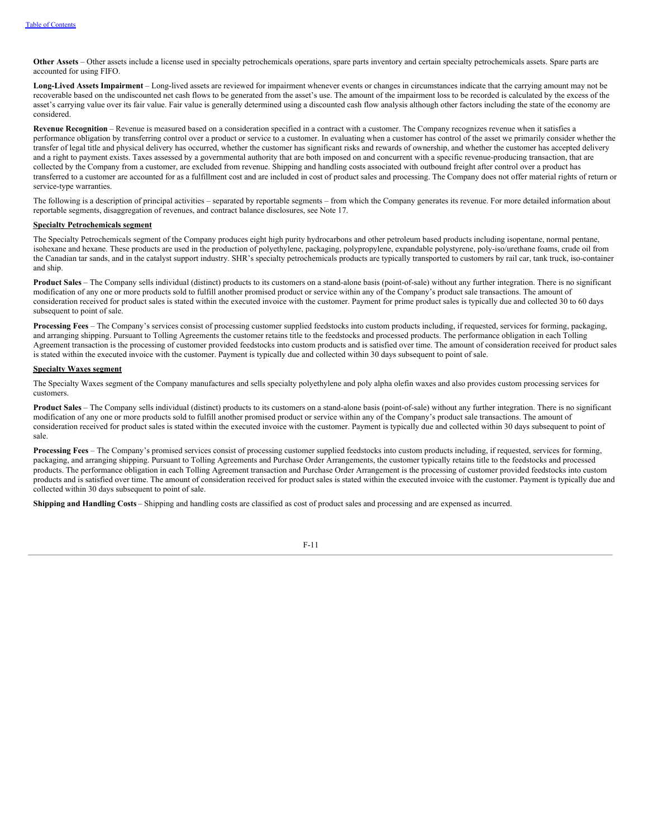**Other Assets** – Other assets include a license used in specialty petrochemicals operations, spare parts inventory and certain specialty petrochemicals assets. Spare parts are accounted for using FIFO.

**Long-Lived Assets Impairment** – Long-lived assets are reviewed for impairment whenever events or changes in circumstances indicate that the carrying amount may not be recoverable based on the undiscounted net cash flows to be generated from the asset's use. The amount of the impairment loss to be recorded is calculated by the excess of the asset's carrying value over its fair value. Fair value is generally determined using a discounted cash flow analysis although other factors including the state of the economy are considered.

**Revenue Recognition** – Revenue is measured based on a consideration specified in a contract with a customer. The Company recognizes revenue when it satisfies a performance obligation by transferring control over a product or service to a customer. In evaluating when a customer has control of the asset we primarily consider whether the transfer of legal title and physical delivery has occurred, whether the customer has significant risks and rewards of ownership, and whether the customer has accepted delivery and a right to payment exists. Taxes assessed by a governmental authority that are both imposed on and concurrent with a specific revenue-producing transaction, that are collected by the Company from a customer, are excluded from revenue. Shipping and handling costs associated with outbound freight after control over a product has transferred to a customer are accounted for as a fulfillment cost and are included in cost of product sales and processing. The Company does not offer material rights of return or service-type warranties.

The following is a description of principal activities – separated by reportable segments – from which the Company generates its revenue. For more detailed information about reportable segments, disaggregation of revenues, and contract balance disclosures, see Note 17.

### **Specialty Petrochemicals segment**

The Specialty Petrochemicals segment of the Company produces eight high purity hydrocarbons and other petroleum based products including isopentane, normal pentane, isohexane and hexane. These products are used in the production of polyethylene, packaging, polypropylene, expandable polystyrene, poly-iso/urethane foams, crude oil from the Canadian tar sands, and in the catalyst support industry. SHR's specialty petrochemicals products are typically transported to customers by rail car, tank truck, iso-container and ship.

**Product Sales** – The Company sells individual (distinct) products to its customers on a stand-alone basis (point-of-sale) without any further integration. There is no significant modification of any one or more products sold to fulfill another promised product or service within any of the Company's product sale transactions. The amount of consideration received for product sales is stated within the executed invoice with the customer. Payment for prime product sales is typically due and collected 30 to 60 days subsequent to point of sale.

**Processing Fees** – The Company's services consist of processing customer supplied feedstocks into custom products including, if requested, services for forming, packaging, and arranging shipping. Pursuant to Tolling Agreements the customer retains title to the feedstocks and processed products. The performance obligation in each Tolling Agreement transaction is the processing of customer provided feedstocks into custom products and is satisfied over time. The amount of consideration received for product sales is stated within the executed invoice with the customer. Payment is typically due and collected within 30 days subsequent to point of sale.

### **Specialty Waxes segment**

The Specialty Waxes segment of the Company manufactures and sells specialty polyethylene and poly alpha olefin waxes and also provides custom processing services for customers.

**Product Sales** – The Company sells individual (distinct) products to its customers on a stand-alone basis (point-of-sale) without any further integration. There is no significant modification of any one or more products sold to fulfill another promised product or service within any of the Company's product sale transactions. The amount of consideration received for product sales is stated within the executed invoice with the customer. Payment is typically due and collected within 30 days subsequent to point of sale.

**Processing Fees** – The Company's promised services consist of processing customer supplied feedstocks into custom products including, if requested, services for forming, packaging, and arranging shipping. Pursuant to Tolling Agreements and Purchase Order Arrangements, the customer typically retains title to the feedstocks and processed products. The performance obligation in each Tolling Agreement transaction and Purchase Order Arrangement is the processing of customer provided feedstocks into custom products and is satisfied over time. The amount of consideration received for product sales is stated within the executed invoice with the customer. Payment is typically due and collected within 30 days subsequent to point of sale.

**Shipping and Handling Costs** – Shipping and handling costs are classified as cost of product sales and processing and are expensed as incurred.

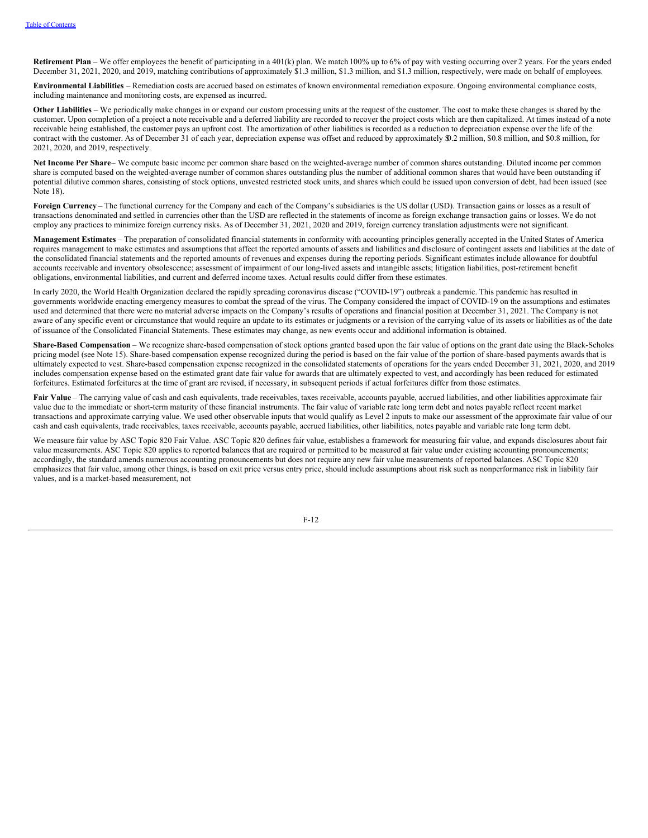**Retirement Plan** – We offer employees the benefit of participating in a 401(k) plan. We match 100% up to 6% of pay with vesting occurring over 2 years. For the years ended December 31, 2021, 2020, and 2019, matching contributions of approximately \$1.3 million, \$1.3 million, and \$1.3 million, respectively, were made on behalf of employees.

**Environmental Liabilities** – Remediation costs are accrued based on estimates of known environmental remediation exposure. Ongoing environmental compliance costs, including maintenance and monitoring costs, are expensed as incurred.

**Other Liabilities** – We periodically make changes in or expand our custom processing units at the request of the customer. The cost to make these changes is shared by the customer. Upon completion of a project a note receivable and a deferred liability are recorded to recover the project costs which are then capitalized. At times instead of a note receivable being established, the customer pays an upfront cost. The amortization of other liabilities is recorded as a reduction to depreciation expense over the life of the contract with the customer. As of December 31 of each year, depreciation expense was offset and reduced by approximately \$0.2 million, \$0.8 million, and \$0.8 million, for 2021, 2020, and 2019, respectively.

**Net Income Per Share**– We compute basic income per common share based on the weighted-average number of common shares outstanding. Diluted income per common share is computed based on the weighted-average number of common shares outstanding plus the number of additional common shares that would have been outstanding if potential dilutive common shares, consisting of stock options, unvested restricted stock units, and shares which could be issued upon conversion of debt, had been issued (see  $Note 18.$ 

**Foreign Currency** – The functional currency for the Company and each of the Company's subsidiaries is the US dollar (USD). Transaction gains or losses as a result of transactions denominated and settled in currencies other than the USD are reflected in the statements of income as foreign exchange transaction gains or losses. We do not employ any practices to minimize foreign currency risks. As of December 31, 2021, 2020 and 2019, foreign currency translation adjustments were not significant.

**Management Estimates** – The preparation of consolidated financial statements in conformity with accounting principles generally accepted in the United States of America requires management to make estimates and assumptions that affect the reported amounts of assets and liabilities and disclosure of contingent assets and liabilities at the date of the consolidated financial statements and the reported amounts of revenues and expenses during the reporting periods. Significant estimates include allowance for doubtful accounts receivable and inventory obsolescence; assessment of impairment of our long-lived assets and intangible assets; litigation liabilities, post-retirement benefit obligations, environmental liabilities, and current and deferred income taxes. Actual results could differ from these estimates.

In early 2020, the World Health Organization declared the rapidly spreading coronavirus disease ("COVID-19") outbreak a pandemic. This pandemic has resulted in governments worldwide enacting emergency measures to combat the spread of the virus. The Company considered the impact of COVID-19 on the assumptions and estimates used and determined that there were no material adverse impacts on the Company's results of operations and financial position at December 31, 2021. The Company is not aware of any specific event or circumstance that would require an update to its estimates or judgments or a revision of the carrying value of its assets or liabilities as of the date of issuance of the Consolidated Financial Statements. These estimates may change, as new events occur and additional information is obtained.

**Share-Based Compensation** – We recognize share-based compensation of stock options granted based upon the fair value of options on the grant date using the Black-Scholes pricing model (see Note 15). Share-based compensation expense recognized during the period is based on the fair value of the portion of share-based payments awards that is ultimately expected to vest. Share-based compensation expense recognized in the consolidated statements of operations for the years ended December 31, 2021, 2020, and 2019 includes compensation expense based on the estimated grant date fair value for awards that are ultimately expected to vest, and accordingly has been reduced for estimated forfeitures. Estimated forfeitures at the time of grant are revised, if necessary, in subsequent periods if actual forfeitures differ from those estimates.

Fair Value – The carrying value of cash and cash equivalents, trade receivables, taxes receivable, accounts payable, accrued liabilities, and other liabilities approximate fair value due to the immediate or short-term maturity of these financial instruments. The fair value of variable rate long term debt and notes payable reflect recent market transactions and approximate carrying value. We used other observable inputs that would qualify as Level 2 inputs to make our assessment of the approximate fair value of our cash and cash equivalents, trade receivables, taxes receivable, accounts payable, accrued liabilities, other liabilities, notes payable and variable rate long term debt.

We measure fair value by ASC Topic 820 Fair Value. ASC Topic 820 defines fair value, establishes a framework for measuring fair value, and expands disclosures about fair value measurements. ASC Topic 820 applies to reported balances that are required or permitted to be measured at fair value under existing accounting pronouncements; accordingly, the standard amends numerous accounting pronouncements but does not require any new fair value measurements of reported balances. ASC Topic 820 emphasizes that fair value, among other things, is based on exit price versus entry price, should include assumptions about risk such as nonperformance risk in liability fair values, and is a market-based measurement, not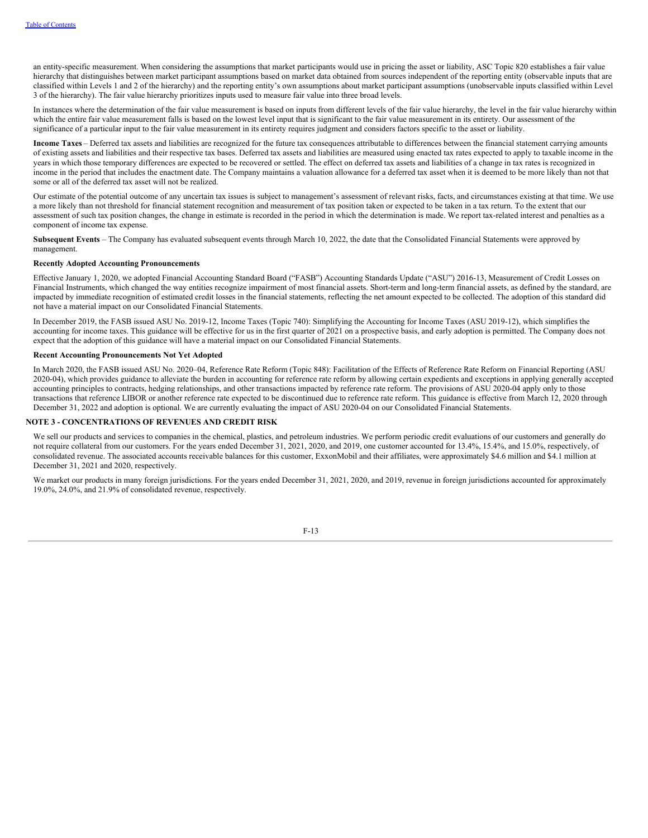an entity-specific measurement. When considering the assumptions that market participants would use in pricing the asset or liability, ASC Topic 820 establishes a fair value hierarchy that distinguishes between market participant assumptions based on market data obtained from sources independent of the reporting entity (observable inputs that are classified within Levels 1 and 2 of the hierarchy) and the reporting entity's own assumptions about market participant assumptions (unobservable inputs classified within Level 3 of the hierarchy). The fair value hierarchy prioritizes inputs used to measure fair value into three broad levels.

In instances where the determination of the fair value measurement is based on inputs from different levels of the fair value hierarchy, the level in the fair value hierarchy within which the entire fair value measurement falls is based on the lowest level input that is significant to the fair value measurement in its entirety. Our assessment of the significance of a particular input to the fair value measurement in its entirety requires judgment and considers factors specific to the asset or liability.

**Income Taxes** – Deferred tax assets and liabilities are recognized for the future tax consequences attributable to differences between the financial statement carrying amounts of existing assets and liabilities and their respective tax bases. Deferred tax assets and liabilities are measured using enacted tax rates expected to apply to taxable income in the years in which those temporary differences are expected to be recovered or settled. The effect on deferred tax assets and liabilities of a change in tax rates is recognized in income in the period that includes the enactment date. The Company maintains a valuation allowance for a deferred tax asset when it is deemed to be more likely than not that some or all of the deferred tax asset will not be realized.

Our estimate of the potential outcome of any uncertain tax issues is subject to management's assessment of relevant risks, facts, and circumstances existing at that time. We use a more likely than not threshold for financial statement recognition and measurement of tax position taken or expected to be taken in a tax return. To the extent that our assessment of such tax position changes, the change in estimate is recorded in the period in which the determination is made. We report tax-related interest and penalties as a component of income tax expense.

**Subsequent Events** – The Company has evaluated subsequent events through March 10, 2022, the date that the Consolidated Financial Statements were approved by management.

#### **Recently Adopted Accounting Pronouncements**

Effective January 1, 2020, we adopted Financial Accounting Standard Board ("FASB") Accounting Standards Update ("ASU") 2016-13, Measurement of Credit Losses on Financial Instruments, which changed the way entities recognize impairment of most financial assets. Short-term and long-term financial assets, as defined by the standard, are impacted by immediate recognition of estimated credit losses in the financial statements, reflecting the net amount expected to be collected. The adoption of this standard did not have a material impact on our Consolidated Financial Statements.

In December 2019, the FASB issued ASU No. 2019-12, Income Taxes (Topic 740): Simplifying the Accounting for Income Taxes (ASU 2019-12), which simplifies the accounting for income taxes. This guidance will be effective for us in the first quarter of 2021 on a prospective basis, and early adoption is permitted. The Company does not expect that the adoption of this guidance will have a material impact on our Consolidated Financial Statements.

### **Recent Accounting Pronouncements Not Yet Adopted**

In March 2020, the FASB issued ASU No. 2020–04, Reference Rate Reform (Topic 848): Facilitation of the Effects of Reference Rate Reform on Financial Reporting (ASU 2020-04), which provides guidance to alleviate the burden in accounting for reference rate reform by allowing certain expedients and exceptions in applying generally accepted accounting principles to contracts, hedging relationships, and other transactions impacted by reference rate reform. The provisions of ASU 2020-04 apply only to those transactions that reference LIBOR or another reference rate expected to be discontinued due to reference rate reform. This guidance is effective from March 12, 2020 through December 31, 2022 and adoption is optional. We are currently evaluating the impact of ASU 2020-04 on our Consolidated Financial Statements.

### **NOTE 3 - CONCENTRATIONS OF REVENUES AND CREDIT RISK**

We sell our products and services to companies in the chemical, plastics, and petroleum industries. We perform periodic credit evaluations of our customers and generally do not require collateral from our customers. For the years ended December 31, 2021, 2020, and 2019, one customer accounted for 13.4%, 15.4%, and 15.0%, respectively, of consolidated revenue. The associated accounts receivable balances for this customer, ExxonMobil and their affiliates, were approximately \$4.6 million and \$4.1 million at December 31, 2021 and 2020, respectively.

We market our products in many foreign jurisdictions. For the years ended December 31, 2021, 2020, and 2019, revenue in foreign jurisdictions accounted for approximately 19.0%, 24.0%, and 21.9% of consolidated revenue, respectively.

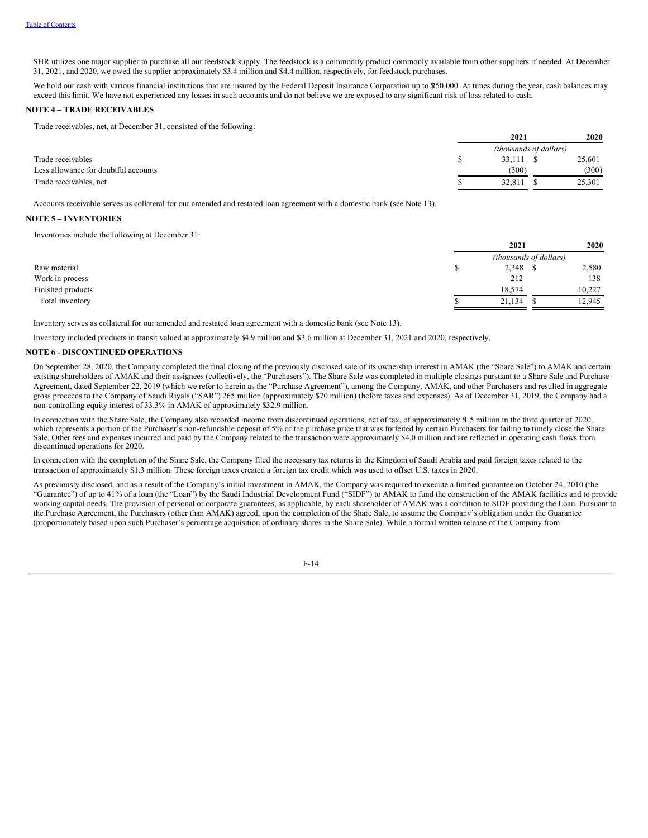SHR utilizes one major supplier to purchase all our feedstock supply. The feedstock is a commodity product commonly available from other suppliers if needed. At December 31, 2021, and 2020, we owed the supplier approximately \$3.4 million and \$4.4 million, respectively, for feedstock purchases.

We hold our cash with various financial institutions that are insured by the Federal Deposit Insurance Corporation up to \$50,000. At times during the year, cash balances may exceed this limit. We have not experienced any losses in such accounts and do not believe we are exposed to any significant risk of loss related to cash.

## **NOTE 4 – TRADE RECEIVABLES**

Trade receivables, net, at December 31, consisted of the following:

|                                      | 2021                          | 2020   |
|--------------------------------------|-------------------------------|--------|
|                                      | <i>(thousands of dollars)</i> |        |
| Trade receivables                    | 33.111 \$                     | 25,601 |
| Less allowance for doubtful accounts | (300)                         | (300)  |
| Trade receivables, net               | 32.811                        | 25.301 |
|                                      |                               |        |

Accounts receivable serves as collateral for our amended and restated loan agreement with a domestic bank (see Note 13).

### **NOTE 5 – INVENTORIES**

Inventories include the following at December 31:

|                   | 2021                   | 2020   |
|-------------------|------------------------|--------|
|                   | (thousands of dollars) |        |
| Raw material      | 2,348                  | 2,580  |
| Work in process   | 212                    | 138    |
| Finished products | 18,574                 | 10,227 |
| Total inventory   | 21,134                 | 12,945 |

Inventory serves as collateral for our amended and restated loan agreement with a domestic bank (see Note 13).

Inventory included products in transit valued at approximately \$4.9 million and \$3.6 million at December 31, 2021 and 2020, respectively.

### **NOTE 6 - DISCONTINUED OPERATIONS**

On September 28, 2020, the Company completed the final closing of the previously disclosed sale of its ownership interest in AMAK (the "Share Sale") to AMAK and certain existing shareholders of AMAK and their assignees (collectively, the "Purchasers"). The Share Sale was completed in multiple closings pursuant to a Share Sale and Purchase Agreement, dated September 22, 2019 (which we refer to herein as the "Purchase Agreement"), among the Company, AMAK, and other Purchasers and resulted in aggregate gross proceeds to the Company of Saudi Riyals ("SAR") 265 million (approximately \$70 million) (before taxes and expenses). As of December 31, 2019, the Company had a non-controlling equity interest of 33.3% in AMAK of approximately \$32.9 million.

In connection with the Share Sale, the Company also recorded income from discontinued operations, net of tax, of approximately \$1.5 million in the third quarter of 2020, which represents a portion of the Purchaser's non-refundable deposit of 5% of the purchase price that was forfeited by certain Purchasers for failing to timely close the Share Sale. Other fees and expenses incurred and paid by the Company related to the transaction were approximately \$4.0 million and are reflected in operating cash flows from discontinued operations for 2020.

In connection with the completion of the Share Sale, the Company filed the necessary tax returns in the Kingdom of Saudi Arabia and paid foreign taxes related to the transaction of approximately \$1.3 million. These foreign taxes created a foreign tax credit which was used to offset U.S. taxes in 2020.

As previously disclosed, and as a result of the Company's initial investment in AMAK, the Company was required to execute a limited guarantee on October 24, 2010 (the "Guarantee") of up to 41% of a loan (the "Loan") by the Saudi Industrial Development Fund ("SIDF") to AMAK to fund the construction of the AMAK facilities and to provide working capital needs. The provision of personal or corporate guarantees, as applicable, by each shareholder of AMAK was a condition to SIDF providing the Loan. Pursuant to the Purchase Agreement, the Purchasers (other than AMAK) agreed, upon the completion of the Share Sale, to assume the Company's obligation under the Guarantee (proportionately based upon such Purchaser's percentage acquisition of ordinary shares in the Share Sale). While a formal written release of the Company from

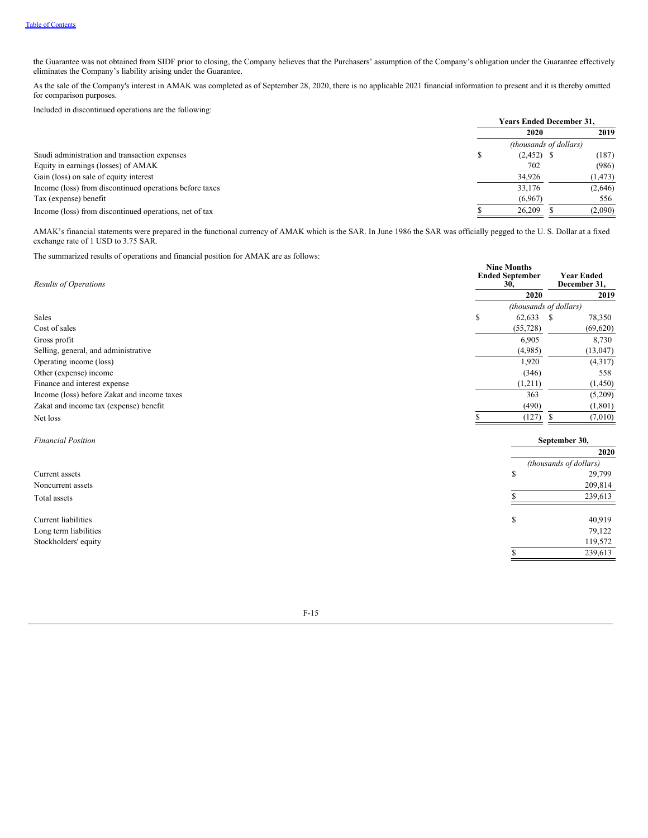the Guarantee was not obtained from SIDF prior to closing, the Company believes that the Purchasers' assumption of the Company's obligation under the Guarantee effectively eliminates the Company's liability arising under the Guarantee.

As the sale of the Company's interest in AMAK was completed as of September 28, 2020, there is no applicable 2021 financial information to present and it is thereby omitted for comparison purposes.

Included in discontinued operations are the following:

|                                                         | <b>Years Ended December 31.</b> |          |
|---------------------------------------------------------|---------------------------------|----------|
|                                                         | 2020                            | 2019     |
|                                                         | (thousands of dollars)          |          |
| Saudi administration and transaction expenses           | $(2,452)$ \$                    | (187)    |
| Equity in earnings (losses) of AMAK                     | 702                             | (986)    |
| Gain (loss) on sale of equity interest                  | 34.926                          | (1, 473) |
| Income (loss) from discontinued operations before taxes | 33,176                          | (2,646)  |
| Tax (expense) benefit                                   | (6,967)                         | 556      |
| Income (loss) from discontinued operations, net of tax  | 26,209                          | (2,090)  |

AMAK's financial statements were prepared in the functional currency of AMAK which is the SAR. In June 1986 the SAR was officially pegged to the U. S. Dollar at a fixed exchange rate of 1 USD to 3.75 SAR.

The summarized results of operations and financial position for AMAK are as follows:

| <b>Results of Operations</b>                | <b>Nine Months</b><br><b>Ended September</b> |                        |    |                        |
|---------------------------------------------|----------------------------------------------|------------------------|----|------------------------|
|                                             |                                              | 2020                   |    | 2019                   |
|                                             |                                              | (thousands of dollars) |    |                        |
| <b>Sales</b>                                | \$                                           | 62,633 \$              |    | 78,350                 |
| Cost of sales                               |                                              | (55, 728)              |    | (69, 620)              |
| Gross profit                                |                                              | 6,905                  |    | 8,730                  |
| Selling, general, and administrative        |                                              | (4,985)                |    | (13, 047)              |
| Operating income (loss)                     |                                              | 1,920                  |    | (4,317)                |
| Other (expense) income                      |                                              | (346)                  |    | 558                    |
| Finance and interest expense                |                                              | (1,211)                |    | (1, 450)               |
| Income (loss) before Zakat and income taxes |                                              | 363                    |    | (5,209)                |
| Zakat and income tax (expense) benefit      |                                              | (490)                  |    | (1, 801)               |
| Net loss                                    |                                              | (127)                  | \$ | (7,010)                |
| <b>Financial Position</b>                   |                                              |                        |    | September 30,          |
|                                             |                                              |                        |    | 2020                   |
|                                             |                                              |                        |    | (thousands of dollars) |
| Current assets                              |                                              | <sup>\$</sup>          |    | 29,799                 |
| Noncurrent assets                           |                                              |                        |    | 209,814                |
| Total assets                                |                                              |                        |    | 239,613                |
|                                             |                                              |                        |    |                        |
| <b>Current liabilities</b>                  |                                              | S                      |    | 40,919                 |
| Long term liabilities                       |                                              |                        |    | 79,122                 |
| Stockholders' equity                        |                                              |                        |    | 119,572                |
|                                             |                                              |                        |    | 239,613                |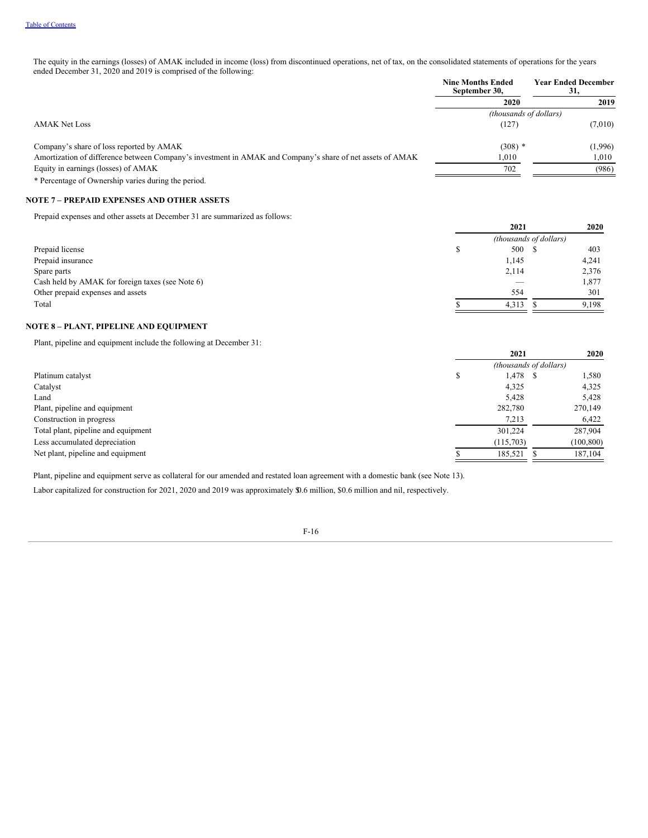The equity in the earnings (losses) of AMAK included in income (loss) from discontinued operations, net of tax, on the consolidated statements of operations for the years ended December 31, 2020 and 2019 is comprised of the following:

|                                                                                                                                                  | <b>Nine Months Ended</b><br>September 30, |                        | <b>Year Ended December</b><br>31, |                |
|--------------------------------------------------------------------------------------------------------------------------------------------------|-------------------------------------------|------------------------|-----------------------------------|----------------|
|                                                                                                                                                  |                                           | 2020                   |                                   | 2019           |
|                                                                                                                                                  |                                           | (thousands of dollars) |                                   |                |
| <b>AMAK Net Loss</b>                                                                                                                             |                                           | (127)                  |                                   | (7,010)        |
| Company's share of loss reported by AMAK                                                                                                         |                                           | $(308)$ *              |                                   | (1,996)        |
| Amortization of difference between Company's investment in AMAK and Company's share of net assets of AMAK<br>Equity in earnings (losses) of AMAK |                                           | 1,010<br>702           |                                   | 1,010<br>(986) |
| * Percentage of Ownership varies during the period.                                                                                              |                                           |                        |                                   |                |
| <b>NOTE 7 - PREPAID EXPENSES AND OTHER ASSETS</b>                                                                                                |                                           |                        |                                   |                |
| Prepaid expenses and other assets at December 31 are summarized as follows:                                                                      |                                           |                        |                                   |                |
|                                                                                                                                                  |                                           | 2021                   |                                   | 2020           |
|                                                                                                                                                  |                                           | (thousands of dollars) |                                   |                |
| Prepaid license                                                                                                                                  | \$                                        | 500                    | - \$                              | 403            |
| Prepaid insurance                                                                                                                                |                                           | 1,145                  |                                   | 4,241          |
| Spare parts                                                                                                                                      |                                           | 2,114                  |                                   | 2,376          |
| Cash held by AMAK for foreign taxes (see Note 6)                                                                                                 |                                           | -                      |                                   | 1,877          |
| Other prepaid expenses and assets                                                                                                                |                                           | 554                    |                                   | 301            |
| Total                                                                                                                                            |                                           | 4,313                  | S                                 | 9,198          |
| NOTE 8 - PLANT, PIPELINE AND EQUIPMENT                                                                                                           |                                           |                        |                                   |                |
| Plant, pipeline and equipment include the following at December 31:                                                                              |                                           |                        |                                   |                |
|                                                                                                                                                  |                                           | 2021                   |                                   | 2020           |
|                                                                                                                                                  |                                           | (thousands of dollars) |                                   |                |
| Platinum catalyst                                                                                                                                | \$                                        | $1,478$ \$             |                                   | 1,580          |
| Catalyst                                                                                                                                         |                                           | 4,325                  |                                   | 4,325          |
| Land                                                                                                                                             |                                           | 5,428                  |                                   | 5,428          |
| Plant, pipeline and equipment                                                                                                                    |                                           | 282,780                |                                   | 270,149        |
| Construction in progress                                                                                                                         |                                           | 7,213                  |                                   | 6,422          |

Total plant, pipeline and equipment 287,904 287,904 Less accumulated depreciation (115,703) (100,800) Net plant, pipeline and equipment 187,104

Plant, pipeline and equipment serve as collateral for our amended and restated loan agreement with a domestic bank (see Note 13).

Labor capitalized for construction for 2021, 2020 and 2019 was approximately \$0.6 million, \$0.6 million and nil, respectively.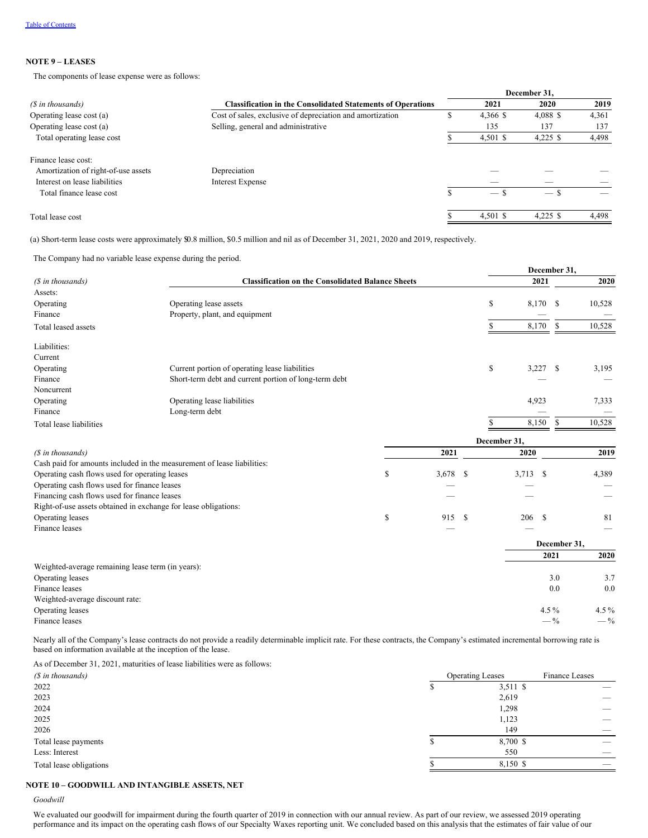### **NOTE 9 – LEASES**

The components of lease expense were as follows:

|                                     |                                                                    |          | December 31. |       |
|-------------------------------------|--------------------------------------------------------------------|----------|--------------|-------|
| (\$ in thousands)                   | <b>Classification in the Consolidated Statements of Operations</b> | 2021     | 2020         | 2019  |
| Operating lease cost (a)            | Cost of sales, exclusive of depreciation and amortization          | 4,366 \$ | 4.088 \$     | 4,361 |
| Operating lease cost (a)            | Selling, general and administrative                                | 135      | 137          | 137   |
| Total operating lease cost          |                                                                    | 4,501 \$ | $4,225$ \$   | 4,498 |
| Finance lease cost:                 |                                                                    |          |              |       |
| Amortization of right-of-use assets | Depreciation                                                       |          |              |       |
| Interest on lease liabilities       | <b>Interest Expense</b>                                            |          |              |       |
| Total finance lease cost            |                                                                    | $-$ \$   | $-$ \$       |       |
| Total lease cost                    |                                                                    | 4,501 \$ | $4.225$ \$   | 4.498 |
|                                     |                                                                    |          |              |       |

(a) Short-term lease costs were approximately \$0.8 million, \$0.5 million and nil as of December 31, 2021, 2020 and 2019, respectively.

The Company had no variable lease expense during the period.

|                                                   |                                                                         |              |       |               | December 31, |              |        |
|---------------------------------------------------|-------------------------------------------------------------------------|--------------|-------|---------------|--------------|--------------|--------|
| (\$ in thousands)                                 | <b>Classification on the Consolidated Balance Sheets</b>                |              |       |               | 2021         |              | 2020   |
| Assets:                                           |                                                                         |              |       |               |              |              |        |
| Operating                                         | Operating lease assets                                                  |              |       |               | \$<br>8,170  | - S          | 10,528 |
| Finance                                           | Property, plant, and equipment                                          |              |       |               |              |              |        |
| Total leased assets                               |                                                                         |              |       |               | \$<br>8,170  | -S           | 10,528 |
| Liabilities:                                      |                                                                         |              |       |               |              |              |        |
| Current                                           |                                                                         |              |       |               |              |              |        |
| Operating                                         | Current portion of operating lease liabilities                          |              |       |               | \$<br>3,227  | -S           | 3,195  |
| Finance                                           | Short-term debt and current portion of long-term debt                   |              |       |               |              |              |        |
| Noncurrent                                        |                                                                         |              |       |               |              |              |        |
| Operating                                         | Operating lease liabilities                                             |              |       |               | 4,923        |              | 7,333  |
| Finance                                           | Long-term debt                                                          |              |       |               |              |              |        |
| Total lease liabilities                           |                                                                         |              |       |               | S<br>8,150   | \$           | 10,528 |
|                                                   |                                                                         |              |       |               | December 31, |              |        |
| (\$ in thousands)                                 |                                                                         |              | 2021  |               | 2020         |              | 2019   |
|                                                   | Cash paid for amounts included in the measurement of lease liabilities: |              |       |               |              |              |        |
| Operating cash flows used for operating leases    |                                                                         | $\mathbb{S}$ | 3,678 | <sup>\$</sup> | 3,713<br>S   |              | 4,389  |
| Operating cash flows used for finance leases      |                                                                         |              |       |               |              |              |        |
| Financing cash flows used for finance leases      |                                                                         |              |       |               |              |              |        |
|                                                   | Right-of-use assets obtained in exchange for lease obligations:         |              |       |               |              |              |        |
| Operating leases                                  |                                                                         | \$           | 915   | \$            | S<br>206     |              | 81     |
| Finance leases                                    |                                                                         |              |       |               |              |              |        |
|                                                   |                                                                         |              |       |               |              | December 31, |        |
|                                                   |                                                                         |              |       |               | 2021         |              | 2020   |
| Weighted-average remaining lease term (in years): |                                                                         |              |       |               |              |              |        |
| Operating leases                                  |                                                                         |              |       |               |              | 3.0          | 3.7    |
| Finance leases                                    |                                                                         |              |       |               |              | 0.0          | 0.0    |
| Weighted-average discount rate:                   |                                                                         |              |       |               |              |              |        |
| Operating leases                                  |                                                                         |              |       |               | 4.5 $%$      |              | 4.5%   |
| Finance leases                                    |                                                                         |              |       |               | $-$ %        |              | $-$ %  |

Nearly all of the Company's lease contracts do not provide a readily determinable implicit rate. For these contracts, the Company's estimated incremental borrowing rate is based on information available at the inception of the lease.

As of December 31, 2021, maturities of lease liabilities were as follows:

| (\$ in thousands)       | <b>Operating Leases</b> |          | Finance Leases           |  |
|-------------------------|-------------------------|----------|--------------------------|--|
| 2022                    |                         | 3,511 \$ |                          |  |
| 2023                    |                         | 2,619    |                          |  |
| 2024                    |                         | 1,298    | _                        |  |
| 2025                    |                         | 1,123    | $\hspace{0.05cm}$        |  |
| 2026                    |                         | 149      | $\hspace{0.05cm}$        |  |
| Total lease payments    |                         | 8,700 \$ |                          |  |
| Less: Interest          |                         | 550      | $\overline{\phantom{a}}$ |  |
| Total lease obligations |                         | 8,150 \$ |                          |  |
|                         |                         |          |                          |  |

## **NOTE 10 – GOODWILL AND INTANGIBLE ASSETS, NET**

*Goodwill*

We evaluated our goodwill for impairment during the fourth quarter of 2019 in connection with our annual review. As part of our review, we assessed 2019 operating performance and its impact on the operating cash flows of our Specialty Waxes reporting unit. We concluded based on this analysis that the estimates of fair value of our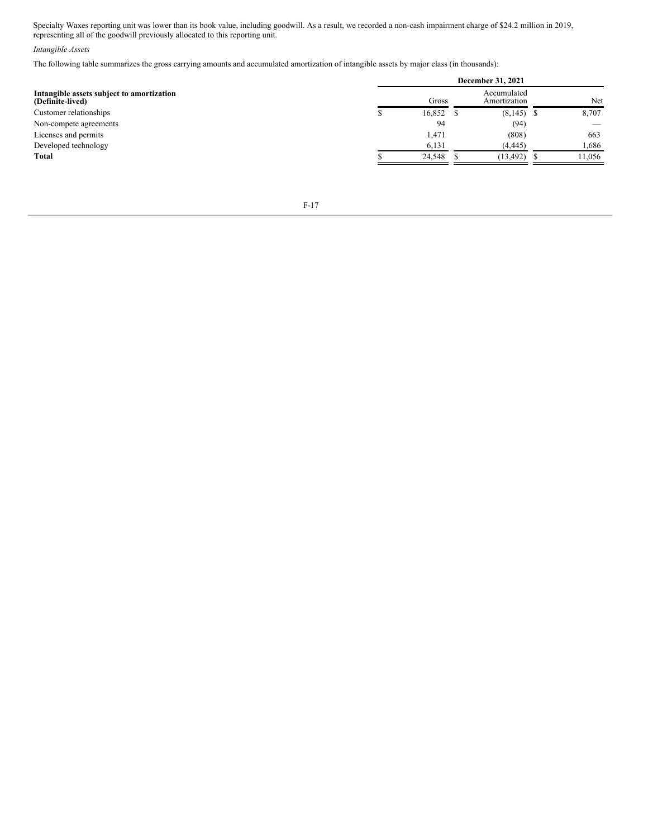Specialty Waxes reporting unit was lower than its book value, including goodwill. As a result, we recorded a non-cash impairment charge of \$24.2 million in 2019, representing all of the goodwill previously allocated to this reporting unit.

#### *Intangible Assets*

The following table summarizes the gross carrying amounts and accumulated amortization of intangible assets by major class (in thousands):

|                                                               | December 31, 2021 |        |  |                             |  |                          |  |  |  |
|---------------------------------------------------------------|-------------------|--------|--|-----------------------------|--|--------------------------|--|--|--|
| Intangible assets subject to amortization<br>(Definite-lived) |                   | Gross  |  | Accumulated<br>Amortization |  | Net                      |  |  |  |
| Customer relationships                                        |                   | 16,852 |  | $(8,145)$ \$                |  | 8,707                    |  |  |  |
| Non-compete agreements                                        |                   | 94     |  | (94)                        |  | $\overline{\phantom{a}}$ |  |  |  |
| Licenses and permits                                          |                   | 1,471  |  | (808)                       |  | 663                      |  |  |  |
| Developed technology                                          |                   | 6,131  |  | (4, 445)                    |  | 1,686                    |  |  |  |
| Total                                                         |                   | 24,548 |  | (13, 492)                   |  | 11.056                   |  |  |  |

| _ |  |
|---|--|
|   |  |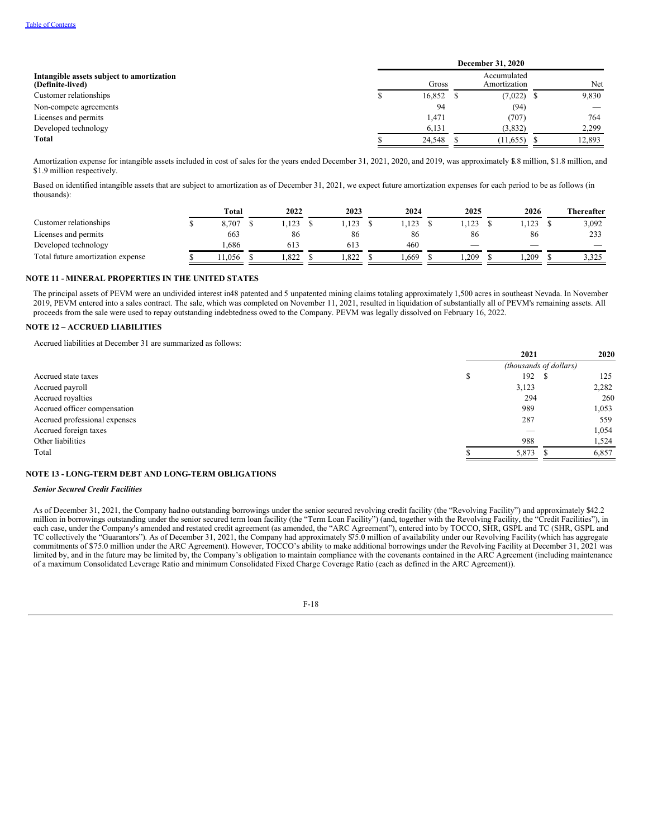|                                                               | <b>December 31, 2020</b> |        |  |                             |  |        |  |  |  |
|---------------------------------------------------------------|--------------------------|--------|--|-----------------------------|--|--------|--|--|--|
| Intangible assets subject to amortization<br>(Definite-lived) |                          | Gross  |  | Accumulated<br>Amortization |  | Net    |  |  |  |
| Customer relationships                                        |                          | 16,852 |  | $(7,022)$ \$                |  | 9,830  |  |  |  |
| Non-compete agreements                                        |                          | 94     |  | (94)                        |  |        |  |  |  |
| Licenses and permits                                          |                          | 1,471  |  | (707)                       |  | 764    |  |  |  |
| Developed technology                                          |                          | 6,131  |  | (3,832)                     |  | 2,299  |  |  |  |
| Total                                                         |                          | 24,548 |  | $(11,655)$ \$               |  | 12,893 |  |  |  |

Amortization expense for intangible assets included in cost of sales for the years ended December 31, 2021, 2020, and 2019, was approximately \$.8 million, \$1.8 million, and \$1.9 million respectively.

Based on identified intangible assets that are subject to amortization as of December 31, 2021, we expect future amortization expenses for each period to be as follows (in thousands):

|                                   | <b>Total</b> | 2022  | 2023 | 2024 | 2025 | 2026 | Thereafter               |
|-----------------------------------|--------------|-------|------|------|------|------|--------------------------|
| Customer relationships            | 8.707        | .123  | ,123 | ,123 | .123 | .123 | 3,092                    |
| Licenses and permits              | 663          | 86    | 86   | 86   | 86   | 86   | 233                      |
| Developed technology              | .686         | 613   | 613  | 460  | -    | $-$  | $\overline{\phantom{a}}$ |
| Total future amortization expense | 11.056       | 1.822 | .822 | .669 | .209 | .209 | 3.325                    |

### **NOTE 11 - MINERAL PROPERTIES IN THE UNITED STATES**

The principal assets of PEVM were an undivided interest in48 patented and 5 unpatented mining claims totaling approximately 1,500 acres in southeast Nevada. In November 2019, PEVM entered into a sales contract. The sale, which was completed on November 11, 2021, resulted in liquidation of substantially all of PEVM's remaining assets. All proceeds from the sale were used to repay outstanding indebtedness owed to the Company. PEVM was legally dissolved on February 16, 2022.

## **NOTE 12 – ACCRUED LIABILITIES**

Accrued liabilities at December 31 are summarized as follows:

|                               |       | 2020<br>2021           |
|-------------------------------|-------|------------------------|
|                               |       | (thousands of dollars) |
| Accrued state taxes           | D.    | 192S<br>125            |
| Accrued payroll               | 3,123 | 2,282                  |
| Accrued royalties             |       | 260<br>294             |
| Accrued officer compensation  |       | 989<br>1,053           |
| Accrued professional expenses |       | 287<br>559             |
| Accrued foreign taxes         |       | 1,054                  |
| Other liabilities             |       | 988<br>1,524           |
| Total                         |       | 6,857<br>5.873 \$      |
|                               |       |                        |

#### **NOTE 13 - LONG-TERM DEBT AND LONG-TERM OBLIGATIONS**

#### *Senior Secured Credit Facilities*

As of December 31, 2021, the Company hadno outstanding borrowings under the senior secured revolving credit facility (the "Revolving Facility") and approximately \$42.2 million in borrowings outstanding under the senior secured term loan facility (the "Term Loan Facility") (and, together with the Revolving Facility, the "Credit Facilities"), in each case, under the Company's amended and restated credit agreement (as amended, the "ARC Agreement"), entered into by TOCCO, SHR, GSPL and TC (SHR, GSPL and TC collectively the "Guarantors"). As of December 31, 2021, the Company had approximately \$75.0 million of availability under our Revolving Facility (which has aggregate commitments of \$75.0 million under the ARC Agreement). However, TOCCO's ability to make additional borrowings under the Revolving Facility at December 31, 2021 was limited by, and in the future may be limited by, the Company's obligation to maintain compliance with the covenants contained in the ARC Agreement (including maintenance of a maximum Consolidated Leverage Ratio and minimum Consolidated Fixed Charge Coverage Ratio (each as defined in the ARC Agreement)).

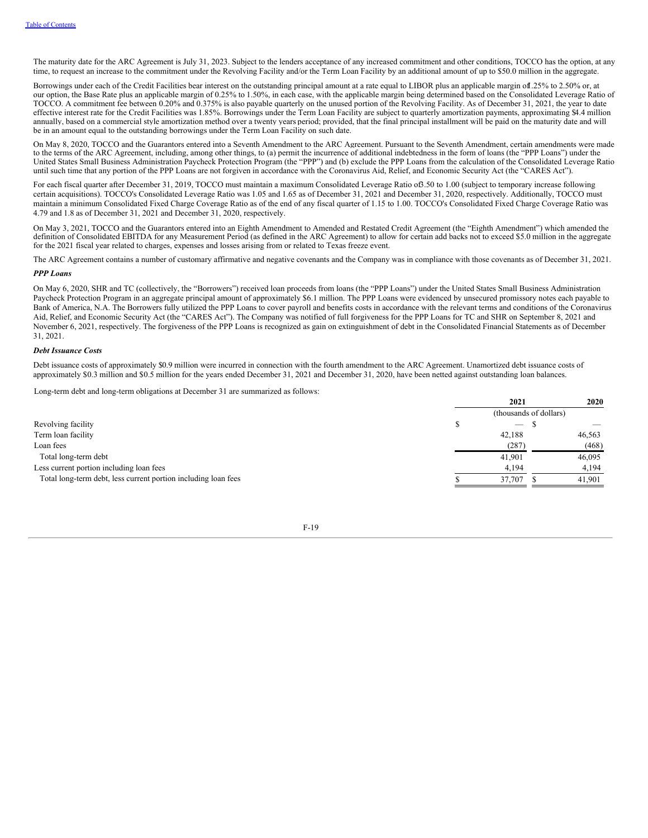The maturity date for the ARC Agreement is July 31, 2023. Subject to the lenders acceptance of any increased commitment and other conditions, TOCCO has the option, at any time, to request an increase to the commitment under the Revolving Facility and/or the Term Loan Facility by an additional amount of up to \$50.0 million in the aggregate.

Borrowings under each of the Credit Facilities bear interest on the outstanding principal amount at a rate equal to LIBOR plus an applicable margin of .25% to 2.50% or, at our option, the Base Rate plus an applicable margin of 0.25% to 1.50%, in each case, with the applicable margin being determined based on the Consolidated Leverage Ratio of TOCCO. A commitment fee between 0.20% and 0.375% is also payable quarterly on the unused portion of the Revolving Facility. As of December 31, 2021, the year to date effective interest rate for the Credit Facilities was 1.85%. Borrowings under the Term Loan Facility are subject to quarterly amortization payments, approximating \$4.4 million annually, based on a commercial style amortization method over a twenty years period; provided, that the final principal installment will be paid on the maturity date and will be in an amount equal to the outstanding borrowings under the Term Loan Facility on such date.

On May 8, 2020, TOCCO and the Guarantors entered into a Seventh Amendment to the ARC Agreement. Pursuant to the Seventh Amendment, certain amendments were made to the terms of the ARC Agreement, including, among other things, to (a) permit the incurrence of additional indebtedness in the form of loans (the "PPP Loans") under the United States Small Business Administration Paycheck Protection Program (the "PPP") and (b) exclude the PPP Loans from the calculation of the Consolidated Leverage Ratio until such time that any portion of the PPP Loans are not forgiven in accordance with the Coronavirus Aid, Relief, and Economic Security Act (the "CARES Act").

For each fiscal quarter after December 31, 2019, TOCCO must maintain a maximum Consolidated Leverage Ratio of 5.50 to 1.00 (subject to temporary increase following certain acquisitions). TOCCO's Consolidated Leverage Ratio was 1.05 and 1.65 as of December 31, 2021 and December 31, 2020, respectively. Additionally, TOCCO must maintain a minimum Consolidated Fixed Charge Coverage Ratio as of the end of any fiscal quarter of 1.15 to 1.00. TOCCO's Consolidated Fixed Charge Coverage Ratio was 4.79 and 1.8 as of December 31, 2021 and December 31, 2020, respectively.

On May 3, 2021, TOCCO and the Guarantors entered into an Eighth Amendment to Amended and Restated Credit Agreement (the "Eighth Amendment") which amended the definition of Consolidated EBITDA for any Measurement Period (as defined in the ARC Agreement) to allow for certain add backs not to exceed \$5.0 million in the aggregate for the 2021 fiscal year related to charges, expenses and losses arising from or related to Texas freeze event.

The ARC Agreement contains a number of customary affirmative and negative covenants and the Company was in compliance with those covenants as of December 31, 2021.

## *PPP Loans*

On May 6, 2020, SHR and TC (collectively, the "Borrowers") received loan proceeds from loans (the "PPP Loans") under the United States Small Business Administration Paycheck Protection Program in an aggregate principal amount of approximately \$6.1 million. The PPP Loans were evidenced by unsecured promissory notes each payable to Bank of America, N.A. The Borrowers fully utilized the PPP Loans to cover payroll and benefits costs in accordance with the relevant terms and conditions of the Coronavirus Aid, Relief, and Economic Security Act (the "CARES Act"). The Company was notified of full forgiveness for the PPP Loans for TC and SHR on September 8, 2021 and November 6, 2021, respectively. The forgiveness of the PPP Loans is recognized as gain on extinguishment of debt in the Consolidated Financial Statements as of December 31, 2021.

#### *Debt Issuance Costs*

Debt issuance costs of approximately \$0.9 million were incurred in connection with the fourth amendment to the ARC Agreement. Unamortized debt issuance costs of approximately \$0.3 million and \$0.5 million for the years ended December 31, 2021 and December 31, 2020, have been netted against outstanding loan balances.

Long-term debt and long-term obligations at December 31 are summarized as follows:

|                                                                | 2021                   | 2020   |
|----------------------------------------------------------------|------------------------|--------|
|                                                                | (thousands of dollars) |        |
| Revolving facility                                             |                        |        |
| Term loan facility                                             | 42.188                 | 46,563 |
| Loan fees                                                      | (287)                  | (468)  |
| Total long-term debt                                           | 41,901                 | 46,095 |
| Less current portion including loan fees                       | 4.194                  | 4,194  |
| Total long-term debt, less current portion including loan fees | 37,707                 | 41,901 |

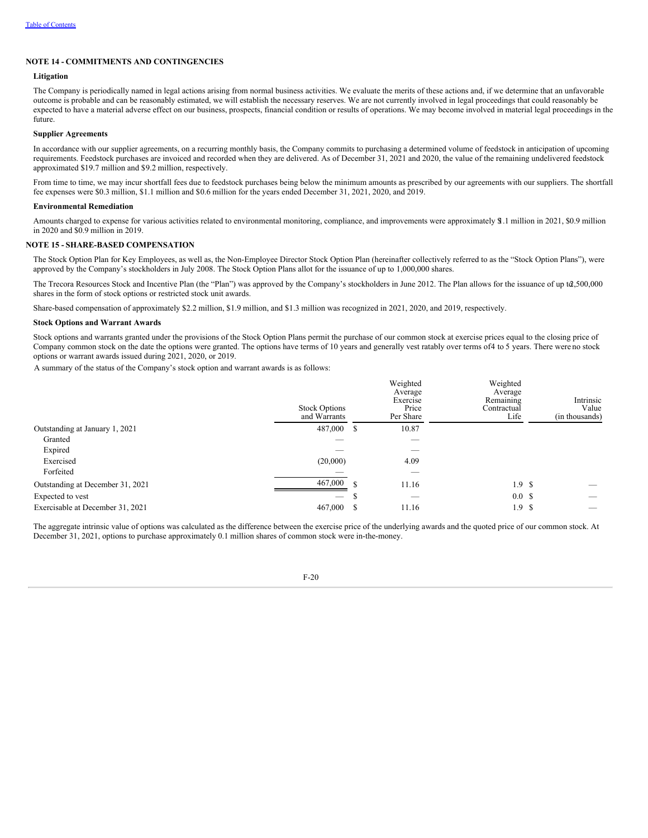## **NOTE 14 - COMMITMENTS AND CONTINGENCIES**

## **Litigation**

The Company is periodically named in legal actions arising from normal business activities. We evaluate the merits of these actions and, if we determine that an unfavorable outcome is probable and can be reasonably estimated, we will establish the necessary reserves. We are not currently involved in legal proceedings that could reasonably be expected to have a material adverse effect on our business, prospects, financial condition or results of operations. We may become involved in material legal proceedings in the future.

### **Supplier Agreements**

In accordance with our supplier agreements, on a recurring monthly basis, the Company commits to purchasing a determined volume of feedstock in anticipation of upcoming requirements. Feedstock purchases are invoiced and recorded when they are delivered. As of December 31, 2021 and 2020, the value of the remaining undelivered feedstock approximated \$19.7 million and \$9.2 million, respectively.

From time to time, we may incur shortfall fees due to feedstock purchases being below the minimum amounts as prescribed by our agreements with our suppliers. The shortfall fee expenses were \$0.3 million, \$1.1 million and \$0.6 million for the years ended December 31, 2021, 2020, and 2019.

#### **Environmental Remediation**

Amounts charged to expense for various activities related to environmental monitoring, compliance, and improvements were approximately \$.1 million in 2021, \$0.9 million in 2020 and \$0.9 million in 2019.

#### **NOTE 15 - SHARE-BASED COMPENSATION**

The Stock Option Plan for Key Employees, as well as, the Non-Employee Director Stock Option Plan (hereinafter collectively referred to as the "Stock Option Plans"), were approved by the Company's stockholders in July 2008. The Stock Option Plans allot for the issuance of up to 1,000,000 shares.

The Trecora Resources Stock and Incentive Plan (the "Plan") was approved by the Company's stockholders in June 2012. The Plan allows for the issuance of up to 2,500,000 shares in the form of stock options or restricted stock unit awards.

Share-based compensation of approximately \$2.2 million, \$1.9 million, and \$1.3 million was recognized in 2021, 2020, and 2019, respectively.

#### **Stock Options and Warrant Awards**

Stock options and warrants granted under the provisions of the Stock Option Plans permit the purchase of our common stock at exercise prices equal to the closing price of Company common stock on the date the options were granted. The options have terms of 10 years and generally vest ratably over terms of 4 to 5 years. There were no stock options or warrant awards issued during 2021, 2020, or 2019.

A summary of the status of the Company's stock option and warrant awards is as follows:

|                                  | <b>Stock Options</b><br>and Warrants |    | Weighted<br>Average<br>Exercise<br>Price<br>Per Share | Weighted<br>Average<br>Remaining<br>Contractual<br>Life | Intrinsic<br>Value<br>(in thousands) |
|----------------------------------|--------------------------------------|----|-------------------------------------------------------|---------------------------------------------------------|--------------------------------------|
| Outstanding at January 1, 2021   | 487,000                              | S  | 10.87                                                 |                                                         |                                      |
| Granted                          |                                      |    |                                                       |                                                         |                                      |
| Expired                          |                                      |    |                                                       |                                                         |                                      |
| Exercised                        | (20,000)                             |    | 4.09                                                  |                                                         |                                      |
| Forfeited                        |                                      |    |                                                       |                                                         |                                      |
| Outstanding at December 31, 2021 | 467,000                              | -S | 11.16                                                 | 1.9<br><sup>\$</sup>                                    |                                      |
| Expected to vest                 |                                      | Э  | $\overline{\phantom{a}}$                              | 0.0 S                                                   |                                      |
| Exercisable at December 31, 2021 | 467,000                              |    | 11.16                                                 | 1.9<br><sup>\$</sup>                                    |                                      |

The aggregate intrinsic value of options was calculated as the difference between the exercise price of the underlying awards and the quoted price of our common stock. At December 31, 2021, options to purchase approximately 0.1 million shares of common stock were in-the-money.

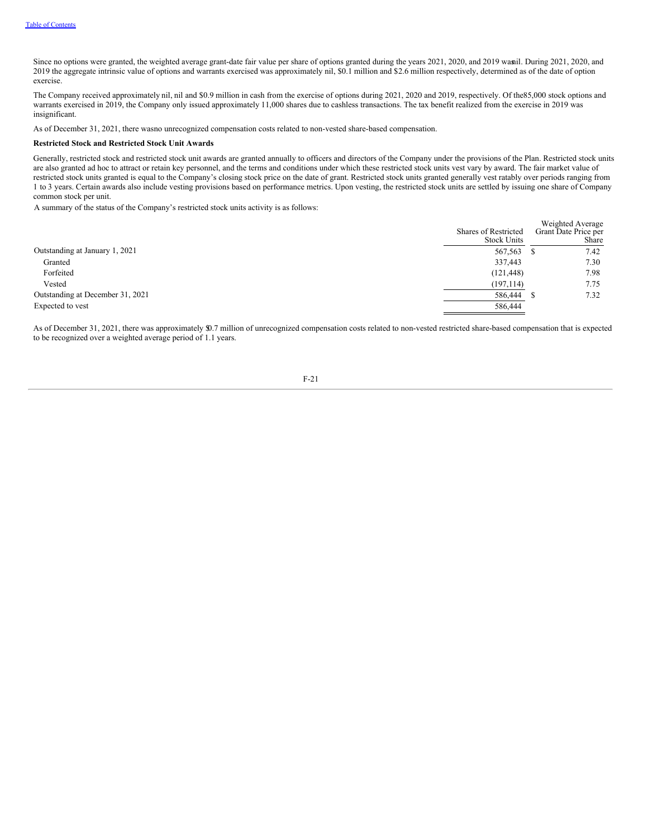Since no options were granted, the weighted average grant-date fair value per share of options granted during the years 2021, 2020, and 2019 wasnil. During 2021, 2020, and 2019 the aggregate intrinsic value of options and warrants exercised was approximately nil, \$0.1 million and \$2.6 million respectively, determined as of the date of option exercise.

The Company received approximately nil, nil and \$0.9 million in cash from the exercise of options during 2021, 2020 and 2019, respectively. Of the85,000 stock options and warrants exercised in 2019, the Company only issued approximately 11,000 shares due to cashless transactions. The tax benefit realized from the exercise in 2019 was insignificant.

As of December 31, 2021, there wasno unrecognized compensation costs related to non-vested share-based compensation.

### **Restricted Stock and Restricted Stock Unit Awards**

Generally, restricted stock and restricted stock unit awards are granted annually to officers and directors of the Company under the provisions of the Plan. Restricted stock units are also granted ad hoc to attract or retain key personnel, and the terms and conditions under which these restricted stock units vest vary by award. The fair market value of restricted stock units granted is equal to the Company's closing stock price on the date of grant. Restricted stock units granted generally vest ratably over periods ranging from 1 to 3 years. Certain awards also include vesting provisions based on performance metrics. Upon vesting, the restricted stock units are settled by issuing one share of Company common stock per unit.

A summary of the status of the Company's restricted stock units activity is as follows:

|                                  | Shares of Restricted<br><b>Stock Units</b> | Weighted Average<br>Grant Date Price per<br>Share |
|----------------------------------|--------------------------------------------|---------------------------------------------------|
| Outstanding at January 1, 2021   | 567,563                                    | 7.42                                              |
| Granted                          | 337,443                                    | 7.30                                              |
| Forfeited                        | (121, 448)                                 | 7.98                                              |
| Vested                           | (197, 114)                                 | 7.75                                              |
| Outstanding at December 31, 2021 | 586,444                                    | 7.32                                              |
| Expected to vest                 | 586,444                                    |                                                   |
|                                  |                                            |                                                   |

As of December 31, 2021, there was approximately \$0.7 million of unrecognized compensation costs related to non-vested restricted share-based compensation that is expected to be recognized over a weighted average period of 1.1 years.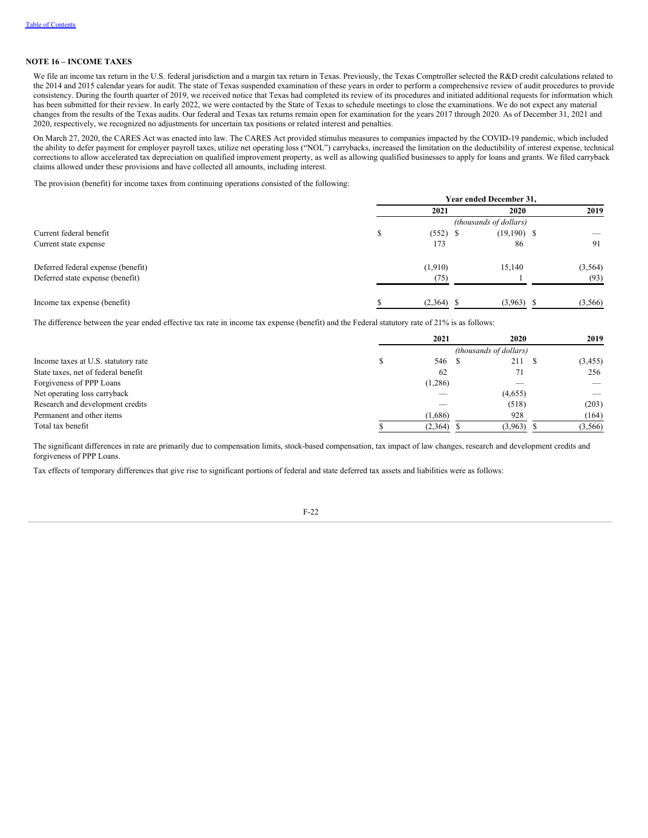### **NOTE 16 – INCOME TAXES**

We file an income tax return in the U.S. federal jurisdiction and a margin tax return in Texas. Previously, the Texas Comptroller selected the R&D credit calculations related to the 2014 and 2015 calendar years for audit. The state of Texas suspended examination of these years in order to perform a comprehensive review of audit procedures to provide consistency. During the fourth quarter of 2019, we received notice that Texas had completed its review of its procedures and initiated additional requests for information which has been submitted for their review. In early 2022, we were contacted by the State of Texas to schedule meetings to close the examinations. We do not expect any material changes from the results of the Texas audits. Our federal and Texas tax returns remain open for examination for the years 2017 through 2020. As of December 31, 2021 and 2020, respectively, we recognized no adjustments for uncertain tax positions or related interest and penalties.

On March 27, 2020, the CARES Act was enacted into law. The CARES Act provided stimulus measures to companies impacted by the COVID-19 pandemic, which included the ability to defer payment for employer payroll taxes, utilize net operating loss ("NOL") carrybacks, increased the limitation on the deductibility of interest expense, technical corrections to allow accelerated tax depreciation on qualified improvement property, as well as allowing qualified businesses to apply for loans and grants. We filed carryback claims allowed under these provisions and have collected all amounts, including interest.

The provision (benefit) for income taxes from continuing operations consisted of the following:

|                                    |   | Year ended December 31, |                        |  |          |  |  |  |
|------------------------------------|---|-------------------------|------------------------|--|----------|--|--|--|
|                                    |   | 2021                    | 2020                   |  | 2019     |  |  |  |
|                                    |   |                         | (thousands of dollars) |  |          |  |  |  |
| Current federal benefit            | S | $(552)$ \$              | $(19,190)$ \$          |  |          |  |  |  |
| Current state expense              |   | 173                     | 86                     |  | 91       |  |  |  |
| Deferred federal expense (benefit) |   | (1,910)                 | 15,140                 |  | (3, 564) |  |  |  |
| Deferred state expense (benefit)   |   | (75)                    |                        |  | (93)     |  |  |  |
| Income tax expense (benefit)       |   | (2,364)                 | $(3,963)$ \$           |  | (3,566)  |  |  |  |

The difference between the year ended effective tax rate in income tax expense (benefit) and the Federal statutory rate of 21% is as follows:

|                                     |              | 2021   | 2020                          | 2019     |
|-------------------------------------|--------------|--------|-------------------------------|----------|
|                                     |              |        | <i>(thousands of dollars)</i> |          |
| Income taxes at U.S. statutory rate | D            | 546 \$ | 211                           | (3, 455) |
| State taxes, net of federal benefit |              | 62     | 71                            | 256      |
| Forgiveness of PPP Loans            | (1,286)      |        |                               |          |
| Net operating loss carryback        |              |        | (4,655)                       |          |
| Research and development credits    |              |        | (518)                         | (203)    |
| Permanent and other items           | (1,686)      |        | 928                           | (164)    |
| Total tax benefit                   | $(2,364)$ \$ |        | $(3,963)$ \$                  | (3,566)  |

The significant differences in rate are primarily due to compensation limits, stock-based compensation, tax impact of law changes, research and development credits and forgiveness of PPP Loans.

Tax effects of temporary differences that give rise to significant portions of federal and state deferred tax assets and liabilities were as follows: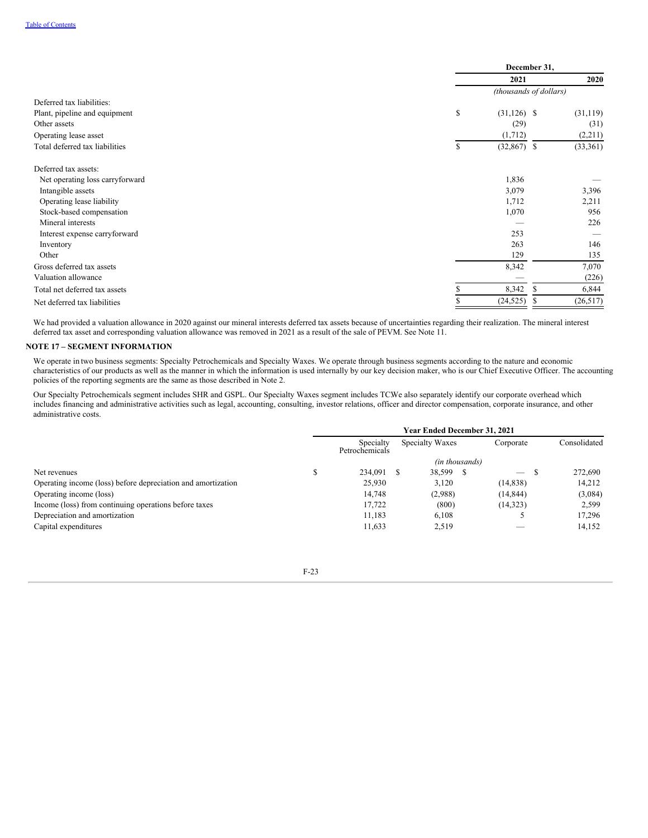|                                 | December 31,           |    |                          |
|---------------------------------|------------------------|----|--------------------------|
|                                 | 2021                   |    | 2020                     |
|                                 | (thousands of dollars) |    |                          |
| Deferred tax liabilities:       |                        |    |                          |
| Plant, pipeline and equipment   | \$<br>$(31,126)$ \$    |    | (31, 119)                |
| Other assets                    | (29)                   |    | (31)                     |
| Operating lease asset           | (1,712)                |    | (2,211)                  |
| Total deferred tax liabilities  | \$<br>$(32,867)$ \$    |    | (33,361)                 |
| Deferred tax assets:            |                        |    |                          |
| Net operating loss carryforward | 1,836                  |    |                          |
| Intangible assets               | 3,079                  |    | 3,396                    |
| Operating lease liability       | 1,712                  |    | 2,211                    |
| Stock-based compensation        | 1,070                  |    | 956                      |
| Mineral interests               |                        |    | 226                      |
| Interest expense carryforward   | 253                    |    | $\overline{\phantom{a}}$ |
| Inventory                       | 263                    |    | 146                      |
| Other                           | 129                    |    | 135                      |
| Gross deferred tax assets       | 8,342                  |    | 7,070                    |
| Valuation allowance             |                        |    | (226)                    |
| Total net deferred tax assets   | 8,342                  | -S | 6,844                    |
| Net deferred tax liabilities    | (24, 525)              | S  | (26, 517)                |

We had provided a valuation allowance in 2020 against our mineral interests deferred tax assets because of uncertainties regarding their realization. The mineral interest deferred tax asset and corresponding valuation allowance was removed in 2021 as a result of the sale of PEVM. See Note 11.

#### **NOTE 17 – SEGMENT INFORMATION**

We operate in two business segments: Specialty Petrochemicals and Specialty Waxes. We operate through business segments according to the nature and economic characteristics of our products as well as the manner in which the information is used internally by our key decision maker, who is our Chief Executive Officer. The accounting policies of the reporting segments are the same as those described in Note 2.

Our Specialty Petrochemicals segment includes SHR and GSPL. Our Specialty Waxes segment includes TC.We also separately identify our corporate overhead which includes financing and administrative activities such as legal, accounting, consulting, investor relations, officer and director compensation, corporate insurance, and other administrative costs.

|                                                              | <b>Year Ended December 31, 2021</b> |                 |                                 |              |  |
|--------------------------------------------------------------|-------------------------------------|-----------------|---------------------------------|--------------|--|
|                                                              | Specialty<br>Petrochemicals         | Specialty Waxes | Corporate                       | Consolidated |  |
|                                                              |                                     |                 | (in thousands)                  |              |  |
| Net revenues                                                 | 234.091                             | 38,599          | $\hspace{0.1mm}-\hspace{0.1mm}$ | 272,690      |  |
| Operating income (loss) before depreciation and amortization | 25,930                              | 3,120           | (14, 838)                       | 14.212       |  |
| Operating income (loss)                                      | 14.748                              | (2,988)         | (14, 844)                       | (3,084)      |  |
| Income (loss) from continuing operations before taxes        | 17.722                              | (800)           | (14, 323)                       | 2,599        |  |
| Depreciation and amortization                                | 11.183                              | 6,108           |                                 | 17.296       |  |
| Capital expenditures                                         | 11,633                              | 2,519           |                                 | 14.152       |  |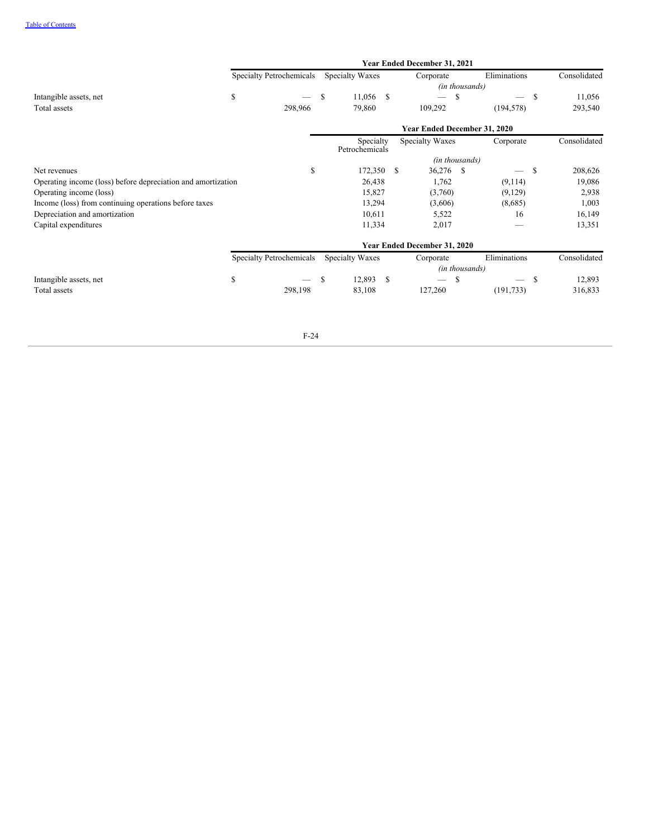|                                                              | Year Ended December 31, 2021 |                          |    |                             |              |                                |              |               |              |
|--------------------------------------------------------------|------------------------------|--------------------------|----|-----------------------------|--------------|--------------------------------|--------------|---------------|--------------|
|                                                              |                              | Specialty Petrochemicals |    | Specialty Waxes             |              | Corporate                      | Eliminations |               | Consolidated |
|                                                              |                              |                          |    |                             |              | (in thousands)                 |              |               |              |
| Intangible assets, net                                       | \$                           |                          | \$ | 11,056                      | -S           | -S<br>$\overline{\phantom{0}}$ |              | -S            | 11,056       |
| Total assets                                                 |                              | 298,966                  |    | 79,860                      |              | 109,292                        | (194, 578)   |               | 293,540      |
|                                                              | Year Ended December 31, 2020 |                          |    |                             |              |                                |              |               |              |
|                                                              |                              |                          |    | Specialty<br>Petrochemicals |              | Specialty Waxes                | Corporate    |               | Consolidated |
|                                                              |                              |                          |    |                             |              | (in thousands)                 |              |               |              |
| Net revenues                                                 |                              | S                        |    | 172,350                     | $\mathbf{s}$ | 36,276<br>-S                   |              | S.            | 208,626      |
| Operating income (loss) before depreciation and amortization |                              |                          |    | 26,438                      |              | 1,762                          | (9,114)      |               | 19,086       |
| Operating income (loss)                                      |                              |                          |    | 15,827                      |              | (3,760)                        | (9,129)      |               | 2,938        |
| Income (loss) from continuing operations before taxes        |                              |                          |    | 13,294                      |              | (3,606)                        | (8,685)      |               | 1,003        |
| Depreciation and amortization                                |                              |                          |    | 10,611                      |              | 5,522                          | 16           |               | 16,149       |
| Capital expenditures                                         |                              |                          |    | 11,334                      |              | 2,017                          |              |               | 13,351       |
|                                                              | Year Ended December 31, 2020 |                          |    |                             |              |                                |              |               |              |
|                                                              |                              | Specialty Petrochemicals |    | Specialty Waxes             |              | Corporate                      | Eliminations |               | Consolidated |
|                                                              |                              |                          |    |                             |              | (in thousands)                 |              |               |              |
| Intangible assets, net                                       | \$                           |                          | S  | 12,893                      | <sup>S</sup> | S                              |              | <sup>\$</sup> | 12,893       |
| Total assets                                                 |                              | 298,198                  |    | 83,108                      |              | 127,260                        | (191, 733)   |               | 316,833      |
|                                                              |                              |                          |    |                             |              |                                |              |               |              |
|                                                              |                              |                          |    |                             |              |                                |              |               |              |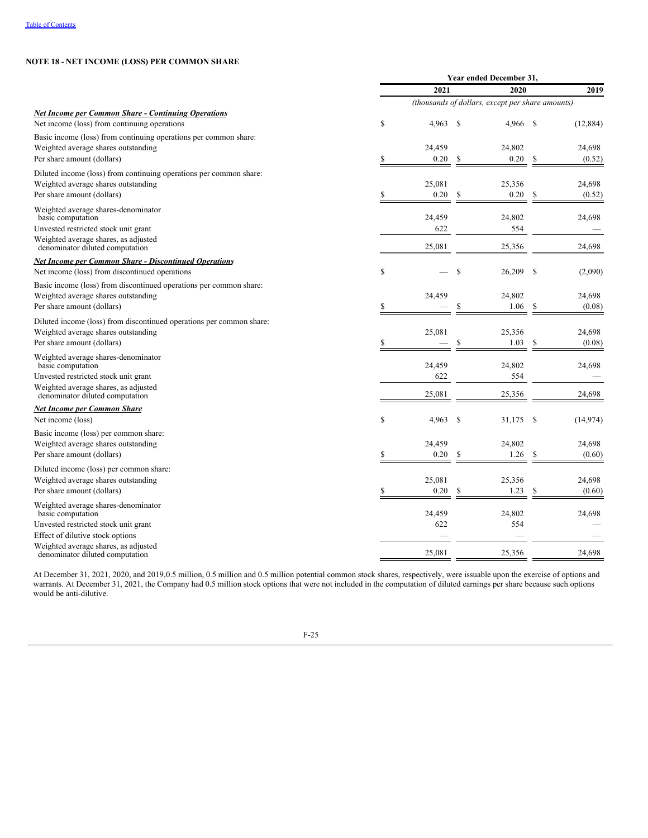## **NOTE 18 - NET INCOME (LOSS) PER COMMON SHARE**

|                                                                                                                                          |    | Year ended December 31,                          |               |                |               |                  |
|------------------------------------------------------------------------------------------------------------------------------------------|----|--------------------------------------------------|---------------|----------------|---------------|------------------|
|                                                                                                                                          |    | 2021                                             |               | 2020           |               | 2019             |
|                                                                                                                                          |    | (thousands of dollars, except per share amounts) |               |                |               |                  |
| <b>Net Income per Common Share - Continuing Operations</b><br>Net income (loss) from continuing operations                               | \$ | 4,963                                            | <b>S</b>      | 4,966          | -S            | (12, 884)        |
| Basic income (loss) from continuing operations per common share:<br>Weighted average shares outstanding<br>Per share amount (dollars)    | S  | 24,459<br>0.20                                   | S             | 24,802<br>0.20 | S             | 24,698<br>(0.52) |
| Diluted income (loss) from continuing operations per common share:<br>Weighted average shares outstanding<br>Per share amount (dollars)  | S  | 25.081<br>0.20                                   | S             | 25,356<br>0.20 | S             | 24,698<br>(0.52) |
| Weighted average shares-denominator<br>basic computation<br>Unvested restricted stock unit grant<br>Weighted average shares, as adjusted |    | 24,459<br>622                                    |               | 24,802<br>554  |               | 24,698           |
| denominator diluted computation                                                                                                          |    | 25,081                                           |               | 25,356         |               | 24,698           |
| <b>Net Income per Common Share - Discontinued Operations</b><br>Net income (loss) from discontinued operations                           | \$ |                                                  | <sup>\$</sup> | 26,209         | <sup>\$</sup> | (2,090)          |
| Basic income (loss) from discontinued operations per common share:<br>Weighted average shares outstanding<br>Per share amount (dollars)  |    | 24,459                                           | S             | 24,802<br>1.06 | S             | 24,698<br>(0.08) |
| Diluted income (loss) from discontinued operations per common share:                                                                     |    |                                                  |               |                |               |                  |
| Weighted average shares outstanding<br>Per share amount (dollars)                                                                        |    | 25,081                                           | S             | 25,356<br>1.03 | S             | 24,698<br>(0.08) |
| Weighted average shares-denominator<br>basic computation                                                                                 |    | 24,459                                           |               | 24,802         |               | 24,698           |
| Unvested restricted stock unit grant<br>Weighted average shares, as adjusted                                                             |    | 622                                              |               | 554            |               |                  |
| denominator diluted computation                                                                                                          |    | 25,081                                           |               | 25,356         |               | 24,698           |
| <b>Net Income per Common Share</b><br>Net income (loss)                                                                                  | \$ | 4,963                                            | -S            | 31,175         | -S            | (14, 974)        |
| Basic income (loss) per common share:<br>Weighted average shares outstanding<br>Per share amount (dollars)                               | S  | 24,459<br>0.20                                   | S             | 24,802<br>1.26 | S             | 24,698<br>(0.60) |
|                                                                                                                                          |    |                                                  |               |                |               |                  |
| Diluted income (loss) per common share:<br>Weighted average shares outstanding<br>Per share amount (dollars)                             |    | 25,081<br>0.20                                   | S             | 25,356<br>1.23 | S             | 24,698<br>(0.60) |
| Weighted average shares-denominator                                                                                                      |    |                                                  |               |                |               |                  |
| basic computation                                                                                                                        |    | 24,459                                           |               | 24,802         |               | 24,698           |
| Unvested restricted stock unit grant<br>Effect of dilutive stock options                                                                 |    | 622                                              |               | 554            |               |                  |
| Weighted average shares, as adjusted<br>denominator diluted computation                                                                  |    | 25,081                                           |               | 25,356         |               | 24,698           |

At December 31, 2021, 2020, and 2019,0.5 million, 0.5 million and 0.5 million potential common stock shares, respectively, were issuable upon the exercise of options and warrants. At December 31, 2021, the Company had 0.5 million stock options that were not included in the computation of diluted earnings per share because such options would be anti-dilutive.

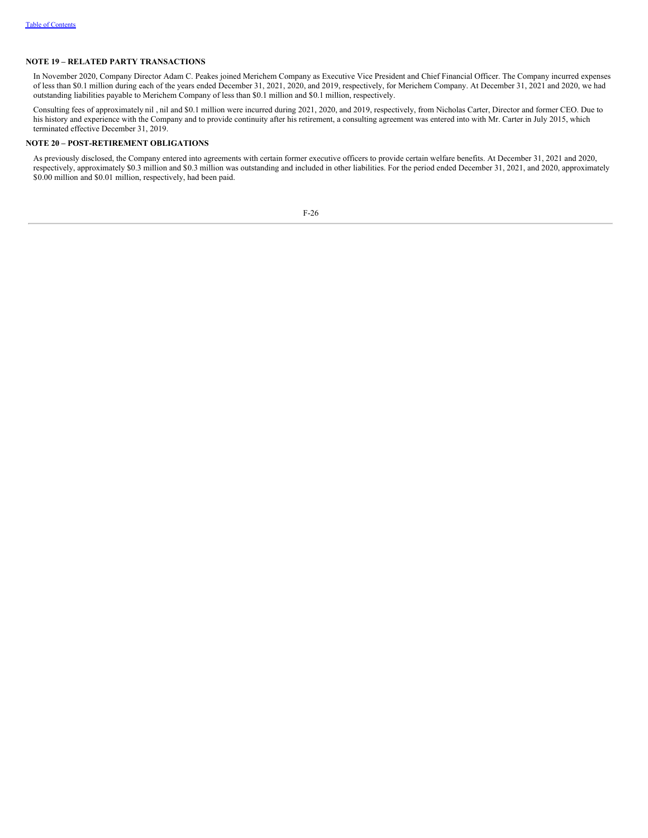### **NOTE 19 – RELATED PARTY TRANSACTIONS**

In November 2020, Company Director Adam C. Peakes joined Merichem Company as Executive Vice President and Chief Financial Officer. The Company incurred expenses of less than \$0.1 million during each of the years ended December 31, 2021, 2020, and 2019, respectively, for Merichem Company. At December 31, 2021 and 2020, we had outstanding liabilities payable to Merichem Company of less than \$0.1 million and \$0.1 million, respectively.

Consulting fees of approximately nil , nil and \$0.1 million were incurred during 2021, 2020, and 2019, respectively, from Nicholas Carter, Director and former CEO. Due to his history and experience with the Company and to provide continuity after his retirement, a consulting agreement was entered into with Mr. Carter in July 2015, which terminated effective December 31, 2019.

## **NOTE 20 – POST-RETIREMENT OBLIGATIONS**

<span id="page-62-0"></span>As previously disclosed, the Company entered into agreements with certain former executive officers to provide certain welfare benefits. At December 31, 2021 and 2020, respectively, approximately \$0.3 million and \$0.3 million was outstanding and included in other liabilities. For the period ended December 31, 2021, and 2020, approximately \$0.00 million and \$0.01 million, respectively, had been paid.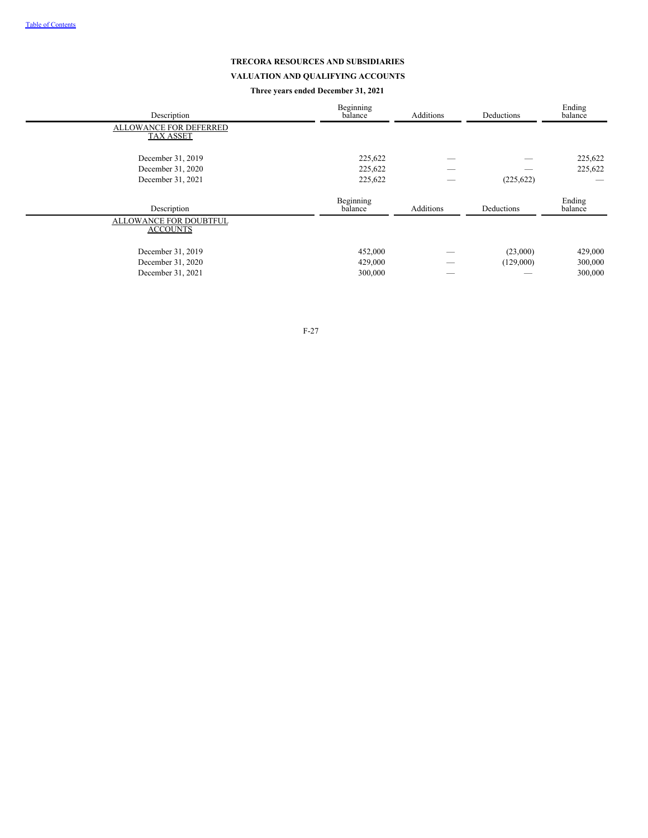## **TRECORA RESOURCES AND SUBSIDIARIES**

# **VALUATION AND QUALIFYING ACCOUNTS**

## **Three years ended December 31, 2021**

| Description                                | Beginning<br>balance | Additions                | Deductions | Ending<br>balance |
|--------------------------------------------|----------------------|--------------------------|------------|-------------------|
| ALLOWANCE FOR DEFERRED<br><b>TAX ASSET</b> |                      |                          |            |                   |
| December 31, 2019                          | 225,622              |                          |            | 225,622           |
| December 31, 2020                          | 225,622              |                          |            | 225,622           |
| December 31, 2021                          | 225,622              |                          | (225, 622) |                   |
| Description                                | Beginning<br>balance | Additions                | Deductions | Ending<br>balance |
| ALLOWANCE FOR DOUBTFUL<br><b>ACCOUNTS</b>  |                      |                          |            |                   |
| December 31, 2019                          | 452,000              | -                        | (23,000)   | 429,000           |
| December 31, 2020                          | 429,000              | $\overline{\phantom{a}}$ | (129,000)  | 300,000           |
| December 31, 2021                          | 300,000              |                          |            | 300,000           |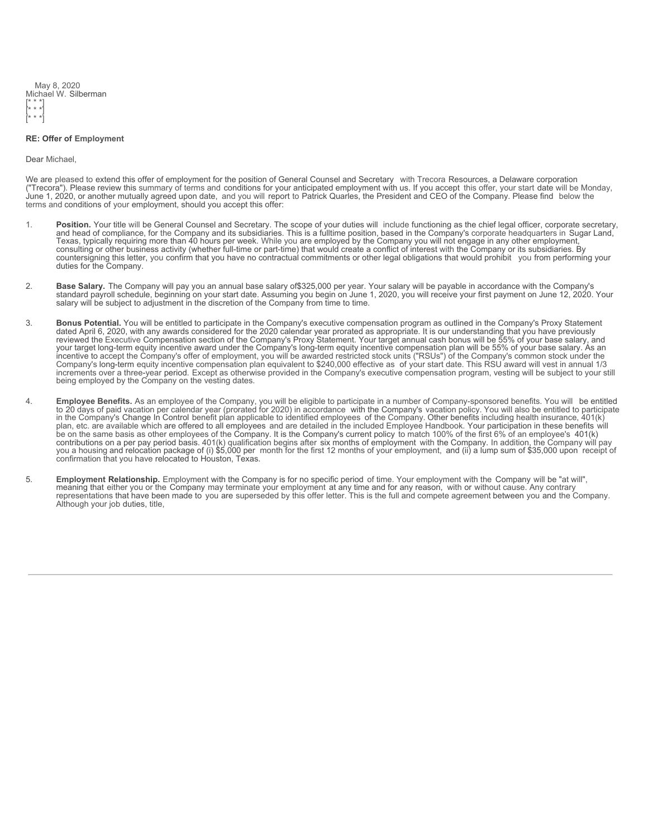May 8, 2020 Michael W. Silberman [\* \* \*] [\* \* \*] [\* \* \*]

#### **RE: Offer of Employment**

Dear Michael,

We are pleased to extend this offer of employment for the position of General Counsel and Secretary with Trecora Resources, a Delaware corporation<br>("Trecora"). Please review this summary of terms and conditions for your an June 1, 2020, or another mutually agreed upon date, and you will report to Patrick Quarles, the President and CEO of the Company. Please find below the terms and conditions of your employment, should you accept this offer:

- 1. Position. Your title will be General Counsel and Secretary. The scope of your duties will include functioning as the chief legal officer, corporate secretary,<br>and head of compliance, for the Company and its subsidiaries countersigning this letter, you confirm that you have no contractual commitments or other legal obligations that would prohibit you from performing your duties for the Company.
- 2. **Base Salary.** The Company will pay you an annual base salary of\$325,000 per year. Your salary will be payable in accordance with the Company's standard payroll schedule, beginning on your start date. Assuming you begin on June 1, 2020, you will receive your first payment on June 12, 2020. Your salary will be subject to adjustment in the discretion of the Company from time to time.
- 3. **Bonus Potential.** You will be entitled to participate in the Company's executive compensation program as outlined in the Company's Proxy Statement dated April 6, 2020, with any awards considered for the 2020 calendar year prorated as appropriate. It is our understanding that you have previously<br>reviewed the Executive Compensation section of the Company's Proxy Statem your target long-term equity incentive award under the Company's long-term equity incentive compensation plan will be 55% of your base salary. As an<br>incentive to accept the Company's offer of employment, you will be awarde being employed by the Company on the vesting dates.
- 4. **Employee Benefits.** As an employee of the Company, you will be eligible to participate in a number of Company-sponsored benefits. You will be entitled to 20 days of paid vacation per calendar year (prorated for 2020) in accordance with the Company's vacation policy. You will also be entitled to participate<br>in the Company's Change In Control benefit plan applicable to ide confirmation that you have relocated to Houston, Texas.
- 5. **Employment Relationship.** Employment with the Company is for no specific period of time. Your employment with the Company will be "at will", meaning that either you or the Company may terminate your employment at any time and for any reason, with or without cause. Any contrary<br>representations that have been made to you are superseded by this offer letter. This Although your job duties, title,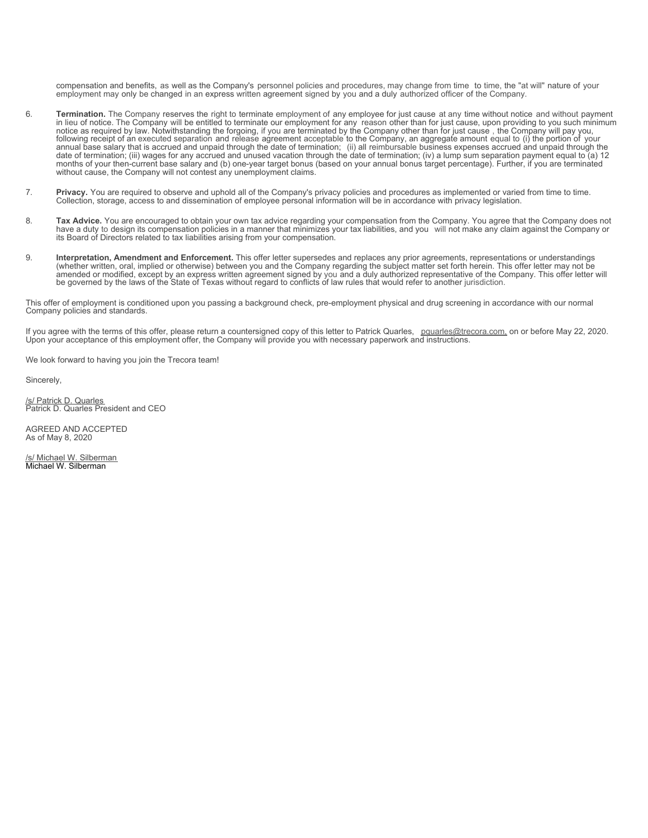compensation and benefits, as well as the Company's personnel policies and procedures, may change from time to time, the "at will" nature of your employment may only be changed in an express written agreement signed by you and a duly authorized officer of the Company.

- 6. Termination. The Company reserves the right to terminate employment of any employee for just cause at any time without notice and without payment<br>in lieu of notice. The Company will be entitled to terminate our employme following receipt of an executed separation and release agreement acceptable to the Company, an aggregate amount equal to (i) the portion of your annual base salary that is accrued and unpaid through the date of termination; (ii)all reimbursable business expenses accrued and unpaid through the<br>date of termination; (iii) wages for any accrued and unused vacation thro months of your then-current base salary and (b) one-year target bonus (based on your annual bonus target percentage). Further, if you are terminated without cause, the Company will not contest any unemployment claims.
- 7. **Privacy.** You are required to observe and uphold all of the Company's privacy policies and procedures as implemented or varied from time to time.<br>Collection, storage, access to and dissemination of employee personal in
- 8. Tax Advice. You are encouraged to obtain your own tax advice regarding your compensation from the Company. You agree that the Company does not<br>have a duty to design its compensation policies in a manner that minimizes y its Board of Directors related to tax liabilities arising from your compensation.
- 9. **Interpretation, Amendment and Enforcement.** This offer letter supersedes and replaces any prior agreements, representations or understandings (whether written, oral, implied or otherwise) between you and the Company regarding the subject matter set forth herein. This offer letter may not be<br>amended or modified, except by an express written agreement signed by yo

This offer of employment is conditioned upon you passing a background check, pre-employment physical and drug screening in accordance with our normal Company policies and standards.

If you agree with the terms of this offer, please return a countersigned copy of this letter to Patrick Quarles, pquarles@trecora.com, on or before May 22, 2020. Upon your acceptance of this employment offer, the Company will provide you with necessary paperwork and instructions.

We look forward to having you join the Trecora team!

Sincerely,

/s/ Patrick D. Quarles<br>Patrick D. Quarles President and CEO

AGREED AND ACCEPTED As of May 8, 2020

/s/ Michael W. Silberman Michael W. Silberman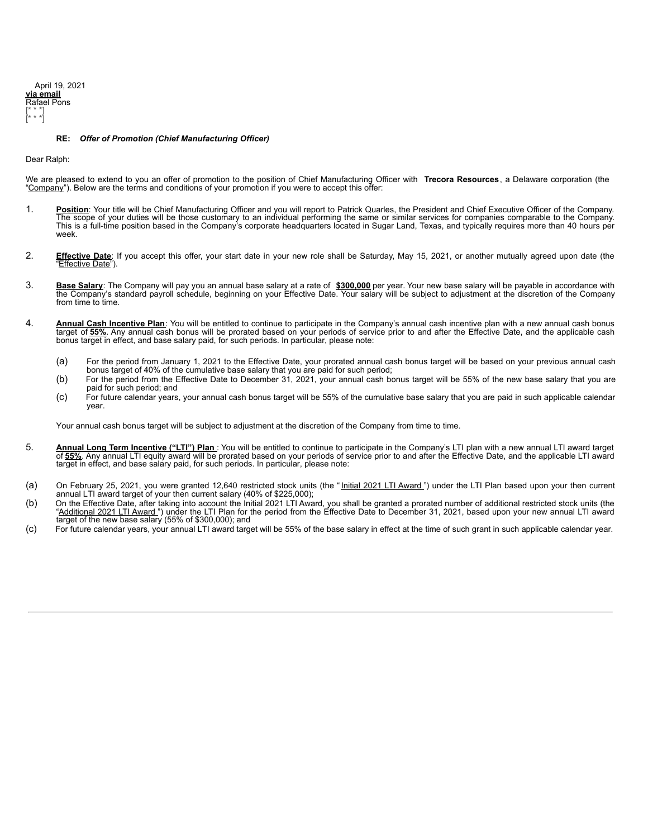

#### **RE:** *Offer of Promotion (Chief Manufacturing Officer)*

#### Dear Ralph:

We are pleased to extend to you an offer of promotion to the position of Chief Manufacturing Officer with **Trecora Resources**, a Delaware corporation (the<br>"<u>Company</u>"). Below are the terms and conditions of your promotion

- 1. Position: Your title will be Chief Manufacturing Officer and you will report to Patrick Quarles, the President and Chief Executive Officer of the Company.<br>The scope of your duties will be those customary to an individua This is a full-time position based in the Company's corporate headquarters located in Sugar Land, Texas, and typically requires more than 40 hours per week.
- 2. **Effective Date**: If you accept this offer, your start date in your new role shall be Saturday, May 15, 2021, or another mutually agreed upon date (the<br>"Effective Date").
- 3. **Base Salary**: The Company will pay you an annual base salary at a rate of \$300,000 per year. Your new base salary will be payable in accordance with the Company's standard payroll schedule, beginning on your Effective from time to time.
- 4. **Annual Cash Incentive Plan**: You will be entitled to continue to participate in the Company's annual cash incentive plan with a new annual cash bonus target of **55%**. Any annual cash bonus will be prorated based on your periods of service prior to and after the Effective Date, and the applicable cash bonus target in effect, and base salary paid, for such periods. In particular, please note:
	- (a) For the period from January 1, 2021 to the Effective Date, your prorated annual cash bonus target will be based on your previous annual cash bonus target of 40% of the cumulative base salary that you are paid for such period;
	- (b) For the period from the Effective Date to December 31, 2021, your annual cash bonus target will be 55% of the new base salary that you are paid for such period; and
	- (c) For future calendar years, your annual cash bonus target will be 55% of the cumulative base salary that you are paid in such applicable calendar year.

Your annual cash bonus target will be subject to adjustment at the discretion of the Company from time to time.

- 5. **Annual Long Term Incentive ("LTI") Plan**: You will be entitled to continue to participate in the Company's LTI plan with a new annual LTI award target of 55%. Any annual LTI equity award will be prorated based on your
- (a) On February 25, 2021, you were granted 12,640 restricted stock units (the "lnitial 2021 LTI Award") under the LTI Plan based upon your then current annual LTI award target of your then current salary (40% of \$225,000);
- (b) On the Effective Date, after taking into account the Initial 2021 LTI Award, you shall be granted a prorated number of additional restricted stock units (the "Additional 2021 LTI Award") under the LTI Plan for the peri target of the new base salary (55% of \$300,000); and
- (c) For future calendar years, your annual LTI award target will be 55% of the base salary in effect at the time of such grant in such applicable calendar year.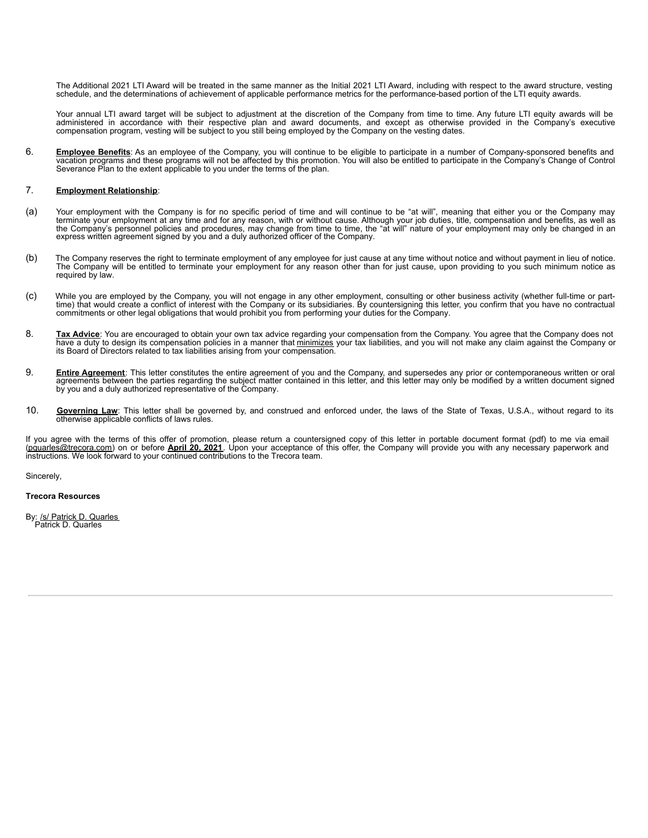The Additional 2021 LTI Award will be treated in the same manner as the Initial 2021 LTI Award, including with respect to the award structure, vesting schedule, and the determinations of achievement of applicable performance metrics for the performance-based portion of the LTI equity awards.

Your annual LTI award target will be subject to adjustment at the discretion of the Company from time to time. Any future LTI equity awards will be<br>administered in accordance with their respective plan and award documents,

6. **Employee Benefits**: As an employee of the Company, you will continue to be eligible to participate in a number of Company-sponsored benefits and vacation programs and these programs will not be affected by this promoti

## 7. **Employment Relationship**:

- (a) Your employment with the Company is for no specific period of time and will continue to be "at will", meaning that either you or the Company may terminate your employment at any time and for any reason, with or without cause. Although your job duties, title, compensation and benefits, as well as the Company's personnel policies and procedures, may change from time to time, the "at will" nature of your employment may only be changed in an express written agreement signed by you and a duly authorized officer of the Company.
- (b) The Company reserves the right to terminate employment of any employee for just cause at any time without notice and without payment in lieu of notice. The Company will be entitled to terminate your employment for any reason other than for just cause, upon providing to you such minimum notice as required by law.
- (c) While you are employed by the Company, you will not engage in any other employment, consulting or other business activity (whether full-time or parttime) that would create a conflict of interest with the Company or its subsidiaries. By countersigning this letter, you confirm that you have no contractual commitments or other legal obligations that would prohibit you from performing your duties for the Company.
- 8. **Tax Advice**: You are encouraged to obtain your own tax advice regarding your compensation from the Company. You agree that the Company does not have a duty to design its compensation policies in a manner that <u>minimizes</u> your tax liabilities, and you will not make any claim against the Company or<br>its Board of Directors related to tax liabilities arising from your
- 9. **Entire Agreement**: This letter constitutes the entire agreement of you and the Company, and supersedes any prior or contemporaneous written or oral agreements between the parties regarding the subject matter contained in this letter, and this letter may only be modified by a written document signed by you and a duly authorized representative of the Company.
- 10. **Governing Law**: This letter shall be governed by, and construed and enforced under, the laws of the State of Texas, U.S.A., without regard to its otherwise applicable conflicts of laws rules.

If you agree with the terms of this offer of promotion, please return a countersigned copy of this letter in portable document format (pdf) to me via email<br>(<u>pquarles@trecora.com</u>) on or before **April 20, 2021**. Upon your

Sincerely,

#### **Trecora Resources**

By: /s/ Patrick D. Quarles<br>Patrick D. Quarles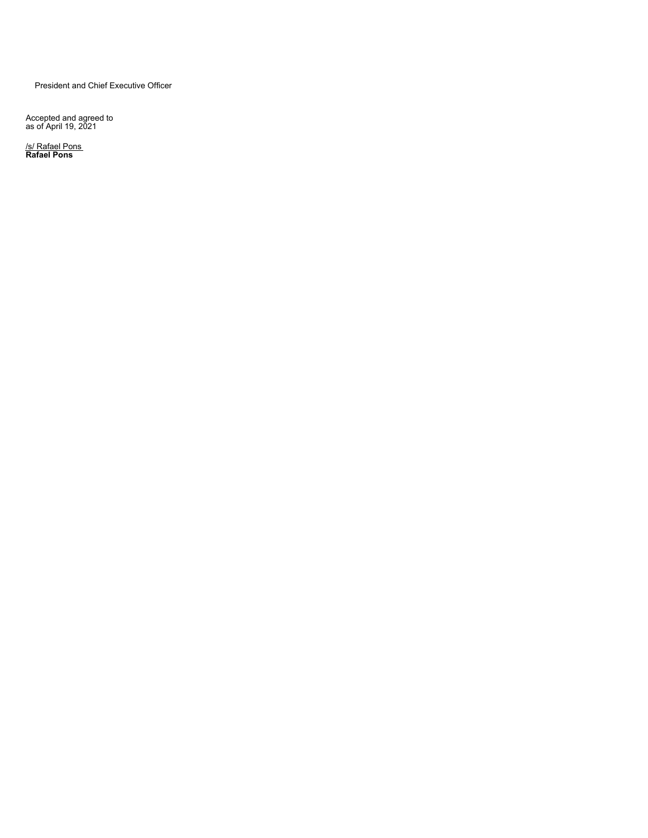President and Chief Executive Officer

Accepted and agreed to as of April 19, 2021

/s/ Rafael Pons **Rafael Pons**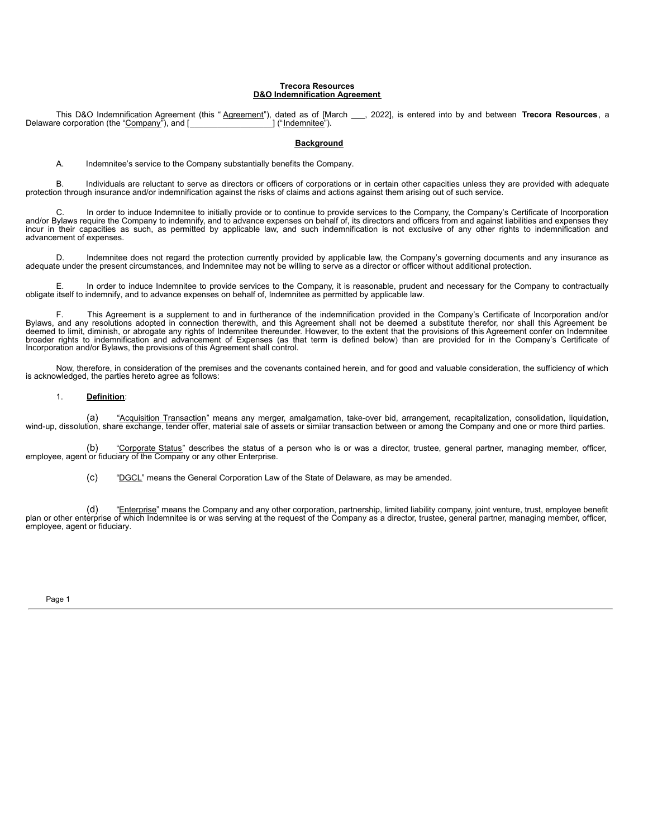#### **Trecora Resources D&O Indemnification Agreement**

This D&O Indemnification Agreement (this " Agreement"), dated as of [March \_\_\_, 2022], is entered into by and between **Trecora Resources**, a Delaware corporation (the "Company"), and [

### **Background**

A. Indemnitee's service to the Company substantially benefits the Company.

B. Individuals are reluctant to serve as directors or officers of corporations or in certain other capacities unless they are provided with adequate protection through insurance and/or indemnification against the risks of claims and actions against them arising out of such service.

C. In order to induce Indemnitee to initially provide or to continue to provide services to the Company, the Company's Certificate of Incorporation and/or Bylaws require the Company to indemnify, and to advance expenses on behalf of, its directors and officers from and against liabilities and expenses they incur in their capacities as such, as permitted by applicable law, and such indemnification is not exclusive of any other rights to indemnification and advancement of expenses.

D. Indemnitee does not regard the protection currently provided by applicable law, the Company's governing documents and any insurance as adequate under the present circumstances, and Indemnitee may not be willing to serve as a director or officer without additional protection.

E. In order to induce Indemnitee to provide services to the Company, it is reasonable, prudent and necessary for the Company to contractually obligate itself to indemnify, and to advance expenses on behalf of, Indemnitee as permitted by applicable law.

F. This Agreement is a supplement to and in furtherance of the indemnification provided in the Company's Certificate of Incorporation and/or Bylaws, and any resolutions adopted in connection therewith, and this Agreement shall not be deemed a substitute therefor, nor shall this Agreement be deemed to limit, diminish, or abrogate any rights of Indemnitee thereunder. However, to the extent that the provisions of this Agreement confer on Indemnitee broader rights to indemnification and advancement of Expenses (as that term is defined below) than are provided for in the Company's Certificate of Incorporation and/or Bylaws, the provisions of this Agreement shall control.

Now, therefore, in consideration of the premises and the covenants contained herein, and for good and valuable consideration, the sufficiency of which is acknowledged, the parties hereto agree as follows:

### 1. **Definition**:

(a) "Acquisition Transaction" means any merger, amalgamation, take-over bid, arrangement, recapitalization, consolidation, liquidation,<br>wind-up, dissolution, share exchange, tender offer, material sale of assets or similar

(b) "Corporate Status" describes the status of a person who is or was a director, trustee, general partner, managing member, officer, employee, agent or fiduciary of the Company or any other Enterprise.

(c) "DGCL" means the General Corporation Law of the State of Delaware, as may be amended.

(d) "Enterprise" means the Company and any other corporation, partnership, limited liability company, joint venture, trust, employee benefit<br>plan or other enterprise of which Indemnitee is or was serving at the request of employee, agent or fiduciary.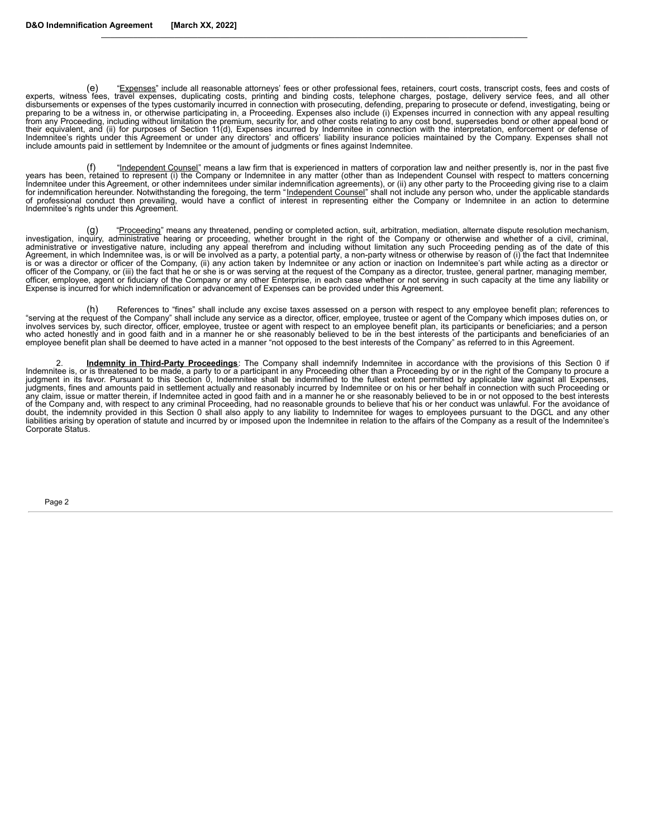(e) "Expenses" include all reasonable attorneys' fees or other professional fees, retainers, court costs, transcript costs, fees and costs of experts, witness`fees, travel expenses, duplicating costs, printing and binding costs, telephone charges, postage, delivery service fees, and all other<br>disbursements or expenses of the types customarily incurred in connect preparing to be a witness in, or otherwise participating in, a Proceeding. Expenses also include (i) Expenses incurred in connection with any appeal resulting<br>from any Proceeding, including without limitation the premium, their equivalent, and (ii) for purposes of Section 11(d), Expenses incurred by Indemnitee in connection with the interpretation, enforcement or defense of<br>Indemnitee's rights under this Agreement or under any directors' an include amounts paid in settlement by Indemnitee or the amount of judgments or fines against Indemnitee.

f) "Independent Counsel" means a law firm that is experienced in matters of corporation law and neither presently is, nor in the past five<br>years has been, retained to represent (i) the Company or Indemnitee in any matter ( Indemnitee under this Agreement, or other indemnitees under similar indemnification agreements), or (ii) any other party to the Proceeding giving rise to a claim<br>for indemnification hereunder. Notwithstanding the foregoing of professional conduct then prevailing, would have a conflict of interest in representing either the Company or Indemnitee in an action to determine Indemnitee's rights under this Agreement.

(g) "Proceeding" means any threatened, pending or completed action, suit, arbitration, mediation, alternate dispute resolution mechanism, investigation, inquiry, administrative hearing or proceeding, whether brought in the is or was a director or officer of the Company, (ii) any action taken by Indemnitee or any action or inaction on Indemnitee's part while acting as a director or<br>officer of the Company, or (iii) the fact that he or she is o Expense is incurred for which indemnification or advancement of Expenses can be provided under this Agreement.

(h) References to "fines" shall include any excise taxes assessed on a person with respect to any employee benefit plan; references to<br>serving at the request of the Company" shall include any service as a director, officer involves services by, such director, officer, employee, trustee or agent with respect to an employee benefit plan, its participants or beneficiaries; and a person who acted honestly and in good faith and in a manner he or she reasonably believed to be in the best interests of the participants and beneficiaries of an employee benefit plan shall be deemed to have acted in a manner "not opposed to the best interests of the Company" as referred to in this Agreement.

2. **Indemnity in Third-Party Proceedings**: The Company shall indemnify Indemnitee in accordance with the provisions of this Section 0 if Indemnitee is, or is threatened to be made, a party to or a participant in any Proceeding other than a Proceeding by or in the right of the Company to procure a<br>judgment in its favor. Pursuant to this Section 0, Indemnitee any claim, issue or matter therein, if Indemnitee acted in good faith and in a manner he or she reasonably believed to be in or not opposed to the best interests of the Company and, with respect to any criminal Proceeding, had no reasonable grounds to believe that his or her conduct was unlawful. For the avoidance of doubt, the indemnity provided in this Section 0 shall also apply to any liability to Indemnitee for wages to employees pursuant to the DGCL and any other<br>liabilities arising by operation of statute and incurred by or impos Corporate Status.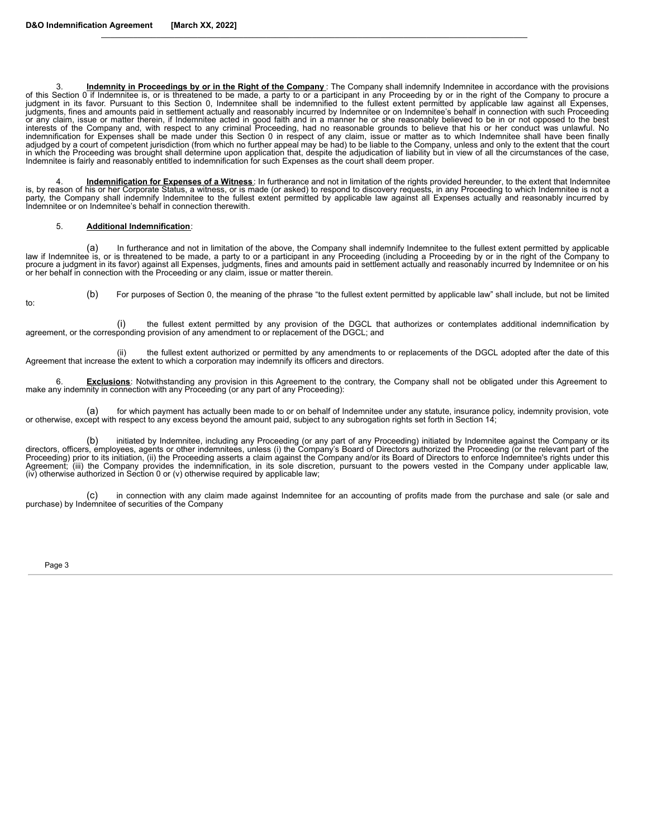3. **Indemnity in Proceedings by or in the Right of the Company** : The Company shall indemnify Indemnitee in accordance with the provisions of this Section 0 if Indemnitee is, or is threatened to be made, a party to or a participant in any Proceeding by or in the right of the Company to procure a<br>judgment in its favor. Pursuant to this Section 0, Indemnitee sh judgments, fines and amounts paid in settlement actually and reasonably incurred by Indemnitee or on Indemnitee's behalf in connection with such Proceeding or any claim, issue or matter therein, if Indemnitee acted in good faith and in a manner he or she reasonably believed to be in or not opposed to the best<br>interests of the Company and, with respect to any criminal Proceedi indemnification for Expenses shall be made under this Section 0 in respect of any claim, issue or matter as to which Indemnitee shall have been finally adjudged by a court of competent jurisdiction (from which no further appeal may be had) to be liable to the Company, unless and only to the extent that the court in which the Proceeding was brought shall determine upon application that, despite the adjudication of liability but in view of all the circumstances of the case, Indemnitee is fairly and reasonably entitled to indemnification for such Expenses as the court shall deem proper.

4. **Indemnification for Expenses of a Witness**: In furtherance and not in limitation of the rights provided hereunder, to the extent that Indemnitee is, by reason of his or her Corporate Status, a witness, or is made (or asked) to respond to discovery requests, in any Proceeding to which Indemnitee is not a<br>party, the Company shall indemnify Indemnitee to the fullest e Indemnitee or on Indemnitee's behalf in connection therewith.

#### 5. **Additional Indemnification**:

(a) In furtherance and not in limitation of the above, the Company shall indemnify Indemnitee to the fullest extent permitted by applicable law if Indemnitee is, or is threatened to be made, a party to or a participant in any Proceeding (including a Proceeding by or in the right of the Company to procure a judgment in its favor) against all Expenses, judgments, fines and amounts paid in settlement actually and reasonably incurred by Indemnitee or on his or her behalf in connection with the Proceeding or any claim, issue or matter therein.

to:

(b) For purposes of Section 0, the meaning of the phrase "to the fullest extent permitted by applicable law" shall include, but not be limited

(i) the fullest extent permitted by any provision of the DGCL that authorizes or contemplates additional indemnification by agreement, or the corresponding provision of any amendment to or replacement of the DGCL; and

the fullest extent authorized or permitted by any amendments to or replacements of the DGCL adopted after the date of this Agreement that increase the extent to which a corporation may indemnify its officers and directors.

6. **Exclusions**: Notwithstanding any provision in this Agreement to the contrary, the Company shall not be obligated under this Agreement to make any indemnity in connection with any Proceeding (or any part of any Proceeding):

(a) for which payment has actually been made to or on behalf of Indemnitee under any statute, insurance policy, indemnity provision, vote<br>(a) or otherwise, except with respect to any excess beyond the amount paid, subject

(b) initiated by Indemnitee, including any Proceeding (or any part of any Proceeding) initiated by Indemnitee against the Company or its<br>directors, officers, employees, agents or other indemnitees, unless (i) the Company's Proceeding) prior to its initiation, (ii) the Proceeding asserts a claim against the Company and/or its Board of Directors to enforce Indemnitee's rights under this Agreement; (iii) the Company provides the indemnification, in its sole discretion, pursuant to the powers vested in the Company under applicable law, (iv) otherwise authorized in Section 0 or (v) otherwise required by applicable law;

(c) in connection with any claim made against Indemnitee for an accounting of profits made from the purchase and sale (or sale and purchase) by Indemnitee of securities of the Company

Page 3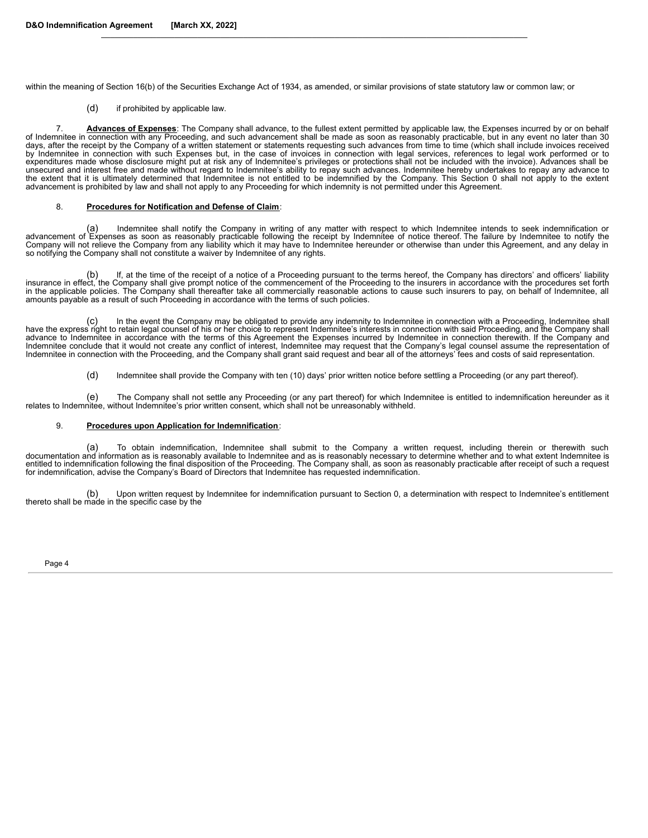within the meaning of Section 16(b) of the Securities Exchange Act of 1934, as amended, or similar provisions of state statutory law or common law; or

(d) if prohibited by applicable law.

7. **Advances of Expenses**: The Company shall advance, to the fullest extent permitted by applicable law, the Expenses incurred by or on behalf<br>130 of Indemnitee in connection with any Proceeding, and such advancement shall days, after the receipt by the Company of a written statement or statements requesting such advances from time to time (which shall include invoices received by Indemnitee in connection with such Expenses but, in the case of invoices in connection with legal services, references to legal work performed or to expenditures made whose disclosure might put at risk any of Indemnitee's privileges or protections shall not be included with the invoice). Advances shall be unsecured and interest free and made without regard to Indemnitee's ability to repay such advances. Indemnitee hereby undertakes to repay any advance to<br>the extent that it is ultimately determined that Indemnitee is not en advancement is prohibited by law and shall not apply to any Proceeding for which indemnity is not permitted under this Agreement.

#### 8. **Procedures for Notification and Defense of Claim**:

(a) Indemnitee shall notify the Company in writing of any matter with respect to which Indemnitee intends to seek indemnification or<br>advancement of Expenses as soon as reasonably practicable following the receipt by Indemn Company will not relieve the Company from any liability which it may have to Indemnitee hereunder or otherwise than under this Agreement, and any delay in so notifying the Company shall not constitute a waiver by Indemnitee of any rights.

(b) If, at the time of the receipt of a notice of a Proceeding pursuant to the terms hereof, the Company has directors' and officers' liability<br>insurance in effect, the Company shall give prompt notice of the commencement in the applicable policies. The Company shall thereafter take all commercially reasonable actions to cause such insurers to pay, on behalf of Indemnitee, all<br>amounts payable as a result of such Proceeding in accordance wit

(c) In the event the Company may be obligated to provide any indemnity to Indemnitee in connection with a Proceeding, Indemnitee shall have the express right to retain legal counsel of his or her choice to represent Indemnitee's interests in connection with said Proceeding, and the Company shall advance to Indemnitee in accordance with the terms of this Agreement the Expenses incurred by Indemnitee in connection therewith. If the Company and Indemnitee conclude that it would not create any conflict of interest, Indemnitee may request that the Company's legal counsel assume the representation of Indemnitee in connection with the Proceeding, and the Company shall grant said request and bear all of the attorneys' fees and costs of said representation.

(d) Indemnitee shall provide the Company with ten (10) days' prior written notice before settling a Proceeding (or any part thereof).

(e) The Company shall not settle any Proceeding (or any part thereof) for which Indemnitee is entitled to indemnification hereunder as it relates to Indemnitee, without Indemnitee's prior written consent, which shall not be unreasonably withheld.

#### 9. **Procedures upon Application for Indemnification**:

(a) To obtain indemnification, Indemnitee shall submit to the Company a written request, including therein or therewith such<br>documentation and information as is reasonably available to Indemnitee and as is reasonably neces entitled to indemnification following the final disposition of the Proceeding. The Company shall, as soon as reasonably practicable after receipt of such a request for indemnification, advise the Company's Board of Directors that Indemnitee has requested indemnification.

(b) Upon written request by Indemnitee for indemnification pursuant to Section 0, a determination with respect to Indemnitee's entitlement thereto shall be made in the specific case by the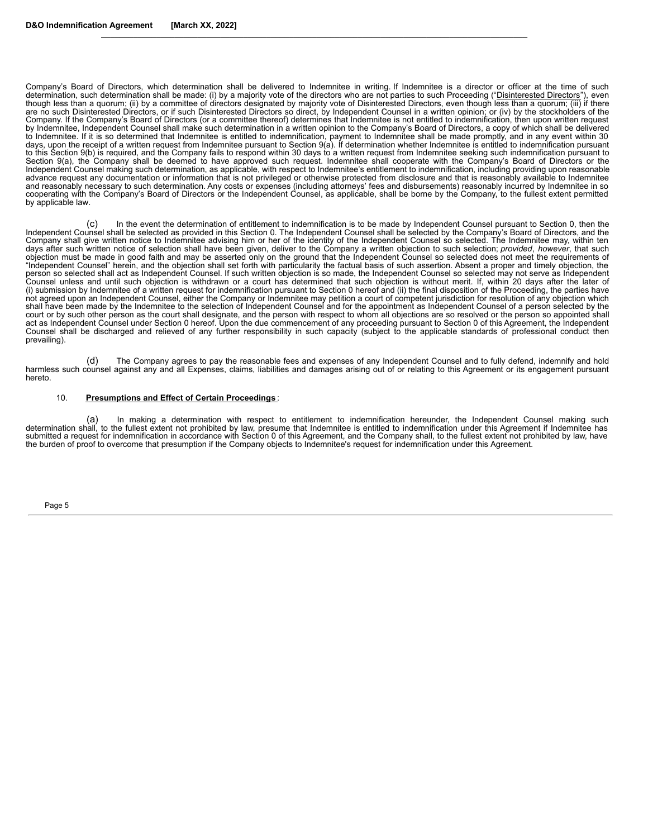Company's Board of Directors, which determination shall be delivered to Indemnitee in writing. If Indemnitee is a director or officer at the time of such determination, such determination shall be made: (i) by a majority vote of the directors who are not parties to such Proceeding ("<u>Disinterested Directors</u>"), even<br>though less than a quorum; (ii) by a committee of director are no such Disinterested Directors, or if such Disinterested Directors so direct, by Independent Counsel in a written opinion; or (iv) by the stockholders of the Company. If the Company's Board of Directors (or a committee thereof) determines that Indemnitee is not entitled to indemnification, then upon written request by Indemnitee, Independent Counsel shall make such determination in a written opinion to the Company's Board of Directors, a copy of which shall be delivered to Indemnitee. If it is so determined that Indemnitee is entitled to indemnification, payment to Indemnitee shall be made promptly, and in any event within 30<br>days, upon the receipt of a written request from Indemnitee pur to this Section 9(b) is required, and the Company fails to respond within 30 days to a written request from Indemnitee seeking such indemnification pursuant to Section 9(a), the Company shall be deemed to have approved such request. Indemnitee shall cooperate with the Company's Board of Directors or the Independent Counsel making such determination, as applicable, with respect to Indemnitee's entitlement to indemnification, including providing upon reasonable advance request any documentation or information that is not privileged or otherwise protected from disclosure and that is reasonably available to Indemnitee and reasonably necessary to such determination. Any costs or expenses (including attorneys' fees and disbursements) reasonably incurred by Indemnitee in so<br>cooperating with the Company's Board of Directors or the Independe by applicable law.

(c) In the event the determination of entitlement to indemnification is to be made by Independent Counsel pursuant to Section 0, then the Independent Counsel shall be selected as provided in this Section 0. The Independent Counsel shall be selected by the Company's Board of Directors, and the Company shall give written notice to Indemnitee advising him or her of the identity of the Independent Counsel so selected. The Indemnitee may, within ten days after such written notice of selection shall have been given, deliver to the Company a written objection to such selection; *provided*, *however*, that such objection must be made in good faith and may be asserted only on the ground that the Independent Counsel so selected does not meet the requirements of "Independent Counsel" herein, and the objection shall set forth with particularity the factual basis of such assertion. Absent a proper and timely objection, the person so selected shall act as Independent Counsel. If such written objection is so made, the Independent Counsel so selected may not serve as Independent Counsel unless and until such objection is withdrawn or a court has determined that such objection is without merit. If, within 20 days after the later of (i) submission by Indemnitee of a written request for indemnification pursuant to Section 0 hereof and (ii) the final disposition of the Proceeding, the parties have not agreed upon an Independent Counsel, either the Company or Indemnitee may petition a court of competent jurisdiction for resolution of any objection which<br>shall have been made by the Indemnitee to the selection of Indep court or by such other person as the court shall designate, and the person with respect to whom all objections are so resolved or the person so appointed shall act as Independent Counsel under Section 0 hereof. Upon the due commencement of any proceeding pursuant to Section 0 of this Agreement, the Independent<br>Counsel shall be discharged and relieved of any further responsibility prevailing).

(d) The Company agrees to pay the reasonable fees and expenses of any Independent Counsel and to fully defend, indemnify and hold harmless such counsel against any and all Expenses, claims, liabilities and damages arising out of or relating to this Agreement or its engagement pursuant hereto.

#### 10. **Presumptions and Effect of Certain Proceedings** :

(a) In making a determination with respect to entitlement to indemnification hereunder, the Independent Counsel making such determination shall, to the fullest extent not prohibited by law, presume that Indemnitee is entitled to indemnification under this Agreement if Indemnitee has<br>submitted a request for indemnification in accordance with Sec the burden of proof to overcome that presumption if the Company objects to Indemnitee's request for indemnification under this Agreement.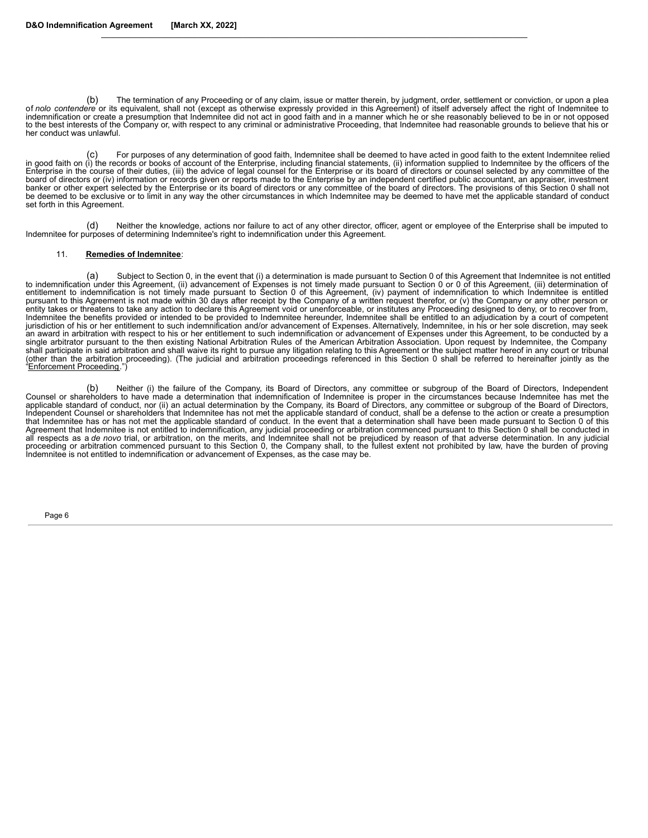(b) The termination of any Proceeding or of any claim, issue or matter therein, by judgment, order, settlement or conviction, or upon a plea of *nolo contendere* or its equivalent, shall not (except as otherwise expressly provided in this Agreement) of itself adversely affect the right of Indemnitee to indemnification or create a presumption that Indemnitee did not act in good faith and in a manner which he or she reasonably believed to be in or not opposed to the best interests of the Company or, with respect to any criminal or administrative Proceeding, that Indemnitee had reasonable grounds to believe that his or her conduct was unlawful.

(c) For purposes of any determination of good faith, Indemnitee shall be deemed to have acted in good faith to the extent Indemnitee relied<br>in good faith on (i) the records or books of account of the Enterprise, including board of directors or (iv) information or records given or reports made to the Enterprise by an independent certified public accountant, an appraiser, investment<br>banker or other expert selected by the Enterprise or its boa be deemed to be exclusive or to limit in any way the other circumstances in which Indemnitee may be deemed to have met the applicable standard of conduct set forth in this Agreement.

(d) Neither the knowledge, actions nor failure to act of any other director, officer, agent or employee of the Enterprise shall be imputed to Indemnitee for purposes of determining Indemnitee's right to indemnification under this Agreement.

#### 11. **Remedies of Indemnitee**:

(a) Subject to Section 0, in the event that (i) a determination is made pursuant to Section 0 of this Agreement that Indemnitee is not entitled to indemnification under this Agreement, (ii) advancement of Expenses is not timely made pursuant to Section 0 or 0 of this Agreement, (iii) determination of<br>entitlement to indemnification is not timely made pursuant to Se pursuant to this Agreement is not made within 30 days after receipt by the Company of a written request therefor, or (v) the Company or any other person or entity takes or threatens to take any action to declare this Agreement void or unenforceable, or institutes any Proceeding designed to deny, or to recover from, Indemnitee the benefits provided or intended to be provided to Indemnitee hereunder, Indemnitee shall be entitled to an adjudication by a court of competent<br>jurisdiction of his or her entitlement to such indemnification an an award in arbitration with respect to his or her entitlement to such indemnification or advancement of Expenses under this Agreement, to be conducted by a single arbitrator pursuant to the then existing National Arbitration Rules of the American Arbitration Association. Upon request by Indemnitee, the Company shall participate in said arbitration and shall waive its right to pursue any litigation relating to this Agreement or the subject matter hereof in any court or tribunal (other than the arbitration proceeding). (The judicial and arbitration proceedings referenced in this Section 0 shall be referred to hereinafter jointly as the<br>"Enforcement Proceeding.")

(b) Neither (i) the failure of the Company, its Board of Directors, any committee or subgroup of the Board of Directors, Independent Counsel or shareholders to have made a determination that indemnification of Indemnitee is proper in the circumstances because Indemnitee has met the<br>applicable standard of conduct, nor (ii) an actual determination by the Independent Counsel or shareholders that Indemnitee has not met the applicable standard of conduct, shall be a defense to the action or create a presumption that Indemnitee has or has not met the applicable standard of conduct. In the event that a determination shall have been made pursuant to Section 0 of this Agreement that Indemnitee is not entitled to indemnification, any judicial proceeding or arbitration commenced pursuant to this Section 0 shall be conducted in all respects as a *de novo* trial, or arbitration, on the merits, and Indemnitee shall not be prejudiced by reason of that adverse determination. In any judicial proceeding or arbitration commenced pursuant to this Section 0, the Company shall, to the fullest extent not prohibited by law, have the burden of proving Indemnitee is not entitled to indemnification or advancement of Expenses, as the case may be.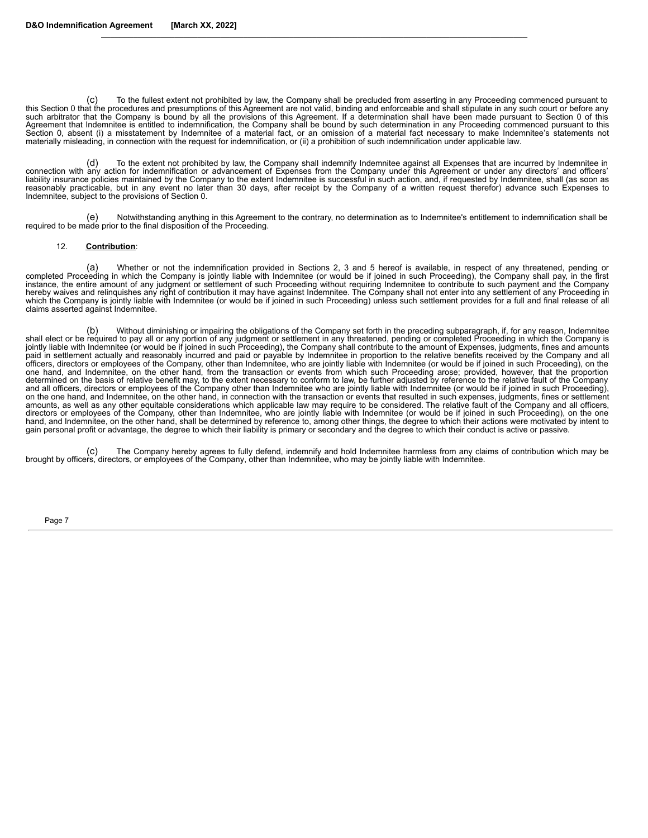(c) To the fullest extent not prohibited by law, the Company shall be precluded from asserting in any Proceeding commenced pursuant to this Section 0 that the procedures and presumptions of this Agreement are not valid, binding and enforceable and shall stipulate in any such court or before any such arbitrator that the Company is bound by all the provisions of this Agreement. If a determination shall have been made pursuant to Section 0 of this Agreement that Indemnitee is entitled to indemnification, the Company shall be bound by such determination in any Proceeding commenced pursuant to this Section 0, absent (i) a misstatement by Indemnitee of a material fact, or an omission of a material fact necessary to make Indemnitee's statements not<br>materially misleading, in connection with the request for indemnificati

(d) To the extent not prohibited by law, the Company shall indemnify Indemnitee against all Expenses that are incurred by Indemnitee in<br>connection with any action for indemnification or advancement of Expenses from the Com Indemnitee, subject to the provisions of Section 0.

(e) Notwithstanding anything in this Agreement to the contrary, no determination as to Indemnitee's entitlement to indemnification shall be required to be made prior to the final disposition of the Proceeding.

#### 12. **Contribution**:

(a) Whether or not the indemnification provided in Sections 2, 3 and 5 hereof is available, in respect of any threatened, pending or completed Proceeding in which the Company is jointly liable with Indemnitee (or would be if joined in such Proceeding), the Company shall pay, in the first instance, the entire amount of any judgment or settlement of such Proceeding without requiring Indemnitee to contribute to such payment and the Company hereby waives and relinquishes any right of contribution it may have against Indemnitee. The Company shall not enter into any settlement of any Proceeding in which the Company is jointly liable with Indemnitee (or would be if joined in such Proceeding) unless such settlement provides for a full and final release of all claims asserted against Indemnitee.

(b) Without diminishing or impairing the obligations of the Company set forth in the preceding subparagraph, if, for any reason, Indemnitee shall elect or be required to pay all or any portion of any judgment or settlement in any threatened, pending or completed Proceeding in which the Company is<br>jointly liable with Indemnitee (or would be if joined in such Pr determined on the basis of relative benefit may, to the extent necessary to conform to law, be further adjusted by reference to the relative fault of the Company<br>and all officers, directors or employees of the Company othe on the one hand, and Indemnitee, on the other hand, in connection with the transaction or events that resulted in such expenses, judgments, fines or settlement<br>amounts, as well as any other equitable considerations which a directors or employees of the Company, other than Indemnitee, who are jointly liable with Indemnitee (or would be if joined in such Proceeding), on the one hand, and Indemnitee, on the other hand, shall be determined by reference to, among other things, the degree to which their actions were motivated by intent to gain personal profit or advantage, the degree to which their liability is primary or secondary and the degree to which their conduct is active or passive.

(c) The Company hereby agrees to fully defend, indemnify and hold Indemnitee harmless from any claims of contribution which may be brought by officers, directors, or employees of the Company, other than Indemnitee, who may be jointly liable with Indemnitee.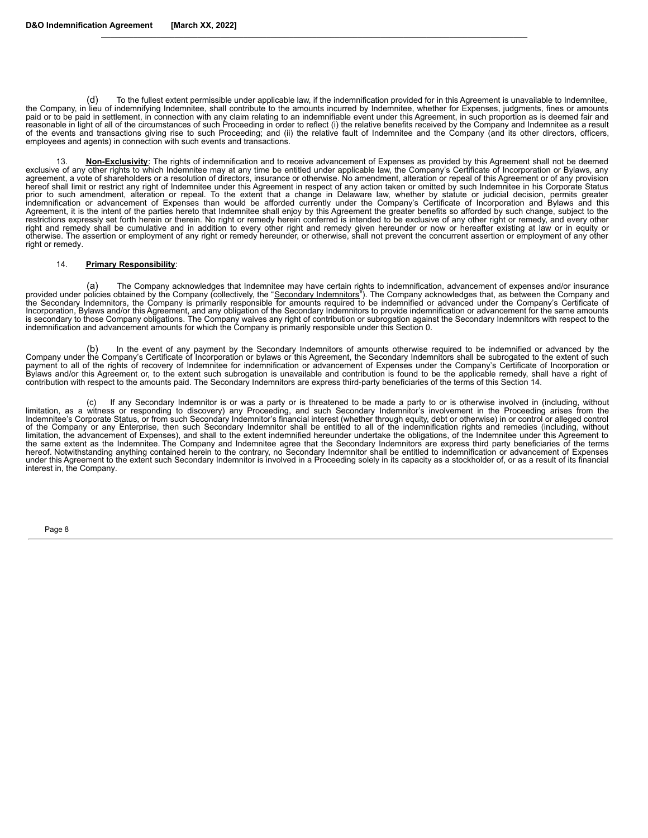(d) To the fullest extent permissible under applicable law, if the indemnification provided for in this Agreement is unavailable to Indemnitee, the Company, in lieu of indemnifying Indemnitee, shall contribute to the amounts incurred by Indemnitee, whether for Expenses, judgments, fines or amounts paid or to be paid in settlement, in connection with any claim relating to an indemnifiable event under this Agreement, in such proportion as is deemed fair and<br>reasonable in light of all of the circumstances of such Proce of the events and transactions giving rise to such Proceeding; and (ii) the relative fault of Indemnitee and the Company (and its other directors, officers, employees and agents) in connection with such events and transactions.

13. **Non-Exclusivity**: The rights of indemnification and to receive advancement of Expenses as provided by this Agreement shall not be deemed exclusive of any other rights to which Indemnitee may at any time be entitled under applicable law, the Company's Certificate of Incorporation or Bylaws, any<br>agreement, a vote of shareholders or a resolution of directors, hereof shall limit or restrict any right of Indemnitee under this Agreement in respect of any action taken or omitted by such Indemnitee in his Corporate Status prior to such amendment, alteration or repeal. To the extent that a change in Delaware law, whether by statute or judicial decision, permits greater indemnification or advancement of Expenses than would be afforded currently under the Company's Certificate of Incorporation and Bylaws and this<br>Agreement, it is the intent of the parties hereto that Indemnitee shall enjoy restrictions expressly set forth herein or therein. No right or remedy herein conferred is intended to be exclusive of any other right or remedy, and every other right and remedy shall be cumulative and in addition to every other right and remedy given hereunder or now or hereafter existing at law or in equity or<br>otherwise. The assertion or employment of any right or remedy hereund right or remedy.

#### 14. **Primary Responsibility**:

(a) The Company acknowledges that Indemnitee may have certain rights to indemnification, advancement of expenses and/or insurance provided under policies obtained by the Company (collectively, the "Secondary Indemnitors"). The Company acknowledges that, as between the Company and<br>the Secondary Indemnitors, the Company is primarily responsible for amo

(b) In the event of any payment by the Secondary Indemnitors of amounts otherwise required to be indemnified or advanced by the Company under the Company's Certificate of Incorporation or bylaws or this Agreement, the Seco payment to all of the rights of recovery of Indemnitee for indemnification or advancement of Expenses under the Company's Certificate of Incorporation or Bylaws and/or this Agreement or, to the extent such subrogation is unavailable and contribution is found to be the applicable remedy, shall have a right of contribution with respect to the amounts paid. The Secondary Indemnitors are express third-party beneficiaries of the terms of this Section 14.

c) If any Secondary Indemnitor is or was a party or is threatened to be made a party to or is otherwise involved in (including, without<br>limitation, as a witness or responding to discovery) any Proceeding, and such Secondar Indemnitee's Corporate Status, or from such Secondary Indemnitor's financial interest (whether through equity, debt or otherwise) in or control or alleged control of the Company or any Enterprise, then such Secondary Indemnitor shall be entitled to all of the indemnification rights and remedies (including, without limitation, the advancement of Expenses), and shall to the extent indemnified hereunder undertake the obligations, of the Indemnitee under this Agreement to the same extent as the Indemnitee. The Company and Indemnitee agree that the Secondary Indemnitors are express third party beneficiaries of the terms<br>hereof. Notwithstanding anything contained herein to the contrary, no Se under this Agreement to the extent such Secondary Indemnitor is involved in a Proceeding solely in its capacity as a stockholder of, or as a result of its financial interest in, the Company.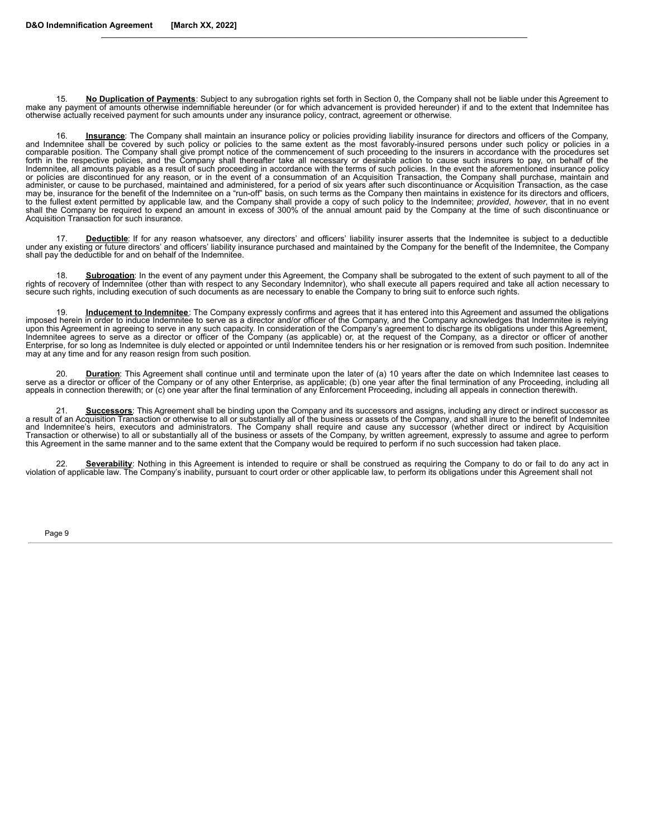15. No Duplication of Payments: Subject to any subrogation rights set forth in Section 0, the Company shall not be liable under this Agreement to make any payment of amounts otherwise indemnifiable hereunder (or for which otherwise actually received payment for such amounts under any insurance policy, contract, agreement or otherwise.

.16. **Insurance**: The Company shall maintain an insurance policy or policies providing liability insurance for directors and officers of the Company,<br>and Indemnitee shall be covered by such policy or policies to the same e comparable position. The Company shall give prompt notice of the commencement of such proceeding to the insurers in accordance with the procedures set<br>forth in the respective policies, and the Company shall thereafter take or policies are discontinued for any reason, or in the event of a consummation of an Acquisition Transaction, the Company shall purchase, maintain and<br>administer, or cause to be purchased, maintained and administered, for to the fullest extent permitted by applicable law, and the Company shall provide a copy of such policy to the Indemnitee; *provided, however*, that in no event<br>shall the Company be required to expend an amount in excess of Acquisition Transaction for such insurance.

17. **Deductible**: If for any reason whatsoever, any directors' and officers' liability insurer asserts that the Indemnitee is subject to a deductible under any existing or future directors' and officers' liability insurance purchased and maintained by the Company for the benefit of the Indemnitee, the Company shall pay the deductible for and on behalf of the Indemnitee.

18. **Subrogation**: In the event of any payment under this Agreement, the Company shall be subrogated to the extent of such payment to all of the rights of recovery of Indemnitee (other than with respect to any Secondary Indemnitor), who shall execute all papers required and take all action necessary to secure such rights, including execution of such documents as are necessary to enable the Company to bring suit to enforce such rights.

19. **Inducement to Indemnitee**: The Company expressly confirms and agrees that it has entered into this Agreement and assumed the obligations imposed herein in order to induce Indemnitee to serve as a director and/or officer of the Company, and the Company acknowledges that Indemnitee is relying upon this Agreement in agreeing to serve in any such capacity. In consideration of the Company's agreement to discharge its obligations under this Agreement,<br>Indemnitee agrees to serve as a director or officer of the Compa Enterprise, for so long as Indemnitee is duly elected or appointed or until Indemnitee tenders his or her resignation or is removed from such position. Indemnitee may at any time and for any reason resign from such position.

**Duration**: This Agreement shall continue until and terminate upon the later of (a) 10 years after the date on which Indemnitee last ceases to serve as a director or officer of the Company or of any other Enterprise, as applicable; (b) one year after the final termination of any Proceeding, including all appeals in connection therewith; or (c) one year after the final termination of any Enforcement Proceeding, including all appeals in connection therewith.

21. **Successors**: This Agreement shall be binding upon the Company and its successors and assigns, including any direct or indirect successor as a result of an Acquisition Transaction or otherwise to all or substantially all of the business or assets of the Company, and shall inure to the benefit of Indemnitee and Indemnitee's heirs, executors and administrators. The Company shall require and cause any successor (whether direct or indirect by Acquisition Transaction or otherwise) to all or substantially all of the business or assets of the Company, by written agreement, expressly to assume and agree to perform this Agreement in the same manner and to the same extent that the Company would be required to perform if no such succession had taken place.

22. **Severability**: Nothing in this Agreement is intended to require or shall be construed as requiring the Company to do or fail to do any act in violation of applicable law. The Company's inability, pursuant to court order or other applicable law, to perform its obligations under this Agreement shall not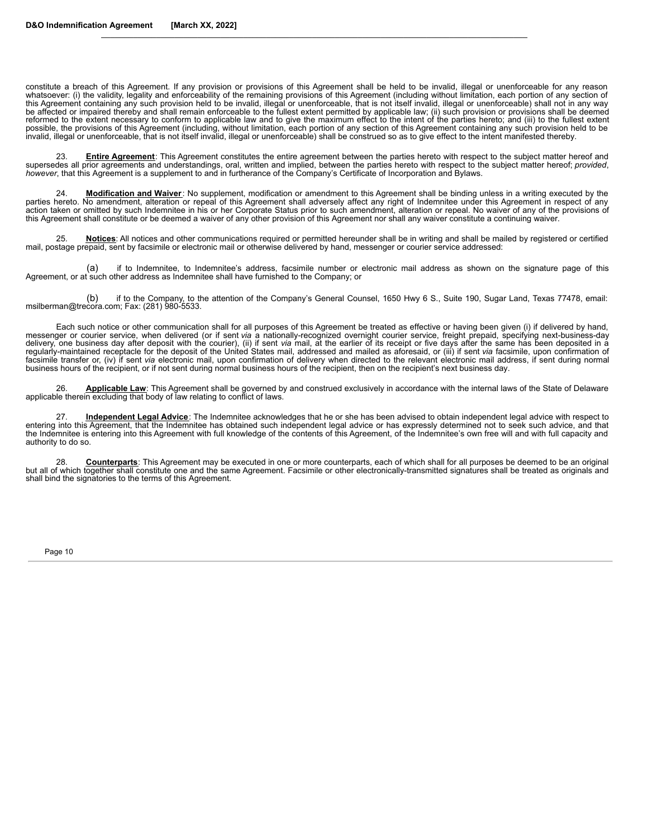constitute a breach of this Agreement. If any provision or provisions of this Agreement shall be held to be invalid, illegal or unenforceable for any reason whatsoever: (i) the validity, legality and enforceability of the remaining provisions of this Agreement (including without limitation, each portion of any section of<br>this Agreement containing any such provision held to be reformed to the extent necessary to conform to applicable law and to give the maximum effect to the intent of the parties hereto; and (iii) to the fullest extent<br>possible, the provisions of this Agreement (including, witho invalid, illegal or unenforceable, that is not itself invalid, illegal or unenforceable) shall be construed so as to give effect to the intent manifested thereby.

23. **Entire Agreement**: This Agreement constitutes the entire agreement between the parties hereto with respect to the subject matter hereof and supersedes all prior agreements and understandings, oral, written and implied, between the parties hereto with respect to the subject matter hereof; *provided*,<br>*however*, that this Agreement is a supplement to and in furt

24. Modification and Waiver: No supplement, modification or amendment to this Agreement shall be binding unless in a writing executed by the<br>parties hereto. No amendment, alteration or repeal of this Agreement shall advers this Agreement shall constitute or be deemed a waiver of any other provision of this Agreement nor shall any waiver constitute a continuing waiver.

25. **Notices**: All notices and other communications required or permitted hereunder shall be in writing and shall be mailed by registered or certified mail, postage prepaid, sent by facsimile or electronic mail or otherwise delivered by hand, messenger or courier service addressed:

(a) if to Indemnitee, to Indemnitee's address, facsimile number or electronic mail address as shown on the signature page of this Agreement, or at such other address as Indemnitee shall have furnished to the Company; or

(b) if to the Company, to the attention of the Company's General Counsel, <sup>1650</sup> Hwy <sup>6</sup> S., Suite 190, Sugar Land, Texas 77478, email: msilberman@trecora.com; Fax: (281) 980-5533.

Each such notice or other communication shall for all purposes of this Agreement be treated as effective or having been given (i) if delivered by hand,<br>messenger or courier service, when delivered (or if sent via a nationa regularly-maintained receptacle for the deposit of the United States mail, addressed and mailed as aforesaid, or (iii) if sent *via* facsimile, upon confirmation of facsimile transfer or, (iv) if sent *via* electronic mail, upon confirmation of delivery when directed to the relevant electronic mail address, if sent during normal business hours of the recipient, or if not sent during normal business hours of the recipient, then on the recipient's next business day.

26. **Applicable Law**: This Agreement shall be governed by and construed exclusively in accordance with the internal laws of the State of Delaware applicable therein excluding that body of law relating to conflict of laws.

27. **Independent Legal Advice**: The Indemnitee acknowledges that he or she has been advised to obtain independent legal advice with respect to entering into this Agreement, that the Indemnitee has obtained such independent legal advice or has expressly determined not to seek such advice, and that<br>the Indemnitee is entering into this Agreement with full knowledge authority to do so.

28. Counterparts: This Agreement may be executed in one or more counterparts, each of which shall for all purposes be deemed to be an original<br>but all of which together shall constitute one and the same Agreement. Facsimil shall bind the signatories to the terms of this Agreement.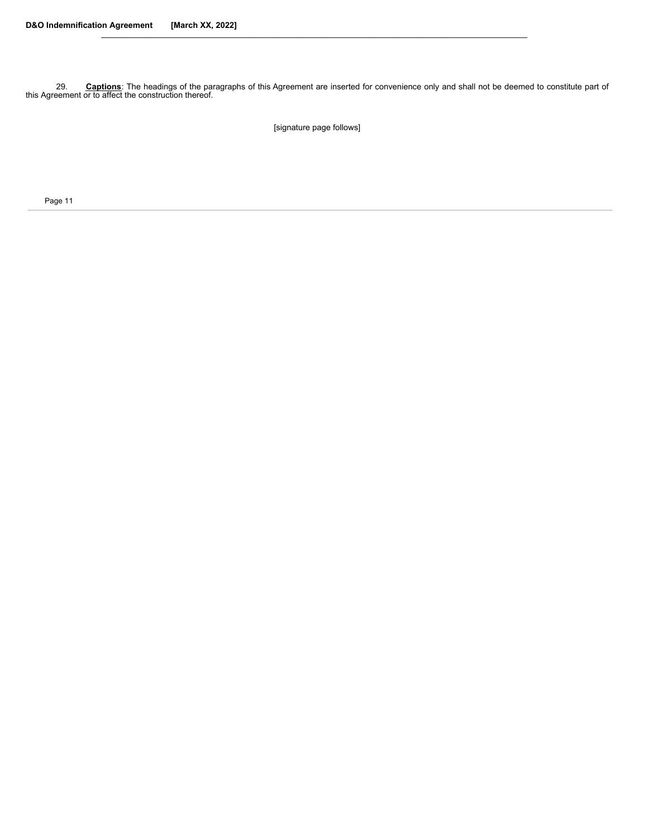29. Captions: The headings of the paragraphs of this Agreement are inserted for convenience only and shall not be deemed to constitute part of<br>this Agreement or to affect the construction thereof.

[signature page follows]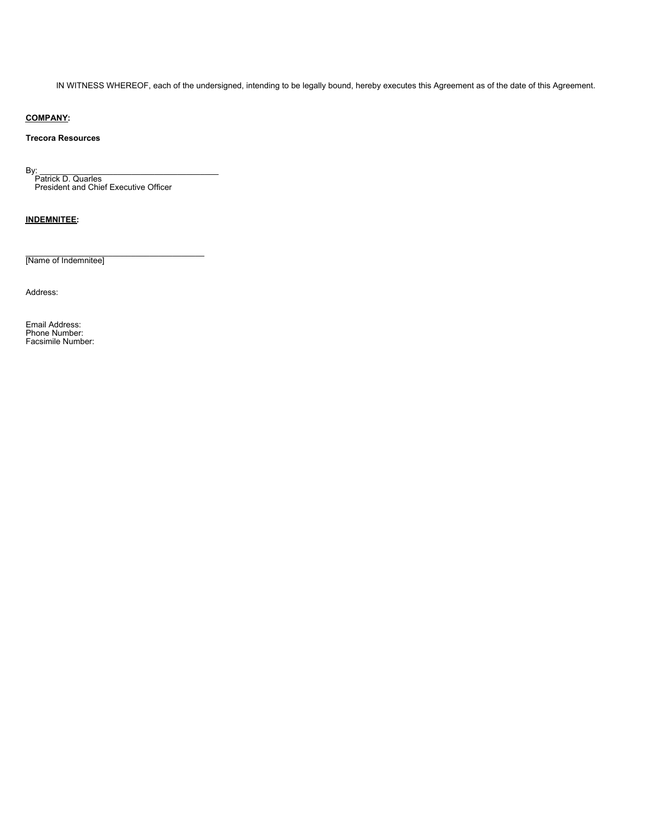IN WITNESS WHEREOF, each of the undersigned, intending to be legally bound, hereby executes this Agreement as of the date of this Agreement.

## **COMPANY:**

## **Trecora Resources**

By: \_\_\_\_\_\_\_\_\_\_\_\_\_\_\_\_\_\_\_\_\_\_\_\_\_\_\_\_\_\_\_\_\_\_\_\_\_\_\_ Patrick D. Quarles President and Chief Executive Officer

## **INDEMNITEE:**

\_\_\_\_\_\_\_\_\_\_\_\_\_\_\_\_\_\_\_\_\_\_\_\_\_\_\_\_\_\_\_\_\_\_\_\_\_\_\_ [Name of Indemnitee]

Address:

Email Address: Phone Number: Facsimile Number: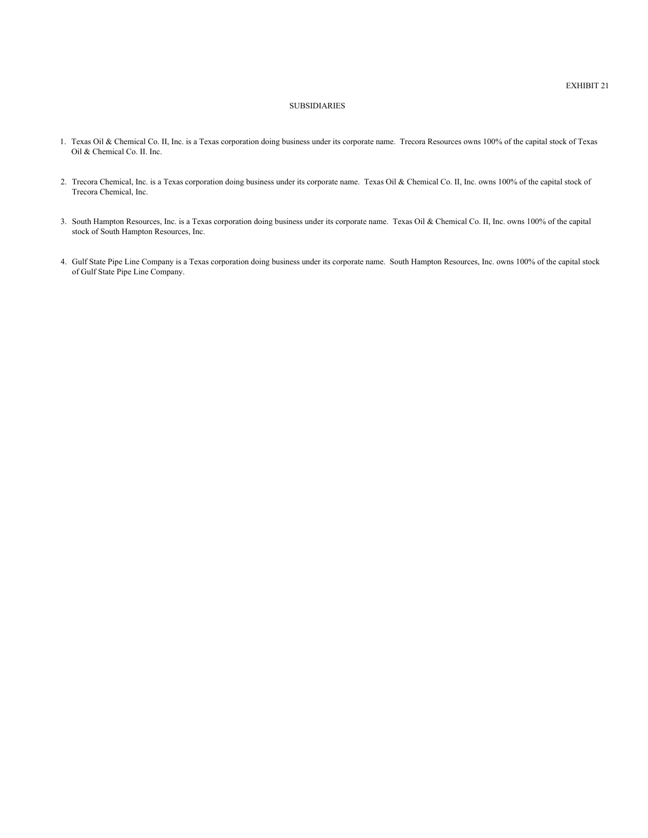### EXHIBIT 21

### SUBSIDIARIES

- 1. Texas Oil & Chemical Co. II, Inc. is a Texas corporation doing business under its corporate name. Trecora Resources owns 100% of the capital stock of Texas Oil & Chemical Co. II. Inc.
- 2. Trecora Chemical, Inc. is a Texas corporation doing business under its corporate name. Texas Oil & Chemical Co. II, Inc. owns 100% of the capital stock of Trecora Chemical, Inc.
- 3. South Hampton Resources, Inc. is a Texas corporation doing business under its corporate name. Texas Oil & Chemical Co. II, Inc. owns 100% of the capital stock of South Hampton Resources, Inc.
- 4. Gulf State Pipe Line Company is a Texas corporation doing business under its corporate name. South Hampton Resources, Inc. owns 100% of the capital stock of Gulf State Pipe Line Company.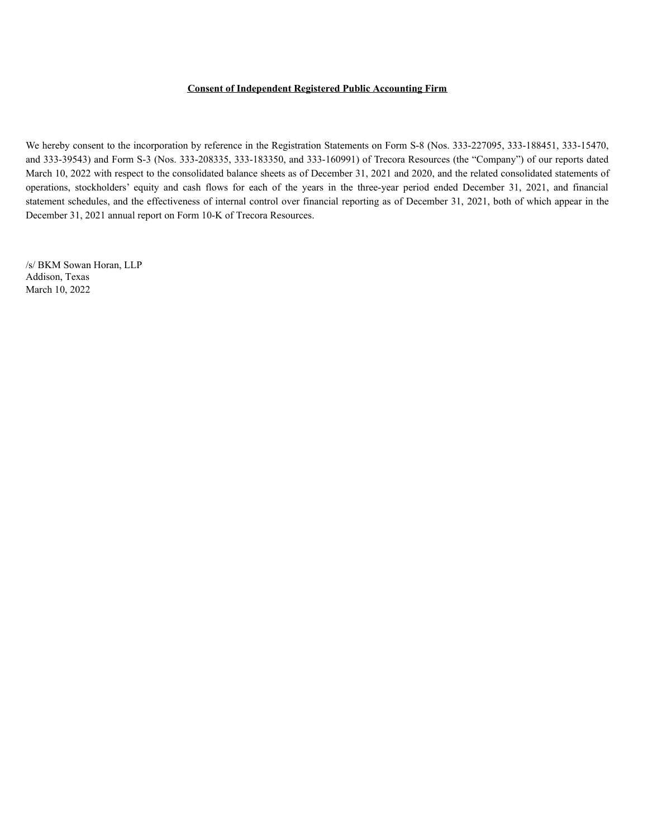### **Consent of Independent Registered Public Accounting Firm**

We hereby consent to the incorporation by reference in the Registration Statements on Form S-8 (Nos. 333-227095, 333-188451, 333-15470, and 333-39543) and Form S-3 (Nos. 333-208335, 333-183350, and 333-160991) of Trecora Resources (the "Company") of our reports dated March 10, 2022 with respect to the consolidated balance sheets as of December 31, 2021 and 2020, and the related consolidated statements of operations, stockholders' equity and cash flows for each of the years in the three-year period ended December 31, 2021, and financial statement schedules, and the effectiveness of internal control over financial reporting as of December 31, 2021, both of which appear in the December 31, 2021 annual report on Form 10-K of Trecora Resources.

/s/ BKM Sowan Horan, LLP Addison, Texas March 10, 2022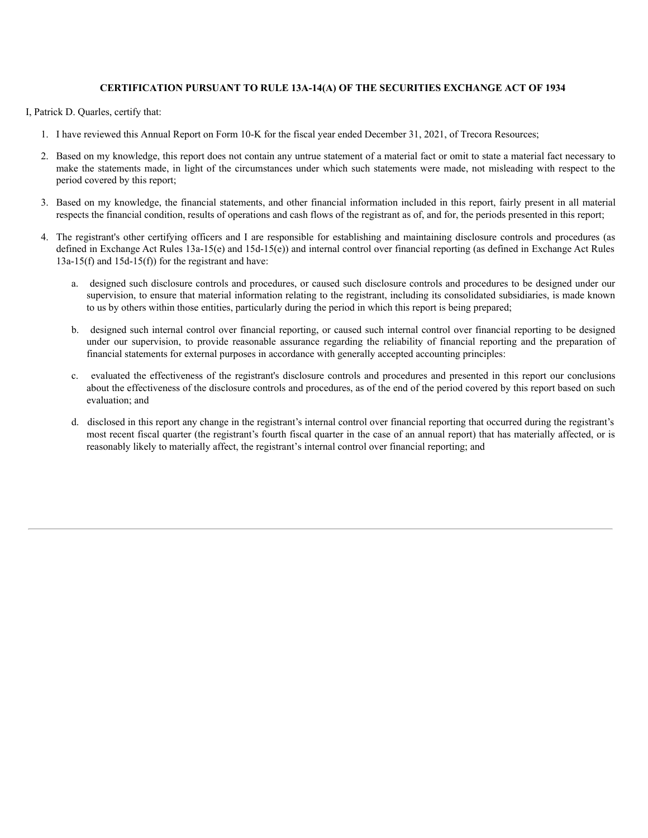# **CERTIFICATION PURSUANT TO RULE 13A-14(A) OF THE SECURITIES EXCHANGE ACT OF 1934**

I, Patrick D. Quarles, certify that:

- 1. I have reviewed this Annual Report on Form 10-K for the fiscal year ended December 31, 2021, of Trecora Resources;
- 2. Based on my knowledge, this report does not contain any untrue statement of a material fact or omit to state a material fact necessary to make the statements made, in light of the circumstances under which such statements were made, not misleading with respect to the period covered by this report;
- 3. Based on my knowledge, the financial statements, and other financial information included in this report, fairly present in all material respects the financial condition, results of operations and cash flows of the registrant as of, and for, the periods presented in this report;
- 4. The registrant's other certifying officers and I are responsible for establishing and maintaining disclosure controls and procedures (as defined in Exchange Act Rules 13a-15(e) and 15d-15(e)) and internal control over financial reporting (as defined in Exchange Act Rules 13a-15(f) and 15d-15(f)) for the registrant and have:
	- a. designed such disclosure controls and procedures, or caused such disclosure controls and procedures to be designed under our supervision, to ensure that material information relating to the registrant, including its consolidated subsidiaries, is made known to us by others within those entities, particularly during the period in which this report is being prepared;
	- b. designed such internal control over financial reporting, or caused such internal control over financial reporting to be designed under our supervision, to provide reasonable assurance regarding the reliability of financial reporting and the preparation of financial statements for external purposes in accordance with generally accepted accounting principles:
	- c. evaluated the effectiveness of the registrant's disclosure controls and procedures and presented in this report our conclusions about the effectiveness of the disclosure controls and procedures, as of the end of the period covered by this report based on such evaluation; and
	- d. disclosed in this report any change in the registrant's internal control over financial reporting that occurred during the registrant's most recent fiscal quarter (the registrant's fourth fiscal quarter in the case of an annual report) that has materially affected, or is reasonably likely to materially affect, the registrant's internal control over financial reporting; and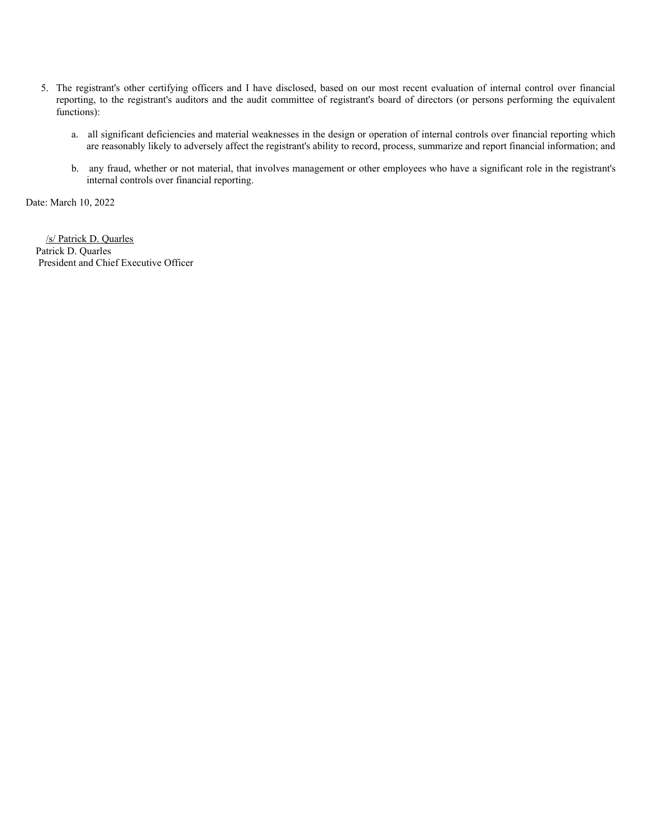- 5. The registrant's other certifying officers and I have disclosed, based on our most recent evaluation of internal control over financial reporting, to the registrant's auditors and the audit committee of registrant's board of directors (or persons performing the equivalent functions):
	- a. all significant deficiencies and material weaknesses in the design or operation of internal controls over financial reporting which are reasonably likely to adversely affect the registrant's ability to record, process, summarize and report financial information; and
	- b. any fraud, whether or not material, that involves management or other employees who have a significant role in the registrant's internal controls over financial reporting.

Date: March 10, 2022

/s/ Patrick D. Quarles Patrick D. Quarles President and Chief Executive Officer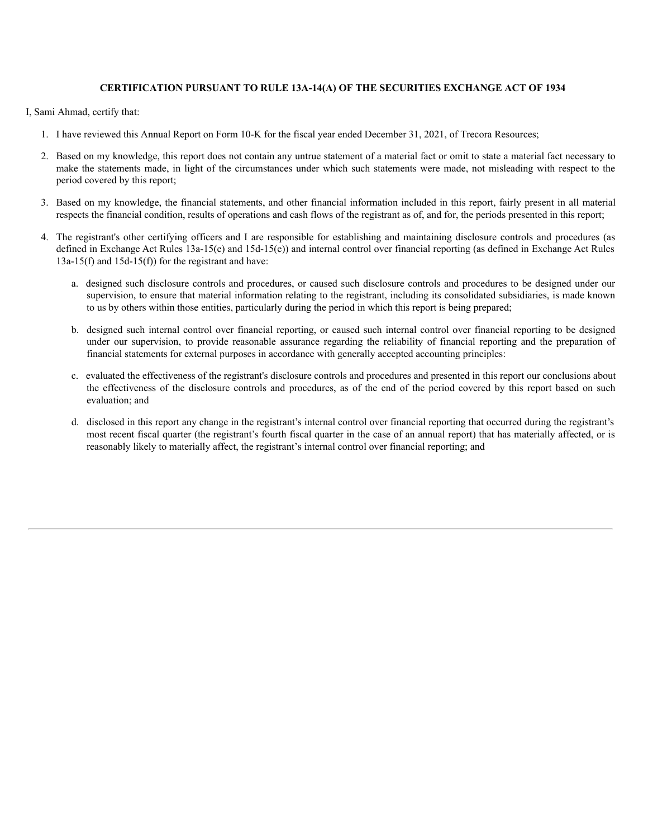# **CERTIFICATION PURSUANT TO RULE 13A-14(A) OF THE SECURITIES EXCHANGE ACT OF 1934**

I, Sami Ahmad, certify that:

- 1. I have reviewed this Annual Report on Form 10-K for the fiscal year ended December 31, 2021, of Trecora Resources;
- 2. Based on my knowledge, this report does not contain any untrue statement of a material fact or omit to state a material fact necessary to make the statements made, in light of the circumstances under which such statements were made, not misleading with respect to the period covered by this report;
- 3. Based on my knowledge, the financial statements, and other financial information included in this report, fairly present in all material respects the financial condition, results of operations and cash flows of the registrant as of, and for, the periods presented in this report;
- 4. The registrant's other certifying officers and I are responsible for establishing and maintaining disclosure controls and procedures (as defined in Exchange Act Rules 13a-15(e) and 15d-15(e)) and internal control over financial reporting (as defined in Exchange Act Rules 13a-15(f) and 15d-15(f)) for the registrant and have:
	- a. designed such disclosure controls and procedures, or caused such disclosure controls and procedures to be designed under our supervision, to ensure that material information relating to the registrant, including its consolidated subsidiaries, is made known to us by others within those entities, particularly during the period in which this report is being prepared;
	- b. designed such internal control over financial reporting, or caused such internal control over financial reporting to be designed under our supervision, to provide reasonable assurance regarding the reliability of financial reporting and the preparation of financial statements for external purposes in accordance with generally accepted accounting principles:
	- c. evaluated the effectiveness of the registrant's disclosure controls and procedures and presented in this report our conclusions about the effectiveness of the disclosure controls and procedures, as of the end of the period covered by this report based on such evaluation; and
	- d. disclosed in this report any change in the registrant's internal control over financial reporting that occurred during the registrant's most recent fiscal quarter (the registrant's fourth fiscal quarter in the case of an annual report) that has materially affected, or is reasonably likely to materially affect, the registrant's internal control over financial reporting; and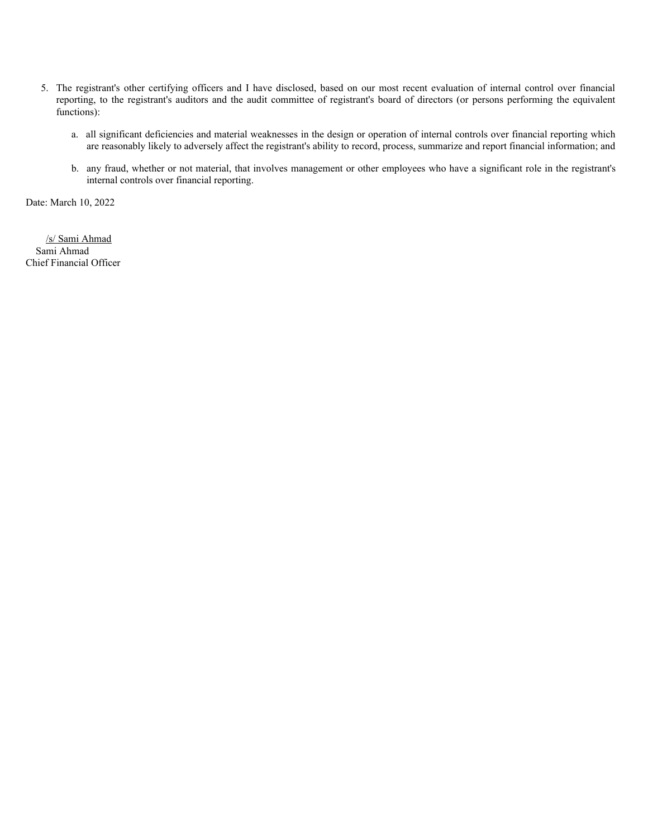- 5. The registrant's other certifying officers and I have disclosed, based on our most recent evaluation of internal control over financial reporting, to the registrant's auditors and the audit committee of registrant's board of directors (or persons performing the equivalent functions):
	- a. all significant deficiencies and material weaknesses in the design or operation of internal controls over financial reporting which are reasonably likely to adversely affect the registrant's ability to record, process, summarize and report financial information; and
	- b. any fraud, whether or not material, that involves management or other employees who have a significant role in the registrant's internal controls over financial reporting.

Date: March 10, 2022

/s/ Sami Ahmad Sami Ahmad Chief Financial Officer